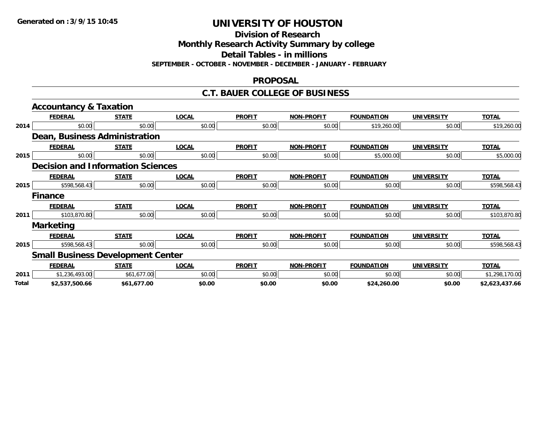**Division of Research**

**Monthly Research Activity Summary by college**

**Detail Tables - in millions**

**SEPTEMBER - OCTOBER - NOVEMBER - DECEMBER - JANUARY - FEBRUARY**

## **PROPOSAL**

## **C.T. BAUER COLLEGE OF BUSINESS**

|       | <b>Accountancy &amp; Taxation</b>        |              |              |               |                   |                   |                   |                |  |  |
|-------|------------------------------------------|--------------|--------------|---------------|-------------------|-------------------|-------------------|----------------|--|--|
|       | <b>FEDERAL</b>                           | <b>STATE</b> | <b>LOCAL</b> | <b>PROFIT</b> | <b>NON-PROFIT</b> | <b>FOUNDATION</b> | <b>UNIVERSITY</b> | <b>TOTAL</b>   |  |  |
| 2014  | \$0.00                                   | \$0.00       | \$0.00       | \$0.00        | \$0.00            | \$19,260.00       | \$0.00            | \$19,260.00    |  |  |
|       | Dean, Business Administration            |              |              |               |                   |                   |                   |                |  |  |
|       | <b>FEDERAL</b>                           | <b>STATE</b> | <b>LOCAL</b> | <b>PROFIT</b> | <b>NON-PROFIT</b> | <b>FOUNDATION</b> | <b>UNIVERSITY</b> | <b>TOTAL</b>   |  |  |
| 2015  | \$0.00                                   | \$0.00       | \$0.00       | \$0.00        | \$0.00            | \$5,000.00        | \$0.00            | \$5,000.00     |  |  |
|       | <b>Decision and Information Sciences</b> |              |              |               |                   |                   |                   |                |  |  |
|       | <b>FEDERAL</b>                           | <b>STATE</b> | <b>LOCAL</b> | <b>PROFIT</b> | <b>NON-PROFIT</b> | <b>FOUNDATION</b> | <b>UNIVERSITY</b> | <b>TOTAL</b>   |  |  |
| 2015  | \$598,568.43                             | \$0.00       | \$0.00       | \$0.00        | \$0.00            | \$0.00            | \$0.00            | \$598,568.43   |  |  |
|       | <b>Finance</b>                           |              |              |               |                   |                   |                   |                |  |  |
|       | <b>FEDERAL</b>                           | <b>STATE</b> | <b>LOCAL</b> | <b>PROFIT</b> | <b>NON-PROFIT</b> | <b>FOUNDATION</b> | <b>UNIVERSITY</b> | <b>TOTAL</b>   |  |  |
| 2011  | \$103,870.80                             | \$0.00       | \$0.00       | \$0.00        | \$0.00            | \$0.00            | \$0.00            | \$103,870.80   |  |  |
|       | <b>Marketing</b>                         |              |              |               |                   |                   |                   |                |  |  |
|       | <b>FEDERAL</b>                           | <b>STATE</b> | <b>LOCAL</b> | <b>PROFIT</b> | <b>NON-PROFIT</b> | <b>FOUNDATION</b> | <b>UNIVERSITY</b> | <b>TOTAL</b>   |  |  |
| 2015  | \$598,568.43                             | \$0.00       | \$0.00       | \$0.00        | \$0.00            | \$0.00            | \$0.00            | \$598,568.43   |  |  |
|       | <b>Small Business Development Center</b> |              |              |               |                   |                   |                   |                |  |  |
|       | <b>FEDERAL</b>                           | <b>STATE</b> | <b>LOCAL</b> | <b>PROFIT</b> | <b>NON-PROFIT</b> | <b>FOUNDATION</b> | <b>UNIVERSITY</b> | <b>TOTAL</b>   |  |  |
| 2011  | \$1,236,493.00                           | \$61,677.00  | \$0.00       | \$0.00        | \$0.00            | \$0.00            | \$0.00            | \$1,298,170.00 |  |  |
| Total | \$2,537,500.66                           | \$61,677.00  | \$0.00       | \$0.00        | \$0.00            | \$24,260.00       | \$0.00            | \$2,623,437.66 |  |  |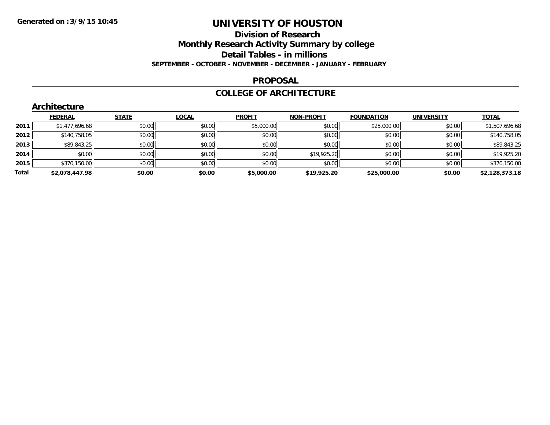## **Division of Research Monthly Research Activity Summary by college Detail Tables - in millions**

**SEPTEMBER - OCTOBER - NOVEMBER - DECEMBER - JANUARY - FEBRUARY**

#### **PROPOSAL**

## **COLLEGE OF ARCHITECTURE**

|       | Architecture   |              |              |               |                   |                   |                   |                |  |  |  |  |
|-------|----------------|--------------|--------------|---------------|-------------------|-------------------|-------------------|----------------|--|--|--|--|
|       | <b>FEDERAL</b> | <b>STATE</b> | <b>LOCAL</b> | <b>PROFIT</b> | <b>NON-PROFIT</b> | <b>FOUNDATION</b> | <b>UNIVERSITY</b> | <b>TOTAL</b>   |  |  |  |  |
| 2011  | \$1,477,696.68 | \$0.00       | \$0.00       | \$5,000.00    | \$0.00            | \$25,000.00       | \$0.00            | \$1,507,696.68 |  |  |  |  |
| 2012  | \$140,758.05   | \$0.00       | \$0.00       | \$0.00        | \$0.00            | \$0.00            | \$0.00            | \$140,758.05   |  |  |  |  |
| 2013  | \$89,843.25    | \$0.00       | \$0.00       | \$0.00        | \$0.00            | \$0.00            | \$0.00            | \$89,843.25    |  |  |  |  |
| 2014  | \$0.00         | \$0.00       | \$0.00       | \$0.00        | \$19,925.20       | \$0.00            | \$0.00            | \$19,925.20    |  |  |  |  |
| 2015  | \$370,150.00   | \$0.00       | \$0.00       | \$0.00        | \$0.00            | \$0.00            | \$0.00            | \$370,150.00   |  |  |  |  |
| Total | \$2,078,447.98 | \$0.00       | \$0.00       | \$5,000.00    | \$19,925.20       | \$25,000.00       | \$0.00            | \$2,128,373.18 |  |  |  |  |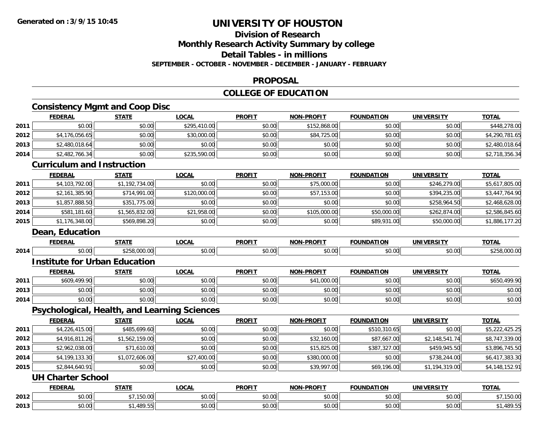#### **Division of ResearchMonthly Research Activity Summary by college Detail Tables - in millions**

**SEPTEMBER - OCTOBER - NOVEMBER - DECEMBER - JANUARY - FEBRUARY**

## **PROPOSAL**

## **COLLEGE OF EDUCATION**

**TOTAL** 

#### **Consistency Mgmt and Coop Disc FEDERAL STATE LOCAL PROFIT NON-PROFIT FOUNDATION UNIVERSITY TOTAL2011** \$0.00 \$0.00 \$295,410.00 \$0.00 \$152,868.00 \$0.00 \$0.00 \$448,278.00 **2012**2 \$4,176,056.65 \$4,290,781.65 \$30,000.00 \$30,000.00 \$30,000 \$84,725.00 \$84,725.00 \$80.00 \$0.00 \$4,290,781.65 **2013** \$2,480,018.64 \$0.00 \$0.00 \$0.00 \$0.00 \$0.00 \$0.00 \$2,480,018.64 **2014**4 \$2,482,766.34|| \$0.00|| \$235,590.00|| \$0.00|| \$0.00|| \$0.00|| \$0.00|| \$0.00|| \$2,718,356.34 **Curriculum and InstructionFEDERAL STATE LOCAL PROFIT NON-PROFIT FOUNDATION UNIVERSITY TOTAL**

|      | <b>FEDERAL</b>  | <b>STATE</b>   | <b>LOCAL</b> | <b>PROFIT</b> | <b>NON-PROFIT</b> | <b>FOUNDATION</b> | <b>UNIVERSITY</b> | <b>TOTAL</b>   |
|------|-----------------|----------------|--------------|---------------|-------------------|-------------------|-------------------|----------------|
|      | Dean, Education |                |              |               |                   |                   |                   |                |
| 2015 | \$1,176,348.00  | \$569,898.20   | \$0.00       | \$0.00        | \$0.00            | \$89,931.00       | \$50,000.00       | \$1,886,177.20 |
| 2014 | \$581,181.60    | \$1,565,832.00 | \$21,958.00  | \$0.00        | \$105,000.00      | \$50,000.00       | \$262,874.00      | \$2,586,845.60 |
| 2013 | \$1,857,888.50  | \$351,775.00   | \$0.00       | \$0.00        | \$0.00            | \$0.00            | \$258,964.50      | \$2,468,628.00 |
| 2012 | \$2,161,385.90  | \$714,991.00   | \$120,000.00 | \$0.00        | \$57,153.00       | \$0.00            | \$394,235.00      | \$3,447,764.90 |
| 2011 | \$4,103,792.00  | \$1,192,734.00 | \$0.00       | \$0.00        | \$75,000.00       | \$0.00            | \$246,279.00      | \$5,617,805.00 |
|      |                 |                |              |               |                   |                   |                   |                |

## **Institute for Urban Education**

|      | <b>FEDERAL</b> | <b>STATE</b> | LOCAL  | <b>PROFIT</b> | <b>NON-PROFIT</b> | <b>FOUNDATION</b> | <b>UNIVERSITY</b> | <u>TOTAL</u> |
|------|----------------|--------------|--------|---------------|-------------------|-------------------|-------------------|--------------|
| 2011 | \$609,499.90   | \$0.00       | \$0.00 | \$0.00        | \$41,000.00       | \$0.00            | \$0.00            | \$650,499.90 |
| 2013 | \$0.00         | \$0.00       | \$0.00 | \$0.00        | \$0.00            | \$0.00            | \$0.00            | \$0.00       |
| 2014 | \$0.00         | \$0.00       | \$0.00 | \$0.00        | \$0.00            | \$0.00            | \$0.00            | \$0.00       |

4 \$0.00 \$0.00 \$0.00 \$0.00 \$0.00 \$0.00 \$0.00 \$0.00 \$0.00 \$0.00 \$0.00 \$0.00 \$0.00 \$0.00 \$1258,000.00

## **Psychological, Health, and Learning Sciences**

|      | <b>FEDERAL</b> | <u>STATE</u>   | <b>LOCAL</b> | <b>PROFIT</b> | <b>NON-PROFIT</b> | <b>FOUNDATION</b> | UNIVERSITY     | <b>TOTAL</b>   |
|------|----------------|----------------|--------------|---------------|-------------------|-------------------|----------------|----------------|
| 2011 | \$4,226,415.00 | \$485,699.60   | \$0.00       | \$0.00        | \$0.00            | \$510,310.65      | \$0.00         | \$5,222,425.25 |
| 2012 | \$4,916,811.26 | \$1,562,159.00 | \$0.00       | \$0.00        | \$32,160.00       | \$87,667.00       | \$2,148,541.74 | \$8,747,339.00 |
| 2013 | \$2,962,038.00 | \$71,610.00    | \$0.00       | \$0.00        | \$15,825.00       | \$387,327.00      | \$459,945.50   | \$3,896,745.50 |
| 2014 | \$4,199,133.30 | \$1,072,606.00 | \$27,400.00  | \$0.00        | \$380,000.00      | \$0.00            | \$738,244.00   | \$6,417,383.30 |
| 2015 | \$2,844,640.91 | \$0.00         | \$0.00       | \$0.00        | \$39,997.00       | \$69,196.00       | \$1,194,319.00 | \$4,148,152.91 |

#### **UH Charter School**

**2014**

|      | <b>FEDERAL</b> | <b>STATE</b>     | LOCAL  | <b>PROFIT</b>                                                   | <b>NON-PROFIT</b>  | <b>FOUNDATION</b>                         | UNIVERSITY                     | <b>TOTAL</b>            |
|------|----------------|------------------|--------|-----------------------------------------------------------------|--------------------|-------------------------------------------|--------------------------------|-------------------------|
| 2012 | 0000<br>pu.uu  | 1.4500<br>199.99 | \$0.00 | $\uparrow$ $\uparrow$ $\uparrow$ $\uparrow$ $\uparrow$<br>JU.UU | $\sim$ 00<br>PU.UU | $\uparrow$ $\uparrow$ $\uparrow$<br>DU.UU | 0 <sub>n</sub><br><b>JU.UU</b> | $\sim$ 0.01<br>, 150.00 |
| 2013 | 0000<br>JU.UU  | 100E<br>407.J    | \$0.00 | <b>↑∩</b><br>PU.UU                                              | 0000<br>JU.UU      | 0000<br>JU.UU                             | 0000<br><b>JU.UU</b>           | 1,489.55٪،              |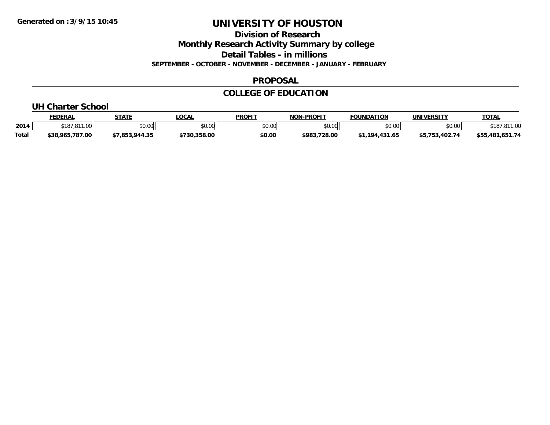**Division of Research**

**Monthly Research Activity Summary by college**

**Detail Tables - in millions**

**SEPTEMBER - OCTOBER - NOVEMBER - DECEMBER - JANUARY - FEBRUARY**

#### **PROPOSAL**

## **COLLEGE OF EDUCATION**

#### **UH Charter School**

|              | FEDERAL         | <b>STATE</b>                                | <b>.OCAL</b> | <b>PROFIT</b> | <b>J-PROFIT</b><br>וחרות | <b>FOUNDATION</b> | <b>UNIVERSITY</b>        | <b>TOTAL</b>    |
|--------------|-----------------|---------------------------------------------|--------------|---------------|--------------------------|-------------------|--------------------------|-----------------|
| 2014         | .<br>18'        | $\mathfrak{e}\cap\mathfrak{u}\cap$<br>JU.UU | \$0.00       | \$0.00        | ልስ ሀህ<br>DU.UU           | \$0.00            | \$0.00                   | $\alpha$        |
| <b>Total</b> | \$38,965,787.00 | - -                                         | \$730.358.00 | \$0.00        | \$983,728.00             | 431.65<br>194     | <sup>*=</sup> 753.402.74 | \$55,481,651.74 |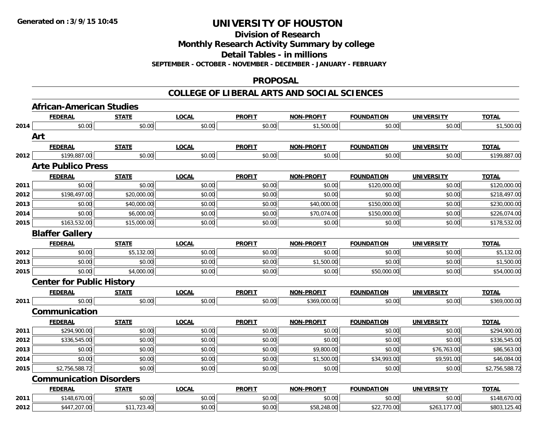**Division of Research**

**Monthly Research Activity Summary by college**

**Detail Tables - in millions**

**SEPTEMBER - OCTOBER - NOVEMBER - DECEMBER - JANUARY - FEBRUARY**

#### **PROPOSAL**

|      | <b>African-American Studies</b>  |              |              |               |                   |                   |                   |                |
|------|----------------------------------|--------------|--------------|---------------|-------------------|-------------------|-------------------|----------------|
|      | <b>FEDERAL</b>                   | <b>STATE</b> | <b>LOCAL</b> | <b>PROFIT</b> | <b>NON-PROFIT</b> | <b>FOUNDATION</b> | <b>UNIVERSITY</b> | <b>TOTAL</b>   |
| 2014 | \$0.00                           | \$0.00       | \$0.00       | \$0.00        | \$1,500.00        | \$0.00            | \$0.00            | \$1,500.00     |
|      | Art                              |              |              |               |                   |                   |                   |                |
|      | <b>FEDERAL</b>                   | <b>STATE</b> | <b>LOCAL</b> | <b>PROFIT</b> | <b>NON-PROFIT</b> | <b>FOUNDATION</b> | <b>UNIVERSITY</b> | <b>TOTAL</b>   |
| 2012 | \$199,887.00                     | \$0.00       | \$0.00       | \$0.00        | \$0.00            | \$0.00            | \$0.00            | \$199,887.00   |
|      | <b>Arte Publico Press</b>        |              |              |               |                   |                   |                   |                |
|      | <b>FEDERAL</b>                   | <b>STATE</b> | <b>LOCAL</b> | <b>PROFIT</b> | <b>NON-PROFIT</b> | <b>FOUNDATION</b> | <b>UNIVERSITY</b> | <b>TOTAL</b>   |
| 2011 | \$0.00                           | \$0.00       | \$0.00       | \$0.00        | \$0.00            | \$120,000.00      | \$0.00            | \$120,000.00   |
| 2012 | \$198,497.00                     | \$20,000.00  | \$0.00       | \$0.00        | \$0.00            | \$0.00            | \$0.00            | \$218,497.00   |
| 2013 | \$0.00                           | \$40,000.00  | \$0.00       | \$0.00        | \$40,000.00       | \$150,000.00      | \$0.00            | \$230,000.00   |
| 2014 | \$0.00                           | \$6,000.00   | \$0.00       | \$0.00        | \$70,074.00       | \$150,000.00      | \$0.00            | \$226,074.00   |
| 2015 | \$163,532.00                     | \$15,000.00  | \$0.00       | \$0.00        | \$0.00            | \$0.00            | \$0.00            | \$178,532.00   |
|      | <b>Blaffer Gallery</b>           |              |              |               |                   |                   |                   |                |
|      | <b>FEDERAL</b>                   | <b>STATE</b> | <b>LOCAL</b> | <b>PROFIT</b> | <b>NON-PROFIT</b> | <b>FOUNDATION</b> | <b>UNIVERSITY</b> | <b>TOTAL</b>   |
| 2012 | \$0.00                           | \$5,132.00   | \$0.00       | \$0.00        | \$0.00            | \$0.00            | \$0.00            | \$5,132.00     |
| 2013 | \$0.00                           | \$0.00       | \$0.00       | \$0.00        | \$1,500.00        | \$0.00            | \$0.00            | \$1,500.00     |
| 2015 | \$0.00                           | \$4,000.00   | \$0.00       | \$0.00        | \$0.00            | \$50,000.00       | \$0.00            | \$54,000.00    |
|      | <b>Center for Public History</b> |              |              |               |                   |                   |                   |                |
|      | <b>FEDERAL</b>                   | <b>STATE</b> | <b>LOCAL</b> | <b>PROFIT</b> | <b>NON-PROFIT</b> | <b>FOUNDATION</b> | <b>UNIVERSITY</b> | <b>TOTAL</b>   |
| 2011 | \$0.00                           | \$0.00       | \$0.00       | \$0.00        | \$369,000.00      | \$0.00            | \$0.00            | \$369,000.00   |
|      | Communication                    |              |              |               |                   |                   |                   |                |
|      | <b>FEDERAL</b>                   | <b>STATE</b> | <b>LOCAL</b> | <b>PROFIT</b> | <b>NON-PROFIT</b> | <b>FOUNDATION</b> | <b>UNIVERSITY</b> | <b>TOTAL</b>   |
| 2011 | \$294,900.00                     | \$0.00       | \$0.00       | \$0.00        | \$0.00            | \$0.00            | \$0.00            | \$294,900.00   |
| 2012 | \$336,545.00                     | \$0.00       | \$0.00       | \$0.00        | \$0.00            | \$0.00            | \$0.00            | \$336,545.00   |
| 2013 | \$0.00                           | \$0.00       | \$0.00       | \$0.00        | \$9,800.00        | \$0.00            | \$76,763.00       | \$86,563.00    |
| 2014 | \$0.00                           | \$0.00       | \$0.00       | \$0.00        | \$1,500.00        | \$34,993.00       | \$9,591.00        | \$46,084.00    |
| 2015 | \$2,756,588.72                   | \$0.00       | \$0.00       | \$0.00        | \$0.00            | \$0.00            | \$0.00            | \$2,756,588.72 |
|      | <b>Communication Disorders</b>   |              |              |               |                   |                   |                   |                |
|      | <b>FEDERAL</b>                   | <b>STATE</b> | <b>LOCAL</b> | <b>PROFIT</b> | <b>NON-PROFIT</b> | <b>FOUNDATION</b> | <b>UNIVERSITY</b> | <b>TOTAL</b>   |
| 2011 | \$148,670.00                     | \$0.00       | \$0.00       | \$0.00        | \$0.00            | \$0.00            | \$0.00            | \$148,670.00   |
| 2012 | \$447,207.00                     | \$11,723.40  | \$0.00       | \$0.00        | \$58,248.00       | \$22,770.00       | \$263,177.00      | \$803,125.40   |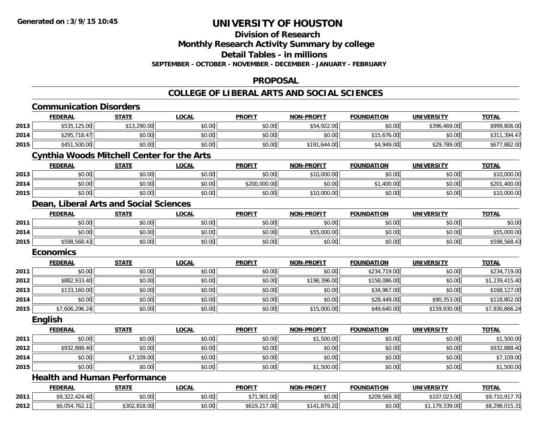## **Division of Research**

**Monthly Research Activity Summary by college**

**Detail Tables - in millions**

**SEPTEMBER - OCTOBER - NOVEMBER - DECEMBER - JANUARY - FEBRUARY**

#### **PROPOSAL**

|      | <b>Communication Disorders</b>                    |              |              |               |                   |                   |                   |                |
|------|---------------------------------------------------|--------------|--------------|---------------|-------------------|-------------------|-------------------|----------------|
|      | <b>FEDERAL</b>                                    | <b>STATE</b> | <b>LOCAL</b> | <b>PROFIT</b> | <b>NON-PROFIT</b> | <b>FOUNDATION</b> | <b>UNIVERSITY</b> | <b>TOTAL</b>   |
| 2013 | \$535,125.00                                      | \$13,290.00  | \$0.00       | \$0.00        | \$54,922.00       | \$0.00            | \$396,469.00      | \$999,806.00   |
| 2014 | \$295,718.47                                      | \$0.00       | \$0.00       | \$0.00        | \$0.00            | \$15,676.00       | \$0.00            | \$311,394.47   |
| 2015 | \$451,500.00                                      | \$0.00       | \$0.00       | \$0.00        | \$191,644.00      | \$4,949.00        | \$29,789.00       | \$677,882.00   |
|      | <b>Cynthia Woods Mitchell Center for the Arts</b> |              |              |               |                   |                   |                   |                |
|      | <b>FEDERAL</b>                                    | <b>STATE</b> | <b>LOCAL</b> | <b>PROFIT</b> | <b>NON-PROFIT</b> | <b>FOUNDATION</b> | <b>UNIVERSITY</b> | <b>TOTAL</b>   |
| 2013 | \$0.00                                            | \$0.00       | \$0.00       | \$0.00        | \$10,000.00       | \$0.00            | \$0.00            | \$10,000.00    |
| 2014 | \$0.00                                            | \$0.00       | \$0.00       | \$200,000.00  | \$0.00            | \$1,400.00        | \$0.00            | \$201,400.00   |
| 2015 | \$0.00                                            | \$0.00       | \$0.00       | \$0.00        | \$10,000.00       | \$0.00            | \$0.00            | \$10,000.00    |
|      | Dean, Liberal Arts and Social Sciences            |              |              |               |                   |                   |                   |                |
|      | <b>FEDERAL</b>                                    | <b>STATE</b> | <b>LOCAL</b> | <b>PROFIT</b> | <b>NON-PROFIT</b> | <b>FOUNDATION</b> | <b>UNIVERSITY</b> | <b>TOTAL</b>   |
| 2011 | \$0.00                                            | \$0.00       | \$0.00       | \$0.00        | \$0.00            | \$0.00            | \$0.00            | \$0.00         |
| 2014 | \$0.00                                            | \$0.00       | \$0.00       | \$0.00        | \$55,000.00       | \$0.00            | \$0.00            | \$55,000.00    |
| 2015 | \$598,568.43                                      | \$0.00       | \$0.00       | \$0.00        | \$0.00            | \$0.00            | \$0.00            | \$598,568.43   |
|      | <b>Economics</b>                                  |              |              |               |                   |                   |                   |                |
|      | <b>FEDERAL</b>                                    | <b>STATE</b> | <b>LOCAL</b> | <b>PROFIT</b> | <b>NON-PROFIT</b> | <b>FOUNDATION</b> | <b>UNIVERSITY</b> | <b>TOTAL</b>   |
| 2011 | \$0.00                                            | \$0.00       | \$0.00       | \$0.00        | \$0.00            | \$234,719.00      | \$0.00            | \$234,719.00   |
| 2012 | \$882,933.40                                      | \$0.00       | \$0.00       | \$0.00        | \$198,396.00      | \$158,086.00      | \$0.00            | \$1,239,415.40 |
| 2013 | \$133,160.00                                      | \$0.00       | \$0.00       | \$0.00        | \$0.00            | \$34,967.00       | \$0.00            | \$168,127.00   |
| 2014 | \$0.00                                            | \$0.00       | \$0.00       | \$0.00        | \$0.00            | \$28,449.00       | \$90,353.00       | \$118,802.00   |
| 2015 | \$7,606,296.24                                    | \$0.00       | \$0.00       | \$0.00        | \$15,000.00       | \$49,640.00       | \$159,930.00      | \$7,830,866.24 |
|      | English                                           |              |              |               |                   |                   |                   |                |
|      | <b>FEDERAL</b>                                    | <b>STATE</b> | <b>LOCAL</b> | <b>PROFIT</b> | <b>NON-PROFIT</b> | <b>FOUNDATION</b> | <b>UNIVERSITY</b> | <b>TOTAL</b>   |
| 2011 | \$0.00                                            | \$0.00       | \$0.00       | \$0.00        | \$1,500.00        | \$0.00            | \$0.00            | \$1,500.00     |
| 2012 | \$932,888.40                                      | \$0.00       | \$0.00       | \$0.00        | \$0.00            | \$0.00            | \$0.00            | \$932,888.40   |
| 2014 | \$0.00                                            | \$7,109.00   | \$0.00       | \$0.00        | \$0.00            | \$0.00            | \$0.00            | \$7,109.00     |
| 2015 | \$0.00                                            | \$0.00       | \$0.00       | \$0.00        | \$1,500.00        | \$0.00            | \$0.00            | \$1,500.00     |
|      | <b>Health and Human Performance</b>               |              |              |               |                   |                   |                   |                |
|      | <b>FEDERAL</b>                                    | <b>STATE</b> | <b>LOCAL</b> | <b>PROFIT</b> | <b>NON-PROFIT</b> | <b>FOUNDATION</b> | <b>UNIVERSITY</b> | <b>TOTAL</b>   |
| 2011 | \$9,322,424.40                                    | \$0.00       | \$0.00       | \$71,901.00   | \$0.00            | \$209,569.30      | \$107,023.00      | \$9,710,917.70 |
| 2012 | \$6,054,762.11                                    | \$302,818.00 | \$0.00       | \$619,217.00  | \$141,879.20      | \$0.00            | \$1,179,339.00    | \$8,298,015.31 |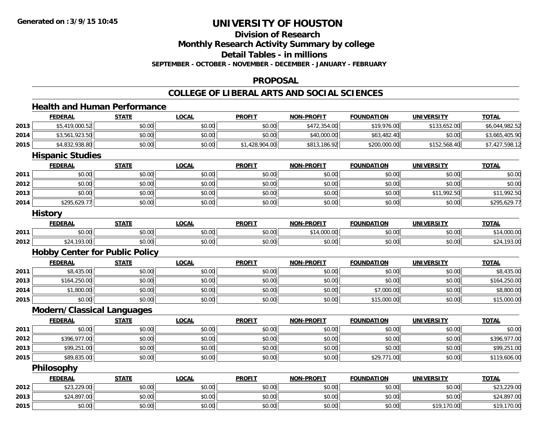## **Division of Research**

**Monthly Research Activity Summary by college**

**Detail Tables - in millions**

**SEPTEMBER - OCTOBER - NOVEMBER - DECEMBER - JANUARY - FEBRUARY**

#### **PROPOSAL**

## **COLLEGE OF LIBERAL ARTS AND SOCIAL SCIENCES**

#### **Health and Human PerformanceFEDERAL STATE LOCAL PROFIT NON-PROFIT FOUNDATION UNIVERSITY TOTAL2013** \$5,419,000.52 \$0.00 \$0.00 \$0.00 \$472,354.00 \$19,976.00 \$133,652.00 \$6,044,982.52 **2014**4 \$3,561,923.50 \$0.00 \$0.00 \$0.00 \$0.00 \$0.00 \$0.00 \$0.00 \$40,000.00 \$40,000.00 \$3,482.40 \$0.00 \$3,665,405.90 **2015** \$4,832,938.80 \$0.00 \$0.00 \$1,428,904.00 \$813,186.92 \$200,000.00 \$152,568.40 \$7,427,598.12 **Hispanic Studies FEDERAL STATE LOCAL PROFIT NON-PROFIT FOUNDATION UNIVERSITY TOTALTOTAL 2011** \$0.00 \$0.00 \$0.00 \$0.00 \$0.00 \$0.00 \$0.00 \$0.00 **2012**2 | \$0.00 \$0.00 \$0.00 \$0.00 \$0.00 \$0.00 \$0.00 \$0.00 \$0.00 \$0.00 \$0.00 \$0.00 \$0.00 \$0.00 \$0.00 \$0.00 \$0.00 **2013**3 | \$0.00 \$0.00 \$0.00 \$0.00 \$0.00 \$0.00 \$0.00 \$0.00 \$0.00 \$0.00 \$0.00 \$0.00 \$11,992.50 \$11,992.50 \$11,992.50 **2014**4 \$295,629.77|| \$0.00|| \$0.00|| \$0.00|| \$0.00|| \$0.00|| \$0.00|| \$0.00|| \$295,629.77 **History FEDERAL STATE LOCAL PROFIT NON-PROFIT FOUNDATION UNIVERSITY TOTAL2011** \$0.00 \$0.00 \$0.00 \$0.00 \$14,000.00 \$0.00 \$0.00 \$14,000.00 **2012**2 \$24,193.00 \$0.00 \$0.00 \$0.00 \$0.00 \$0.00 \$0.00 \$0.00 \$0.00 \$0.00 \$0.00 \$0.00 \$0.00 \$24,193.00 **Hobby Center for Public Policy FEDERAL STATE LOCAL PROFIT NON-PROFIT FOUNDATION UNIVERSITY TOTAL2011** \$8,435.00 \$0.00 \$0.00 \$0.00 \$0.00 \$0.00 \$0.00 \$8,435.00 **2013** \$164,250.00 \$0.00 \$0.00 \$0.00 \$0.00 \$0.00 \$0.00 \$164,250.00 **2014**4 \$1,800.00| \$0.00| \$0.00| \$0.00| \$0.00| \$0.00| \$0.00| \$0.00| \$7,000.00| \$7,000.00| \$0.00| \$8,800.00 **2015** \$0.00 \$0.00 \$0.00 \$0.00 \$0.00 \$15,000.00 \$0.00 \$15,000.00 **Modern/Classical Languages FEDERAL STATE LOCAL PROFIT NON-PROFIT FOUNDATION UNIVERSITY TOTAL2011** \$0.00 \$0.00 \$0.00 \$0.00 \$0.00 \$0.00 \$0.00 \$0.00 **2012**2 | \$396,977.00| \$0.00| \$0.00| \$0.00| \$0.00| \$0.00| \$0.00| \$0.00| \$0.00| \$0.00| \$396,977.00| \$396,977.00 **2013** \$99,251.00 \$0.00 \$0.00 \$0.00 \$0.00 \$0.00 \$0.00 \$99,251.00 **2015** \$89,835.00 \$0.00 \$0.00 \$0.00 \$0.00 \$29,771.00 \$0.00 \$119,606.00 **Philosophy FEDERAL STATE LOCAL PROFIT NON-PROFIT FOUNDATION UNIVERSITY TOTALTOTAL 2012**2 \$33,229.00 \$0.00 \$0.00 \$0.00 \$0.00 \$0.00 \$0.00 \$0.00 \$0.00 \$0.00 \$0.00 \$13,229.00 **2013** \$24,897.00 \$0.00 \$0.00 \$0.00 \$0.00 \$0.00 \$0.00 \$24,897.00 **2015**\$0.00 \$0.00 \$0.00 \$0.00 \$0.00 \$0.00 \$19,170.00 \$19,170.00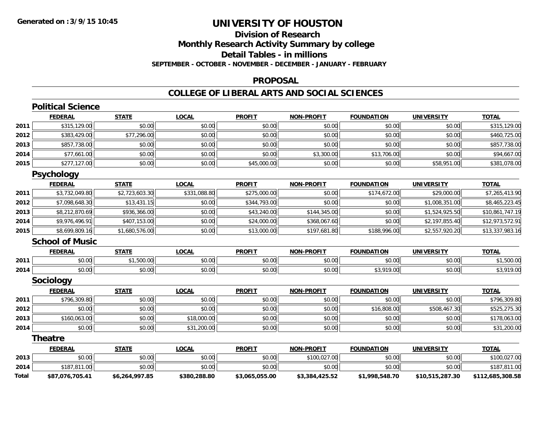## **Division of ResearchMonthly Research Activity Summary by college Detail Tables - in millions SEPTEMBER - OCTOBER - NOVEMBER - DECEMBER - JANUARY - FEBRUARY**

#### **PROPOSAL**

|       | <b>Political Science</b> |                |              |                |                   |                   |                   |                  |
|-------|--------------------------|----------------|--------------|----------------|-------------------|-------------------|-------------------|------------------|
|       | <b>FEDERAL</b>           | <b>STATE</b>   | <b>LOCAL</b> | <b>PROFIT</b>  | <b>NON-PROFIT</b> | <b>FOUNDATION</b> | <b>UNIVERSITY</b> | <b>TOTAL</b>     |
| 2011  | \$315,129.00             | \$0.00         | \$0.00       | \$0.00         | \$0.00            | \$0.00            | \$0.00            | \$315,129.00     |
| 2012  | \$383,429.00             | \$77,296.00    | \$0.00       | \$0.00         | \$0.00            | \$0.00            | \$0.00            | \$460,725.00     |
| 2013  | \$857,738.00             | \$0.00         | \$0.00       | \$0.00         | \$0.00            | \$0.00            | \$0.00            | \$857,738.00     |
| 2014  | \$77,661.00              | \$0.00         | \$0.00       | \$0.00         | \$3,300.00        | \$13,706.00       | \$0.00            | \$94,667.00      |
| 2015  | \$277,127.00             | \$0.00         | \$0.00       | \$45,000.00    | \$0.00            | \$0.00            | \$58,951.00       | \$381,078.00     |
|       | <b>Psychology</b>        |                |              |                |                   |                   |                   |                  |
|       | <b>FEDERAL</b>           | <b>STATE</b>   | <b>LOCAL</b> | <b>PROFIT</b>  | <b>NON-PROFIT</b> | <b>FOUNDATION</b> | <b>UNIVERSITY</b> | <b>TOTAL</b>     |
| 2011  | \$3,732,049.80           | \$2,723,603.30 | \$331,088.80 | \$275,000.00   | \$0.00            | \$174,672.00      | \$29,000.00       | \$7,265,413.90   |
| 2012  | \$7,098,648.30           | \$13,431.15    | \$0.00       | \$344,793.00   | \$0.00            | \$0.00            | \$1,008,351.00    | \$8,465,223.45   |
| 2013  | \$8,212,870.69           | \$936,366.00   | \$0.00       | \$43,240.00    | \$144,345.00      | \$0.00            | \$1,524,925.50    | \$10,861,747.19  |
| 2014  | \$9,976,496.91           | \$407,153.00   | \$0.00       | \$24,000.00    | \$368,067.60      | \$0.00            | \$2,197,855.40    | \$12,973,572.91  |
| 2015  | \$8,699,809.16           | \$1,680,576.00 | \$0.00       | \$13,000.00    | \$197,681.80      | \$188,996.00      | \$2,557,920.20    | \$13,337,983.16  |
|       | <b>School of Music</b>   |                |              |                |                   |                   |                   |                  |
|       | <b>FEDERAL</b>           | <b>STATE</b>   | <b>LOCAL</b> | <b>PROFIT</b>  | <b>NON-PROFIT</b> | <b>FOUNDATION</b> | <b>UNIVERSITY</b> | <b>TOTAL</b>     |
| 2011  | \$0.00                   | \$1,500.00     | \$0.00       | \$0.00         | \$0.00            | \$0.00            | \$0.00            | \$1,500.00       |
| 2014  | \$0.00                   | \$0.00         | \$0.00       | \$0.00         | \$0.00            | \$3,919.00        | \$0.00            | \$3,919.00       |
|       | <b>Sociology</b>         |                |              |                |                   |                   |                   |                  |
|       | <b>FEDERAL</b>           | <b>STATE</b>   | <b>LOCAL</b> | <b>PROFIT</b>  | <b>NON-PROFIT</b> | <b>FOUNDATION</b> | <b>UNIVERSITY</b> | <b>TOTAL</b>     |
| 2011  | \$796,309.80             | \$0.00         | \$0.00       | \$0.00         | \$0.00            | \$0.00            | \$0.00            | \$796,309.80     |
| 2012  | \$0.00                   | \$0.00         | \$0.00       | \$0.00         | \$0.00            | \$16,808.00       | \$508,467.30      | \$525,275.30     |
| 2013  | \$160,063.00             | \$0.00         | \$18,000.00  | \$0.00         | \$0.00            | \$0.00            | \$0.00            | \$178,063.00     |
| 2014  | \$0.00                   | \$0.00         | \$31,200.00  | \$0.00         | \$0.00            | \$0.00            | \$0.00            | \$31,200.00      |
|       | <b>Theatre</b>           |                |              |                |                   |                   |                   |                  |
|       | <b>FEDERAL</b>           | <b>STATE</b>   | <b>LOCAL</b> | <b>PROFIT</b>  | <b>NON-PROFIT</b> | <b>FOUNDATION</b> | <b>UNIVERSITY</b> | <b>TOTAL</b>     |
| 2013  | \$0.00                   | \$0.00         | \$0.00       | \$0.00         | \$100,027.00      | \$0.00            | \$0.00            | \$100,027.00     |
| 2014  | \$187,811.00             | \$0.00         | \$0.00       | \$0.00         | \$0.00            | \$0.00            | \$0.00            | \$187,811.00     |
| Total | \$87,076,705.41          | \$6,264,997.85 | \$380,288.80 | \$3,065,055.00 | \$3,384,425.52    | \$1,998,548.70    | \$10,515,287.30   | \$112,685,308.58 |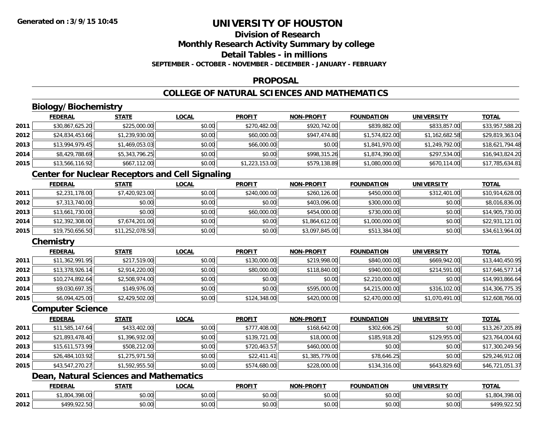# **Division of Research**

**Monthly Research Activity Summary by college**

**Detail Tables - in millions**

**SEPTEMBER - OCTOBER - NOVEMBER - DECEMBER - JANUARY - FEBRUARY**

## **PROPOSAL**

## **COLLEGE OF NATURAL SCIENCES AND MATHEMATICS**

## **Biology/Biochemistry**

|      | <b>FEDERAL</b>  | <u>STATE</u>   | <u>LOCAL</u> | <b>PROFIT</b>  | <b>NON-PROFIT</b> | <b>FOUNDATION</b> | <b>UNIVERSITY</b> | <b>TOTAL</b>    |
|------|-----------------|----------------|--------------|----------------|-------------------|-------------------|-------------------|-----------------|
| 2011 | \$30,867,625.20 | \$225,000.00   | \$0.00       | \$270,482.00   | \$920,742.00      | \$839,882.00      | \$833,857.00      | \$33,957,588.20 |
| 2012 | \$24,834,453.66 | \$1,239,930.00 | \$0.00       | \$60,000.00    | \$947,474.80      | \$1,574,822.00    | \$1,162,682.58    | \$29,819,363.04 |
| 2013 | \$13,994,979.45 | \$1,469,053.03 | \$0.00       | \$66,000.00    | \$0.00            | \$1,841,970.00    | \$1,249,792.00    | \$18,621,794.48 |
| 2014 | \$8,429,788.69  | \$5,343,796.25 | \$0.00       | \$0.00         | \$998,315.26      | \$1,874,390.00    | \$297,534.00      | \$16,943,824.20 |
| 2015 | \$13,566,116.92 | \$667,112.00   | \$0.00       | \$1,223,153.00 | \$579,138.89      | \$1,080,000.00    | \$670,114.00      | \$17,785,634.81 |

## **Center for Nuclear Receptors and Cell Signaling**

|      | <b>FEDERAL</b>  | <b>STATE</b>    | <b>LOCAL</b> | <b>PROFIT</b> | <b>NON-PROFIT</b> | <b>FOUNDATION</b> | <b>UNIVERSITY</b> | <b>TOTAL</b>    |
|------|-----------------|-----------------|--------------|---------------|-------------------|-------------------|-------------------|-----------------|
| 2011 | \$2,231,178.00  | \$7,420,923.00  | \$0.00       | \$240,000.00  | \$260,126.00      | \$450,000.00      | \$312,401.00      | \$10,914,628.00 |
| 2012 | \$7,313,740.00  | \$0.00          | \$0.00       | \$0.00        | \$403,096.00      | \$300,000.00      | \$0.00            | \$8,016,836.00  |
| 2013 | \$13,661,730.00 | \$0.00          | \$0.00       | \$60,000.00   | \$454,000.00      | \$730,000.00      | \$0.00            | \$14,905,730.00 |
| 2014 | \$12,392,308.00 | \$7,674,201.00  | \$0.00       | \$0.00        | \$1,864,612.00    | \$1,000,000.00    | \$0.00            | \$22,931,121.00 |
| 2015 | \$19,750,656.50 | \$11,252,078.50 | \$0.00       | \$0.00        | \$3,097,845.00    | \$513,384.00      | \$0.00            | \$34,613,964.00 |

## **Chemistry**

|      | <b>FEDERAL</b>  | <b>STATE</b>   | <b>LOCAL</b> | <b>PROFIT</b> | <b>NON-PROFIT</b> | <b>FOUNDATION</b> | <b>UNIVERSITY</b> | <u>TOTAL</u>    |
|------|-----------------|----------------|--------------|---------------|-------------------|-------------------|-------------------|-----------------|
| 2011 | \$11,362,991.95 | \$217,519.00   | \$0.00       | \$130,000.00  | \$219,998.00      | \$840,000.00      | \$669,942.00      | \$13,440,450.95 |
| 2012 | \$13,378,926.14 | \$2,914,220.00 | \$0.00       | \$80,000.00   | \$118,840,00      | \$940,000.00      | \$214,591.00      | \$17,646,577.14 |
| 2013 | \$10,274,892.64 | \$2,508,974.00 | \$0.00       | \$0.00        | \$0.00            | \$2,210,000.00    | \$0.00            | \$14,993,866.64 |
| 2014 | \$9,030,697.35  | \$149,976.00   | \$0.00       | \$0.00        | \$595,000.00      | \$4,215,000.00    | \$316,102.00      | \$14,306,775.35 |
| 2015 | \$6,094,425.00  | \$2,429,502.00 | \$0.00       | \$124,348.00  | \$420,000.00      | \$2,470,000.00    | \$1,070,491.00    | \$12,608,766.00 |

#### **Computer Science**

|      | <b>FEDERAL</b>  | <b>STATE</b>   | <b>LOCAL</b> | <b>PROFIT</b> | <b>NON-PROFIT</b> | <b>FOUNDATION</b> | <b>UNIVERSITY</b> | <b>TOTAL</b>    |
|------|-----------------|----------------|--------------|---------------|-------------------|-------------------|-------------------|-----------------|
| 2011 | \$11,585,147.64 | \$433,402.00   | \$0.00       | \$777,408.00  | \$168,642.00      | \$302,606.25      | \$0.00            | \$13,267,205.89 |
| 2012 | \$21,893,478.40 | \$1,396,932.00 | \$0.00       | \$139,721.00  | \$18,000.00       | \$185,918.20      | \$129,955.00      | \$23,764,004.60 |
| 2013 | \$15,611,573.99 | \$508,212.00   | \$0.00       | \$720,463.57  | \$460,000.00      | \$0.00            | \$0.00            | \$17,300,249.56 |
| 2014 | \$26,484,103.92 | \$1,275,971.50 | \$0.00       | \$22,411.41   | \$1,385,779.00    | \$78,646.25       | \$0.00            | \$29,246,912.08 |
| 2015 | \$43,547,270.27 | \$1,592,955.50 | \$0.00       | \$574,680.00  | \$228,000.00      | \$134,316.00      | \$643,829.60      | \$46,721,051.37 |

## **Dean, Natural Sciences and Mathematics**

|      | <b>FEDERAL</b> | $- - - -$          | .OCAI                 | <b>PROFIT</b>             | <b>PROFIT</b><br>ימות  | FOUNDATION | UNIVE              | <b>TOTAL</b><br>" מ           |
|------|----------------|--------------------|-----------------------|---------------------------|------------------------|------------|--------------------|-------------------------------|
| 2011 | 0.000          | \$0.00             | $\sim$ $\sim$<br>וטט. | ტი იი<br>JU.UU            | $\sim$ $\sim$<br>vu.uu | \$0.00     | $\sim$ 00<br>vu.ou | 20000<br>70.UU                |
| 2012 | $*100.02$      | $\sim$ 00<br>,u.uu | $\sim$<br>vv.vv       | $\sim$<br>$\sim$<br>JU.UL | $\sim$ 00<br>PO.OO     | \$0.00     | 0.00<br>\$0.00     | .100<br>$\sim$ $-$<br>,922.JU |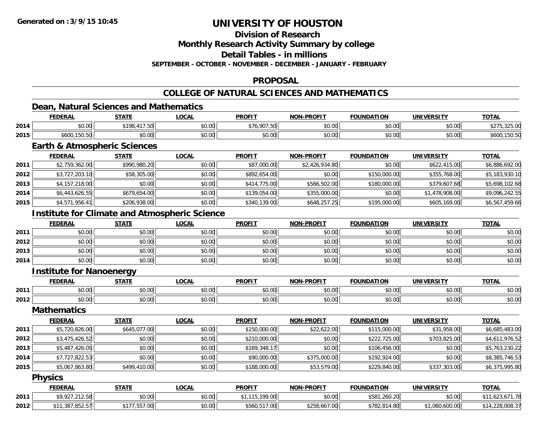## **Division of Research**

**Monthly Research Activity Summary by college**

**Detail Tables - in millions**

**SEPTEMBER - OCTOBER - NOVEMBER - DECEMBER - JANUARY - FEBRUARY**

## **PROPOSAL**

## **COLLEGE OF NATURAL SCIENCES AND MATHEMATICS**

## **Dean, Natural Sciences and Mathematics**

|      | <b>FEDERAL</b>     | <b>CTATE</b>                                     | .OCAL  | <b>PROFIT</b>                               | -PROFIT<br><b>NON</b> | <b>FOUNDATION</b>  | <b>UNIVERSITY</b> | <b>TOTAL</b>    |
|------|--------------------|--------------------------------------------------|--------|---------------------------------------------|-----------------------|--------------------|-------------------|-----------------|
| 2014 | $\sim$ 00<br>JU.UU | $\cdot$ $\cdot$ $\cdot$ $\cdot$<br>\$198.<br>. ت | \$0.00 | \$76.007E<br>,76,907<br>$\cdot \cdot \cdot$ | 0000<br>JU.UU         | $\sim$ 00<br>JU.UU | 0000<br>JU.UU     | $\sim$<br>ں ہے۔ |
| 2015 | \$600,150.50       | $\circ$ $\circ$<br>JU.UU                         | \$0.00 | \$0.00                                      | 0000<br>pu.uu         | $\sim$ 00<br>JU.UU | 0000<br>JU.UU     | งo∩<br>.        |

## **Earth & Atmospheric Sciences**

|      | <b>FEDERAL</b> | <u>STATE</u> | <u>LOCAL</u> | <b>PROFIT</b> | <b>NON-PROFIT</b> | <b>FOUNDATION</b> | <b>UNIVERSITY</b> | <b>TOTAL</b>   |
|------|----------------|--------------|--------------|---------------|-------------------|-------------------|-------------------|----------------|
| 2011 | \$2,759,362.00 | \$990,980.20 | \$0.00       | \$87,000.00   | \$2,426,934.80    | \$0.00            | \$622,415,00      | \$6,886,692.00 |
| 2012 | \$3,727,203.10 | \$58,305.00  | \$0.00       | \$892,654.00  | \$0.00            | \$150,000.00      | \$355,768.00      | \$5,183,930.10 |
| 2013 | \$4,157,218.00 | \$0.00       | \$0.00       | \$414,775.00  | \$566,502.00      | \$180,000.00      | \$379,607.68      | \$5,698,102.68 |
| 2014 | \$6,443,626.55 | \$679,654.00 | \$0.00       | \$139,054.00  | \$355,000.00      | \$0.00            | \$1,478,908.00    | \$9,096,242.55 |
| 2015 | \$4,571,956.41 | \$206,938.00 | \$0.00       | \$340,139.00  | \$648,257.25      | \$195,000.00      | \$605,169.00      | \$6,567,459.66 |

## **Institute for Climate and Atmospheric Science**

|      | <b>FEDERAL</b> | <b>STATE</b> | <u>LOCAL</u> | <b>PROFIT</b> | <b>NON-PROFIT</b> | <b>FOUNDATION</b> | <b>UNIVERSITY</b> | <b>TOTAL</b> |
|------|----------------|--------------|--------------|---------------|-------------------|-------------------|-------------------|--------------|
| 2011 | \$0.00         | \$0.00       | \$0.00       | \$0.00        | \$0.00            | \$0.00            | \$0.00            | \$0.00       |
| 2012 | \$0.00         | \$0.00       | \$0.00       | \$0.00        | \$0.00            | \$0.00            | \$0.00            | \$0.00       |
| 2013 | \$0.00         | \$0.00       | \$0.00       | \$0.00        | \$0.00            | \$0.00            | \$0.00            | \$0.00       |
| 2014 | \$0.00         | \$0.00       | \$0.00       | \$0.00        | \$0.00            | \$0.00            | \$0.00            | \$0.00       |

#### **Institute for Nanoenergy**

|      |                           | $- - - - -$        | 001                | <b>DDOEI</b> | .DDAFI 1<br><b>NON</b> | .                       | INI                | <b>TOT</b>             |
|------|---------------------------|--------------------|--------------------|--------------|------------------------|-------------------------|--------------------|------------------------|
| 2011 | 40.00                     | $\sim$ 00<br>vv.vv | 0.00<br>vv.vv      | . ש          | 0000<br>vu.uu          | 0 <sub>0</sub><br>v.vu  | 0.00<br>$-0.00$    | $\sim$ $\sim$<br>pv.ul |
| 2012 | $\sim$<br>$\sim$<br>טט.טע | $\sim$ 00<br>JU.UU | ാപ<br><b>JU.UU</b> | JU.UU        | 0000<br>PO.OO          | $\sim$ $\sim$<br>∕∪.∪∪' | $\sim$ 00<br>JU.UU | $* \cap \neg$<br>DU.UU |

#### **Mathematics**

|      | <b>FEDERAL</b> | <b>STATE</b> | <u>LOCAL</u> | <b>PROFIT</b> | <b>NON-PROFIT</b> | <b>FOUNDATION</b> | <b>UNIVERSITY</b> | <u>TOTAL</u>   |
|------|----------------|--------------|--------------|---------------|-------------------|-------------------|-------------------|----------------|
| 2011 | \$5,720,826.00 | \$645,077.00 | \$0.00       | \$150,000.00  | \$22,622.00       | \$115,000.00      | \$31,958.00       | \$6,685,483.00 |
| 2012 | \$3,475,426.52 | \$0.00       | \$0.00       | \$210,000.00  | \$0.00            | \$222,725.00      | \$703,825.00      | \$4,611,976.52 |
| 2013 | \$5,487,426.05 | \$0.00       | \$0.00       | \$169,348.17  | \$0.00            | \$106,456.00      | \$0.00            | \$5,763,230.22 |
| 2014 | \$7,727,822.53 | \$0.00       | \$0.00       | \$90,000.00   | \$375,000.00      | \$192,924.00      | \$0.00            | \$8,385,746.53 |
| 2015 | \$5,067,863.80 | \$499,410.00 | \$0.00       | \$188,000.00  | \$53,579.00       | \$229,840.00      | \$337,303.00      | \$6,375,995.80 |

#### **Physics**

|      | <b>FEDERAL</b>                        | <b>STATE</b> | <u>LOCAL</u> | <b>PROFIT</b>      | <b>NON-PROFIT</b> | <b>FOUNDATION</b> | UNIVERSITY   | <b>TOTAL</b>                      |
|------|---------------------------------------|--------------|--------------|--------------------|-------------------|-------------------|--------------|-----------------------------------|
| 2011 | <b>¢ Q Q Q 7 7 1 2 5 0</b><br>.212.30 | \$0.00       | \$0.00       | .199.00<br>.       | \$0.00            | \$581,260.20      | \$0.00       | 171.70<br>د∠ه.                    |
| 2012 | \$11,387.852.57                       | .557.00      | \$0.00       | .517.00<br>\$560,5 | \$258,667.00      | \$782,814.80      | 1.060.600.00 | .7228,008.37<br>$+11.220$<br>- 14 |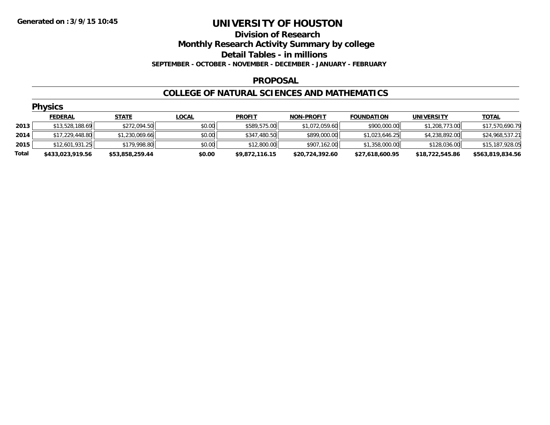## **Division of Research**

**Monthly Research Activity Summary by college**

**Detail Tables - in millions**

**SEPTEMBER - OCTOBER - NOVEMBER - DECEMBER - JANUARY - FEBRUARY**

#### **PROPOSAL**

#### **COLLEGE OF NATURAL SCIENCES AND MATHEMATICS**

|       | <b>Physics</b>   |                 |              |                |                   |                   |                   |                  |  |  |  |
|-------|------------------|-----------------|--------------|----------------|-------------------|-------------------|-------------------|------------------|--|--|--|
|       | <b>FEDERAL</b>   | <b>STATE</b>    | <b>LOCAL</b> | <b>PROFIT</b>  | <b>NON-PROFIT</b> | <b>FOUNDATION</b> | <b>UNIVERSITY</b> | <b>TOTAL</b>     |  |  |  |
| 2013  | \$13,528,188.69  | \$272,094.50    | \$0.00       | \$589,575.00   | \$1,072,059.60    | \$900,000.00      | \$1,208,773.00    | \$17,570,690.79  |  |  |  |
| 2014  | \$17,229,448.80  | \$1,230,069.66  | \$0.00       | \$347,480.50   | \$899,000.00      | \$1,023,646.25    | \$4,238,892.00    | \$24,968,537.21  |  |  |  |
| 2015  | \$12,601,931.25  | \$179,998.80    | \$0.00       | \$12,800.00    | \$907,162.00      | \$1,358,000.00    | \$128,036.00      | \$15,187,928.05  |  |  |  |
| Total | \$433,023,919.56 | \$53,858,259.44 | \$0.00       | \$9,872,116.15 | \$20,724,392.60   | \$27,618,600.95   | \$18,722,545.86   | \$563,819,834.56 |  |  |  |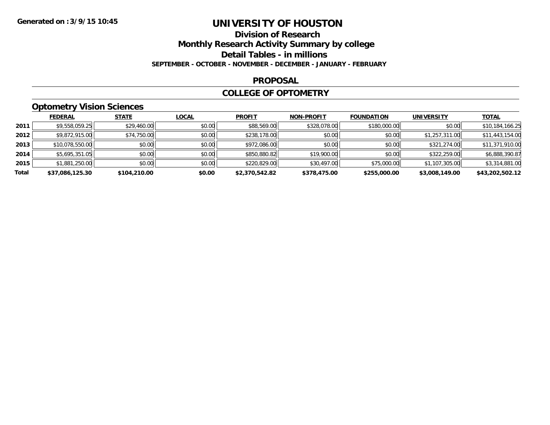## **Division of Research Monthly Research Activity Summary by college Detail Tables - in millions SEPTEMBER - OCTOBER - NOVEMBER - DECEMBER - JANUARY - FEBRUARY**

#### **PROPOSAL**

## **COLLEGE OF OPTOMETRY**

## **Optometry Vision Sciences**

|       | <b>FEDERAL</b>  | <b>STATE</b> | <b>LOCAL</b> | <b>PROFIT</b>  | <b>NON-PROFIT</b> | <b>FOUNDATION</b> | <b>UNIVERSITY</b> | <b>TOTAL</b>    |
|-------|-----------------|--------------|--------------|----------------|-------------------|-------------------|-------------------|-----------------|
| 2011  | \$9,558,059.25  | \$29,460.00  | \$0.00       | \$88,569.00    | \$328,078.00      | \$180,000.00      | \$0.00            | \$10,184,166.25 |
| 2012  | \$9,872,915.00  | \$74,750.00  | \$0.00       | \$238,178.00   | \$0.00            | \$0.00            | \$1,257,311.00    | \$11,443,154.00 |
| 2013  | \$10,078,550.00 | \$0.00       | \$0.00       | \$972,086.00   | \$0.00            | \$0.00            | \$321,274.00      | \$11,371,910.00 |
| 2014  | \$5,695,351.05  | \$0.00       | \$0.00       | \$850,880.82   | \$19,900.00       | \$0.00            | \$322,259.00      | \$6,888,390.87  |
| 2015  | \$1,881,250.00  | \$0.00       | \$0.00       | \$220,829.00   | \$30,497.00       | \$75,000.00       | \$1,107,305.00    | \$3,314,881.00  |
| Total | \$37,086,125.30 | \$104,210.00 | \$0.00       | \$2,370,542.82 | \$378,475.00      | \$255,000.00      | \$3,008,149.00    | \$43,202,502.12 |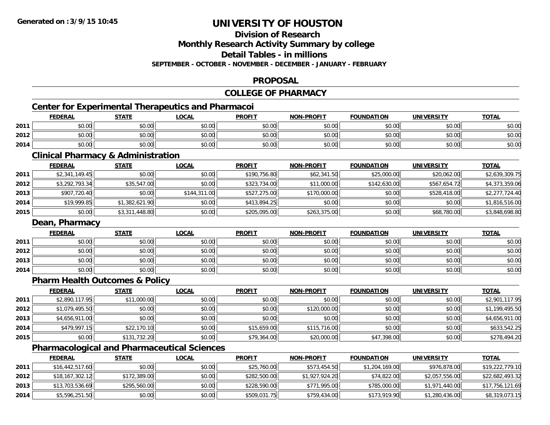## **Division of Research**

**Monthly Research Activity Summary by college**

**Detail Tables - in millions**

**SEPTEMBER - OCTOBER - NOVEMBER - DECEMBER - JANUARY - FEBRUARY**

## **PROPOSAL**

#### **COLLEGE OF PHARMACY**

## **Center for Experimental Therapeutics and Pharmacoi**

|      | <b>FEDERAL</b> | <b>STATE</b> | <b>_OCAL</b> | <b>PROFIT</b> | <b>NON-PROFIT</b> | <b>FOUNDATION</b> | <b>UNIVERSITY</b> | <b>TOTAL</b> |
|------|----------------|--------------|--------------|---------------|-------------------|-------------------|-------------------|--------------|
| 2011 | \$0.00         | \$0.00       | \$0.00       | \$0.00        | ≮∩ ∩∩<br>JU.UU    | \$0.00            | \$0.00            | \$0.00       |
| 2012 | \$0.00         | \$0.00       | \$0.00       | \$0.00        | \$0.00            | \$0.00            | \$0.00 l          | \$0.00       |
| 2014 | \$0.00         | \$0.00       | \$0.00       | \$0.00        | \$0.00            | \$0.00            | \$0.00            | \$0.00       |

<u> 1980 - Johann Barbara, martxa amerikan bashkar (</u>

## **Clinical Pharmacy & Administration**

|      | <b>FEDERAL</b> | <b>STATE</b>   | <b>LOCAL</b> | <b>PROFIT</b> | <b>NON-PROFIT</b> | <b>FOUNDATION</b> | <b>UNIVERSITY</b> | <b>TOTAL</b>   |
|------|----------------|----------------|--------------|---------------|-------------------|-------------------|-------------------|----------------|
| 2011 | \$2,341,149.45 | \$0.00         | \$0.00       | \$190,756.80  | \$62,341.50       | \$25,000.00       | \$20,062.00       | \$2,639,309.75 |
| 2012 | \$3,292,793.34 | \$35,547.00    | \$0.00       | \$323,734.00  | \$11,000.00       | \$142,630.00      | \$567,654.72      | \$4,373,359.06 |
| 2013 | \$907,720.40   | \$0.00         | \$144,311.00 | \$527,275.00  | \$170,000.00      | \$0.00            | \$528,418.00      | \$2,277,724.40 |
| 2014 | \$19,999.85    | \$1,382,621.90 | \$0.00       | \$413,894.25  | \$0.00            | \$0.00            | \$0.00            | \$1,816,516.00 |
| 2015 | \$0.00         | \$3,311,448.80 | \$0.00       | \$205,095.00  | \$263,375.00      | \$0.00            | \$68,780.00       | \$3,848,698.80 |

## **Dean, Pharmacy**

|      | <b>FEDERAL</b> | <b>STATE</b> | <u>LOCAL</u> | <b>PROFIT</b> | <b>NON-PROFIT</b> | <b>FOUNDATION</b> | <b>UNIVERSITY</b> | <b>TOTAL</b> |
|------|----------------|--------------|--------------|---------------|-------------------|-------------------|-------------------|--------------|
| 2011 | \$0.00         | \$0.00       | \$0.00       | \$0.00        | \$0.00            | \$0.00            | \$0.00            | \$0.00       |
| 2012 | \$0.00         | \$0.00       | \$0.00       | \$0.00        | \$0.00            | \$0.00            | \$0.00            | \$0.00       |
| 2013 | \$0.00         | \$0.00       | \$0.00       | \$0.00        | \$0.00            | \$0.00            | \$0.00            | \$0.00       |
| 2014 | \$0.00         | \$0.00       | \$0.00       | \$0.00        | \$0.00            | \$0.00            | \$0.00            | \$0.00       |

## **Pharm Health Outcomes & Policy**

|      | <b>FEDERAL</b> | <b>STATE</b> | <b>LOCAL</b> | <b>PROFIT</b> | <b>NON-PROFIT</b> | <b>FOUNDATION</b> | <b>UNIVERSITY</b> | <b>TOTAL</b>   |
|------|----------------|--------------|--------------|---------------|-------------------|-------------------|-------------------|----------------|
| 2011 | \$2,890,117.95 | \$11,000.00  | \$0.00       | \$0.00        | \$0.00            | \$0.00            | \$0.00            | \$2,901,117.95 |
| 2012 | \$1,079,495.50 | \$0.00       | \$0.00       | \$0.00        | \$120,000.00      | \$0.00            | \$0.00            | \$1,199,495.50 |
| 2013 | \$4,656,911.00 | \$0.00       | \$0.00       | \$0.00        | \$0.00            | \$0.00            | \$0.00            | \$4,656,911.00 |
| 2014 | \$479,997.15   | \$22,170.10  | \$0.00       | \$15,659.00   | \$115,716.00      | \$0.00            | \$0.00            | \$633,542.25   |
| 2015 | \$0.00         | \$131,732.20 | \$0.00       | \$79,364.00   | \$20,000.00       | \$47,398.00       | \$0.00            | \$278,494.20   |

## **Pharmacological and Pharmaceutical Sciences**

|      | <b>FEDERAL</b>  | <u>STATE</u> | <u>LOCAL</u> | <b>PROFIT</b> | <b>NON-PROFIT</b> | <b>FOUNDATION</b> | <b>UNIVERSITY</b> | <b>TOTAL</b>    |
|------|-----------------|--------------|--------------|---------------|-------------------|-------------------|-------------------|-----------------|
| 2011 | \$16,442,517.60 | \$0.00       | \$0.00       | \$25,760.00   | \$573,454.50      | \$1,204,169.00    | \$976,878,00      | \$19,222,779.10 |
| 2012 | \$18,167,302.12 | \$172,389.00 | \$0.00       | \$282,500.00  | \$1,927,924.20    | \$74,822.00       | \$2,057,556.00    | \$22,682,493.32 |
| 2013 | \$13,703,536.69 | \$295,560.00 | \$0.00       | \$228,590.00  | \$771,995.00      | \$785,000.00      | \$1,971,440.00    | \$17,756,121.69 |
| 2014 | \$5,596,251.50  | \$0.00       | \$0.00       | \$509,031.75  | \$759,434.00      | \$173,919.90      | \$1,280,436.00    | \$8,319,073.15  |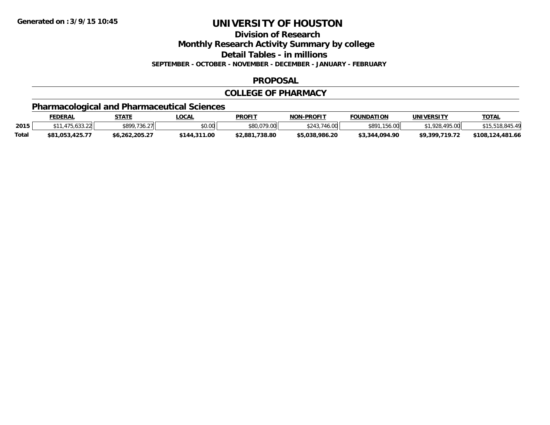**Division of Research**

**Monthly Research Activity Summary by college**

**Detail Tables - in millions**

**SEPTEMBER - OCTOBER - NOVEMBER - DECEMBER - JANUARY - FEBRUARY**

## **PROPOSAL**

## **COLLEGE OF PHARMACY**

## **Pharmacological and Pharmaceutical Sciences**

|              | FEDERAL         | STATE                | LOCAL        | <b>PROFIT</b>      | <b>NON-PROFIT</b> | <b>FOUNDATION</b> | <b>UNIVERSITY</b>      | <b>TOTAL</b>     |
|--------------|-----------------|----------------------|--------------|--------------------|-------------------|-------------------|------------------------|------------------|
| 2015         |                 | \$899,736.27<br>2 II | \$0.00       | \$80,079.00        | $\cap$            | \$891,156,00      | <b>105 00</b><br>גרם ו |                  |
| <b>Total</b> | \$81.053.425.77 | \$6,262,205.27       | \$144,311.00 | .738.80<br>\$2,881 | \$5.038.986.20    | \$3.344.094.90    | \$9,399,719.72         | \$108,124,481.66 |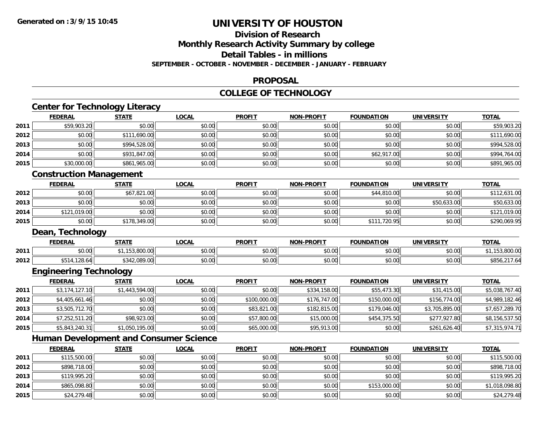**2015**

# **UNIVERSITY OF HOUSTON**

## **Division of ResearchMonthly Research Activity Summary by college**

## **Detail Tables - in millions**

#### **SEPTEMBER - OCTOBER - NOVEMBER - DECEMBER - JANUARY - FEBRUARY**

#### **PROPOSAL**

#### **COLLEGE OF TECHNOLOGY**

|      | <b>Center for Technology Literacy</b> |                |                                               |               |                   |                   |                   |                |
|------|---------------------------------------|----------------|-----------------------------------------------|---------------|-------------------|-------------------|-------------------|----------------|
|      | <b>FEDERAL</b>                        | <b>STATE</b>   | <b>LOCAL</b>                                  | <b>PROFIT</b> | <b>NON-PROFIT</b> | <b>FOUNDATION</b> | <b>UNIVERSITY</b> | <b>TOTAL</b>   |
| 2011 | \$59,903.20                           | \$0.00         | \$0.00                                        | \$0.00        | \$0.00            | \$0.00            | \$0.00            | \$59,903.20    |
| 2012 | \$0.00                                | \$111,690.00   | \$0.00                                        | \$0.00        | \$0.00            | \$0.00            | \$0.00            | \$111,690.00   |
| 2013 | \$0.00                                | \$994,528.00   | \$0.00                                        | \$0.00        | \$0.00            | \$0.00            | \$0.00            | \$994,528.00   |
| 2014 | \$0.00                                | \$931,847.00   | \$0.00                                        | \$0.00        | \$0.00            | \$62,917.00       | \$0.00            | \$994,764.00   |
| 2015 | \$30,000.00                           | \$861,965.00   | \$0.00                                        | \$0.00        | \$0.00            | \$0.00            | \$0.00            | \$891,965.00   |
|      | <b>Construction Management</b>        |                |                                               |               |                   |                   |                   |                |
|      | <b>FEDERAL</b>                        | <b>STATE</b>   | <b>LOCAL</b>                                  | <b>PROFIT</b> | <b>NON-PROFIT</b> | <b>FOUNDATION</b> | <b>UNIVERSITY</b> | <b>TOTAL</b>   |
| 2012 | \$0.00                                | \$67,821.00    | \$0.00                                        | \$0.00        | \$0.00            | \$44,810.00       | \$0.00            | \$112,631.00   |
| 2013 | \$0.00                                | \$0.00         | \$0.00                                        | \$0.00        | \$0.00            | \$0.00            | \$50,633.00       | \$50,633.00    |
| 2014 | \$121,019.00                          | \$0.00         | \$0.00                                        | \$0.00        | \$0.00            | \$0.00            | \$0.00            | \$121,019.00   |
| 2015 | \$0.00                                | \$178,349.00   | \$0.00                                        | \$0.00        | \$0.00            | \$111,720.95      | \$0.00            | \$290,069.95   |
|      | Dean, Technology                      |                |                                               |               |                   |                   |                   |                |
|      | <b>FEDERAL</b>                        | <b>STATE</b>   | <b>LOCAL</b>                                  | <b>PROFIT</b> | <b>NON-PROFIT</b> | <b>FOUNDATION</b> | <b>UNIVERSITY</b> | <b>TOTAL</b>   |
| 2011 | \$0.00                                | \$1,153,800.00 | \$0.00                                        | \$0.00        | \$0.00            | \$0.00            | \$0.00            | \$1,153,800.00 |
| 2012 | \$514,128.64                          | \$342,089.00   | \$0.00                                        | \$0.00        | \$0.00            | \$0.00            | \$0.00            | \$856,217.64   |
|      | <b>Engineering Technology</b>         |                |                                               |               |                   |                   |                   |                |
|      | <b>FEDERAL</b>                        | <b>STATE</b>   | <b>LOCAL</b>                                  | <b>PROFIT</b> | <b>NON-PROFIT</b> | <b>FOUNDATION</b> | <b>UNIVERSITY</b> | <b>TOTAL</b>   |
| 2011 | \$3,174,127.10                        | \$1,443,594.00 | \$0.00                                        | \$0.00        | \$334,158.00      | \$55,473.30       | \$31,415.00       | \$5,038,767.40 |
| 2012 | \$4,405,661.46                        | \$0.00         | \$0.00                                        | \$100,000.00  | \$176,747.00      | \$150,000.00      | \$156,774.00      | \$4,989,182.46 |
| 2013 | \$3,505,712.70                        | \$0.00         | \$0.00                                        | \$83,821.00   | \$182,815.00      | \$179,046.00      | \$3,705,895.00    | \$7,657,289.70 |
| 2014 | \$7,252,511.20                        | \$98,923.00    | \$0.00                                        | \$57,800.00   | \$15,000.00       | \$454,375.50      | \$277,927.80      | \$8,156,537.50 |
| 2015 | \$5,843,240.31                        | \$1,050,195.00 | \$0.00                                        | \$65,000.00   | \$95,913.00       | \$0.00            | \$261,626.40      | \$7,315,974.71 |
|      |                                       |                | <b>Human Development and Consumer Science</b> |               |                   |                   |                   |                |
|      | <b>FEDERAL</b>                        | <b>STATE</b>   | <b>LOCAL</b>                                  | <b>PROFIT</b> | <b>NON-PROFIT</b> | <b>FOUNDATION</b> | <b>UNIVERSITY</b> | <b>TOTAL</b>   |
| 2011 | \$115,500.00                          | \$0.00         | \$0.00                                        | \$0.00        | \$0.00            | \$0.00            | \$0.00            | \$115,500.00   |
| 2012 | \$898,718.00                          | \$0.00         | \$0.00                                        | \$0.00        | \$0.00            | \$0.00            | \$0.00            | \$898,718.00   |
| 2013 | \$119,995.20                          | \$0.00         | \$0.00                                        | \$0.00        | \$0.00            | \$0.00            | \$0.00            | \$119,995.20   |
| 2014 | \$865,098.80                          | \$0.00         | \$0.00                                        | \$0.00        | \$0.00            | \$153,000.00      | \$0.00            | \$1,018,098.80 |

\$24,279.48 \$0.00 \$0.00 \$0.00 \$0.00 \$0.00 \$0.00 \$24,279.48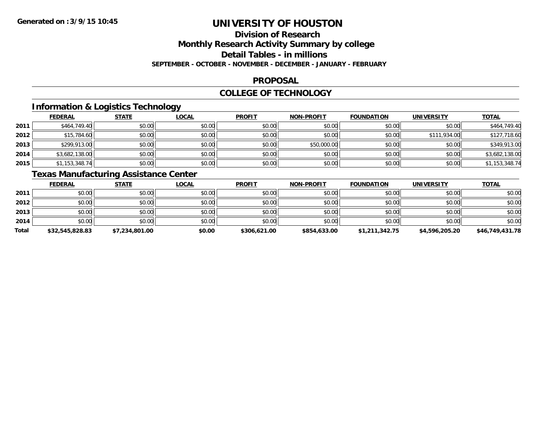# **Division of Research**

**Monthly Research Activity Summary by college**

**Detail Tables - in millions**

**SEPTEMBER - OCTOBER - NOVEMBER - DECEMBER - JANUARY - FEBRUARY**

## **PROPOSAL**

## **COLLEGE OF TECHNOLOGY**

## **Information & Logistics Technology**

|      | <b>FEDERAL</b> | <b>STATE</b> | <b>LOCAL</b> | <b>PROFIT</b> | <b>NON-PROFIT</b> | <b>FOUNDATION</b> | <b>UNIVERSITY</b> | <b>TOTAL</b>   |
|------|----------------|--------------|--------------|---------------|-------------------|-------------------|-------------------|----------------|
| 2011 | \$464,749.40   | \$0.00       | \$0.00       | \$0.00        | \$0.00            | \$0.00            | \$0.00            | \$464,749.40   |
| 2012 | \$15,784.60    | \$0.00       | \$0.00       | \$0.00        | \$0.00            | \$0.00            | \$111,934.00      | \$127,718.60   |
| 2013 | \$299,913.00   | \$0.00       | \$0.00       | \$0.00        | \$50,000.00       | \$0.00            | \$0.00            | \$349,913.00   |
| 2014 | \$3,682,138.00 | \$0.00       | \$0.00       | \$0.00        | \$0.00            | \$0.00            | \$0.00            | \$3,682,138.00 |
| 2015 | \$1,153,348.74 | \$0.00       | \$0.00       | \$0.00        | \$0.00            | \$0.00            | \$0.00            | \$1,153,348.74 |

## **Texas Manufacturing Assistance Center**

|       | <b>FEDERAL</b>  | <b>STATE</b>   | <b>LOCAL</b> | <b>PROFIT</b> | <b>NON-PROFIT</b> | <b>FOUNDATION</b> | <b>UNIVERSITY</b> | <u>TOTAL</u>    |
|-------|-----------------|----------------|--------------|---------------|-------------------|-------------------|-------------------|-----------------|
| 2011  | \$0.00          | \$0.00         | \$0.00       | \$0.00        | \$0.00            | \$0.00            | \$0.00            | \$0.00          |
| 2012  | \$0.00          | \$0.00         | \$0.00       | \$0.00        | \$0.00            | \$0.00            | \$0.00            | \$0.00          |
| 2013  | \$0.00          | \$0.00         | \$0.00       | \$0.00        | \$0.00            | \$0.00            | \$0.00            | \$0.00          |
| 2014  | \$0.00          | \$0.00         | \$0.00       | \$0.00        | \$0.00            | \$0.00            | \$0.00            | \$0.00          |
| Total | \$32,545,828.83 | \$7,234,801.00 | \$0.00       | \$306,621.00  | \$854,633.00      | \$1,211,342.75    | \$4,596,205.20    | \$46,749,431.78 |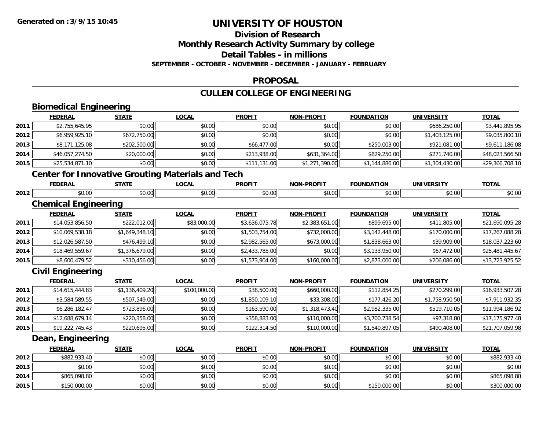# **Division of Research**

**Monthly Research Activity Summary by college**

**Detail Tables - in millions**

**SEPTEMBER - OCTOBER - NOVEMBER - DECEMBER - JANUARY - FEBRUARY**

## **PROPOSAL**

## **CULLEN COLLEGE OF ENGINEERING**

|      | <b>Biomedical Engineering</b> |                |                                                          |                |                   |                   |                   |                 |
|------|-------------------------------|----------------|----------------------------------------------------------|----------------|-------------------|-------------------|-------------------|-----------------|
|      | <b>FEDERAL</b>                | <b>STATE</b>   | <b>LOCAL</b>                                             | <b>PROFIT</b>  | <b>NON-PROFIT</b> | <b>FOUNDATION</b> | <b>UNIVERSITY</b> | <b>TOTAL</b>    |
| 2011 | \$2,755,645.95                | \$0.00         | \$0.00                                                   | \$0.00         | \$0.00            | \$0.00            | \$686,250.00      | \$3,441,895.95  |
| 2012 | \$6,959,925.10                | \$672,750.00   | \$0.00                                                   | \$0.00         | \$0.00            | \$0.00            | \$1,403,125.00    | \$9,035,800.10  |
| 2013 | \$8,171,125.08                | \$202,500.00   | \$0.00                                                   | \$66,477.00    | \$0.00            | \$250,003.00      | \$921,081.00      | \$9,611,186.08  |
| 2014 | \$46,057,274.50               | \$20,000.00    | \$0.00                                                   | \$213,938.00   | \$631,364.00      | \$829,250.00      | \$271,740.00      | \$48,023,566.50 |
| 2015 | \$25,534,871.10               | \$0.00         | \$0.00                                                   | \$111,131.00   | \$1,271,390.00    | \$1,144,886.00    | \$1,304,430.00    | \$29,366,708.10 |
|      |                               |                | <b>Center for Innovative Grouting Materials and Tech</b> |                |                   |                   |                   |                 |
|      | <b>FEDERAL</b>                | <b>STATE</b>   | <b>LOCAL</b>                                             | <b>PROFIT</b>  | <b>NON-PROFIT</b> | <b>FOUNDATION</b> | <b>UNIVERSITY</b> | <b>TOTAL</b>    |
| 2012 | \$0.00                        | \$0.00         | \$0.00                                                   | \$0.00         | \$0.00            | \$0.00            | \$0.00            | \$0.00          |
|      | <b>Chemical Engineering</b>   |                |                                                          |                |                   |                   |                   |                 |
|      | <b>FEDERAL</b>                | <b>STATE</b>   | <b>LOCAL</b>                                             | <b>PROFIT</b>  | <b>NON-PROFIT</b> | <b>FOUNDATION</b> | <b>UNIVERSITY</b> | <b>TOTAL</b>    |
| 2011 | \$14,053,856.50               | \$222,012.00   | \$83,000.00                                              | \$3,636,075.78 | \$2,383,651.00    | \$899,695.00      | \$411,805.00      | \$21,690,095.28 |
| 2012 | \$10,069,538.18               | \$1,649,348.10 | \$0.00                                                   | \$1,503,754.00 | \$732,000.00      | \$3,142,448.00    | \$170,000.00      | \$17,267,088.28 |
| 2013 | \$12,026,587.50               | \$476,499.10   | \$0.00                                                   | \$2,982,565.00 | \$673,000.00      | \$1,838,663.00    | \$39,909.00       | \$18,037,223.60 |
| 2014 | \$18,469,559.67               | \$1,376,679.00 | \$0.00                                                   | \$2,433,785.00 | \$0.00            | \$3,133,950.00    | \$67,472.00       | \$25,481,445.67 |
| 2015 | \$8,600,479.52                | \$310,456.00   | \$0.00                                                   | \$1,573,904.00 | \$160,000.00      | \$2,873,000.00    | \$206,086.00      | \$13,723,925.52 |
|      | <b>Civil Engineering</b>      |                |                                                          |                |                   |                   |                   |                 |
|      | <b>FEDERAL</b>                | <b>STATE</b>   | <b>LOCAL</b>                                             | <b>PROFIT</b>  | <b>NON-PROFIT</b> | <b>FOUNDATION</b> | <b>UNIVERSITY</b> | <b>TOTAL</b>    |
| 2011 | \$14,615,444.83               | \$1,136,409.20 | \$100,000.00                                             | \$38,500.00    | \$660,000.00      | \$112,854.25      | \$270,299.00      | \$16,933,507.28 |
| 2012 | \$3,584,589.55                | \$507,549.00   | \$0.00                                                   | \$1,850,109.10 | \$33,308.00       | \$177,426.20      | \$1,758,950.50    | \$7,911,932.35  |
| 2013 | \$6,286,182.47                | \$723,896.00   | \$0.00                                                   | \$163,590.00   | \$1,318,473.40    | \$2,982,335.00    | \$519,710.05      | \$11,994,186.92 |
| 2014 | \$12,688,679.14               | \$220,358.00   | \$0.00                                                   | \$358,883.00   | \$110,000.00      | \$3,700,738.54    | \$97,318.80       | \$17,175,977.48 |
| 2015 | \$19,222,745.43               | \$220,695.00   | \$0.00                                                   | \$122,314.50   | \$110,000.00      | \$1,540,897.05    | \$490,408.00      | \$21,707,059.98 |
|      | Dean, Engineering             |                |                                                          |                |                   |                   |                   |                 |
|      | <b>FEDERAL</b>                | <b>STATE</b>   | <b>LOCAL</b>                                             | <b>PROFIT</b>  | <b>NON-PROFIT</b> | <b>FOUNDATION</b> | <b>UNIVERSITY</b> | <b>TOTAL</b>    |
| 2012 | \$882,933.40                  | \$0.00         | \$0.00                                                   | \$0.00         | \$0.00            | \$0.00            | \$0.00            | \$882,933.40    |
| 2013 | \$0.00                        | \$0.00         | \$0.00                                                   | \$0.00         | \$0.00            | \$0.00            | \$0.00            | \$0.00          |
| 2014 | \$865,098.80                  | \$0.00         | \$0.00                                                   | \$0.00         | \$0.00            | \$0.00            | \$0.00            | \$865,098.80    |
| 2015 | \$150,000.00                  | \$0.00         | \$0.00                                                   | \$0.00         | \$0.00            | \$150,000.00      | \$0.00            | \$300,000.00    |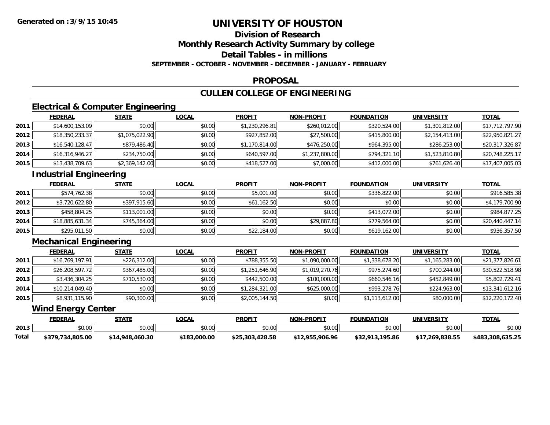# **Division of Research**

**Monthly Research Activity Summary by college**

**Detail Tables - in millions**

**SEPTEMBER - OCTOBER - NOVEMBER - DECEMBER - JANUARY - FEBRUARY**

## **PROPOSAL**

## **CULLEN COLLEGE OF ENGINEERING**

## **Electrical & Computer Engineering**

|      | <b>FEDERAL</b>  | <b>STATE</b>   | <b>LOCAL</b> | <b>PROFIT</b>  | <b>NON-PROFIT</b> | <b>FOUNDATION</b> | <b>UNIVERSITY</b> | <b>TOTAL</b>    |
|------|-----------------|----------------|--------------|----------------|-------------------|-------------------|-------------------|-----------------|
| 2011 | \$14,600,153.09 | \$0.00         | \$0.00       | \$1,230,296.81 | \$260,012.00      | \$320,524.00      | \$1,301,812.00    | \$17,712,797.90 |
| 2012 | \$18,350,233.37 | \$1,075,022.90 | \$0.00       | \$927,852.00   | \$27,500.00       | \$415,800.00      | \$2,154,413.00    | \$22,950,821.27 |
| 2013 | \$16,540,128.47 | \$879,486.40   | \$0.00       | \$1,170,814.00 | \$476,250.00      | \$964,395.00      | \$286,253.00      | \$20,317,326.87 |
| 2014 | \$16,316,946.27 | \$234,750.00   | \$0.00       | \$640,597.00   | \$1,237,800.00    | \$794,321.10      | \$1,523,810.80    | \$20,748,225.17 |
| 2015 | \$13,438,709.63 | \$2,369,142.00 | \$0.00       | \$418,527.00   | \$7,000.00        | \$412,000.00      | \$761,626.40      | \$17,407,005.03 |

## **Industrial Engineering**

|      | <u>FEDERAL</u>  | <b>STATE</b> | <b>LOCAL</b> | <b>PROFIT</b> | <b>NON-PROFIT</b> | <b>FOUNDATION</b> | <b>UNIVERSITY</b> | <b>TOTAL</b>    |
|------|-----------------|--------------|--------------|---------------|-------------------|-------------------|-------------------|-----------------|
| 2011 | \$574,762.38    | \$0.00       | \$0.00       | \$5,001.00    | \$0.00            | \$336,822.00      | \$0.00            | \$916,585.38    |
| 2012 | \$3,720,622.80  | \$397.915.60 | \$0.00       | \$61,162.50   | \$0.00            | \$0.00            | \$0.00            | \$4,179,700.90  |
| 2013 | \$458,804.25    | \$113,001.00 | \$0.00       | \$0.00        | \$0.00            | \$413,072.00      | \$0.00            | \$984,877.25    |
| 2014 | \$18,885,631.34 | \$745,364,00 | \$0.00       | \$0.00        | \$29,887.80       | \$779,564.00      | \$0.00            | \$20,440,447.14 |
| 2015 | \$295,011.50    | \$0.00       | \$0.00       | \$22,184.00   | \$0.00            | \$619,162.00      | \$0.00            | \$936,357.50    |

## **Mechanical Engineering**

|      | <b>FEDERAL</b>  | <u>STATE</u> | <u>LOCAL</u> | <b>PROFIT</b>  | <b>NON-PROFIT</b> | <b>FOUNDATION</b> | <b>UNIVERSITY</b> | <b>TOTAL</b>    |
|------|-----------------|--------------|--------------|----------------|-------------------|-------------------|-------------------|-----------------|
| 2011 | \$16,769,197.91 | \$226,312.00 | \$0.00       | \$788,355.50   | \$1,090,000.00    | \$1,338,678.20    | \$1,165,283.00    | \$21,377,826.61 |
| 2012 | \$26,208,597.72 | \$367,485.00 | \$0.00       | \$1,251,646.90 | \$1,019,270.76    | \$975,274.60      | \$700,244.00      | \$30,522,518.98 |
| 2013 | \$3,436,304.25  | \$710,530.00 | \$0.00       | \$442,500.00   | \$100,000.00      | \$660,546.16      | \$452,849.00      | \$5,802,729.41  |
| 2014 | \$10,214,049.40 | \$0.00       | \$0.00       | \$1,284,321.00 | \$625,000.00      | \$993,278.76      | \$224,963.00      | \$13,341,612.16 |
| 2015 | \$8,931,115.90  | \$90,300.00  | \$0.00       | \$2,005,144.50 | \$0.00            | \$1,113,612.00    | \$80,000.00       | \$12,220,172.40 |

## **Wind Energy Center**

|       | FEDERAL              | ~т∆т⊧                     | LOCAL        | <b>PROFIT</b>      | <b>NON-PROFIT</b> | <b>FOUNDATION</b>      | <b>UNIVERSITY</b> | TOTA.                 |
|-------|----------------------|---------------------------|--------------|--------------------|-------------------|------------------------|-------------------|-----------------------|
| 2013  | ሰሰ ሰሰ<br>JU.UU       | \$0.00                    | \$0.00       | 40.00<br>vv.vv     | \$0.00            | \$0.00                 | \$0.00            | \$0.00                |
| Total | .734.805.00<br>\$379 | .460.30<br>.948.<br>\$14. | \$183,000.00 | ل03,428.58<br>\$25 | \$12,955,906.96   | .195.86<br>よろつ<br>2J Z | /.269.838.55      | \$483.<br>.308.635.25 |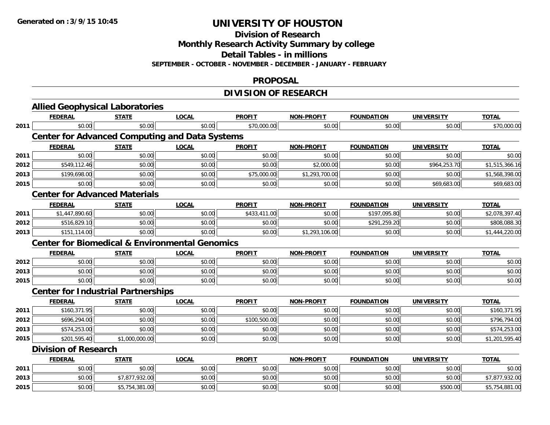**Division of Research**

**Monthly Research Activity Summary by college**

**Detail Tables - in millions**

**SEPTEMBER - OCTOBER - NOVEMBER - DECEMBER - JANUARY - FEBRUARY**

## **PROPOSAL**

## **DIVISION OF RESEARCH**

|      | <b>Allied Geophysical Laboratories</b>                    |                |              |               |                   |                   |                   |                |
|------|-----------------------------------------------------------|----------------|--------------|---------------|-------------------|-------------------|-------------------|----------------|
|      | <b>FEDERAL</b>                                            | <b>STATE</b>   | <b>LOCAL</b> | <b>PROFIT</b> | <b>NON-PROFIT</b> | <b>FOUNDATION</b> | <b>UNIVERSITY</b> | <b>TOTAL</b>   |
| 2011 | \$0.00                                                    | \$0.00         | \$0.00       | \$70,000.00   | \$0.00            | \$0.00            | \$0.00            | \$70,000.00    |
|      | <b>Center for Advanced Computing and Data Systems</b>     |                |              |               |                   |                   |                   |                |
|      | <b>FEDERAL</b>                                            | <b>STATE</b>   | <b>LOCAL</b> | <b>PROFIT</b> | <b>NON-PROFIT</b> | <b>FOUNDATION</b> | <b>UNIVERSITY</b> | <b>TOTAL</b>   |
| 2011 | \$0.00                                                    | \$0.00         | \$0.00       | \$0.00        | \$0.00            | \$0.00            | \$0.00            | \$0.00         |
| 2012 | \$549,112.46                                              | \$0.00         | \$0.00       | \$0.00        | \$2,000.00        | \$0.00            | \$964,253.70      | \$1,515,366.16 |
| 2013 | \$199,698.00                                              | \$0.00         | \$0.00       | \$75,000.00   | \$1,293,700.00    | \$0.00            | \$0.00            | \$1,568,398.00 |
| 2015 | \$0.00                                                    | \$0.00         | \$0.00       | \$0.00        | \$0.00            | \$0.00            | \$69,683.00       | \$69,683.00    |
|      | <b>Center for Advanced Materials</b>                      |                |              |               |                   |                   |                   |                |
|      | <b>FEDERAL</b>                                            | <b>STATE</b>   | <b>LOCAL</b> | <b>PROFIT</b> | <b>NON-PROFIT</b> | <b>FOUNDATION</b> | <b>UNIVERSITY</b> | <b>TOTAL</b>   |
| 2011 | \$1,447,890.60                                            | \$0.00         | \$0.00       | \$433,411.00  | \$0.00            | \$197,095.80      | \$0.00            | \$2,078,397.40 |
| 2012 | \$516,829.10                                              | \$0.00         | \$0.00       | \$0.00        | \$0.00            | \$291,259.20      | \$0.00            | \$808,088.30   |
| 2013 | \$151,114.00                                              | \$0.00         | \$0.00       | \$0.00        | \$1,293,106.00    | \$0.00            | \$0.00            | \$1,444,220.00 |
|      | <b>Center for Biomedical &amp; Environmental Genomics</b> |                |              |               |                   |                   |                   |                |
|      | <b>FEDERAL</b>                                            | <b>STATE</b>   | <b>LOCAL</b> | <b>PROFIT</b> | <b>NON-PROFIT</b> | <b>FOUNDATION</b> | <b>UNIVERSITY</b> | <b>TOTAL</b>   |
| 2012 | \$0.00                                                    | \$0.00         | \$0.00       | \$0.00        | \$0.00            | \$0.00            | \$0.00            | \$0.00         |
| 2013 | \$0.00                                                    | \$0.00         | \$0.00       | \$0.00        | \$0.00            | \$0.00            | \$0.00            | \$0.00         |
| 2015 | \$0.00                                                    | \$0.00         | \$0.00       | \$0.00        | \$0.00            | \$0.00            | \$0.00            | \$0.00         |
|      | <b>Center for Industrial Partnerships</b>                 |                |              |               |                   |                   |                   |                |
|      | <b>FEDERAL</b>                                            | <b>STATE</b>   | <b>LOCAL</b> | <b>PROFIT</b> | <b>NON-PROFIT</b> | <b>FOUNDATION</b> | <b>UNIVERSITY</b> | <b>TOTAL</b>   |
| 2011 | \$160,371.95                                              | \$0.00         | \$0.00       | \$0.00        | \$0.00            | \$0.00            | \$0.00            | \$160,371.95   |
| 2012 | \$696,294.00                                              | \$0.00         | \$0.00       | \$100,500.00  | \$0.00            | \$0.00            | \$0.00            | \$796,794.00   |
| 2013 | \$574,253.00                                              | \$0.00         | \$0.00       | \$0.00        | \$0.00            | \$0.00            | \$0.00            | \$574,253.00   |
| 2015 | \$201,595.40                                              | \$1,000,000.00 | \$0.00       | \$0.00        | \$0.00            | \$0.00            | \$0.00            | \$1,201,595.40 |
|      | <b>Division of Research</b>                               |                |              |               |                   |                   |                   |                |
|      | <b>FEDERAL</b>                                            | <b>STATE</b>   | <b>LOCAL</b> | <b>PROFIT</b> | <b>NON-PROFIT</b> | <b>FOUNDATION</b> | <b>UNIVERSITY</b> | <b>TOTAL</b>   |
| 2011 | \$0.00                                                    | \$0.00         | \$0.00       | \$0.00        | \$0.00            | \$0.00            | \$0.00            | \$0.00         |
| 2013 | \$0.00                                                    | \$7,877,932.00 | \$0.00       | \$0.00        | \$0.00            | \$0.00            | \$0.00            | \$7,877,932.00 |
| 2015 | \$0.00                                                    | \$5,754,381.00 | \$0.00       | \$0.00        | \$0.00            | \$0.00            | \$500.00          | \$5,754,881.00 |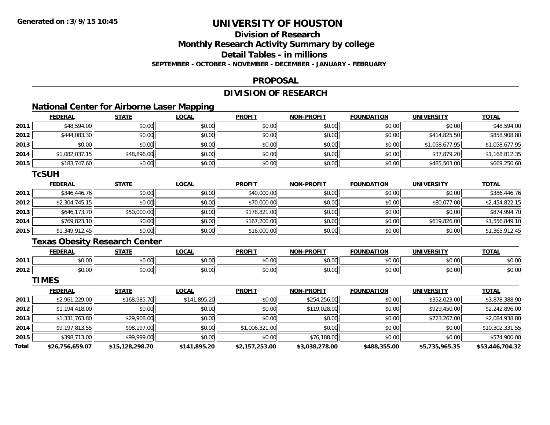# **Division of Research**

**Monthly Research Activity Summary by college**

**Detail Tables - in millions**

**SEPTEMBER - OCTOBER - NOVEMBER - DECEMBER - JANUARY - FEBRUARY**

## **PROPOSAL**

## **DIVISION OF RESEARCH**

## **National Center for Airborne Laser Mapping**

|      | <b>FEDERAL</b> | <b>STATE</b> | <b>LOCAL</b> | <b>PROFIT</b> | <b>NON-PROFIT</b> | <b>FOUNDATION</b> | UNIVERSITY     | <b>TOTAL</b>   |
|------|----------------|--------------|--------------|---------------|-------------------|-------------------|----------------|----------------|
| 2011 | \$48,594.00    | \$0.00       | \$0.00       | \$0.00        | \$0.00            | \$0.00            | \$0.00         | \$48,594.00    |
| 2012 | \$444,083.30   | \$0.00       | \$0.00       | \$0.00        | \$0.00            | \$0.00            | \$414,825.50   | \$858,908.80   |
| 2013 | \$0.00         | \$0.00       | \$0.00       | \$0.00        | \$0.00            | \$0.00            | \$1,058,677.95 | \$1,058,677.95 |
| 2014 | \$1,082,037.15 | \$48,896.00  | \$0.00       | \$0.00        | \$0.00            | \$0.00            | \$37,879.20    | \$1,168,812.35 |
| 2015 | \$183,747.60   | \$0.00       | \$0.00       | \$0.00        | \$0.00            | \$0.00            | \$485,503.00   | \$669,250.60   |

#### **TcSUH**

|      | <b>FEDERAL</b> | <b>STATE</b> | <b>LOCAL</b> | <b>PROFIT</b> | <b>NON-PROFIT</b> | <b>FOUNDATION</b> | <b>UNIVERSITY</b> | <b>TOTAL</b>   |
|------|----------------|--------------|--------------|---------------|-------------------|-------------------|-------------------|----------------|
| 2011 | \$346,446.76   | \$0.00       | \$0.00       | \$40,000.00   | \$0.00            | \$0.00            | \$0.00            | \$386,446.76   |
| 2012 | \$2,304,745.15 | \$0.00       | \$0.00       | \$70,000.00   | \$0.00            | \$0.00            | \$80,077.00       | \$2,454,822.15 |
| 2013 | \$646,173.70   | \$50,000.00  | \$0.00       | \$178,821.00  | \$0.00            | \$0.00            | \$0.00            | \$874.994.70   |
| 2014 | \$769,823.10   | \$0.00       | \$0.00       | \$167,200.00  | \$0.00            | \$0.00            | \$619,826.00      | \$1,556,849.10 |
| 2015 | \$1,349,912.45 | \$0.00       | \$0.00       | \$16,000.00   | \$0.00            | \$0.00            | \$0.00            | \$1,365,912.45 |

## **Texas Obesity Research Center**

|      | <b>FEDERAL</b> | <b>CTATE</b>         | .OCAI              | <b>PROFIT</b>                  | <b>-PROFIT</b><br><b>NION</b>                                                                                                                                                                                                                                                                                                                                                                                                                                        | лом<br>ר החווווה                              | UNIVERSITY      | <b>TOTAL</b> |
|------|----------------|----------------------|--------------------|--------------------------------|----------------------------------------------------------------------------------------------------------------------------------------------------------------------------------------------------------------------------------------------------------------------------------------------------------------------------------------------------------------------------------------------------------------------------------------------------------------------|-----------------------------------------------|-----------------|--------------|
| 2011 | 0000<br>pu.uu  | ሖ へ<br>וטט.          | $\sim$ 00<br>JU.UU | $\rightarrow$<br>ነ ሰሰ<br>JU.UU | $\mathsf{A}\cap\mathsf{A}\cap\mathsf{A}\cap\mathsf{A}\cap\mathsf{A}\cap\mathsf{A}\cap\mathsf{A}\cap\mathsf{A}\cap\mathsf{A}\cap\mathsf{A}\cap\mathsf{A}\cap\mathsf{A}\cap\mathsf{A}\cap\mathsf{A}\cap\mathsf{A}\cap\mathsf{A}\cap\mathsf{A}\cap\mathsf{A}\cap\mathsf{A}\cap\mathsf{A}\cap\mathsf{A}\cap\mathsf{A}\cap\mathsf{A}\cap\mathsf{A}\cap\mathsf{A}\cap\mathsf{A}\cap\mathsf{A}\cap\mathsf{A}\cap\mathsf{A}\cap\mathsf{A}\cap\mathsf{A}\cap\mathsf$<br>JU.UL | \$0.00                                        | 0.00<br>JU.UUI' | \$0.00       |
| 2012 | 0000<br>pv.uu  | $\sim$ $\sim$<br>υU. | 0000<br>J∪.∪∪      | $n \cap \Omega$<br>v.vu        | 0000<br>\$U.UC                                                                                                                                                                                                                                                                                                                                                                                                                                                       | $\uparrow$ $\uparrow$ $\uparrow$<br>ω<br>∪.∪∪ | 0.00<br>⊸∪∪∪⊪   | \$0.00       |

**TIMES**

|       | <b>FEDERAL</b>  | <b>STATE</b>    | <u>LOCAL</u> | <b>PROFIT</b>  | <b>NON-PROFIT</b> | <b>FOUNDATION</b> | <b>UNIVERSITY</b> | <b>TOTAL</b>    |
|-------|-----------------|-----------------|--------------|----------------|-------------------|-------------------|-------------------|-----------------|
| 2011  | \$2,961,229.00  | \$168,985.70    | \$141,895.20 | \$0.00         | \$254,256.00      | \$0.00            | \$352,023.00      | \$3,878,388.90  |
| 2012  | \$1,194,418.00  | \$0.00          | \$0.00       | \$0.00         | \$119,028.00      | \$0.00            | \$929,450.00      | \$2,242,896.00  |
| 2013  | \$1,331,763.80  | \$29,908.00     | \$0.00       | \$0.00         | \$0.00            | \$0.00            | \$723,267.00      | \$2,084,938.80  |
| 2014  | \$9,197,813.55  | \$98,197.00     | \$0.00       | \$1,006,321.00 | \$0.00            | \$0.00            | \$0.00            | \$10,302,331.55 |
| 2015  | \$398,713.00    | \$99,999.00     | \$0.00       | \$0.00         | \$76,188.00       | \$0.00            | \$0.00            | \$574,900.00    |
| Total | \$26,756,659.07 | \$15,128,298.70 | \$141,895.20 | \$2,157,253.00 | \$3,038,278.00    | \$488,355.00      | \$5,735,965.35    | \$53,446,704.32 |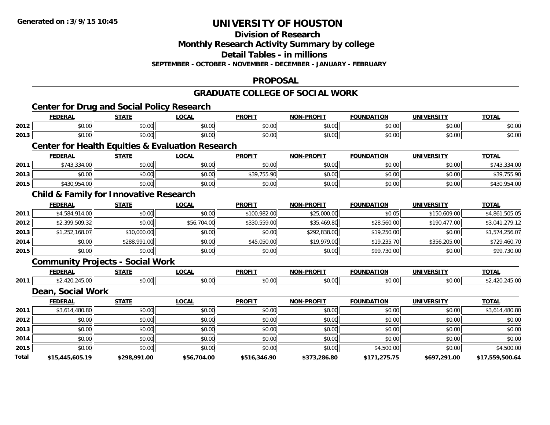**Division of Research**

**Monthly Research Activity Summary by college**

**Detail Tables - in millions**

**SEPTEMBER - OCTOBER - NOVEMBER - DECEMBER - JANUARY - FEBRUARY**

## **PROPOSAL**

## **GRADUATE COLLEGE OF SOCIAL WORK**

|       | <b>Center for Drug and Social Policy Research</b><br><b>FEDERAL</b> | <b>STATE</b> | <b>LOCAL</b>                                                | <b>PROFIT</b> | <b>NON-PROFIT</b> | <b>FOUNDATION</b> | <b>UNIVERSITY</b> | <b>TOTAL</b>    |
|-------|---------------------------------------------------------------------|--------------|-------------------------------------------------------------|---------------|-------------------|-------------------|-------------------|-----------------|
| 2012  | \$0.00                                                              | \$0.00       | \$0.00                                                      | \$0.00        | \$0.00            | \$0.00            | \$0.00            | \$0.00          |
| 2013  | \$0.00                                                              | \$0.00       | \$0.00                                                      | \$0.00        | \$0.00            | \$0.00            | \$0.00            | \$0.00          |
|       |                                                                     |              | <b>Center for Health Equities &amp; Evaluation Research</b> |               |                   |                   |                   |                 |
|       | <b>FEDERAL</b>                                                      | <b>STATE</b> | <b>LOCAL</b>                                                | <b>PROFIT</b> | <b>NON-PROFIT</b> | <b>FOUNDATION</b> | <b>UNIVERSITY</b> | <b>TOTAL</b>    |
| 2011  | \$743,334.00                                                        | \$0.00       | \$0.00                                                      | \$0.00        | \$0.00            | \$0.00            | \$0.00            | \$743,334.00    |
| 2013  | \$0.00                                                              | \$0.00       | \$0.00                                                      | \$39,755.90   | \$0.00            | \$0.00            | \$0.00            | \$39,755.90     |
| 2015  | \$430,954.00                                                        | \$0.00       | \$0.00                                                      | \$0.00        | \$0.00            | \$0.00            | \$0.00            | \$430,954.00    |
|       | <b>Child &amp; Family for Innovative Research</b>                   |              |                                                             |               |                   |                   |                   |                 |
|       | <b>FEDERAL</b>                                                      | <b>STATE</b> | <b>LOCAL</b>                                                | <b>PROFIT</b> | <b>NON-PROFIT</b> | <b>FOUNDATION</b> | <b>UNIVERSITY</b> | <b>TOTAL</b>    |
| 2011  | \$4,584,914.00                                                      | \$0.00       | \$0.00                                                      | \$100,982.00  | \$25,000.00       | \$0.05            | \$150,609.00      | \$4,861,505.05  |
| 2012  | \$2,399,509.32                                                      | \$0.00       | \$56,704.00                                                 | \$330,559.00  | \$35,469.80       | \$28,560.00       | \$190,477.00      | \$3,041,279.12  |
| 2013  | \$1,252,168.07                                                      | \$10,000.00  | \$0.00                                                      | \$0.00        | \$292,838.00      | \$19,250.00       | \$0.00            | \$1,574,256.07  |
| 2014  | \$0.00                                                              | \$288,991.00 | \$0.00                                                      | \$45,050.00   | \$19,979.00       | \$19,235.70       | \$356,205.00      | \$729,460.70    |
| 2015  | \$0.00                                                              | \$0.00       | \$0.00                                                      | \$0.00        | \$0.00            | \$99,730.00       | \$0.00            | \$99,730.00     |
|       | <b>Community Projects - Social Work</b>                             |              |                                                             |               |                   |                   |                   |                 |
|       | <b>FEDERAL</b>                                                      | <b>STATE</b> | <b>LOCAL</b>                                                | <b>PROFIT</b> | <b>NON-PROFIT</b> | <b>FOUNDATION</b> | <b>UNIVERSITY</b> | <b>TOTAL</b>    |
| 2011  | \$2,420,245.00                                                      | \$0.00       | \$0.00                                                      | \$0.00        | \$0.00            | \$0.00            | \$0.00            | \$2,420,245.00  |
|       | Dean, Social Work                                                   |              |                                                             |               |                   |                   |                   |                 |
|       | <b>FEDERAL</b>                                                      | <b>STATE</b> | <b>LOCAL</b>                                                | <b>PROFIT</b> | <b>NON-PROFIT</b> | <b>FOUNDATION</b> | <b>UNIVERSITY</b> | <b>TOTAL</b>    |
| 2011  | \$3,614,480.80                                                      | \$0.00       | \$0.00                                                      | \$0.00        | \$0.00            | \$0.00            | \$0.00            | \$3,614,480.80  |
| 2012  | \$0.00                                                              | \$0.00       | \$0.00                                                      | \$0.00        | \$0.00            | \$0.00            | \$0.00            | \$0.00          |
| 2013  | \$0.00                                                              | \$0.00       | \$0.00                                                      | \$0.00        | \$0.00            | \$0.00            | \$0.00            | \$0.00          |
| 2014  | \$0.00                                                              | \$0.00       | \$0.00                                                      | \$0.00        | \$0.00            | \$0.00            | \$0.00            | \$0.00          |
| 2015  | \$0.00                                                              | \$0.00       | \$0.00                                                      | \$0.00        | \$0.00            | \$4,500.00        | \$0.00            | \$4,500.00      |
| Total | \$15,445,605.19                                                     | \$298,991.00 | \$56,704.00                                                 | \$516,346.90  | \$373,286.80      | \$171,275.75      | \$697,291.00      | \$17,559,500.64 |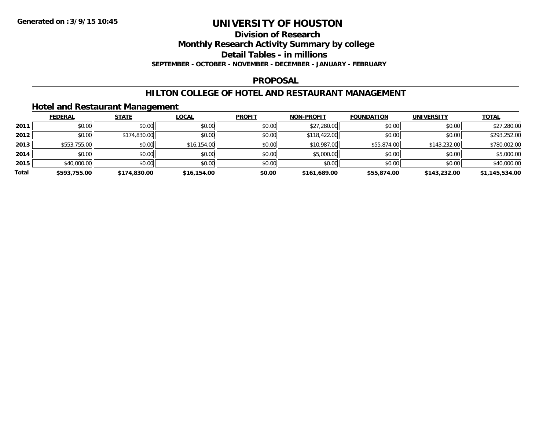#### **Division of Research**

**Monthly Research Activity Summary by college**

**Detail Tables - in millions**

**SEPTEMBER - OCTOBER - NOVEMBER - DECEMBER - JANUARY - FEBRUARY**

#### **PROPOSAL**

## **HILTON COLLEGE OF HOTEL AND RESTAURANT MANAGEMENT**

## **Hotel and Restaurant Management**

|       | <b>FEDERAL</b> | <b>STATE</b> | <b>LOCAL</b> | <b>PROFIT</b> | <b>NON-PROFIT</b> | <b>FOUNDATION</b> | <b>UNIVERSITY</b> | <b>TOTAL</b>   |
|-------|----------------|--------------|--------------|---------------|-------------------|-------------------|-------------------|----------------|
| 2011  | \$0.00         | \$0.00       | \$0.00       | \$0.00        | \$27,280.00       | \$0.00            | \$0.00            | \$27,280.00    |
| 2012  | \$0.00         | \$174,830.00 | \$0.00       | \$0.00        | \$118,422.00      | \$0.00            | \$0.00            | \$293,252.00   |
| 2013  | \$553,755.00   | \$0.00       | \$16,154.00  | \$0.00        | \$10,987.00       | \$55,874.00       | \$143,232.00      | \$780,002.00   |
| 2014  | \$0.00         | \$0.00       | \$0.00       | \$0.00        | \$5,000.00        | \$0.00            | \$0.00            | \$5,000.00     |
| 2015  | \$40,000.00    | \$0.00       | \$0.00       | \$0.00        | \$0.00            | \$0.00            | \$0.00            | \$40,000.00    |
| Total | \$593,755.00   | \$174,830.00 | \$16,154.00  | \$0.00        | \$161,689.00      | \$55,874.00       | \$143,232.00      | \$1,145,534.00 |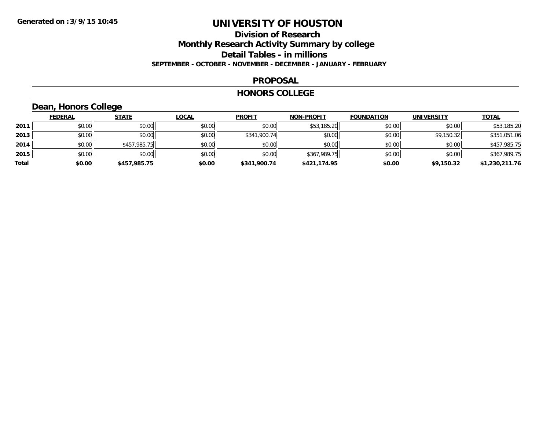## **Division of Research Monthly Research Activity Summary by college Detail Tables - in millions SEPTEMBER - OCTOBER - NOVEMBER - DECEMBER - JANUARY - FEBRUARY**

#### **PROPOSAL**

#### **HONORS COLLEGE**

## **Dean, Honors College**

|       | <u>FEDERAL</u> | <b>STATE</b> | <b>LOCAL</b> | <b>PROFIT</b> | <b>NON-PROFIT</b> | <b>FOUNDATION</b> | <b>UNIVERSITY</b> | <b>TOTAL</b>   |
|-------|----------------|--------------|--------------|---------------|-------------------|-------------------|-------------------|----------------|
| 2011  | \$0.00         | \$0.00       | \$0.00       | \$0.00        | \$53,185.20       | \$0.00            | \$0.00            | \$53,185.20    |
| 2013  | \$0.00         | \$0.00       | \$0.00       | \$341,900.74  | \$0.00            | \$0.00            | \$9,150.32        | \$351,051.06   |
| 2014  | \$0.00         | \$457,985.75 | \$0.00       | \$0.00        | \$0.00            | \$0.00            | \$0.00            | \$457,985.75   |
| 2015  | \$0.00         | \$0.00       | \$0.00       | \$0.00        | \$367,989.75      | \$0.00            | \$0.00            | \$367,989.75   |
| Total | \$0.00         | \$457,985.75 | \$0.00       | \$341,900.74  | \$421,174.95      | \$0.00            | \$9,150.32        | \$1,230,211.76 |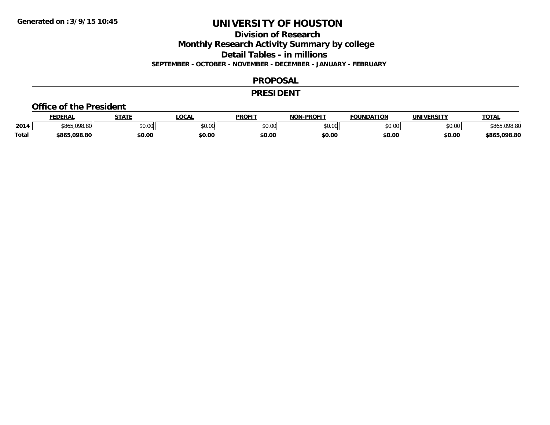**Division of Research**

**Monthly Research Activity Summary by college**

**Detail Tables - in millions**

**SEPTEMBER - OCTOBER - NOVEMBER - DECEMBER - JANUARY - FEBRUARY**

#### **PROPOSAL**

#### **PRESIDENT**

#### **Office of the President**

|              | <b>FEDERAL</b>   | <b>STATE</b> | <b>OCAL</b>             | <b>PROFIT</b> | <b>-PROFIT</b><br><b>NON</b> | <b>FOUNDATION</b> | UNIVERSITY | <u> ΤΟΤΑ.</u> |
|--------------|------------------|--------------|-------------------------|---------------|------------------------------|-------------------|------------|---------------|
| 2014         | .098.80<br>\$86. | \$0.00       | 0 <sub>n</sub><br>JU.UU | \$0.00        | ልስ ባህ<br>pv.uu               | \$0.00            | \$0.00     | <b>198.80</b> |
| <b>Total</b> | . uas su<br>toze | \$0.00       | \$0.00                  | \$0.00        | \$0.00                       | \$0.00            | \$0.00     | \$865,098.80  |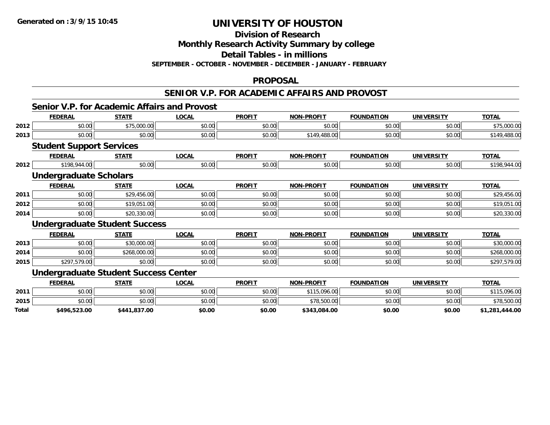## **Division of Research**

**Monthly Research Activity Summary by college**

**Detail Tables - in millions**

**SEPTEMBER - OCTOBER - NOVEMBER - DECEMBER - JANUARY - FEBRUARY**

#### **PROPOSAL**

#### **SENIOR V.P. FOR ACADEMIC AFFAIRS AND PROVOST**

## **Senior V.P. for Academic Affairs and Provost**

|       | <b>FEDERAL</b>                              | <b>STATE</b> | <b>LOCAL</b> | <b>PROFIT</b> | <b>NON-PROFIT</b> | <b>FOUNDATION</b> | <b>UNIVERSITY</b> | <b>TOTAL</b>   |
|-------|---------------------------------------------|--------------|--------------|---------------|-------------------|-------------------|-------------------|----------------|
| 2012  | \$0.00                                      | \$75,000.00  | \$0.00       | \$0.00        | \$0.00            | \$0.00            | \$0.00            | \$75,000.00    |
| 2013  | \$0.00                                      | \$0.00       | \$0.00       | \$0.00        | \$149,488.00      | \$0.00            | \$0.00            | \$149,488.00   |
|       | <b>Student Support Services</b>             |              |              |               |                   |                   |                   |                |
|       | <b>FEDERAL</b>                              | <b>STATE</b> | <b>LOCAL</b> | <b>PROFIT</b> | <b>NON-PROFIT</b> | <b>FOUNDATION</b> | <b>UNIVERSITY</b> | <b>TOTAL</b>   |
| 2012  | \$198,944.00                                | \$0.00       | \$0.00       | \$0.00        | \$0.00            | \$0.00            | \$0.00            | \$198,944.00   |
|       | <b>Undergraduate Scholars</b>               |              |              |               |                   |                   |                   |                |
|       | <b>FEDERAL</b>                              | <b>STATE</b> | <b>LOCAL</b> | <b>PROFIT</b> | <b>NON-PROFIT</b> | <b>FOUNDATION</b> | <b>UNIVERSITY</b> | <b>TOTAL</b>   |
| 2011  | \$0.00                                      | \$29,456.00  | \$0.00       | \$0.00        | \$0.00            | \$0.00            | \$0.00            | \$29,456.00    |
| 2012  | \$0.00                                      | \$19,051.00  | \$0.00       | \$0.00        | \$0.00            | \$0.00            | \$0.00            | \$19,051.00    |
| 2014  | \$0.00                                      | \$20,330.00  | \$0.00       | \$0.00        | \$0.00            | \$0.00            | \$0.00            | \$20,330.00    |
|       | <b>Undergraduate Student Success</b>        |              |              |               |                   |                   |                   |                |
|       | <b>FEDERAL</b>                              | <b>STATE</b> | <b>LOCAL</b> | <b>PROFIT</b> | <b>NON-PROFIT</b> | <b>FOUNDATION</b> | <b>UNIVERSITY</b> | <b>TOTAL</b>   |
| 2013  | \$0.00                                      | \$30,000.00  | \$0.00       | \$0.00        | \$0.00            | \$0.00            | \$0.00            | \$30,000.00    |
| 2014  | \$0.00                                      | \$268,000.00 | \$0.00       | \$0.00        | \$0.00            | \$0.00            | \$0.00            | \$268,000.00   |
| 2015  | \$297,579.00                                | \$0.00       | \$0.00       | \$0.00        | \$0.00            | \$0.00            | \$0.00            | \$297,579.00   |
|       | <b>Undergraduate Student Success Center</b> |              |              |               |                   |                   |                   |                |
|       | <b>FEDERAL</b>                              | <b>STATE</b> | <b>LOCAL</b> | <b>PROFIT</b> | <b>NON-PROFIT</b> | <b>FOUNDATION</b> | <b>UNIVERSITY</b> | <b>TOTAL</b>   |
| 2011  | \$0.00                                      | \$0.00       | \$0.00       | \$0.00        | \$115,096.00      | \$0.00            | \$0.00            | \$115,096.00   |
| 2015  | \$0.00                                      | \$0.00       | \$0.00       | \$0.00        | \$78,500.00       | \$0.00            | \$0.00            | \$78,500.00    |
| Total | \$496,523.00                                | \$441,837.00 | \$0.00       | \$0.00        | \$343,084.00      | \$0.00            | \$0.00            | \$1,281,444.00 |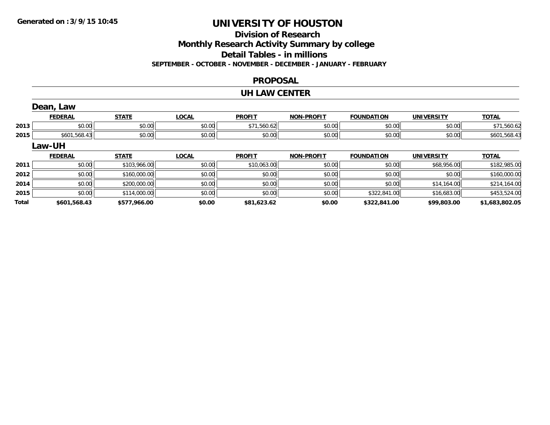# **Division of Research**

**Monthly Research Activity Summary by college**

**Detail Tables - in millions**

**SEPTEMBER - OCTOBER - NOVEMBER - DECEMBER - JANUARY - FEBRUARY**

## **PROPOSAL**

#### **UH LAW CENTER**

|              | Dean, Law      |              |              |               |                   |                   |                   |                |
|--------------|----------------|--------------|--------------|---------------|-------------------|-------------------|-------------------|----------------|
|              | <b>FEDERAL</b> | <b>STATE</b> | <b>LOCAL</b> | <b>PROFIT</b> | <b>NON-PROFIT</b> | <b>FOUNDATION</b> | <b>UNIVERSITY</b> | <b>TOTAL</b>   |
| 2013         | \$0.00         | \$0.00       | \$0.00       | \$71,560.62   | \$0.00            | \$0.00            | \$0.00            | \$71,560.62    |
| 2015         | \$601,568.43   | \$0.00       | \$0.00       | \$0.00        | \$0.00            | \$0.00            | \$0.00            | \$601,568.43   |
|              | Law-UH         |              |              |               |                   |                   |                   |                |
|              | <b>FEDERAL</b> | <b>STATE</b> | <b>LOCAL</b> | <b>PROFIT</b> | <b>NON-PROFIT</b> | <b>FOUNDATION</b> | <b>UNIVERSITY</b> | <b>TOTAL</b>   |
| 2011         | \$0.00         | \$103,966.00 | \$0.00       | \$10,063.00   | \$0.00            | \$0.00            | \$68,956.00       | \$182,985.00   |
| 2012         | \$0.00         | \$160,000.00 | \$0.00       | \$0.00        | \$0.00            | \$0.00            | \$0.00            | \$160,000.00   |
| 2014         | \$0.00         | \$200,000.00 | \$0.00       | \$0.00        | \$0.00            | \$0.00            | \$14,164.00       | \$214,164.00   |
| 2015         | \$0.00         | \$114,000.00 | \$0.00       | \$0.00        | \$0.00            | \$322,841.00      | \$16,683.00       | \$453,524.00   |
| <b>Total</b> | \$601,568.43   | \$577,966.00 | \$0.00       | \$81,623.62   | \$0.00            | \$322,841.00      | \$99,803.00       | \$1,683,802.05 |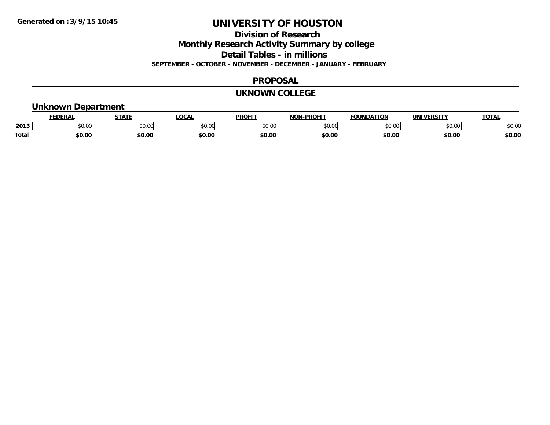**Division of Research**

**Monthly Research Activity Summary by college**

**Detail Tables - in millions**

**SEPTEMBER - OCTOBER - NOVEMBER - DECEMBER - JANUARY - FEBRUARY**

#### **PROPOSAL**

#### **UKNOWN COLLEGE**

## **Unknown Department**

|              | DERAI         | статі         | ne n                                                                                             | <b>PROFIT</b>                                                                                                                                                                                                                                                                                                                                                                                                                                                        | <b>DDAFIT</b><br>חחו | ΠΟΝ<br><b>CAUSIBAT</b> | TNT)                | <b>TOT</b>    |
|--------------|---------------|---------------|--------------------------------------------------------------------------------------------------|----------------------------------------------------------------------------------------------------------------------------------------------------------------------------------------------------------------------------------------------------------------------------------------------------------------------------------------------------------------------------------------------------------------------------------------------------------------------|----------------------|------------------------|---------------------|---------------|
| 2013         | 0.00<br>טט.טע | 0.00<br>JU.UU | $\begin{array}{c} \hline \text{A} & \text{A} & \text{A} & \text{B} \\ \hline \end{array}$<br>ט.ט | $\mathsf{A}\cap\mathsf{A}\cap\mathsf{A}\cap\mathsf{A}\cap\mathsf{A}\cap\mathsf{A}\cap\mathsf{A}\cap\mathsf{A}\cap\mathsf{A}\cap\mathsf{A}\cap\mathsf{A}\cap\mathsf{A}\cap\mathsf{A}\cap\mathsf{A}\cap\mathsf{A}\cap\mathsf{A}\cap\mathsf{A}\cap\mathsf{A}\cap\mathsf{A}\cap\mathsf{A}\cap\mathsf{A}\cap\mathsf{A}\cap\mathsf{A}\cap\mathsf{A}\cap\mathsf{A}\cap\mathsf{A}\cap\mathsf{A}\cap\mathsf{A}\cap\mathsf{A}\cap\mathsf{A}\cap\mathsf{A}\cap\mathsf$<br>וש.טע | $\sim$ 00<br>DU.UU   | \$0.00                 | $\sim$ 00<br>וטט.טי | 0000<br>JU.UU |
| <b>Total</b> | \$0.00        | \$0.00        | \$0.00                                                                                           | \$0.00                                                                                                                                                                                                                                                                                                                                                                                                                                                               | \$0.00               | \$0.00                 | \$0.00              | \$0.00        |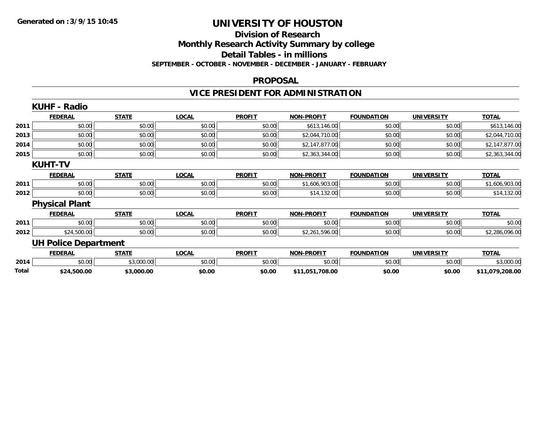## **Division of Research Monthly Research Activity Summary by college Detail Tables - in millions SEPTEMBER - OCTOBER - NOVEMBER - DECEMBER - JANUARY - FEBRUARY**

#### **PROPOSAL**

## **VICE PRESIDENT FOR ADMINISTRATION**

|       | <b>KUHF - Radio</b>         |              |              |               |                   |                   |                   |                 |
|-------|-----------------------------|--------------|--------------|---------------|-------------------|-------------------|-------------------|-----------------|
|       | <b>FEDERAL</b>              | <b>STATE</b> | <b>LOCAL</b> | <b>PROFIT</b> | <b>NON-PROFIT</b> | <b>FOUNDATION</b> | <b>UNIVERSITY</b> | <b>TOTAL</b>    |
| 2011  | \$0.00                      | \$0.00       | \$0.00       | \$0.00        | \$613,146.00      | \$0.00            | \$0.00            | \$613,146.00    |
| 2013  | \$0.00                      | \$0.00       | \$0.00       | \$0.00        | \$2,044,710.00    | \$0.00            | \$0.00            | \$2,044,710.00  |
| 2014  | \$0.00                      | \$0.00       | \$0.00       | \$0.00        | \$2,147,877.00    | \$0.00            | \$0.00            | \$2,147,877.00  |
| 2015  | \$0.00                      | \$0.00       | \$0.00       | \$0.00        | \$2,363,344.00    | \$0.00            | \$0.00            | \$2,363,344.00  |
|       | <b>KUHT-TV</b>              |              |              |               |                   |                   |                   |                 |
|       | <b>FEDERAL</b>              | <b>STATE</b> | LOCAL        | <b>PROFIT</b> | <b>NON-PROFIT</b> | <b>FOUNDATION</b> | <b>UNIVERSITY</b> | <b>TOTAL</b>    |
| 2011  | \$0.00                      | \$0.00       | \$0.00       | \$0.00        | \$1,606,903.00    | \$0.00            | \$0.00            | \$1,606,903.00  |
| 2012  | \$0.00                      | \$0.00       | \$0.00       | \$0.00        | \$14,132.00       | \$0.00            | \$0.00            | \$14,132.00     |
|       | <b>Physical Plant</b>       |              |              |               |                   |                   |                   |                 |
|       | <b>FEDERAL</b>              | <b>STATE</b> | <b>LOCAL</b> | <b>PROFIT</b> | <b>NON-PROFIT</b> | <b>FOUNDATION</b> | <b>UNIVERSITY</b> | <b>TOTAL</b>    |
| 2011  | \$0.00                      | \$0.00       | \$0.00       | \$0.00        | \$0.00            | \$0.00            | \$0.00            | \$0.00          |
| 2012  | \$24,500.00                 | \$0.00       | \$0.00       | \$0.00        | \$2,261,596.00    | \$0.00            | \$0.00            | \$2,286,096.00  |
|       | <b>UH Police Department</b> |              |              |               |                   |                   |                   |                 |
|       | <b>FEDERAL</b>              | <b>STATE</b> | <b>LOCAL</b> | <b>PROFIT</b> | <b>NON-PROFIT</b> | <b>FOUNDATION</b> | <b>UNIVERSITY</b> | <b>TOTAL</b>    |
| 2014  | \$0.00                      | \$3,000.00   | \$0.00       | \$0.00        | \$0.00            | \$0.00            | \$0.00            | \$3,000.00      |
| Total | \$24,500.00                 | \$3,000.00   | \$0.00       | \$0.00        | \$11,051,708.00   | \$0.00            | \$0.00            | \$11,079,208.00 |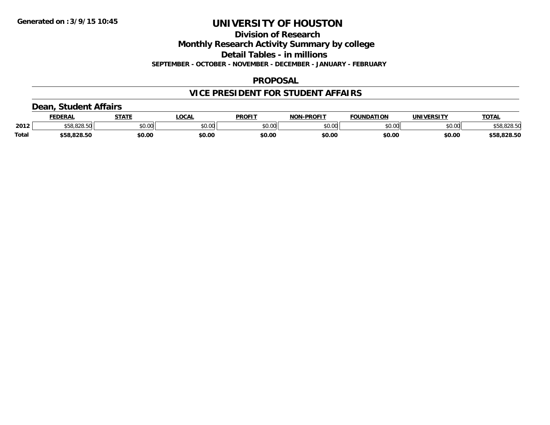**Division of Research**

**Monthly Research Activity Summary by college**

**Detail Tables - in millions**

**SEPTEMBER - OCTOBER - NOVEMBER - DECEMBER - JANUARY - FEBRUARY**

## **PROPOSAL**

## **VICE PRESIDENT FOR STUDENT AFFAIRS**

## **Dean, Student Affairs**

|              | <b>FEDERAL</b> | <b>STATE</b> | <b>OCAL</b> | <b>PROFIT</b> | <b>NON-PROFIT</b> | <b>FOUNDATION</b> | UNIVERSITY     | TOTA.       |
|--------------|----------------|--------------|-------------|---------------|-------------------|-------------------|----------------|-------------|
| 2012         | 0.0000         | \$0.00       | vv.vv       | \$0.00        | 0000<br>JU.UU     | \$0.00            | mn n¢<br>pu.uu | \$58,828.50 |
| <b>Total</b> | \$58.828.50    | \$0.00       | \$0.00      | \$0.00        | \$0.00            | \$0.00            | \$0.00         | \$58,828.50 |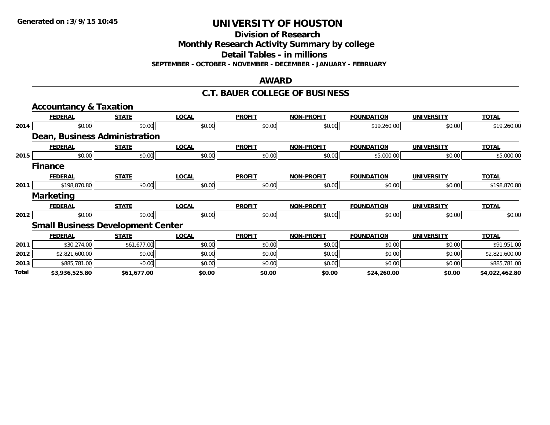**Division of Research**

**Monthly Research Activity Summary by college**

**Detail Tables - in millions**

**SEPTEMBER - OCTOBER - NOVEMBER - DECEMBER - JANUARY - FEBRUARY**

#### **AWARD**

#### **C.T. BAUER COLLEGE OF BUSINESS**

|       | <b>Accountancy &amp; Taxation</b>        |              |              |               |                   |                   |                   |                |
|-------|------------------------------------------|--------------|--------------|---------------|-------------------|-------------------|-------------------|----------------|
|       | <b>FEDERAL</b>                           | <b>STATE</b> | <b>LOCAL</b> | <b>PROFIT</b> | <b>NON-PROFIT</b> | <b>FOUNDATION</b> | <b>UNIVERSITY</b> | <b>TOTAL</b>   |
| 2014  | \$0.00                                   | \$0.00       | \$0.00       | \$0.00        | \$0.00            | \$19,260.00       | \$0.00            | \$19,260.00    |
|       | Dean, Business Administration            |              |              |               |                   |                   |                   |                |
|       | <b>FEDERAL</b>                           | <b>STATE</b> | <b>LOCAL</b> | <b>PROFIT</b> | <b>NON-PROFIT</b> | <b>FOUNDATION</b> | <b>UNIVERSITY</b> | <b>TOTAL</b>   |
| 2015  | \$0.00                                   | \$0.00       | \$0.00       | \$0.00        | \$0.00            | \$5,000.00        | \$0.00            | \$5,000.00     |
|       | <b>Finance</b>                           |              |              |               |                   |                   |                   |                |
|       | <b>FEDERAL</b>                           | <b>STATE</b> | <b>LOCAL</b> | <b>PROFIT</b> | <b>NON-PROFIT</b> | <b>FOUNDATION</b> | <b>UNIVERSITY</b> | <b>TOTAL</b>   |
| 2011  | \$198,870.80                             | \$0.00       | \$0.00       | \$0.00        | \$0.00            | \$0.00            | \$0.00            | \$198,870.80   |
|       | <b>Marketing</b>                         |              |              |               |                   |                   |                   |                |
|       | <b>FEDERAL</b>                           | <b>STATE</b> | <b>LOCAL</b> | <b>PROFIT</b> | <b>NON-PROFIT</b> | <b>FOUNDATION</b> | <b>UNIVERSITY</b> | <b>TOTAL</b>   |
| 2012  | \$0.00                                   | \$0.00       | \$0.00       | \$0.00        | \$0.00            | \$0.00            | \$0.00            | \$0.00         |
|       | <b>Small Business Development Center</b> |              |              |               |                   |                   |                   |                |
|       | <b>FEDERAL</b>                           | <b>STATE</b> | <b>LOCAL</b> | <b>PROFIT</b> | <b>NON-PROFIT</b> | <b>FOUNDATION</b> | <b>UNIVERSITY</b> | <b>TOTAL</b>   |
| 2011  | \$30,274.00                              | \$61,677.00  | \$0.00       | \$0.00        | \$0.00            | \$0.00            | \$0.00            | \$91,951.00    |
| 2012  | \$2,821,600.00                           | \$0.00       | \$0.00       | \$0.00        | \$0.00            | \$0.00            | \$0.00            | \$2,821,600.00 |
| 2013  | \$885,781.00                             | \$0.00       | \$0.00       | \$0.00        | \$0.00            | \$0.00            | \$0.00            | \$885,781.00   |
| Total | \$3,936,525.80                           | \$61,677.00  | \$0.00       | \$0.00        | \$0.00            | \$24,260.00       | \$0.00            | \$4,022,462.80 |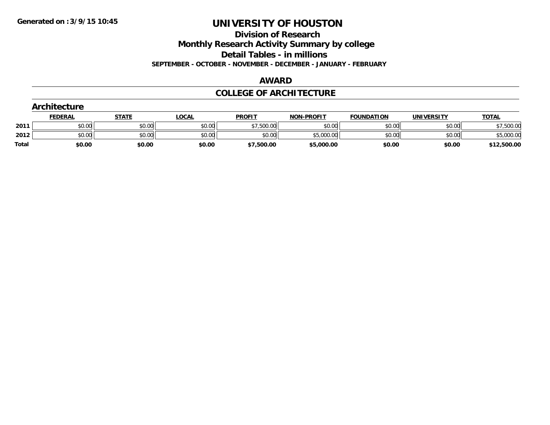**Division of Research**

**Monthly Research Activity Summary by college**

**Detail Tables - in millions**

**SEPTEMBER - OCTOBER - NOVEMBER - DECEMBER - JANUARY - FEBRUARY**

#### **AWARD**

## **COLLEGE OF ARCHITECTURE**

|              | Architecture   |              |              |               |                   |                   |                   |              |
|--------------|----------------|--------------|--------------|---------------|-------------------|-------------------|-------------------|--------------|
|              | <b>FEDERAL</b> | <b>STATE</b> | <u>LOCAL</u> | <b>PROFIT</b> | <b>NON-PROFIT</b> | <b>FOUNDATION</b> | <b>UNIVERSITY</b> | <b>TOTAL</b> |
| 2011         | \$0.00         | \$0.00       | \$0.00       | \$7,500.00    | \$0.00            | \$0.00            | \$0.00            | \$7,500.00   |
| 2012         | \$0.00         | \$0.00       | \$0.00       | \$0.00        | \$5,000.00        | \$0.00            | \$0.00            | \$5,000.00   |
| <b>Total</b> | \$0.00         | \$0.00       | \$0.00       | \$7,500.00    | \$5,000.00        | \$0.00            | \$0.00            | \$12,500.00  |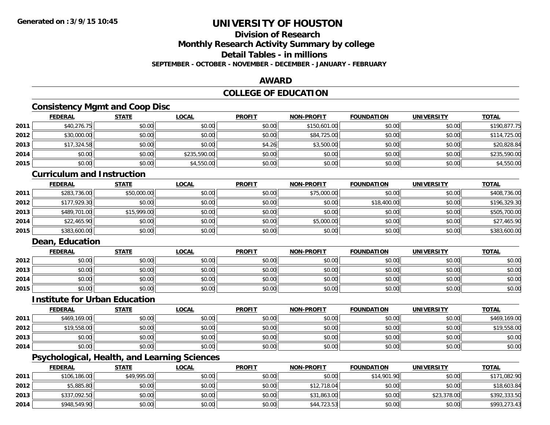# **Division of Research**

**Monthly Research Activity Summary by college**

**Detail Tables - in millions**

**SEPTEMBER - OCTOBER - NOVEMBER - DECEMBER - JANUARY - FEBRUARY**

## **AWARD**

## **COLLEGE OF EDUCATION**

## **Consistency Mgmt and Coop Disc**

|      | <b>FEDERAL</b> | <b>STATE</b> | <b>LOCAL</b> | <b>PROFIT</b> | <b>NON-PROFIT</b> | <b>FOUNDATION</b> | <b>UNIVERSITY</b> | <b>TOTAL</b> |
|------|----------------|--------------|--------------|---------------|-------------------|-------------------|-------------------|--------------|
| 2011 | \$40,276.75    | \$0.00       | \$0.00       | \$0.00        | \$150,601.00      | \$0.00            | \$0.00            | \$190,877.75 |
| 2012 | \$30,000.00    | \$0.00       | \$0.00       | \$0.00        | \$84,725.00       | \$0.00            | \$0.00            | \$114,725.00 |
| 2013 | \$17,324.58    | \$0.00       | \$0.00       | \$4.26        | \$3,500.00        | \$0.00            | \$0.00            | \$20,828.84  |
| 2014 | \$0.00         | \$0.00       | \$235,590.00 | \$0.00        | \$0.00            | \$0.00            | \$0.00            | \$235,590.00 |
| 2015 | \$0.00         | \$0.00       | \$4,550.00   | \$0.00        | \$0.00            | \$0.00            | \$0.00            | \$4,550.00   |

#### **Curriculum and Instruction**

|      | <b>FEDERAL</b> | STATE       | <b>LOCAL</b> | <b>PROFIT</b> | <b>NON-PROFIT</b> | <b>FOUNDATION</b> | <b>UNIVERSITY</b> | <b>TOTAL</b> |
|------|----------------|-------------|--------------|---------------|-------------------|-------------------|-------------------|--------------|
| 2011 | \$283,736.00   | \$50,000.00 | \$0.00       | \$0.00        | \$75,000.00       | \$0.00            | \$0.00            | \$408,736.00 |
| 2012 | \$177,929.30   | \$0.00      | \$0.00       | \$0.00        | \$0.00            | \$18,400.00       | \$0.00            | \$196,329.30 |
| 2013 | \$489,701.00   | \$15,999.00 | \$0.00       | \$0.00        | \$0.00            | \$0.00            | \$0.00            | \$505,700.00 |
| 2014 | \$22,465.90    | \$0.00      | \$0.00       | \$0.00        | \$5,000.00        | \$0.00            | \$0.00            | \$27,465.90  |
| 2015 | \$383,600.00   | \$0.00      | \$0.00       | \$0.00        | \$0.00            | \$0.00            | \$0.00            | \$383,600.00 |

## **Dean, Education**

|      | <b>FEDERAL</b> | <b>STATE</b> | <u>LOCAL</u> | <b>PROFIT</b> | <b>NON-PROFIT</b> | <b>FOUNDATION</b> | <b>UNIVERSITY</b> | <b>TOTAL</b> |
|------|----------------|--------------|--------------|---------------|-------------------|-------------------|-------------------|--------------|
| 2012 | \$0.00         | \$0.00       | \$0.00       | \$0.00        | \$0.00            | \$0.00            | \$0.00            | \$0.00       |
| 2013 | \$0.00         | \$0.00       | \$0.00       | \$0.00        | \$0.00            | \$0.00            | \$0.00            | \$0.00       |
| 2014 | \$0.00         | \$0.00       | \$0.00       | \$0.00        | \$0.00            | \$0.00            | \$0.00            | \$0.00       |
| 2015 | \$0.00         | \$0.00       | \$0.00       | \$0.00        | \$0.00            | \$0.00            | \$0.00            | \$0.00       |

## **Institute for Urban Education**

|      | <b>FEDERAL</b> | <b>STATE</b> | <u>LOCAL</u> | <b>PROFIT</b> | <b>NON-PROFIT</b> | <b>FOUNDATION</b> | <b>UNIVERSITY</b> | <b>TOTAL</b> |
|------|----------------|--------------|--------------|---------------|-------------------|-------------------|-------------------|--------------|
| 2011 | \$469,169.00   | \$0.00       | \$0.00       | \$0.00        | \$0.00            | \$0.00            | \$0.00            | \$469,169.00 |
| 2012 | \$19,558.00    | \$0.00       | \$0.00       | \$0.00        | \$0.00            | \$0.00            | \$0.00            | \$19,558.00  |
| 2013 | \$0.00         | \$0.00       | \$0.00       | \$0.00        | \$0.00            | \$0.00            | \$0.00            | \$0.00       |
| 2014 | \$0.00         | \$0.00       | \$0.00       | \$0.00        | \$0.00            | \$0.00            | \$0.00            | \$0.00       |

## **Psychological, Health, and Learning Sciences**

|      | <u>FEDERAL</u> | <u>STATE</u> | <u>LOCAL</u> | <b>PROFIT</b> | <b>NON-PROFIT</b> | <b>FOUNDATION</b> | <b>UNIVERSITY</b> | <b>TOTAL</b> |
|------|----------------|--------------|--------------|---------------|-------------------|-------------------|-------------------|--------------|
| 2011 | \$106,186,00   | \$49,995.00  | \$0.00       | \$0.00        | \$0.00            | \$14,901.90       | \$0.00            | \$171,082.90 |
| 2012 | \$5,885.80     | \$0.00       | \$0.00       | \$0.00        | \$12,718.04       | \$0.00            | \$0.00            | \$18,603.84  |
| 2013 | \$337,092.50   | \$0.00       | \$0.00       | \$0.00        | \$31,863.00       | \$0.00            | \$23,378.00       | \$392,333.50 |
| 2014 | \$948,549.90   | \$0.00       | \$0.00       | \$0.00        | \$44,723.53       | \$0.00            | \$0.00            | \$993,273.43 |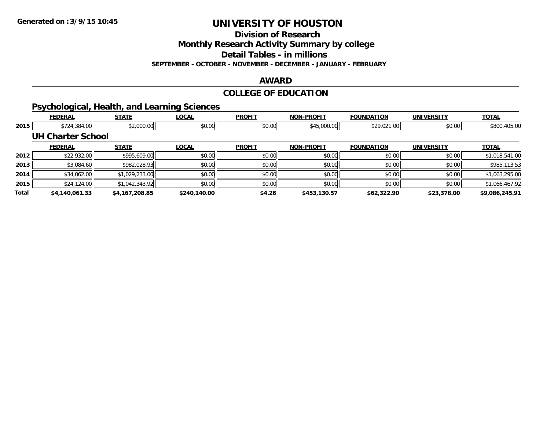**Division of Research**

**Monthly Research Activity Summary by college**

**Detail Tables - in millions**

**SEPTEMBER - OCTOBER - NOVEMBER - DECEMBER - JANUARY - FEBRUARY**

#### **AWARD**

## **COLLEGE OF EDUCATION**

## **Psychological, Health, and Learning Sciences**

|       | <b>FEDERAL</b>           | <b>STATE</b>   | <b>LOCAL</b> | <b>PROFIT</b> | <b>NON-PROFIT</b> | <b>FOUNDATION</b> | <b>UNIVERSITY</b> | <b>TOTAL</b>   |
|-------|--------------------------|----------------|--------------|---------------|-------------------|-------------------|-------------------|----------------|
| 2015  | \$724,384.00             | \$2,000.00     | \$0.00       | \$0.00        | \$45,000.00       | \$29,021.00       | \$0.00            | \$800,405.00   |
|       | <b>UH Charter School</b> |                |              |               |                   |                   |                   |                |
|       | <b>FEDERAL</b>           | <b>STATE</b>   | <b>LOCAL</b> | <b>PROFIT</b> | <b>NON-PROFIT</b> | <b>FOUNDATION</b> | <b>UNIVERSITY</b> | <b>TOTAL</b>   |
| 2012  | \$22,932.00              | \$995,609.00   | \$0.00       | \$0.00        | \$0.00            | \$0.00            | \$0.00            | \$1,018,541.00 |
| 2013  | \$3,084.60               | \$982,028.93   | \$0.00       | \$0.00        | \$0.00            | \$0.00            | \$0.00            | \$985,113.53   |
| 2014  | \$34,062.00              | \$1,029,233.00 | \$0.00       | \$0.00        | \$0.00            | \$0.00            | \$0.00            | \$1,063,295.00 |
| 2015  | \$24,124.00              | \$1,042,343.92 | \$0.00       | \$0.00        | \$0.00            | \$0.00            | \$0.00            | \$1,066,467.92 |
| Total | \$4,140,061.33           | \$4,167,208.85 | \$240,140.00 | \$4.26        | \$453,130.57      | \$62,322.90       | \$23,378.00       | \$9,086,245.91 |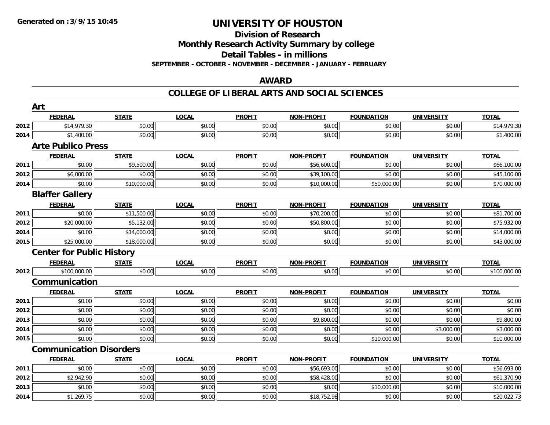## **Division of ResearchMonthly Research Activity Summary by college Detail Tables - in millions**

**SEPTEMBER - OCTOBER - NOVEMBER - DECEMBER - JANUARY - FEBRUARY**

## **AWARD**

|      | Art                              |              |              |               |                   |                   |                   |              |
|------|----------------------------------|--------------|--------------|---------------|-------------------|-------------------|-------------------|--------------|
|      | <b>FEDERAL</b>                   | <b>STATE</b> | <b>LOCAL</b> | <b>PROFIT</b> | <b>NON-PROFIT</b> | <b>FOUNDATION</b> | <b>UNIVERSITY</b> | <b>TOTAL</b> |
| 2012 | \$14,979.30                      | \$0.00       | \$0.00       | \$0.00        | \$0.00            | \$0.00            | \$0.00            | \$14,979.30  |
| 2014 | \$1,400.00                       | \$0.00       | \$0.00       | \$0.00        | \$0.00            | \$0.00            | \$0.00            | \$1,400.00   |
|      | <b>Arte Publico Press</b>        |              |              |               |                   |                   |                   |              |
|      | <b>FEDERAL</b>                   | <b>STATE</b> | <b>LOCAL</b> | <b>PROFIT</b> | <b>NON-PROFIT</b> | <b>FOUNDATION</b> | <b>UNIVERSITY</b> | <b>TOTAL</b> |
| 2011 | \$0.00                           | \$9,500.00   | \$0.00       | \$0.00        | \$56,600.00       | \$0.00            | \$0.00            | \$66,100.00  |
| 2012 | \$6,000.00                       | \$0.00       | \$0.00       | \$0.00        | \$39,100.00       | \$0.00            | \$0.00            | \$45,100.00  |
| 2014 | \$0.00                           | \$10,000.00  | \$0.00       | \$0.00        | \$10,000.00       | \$50,000.00       | \$0.00            | \$70,000.00  |
|      | <b>Blaffer Gallery</b>           |              |              |               |                   |                   |                   |              |
|      | <b>FEDERAL</b>                   | <b>STATE</b> | <b>LOCAL</b> | <b>PROFIT</b> | <b>NON-PROFIT</b> | <b>FOUNDATION</b> | <b>UNIVERSITY</b> | <b>TOTAL</b> |
| 2011 | \$0.00                           | \$11,500.00  | \$0.00       | \$0.00        | \$70,200.00       | \$0.00            | \$0.00            | \$81,700.00  |
| 2012 | \$20,000.00                      | \$5,132.00   | \$0.00       | \$0.00        | \$50,800.00       | \$0.00            | \$0.00            | \$75,932.00  |
| 2014 | \$0.00                           | \$14,000.00  | \$0.00       | \$0.00        | \$0.00            | \$0.00            | \$0.00            | \$14,000.00  |
| 2015 | \$25,000.00                      | \$18,000.00  | \$0.00       | \$0.00        | \$0.00            | \$0.00            | \$0.00            | \$43,000.00  |
|      | <b>Center for Public History</b> |              |              |               |                   |                   |                   |              |
|      | <b>FEDERAL</b>                   | <b>STATE</b> | <b>LOCAL</b> | <b>PROFIT</b> | <b>NON-PROFIT</b> | <b>FOUNDATION</b> | <b>UNIVERSITY</b> | <b>TOTAL</b> |
| 2012 | \$100,000.00                     | \$0.00       | \$0.00       | \$0.00        | \$0.00            | \$0.00            | \$0.00            | \$100,000.00 |
|      | Communication                    |              |              |               |                   |                   |                   |              |
|      | <b>FEDERAL</b>                   | <b>STATE</b> | <b>LOCAL</b> | <b>PROFIT</b> | <b>NON-PROFIT</b> | <b>FOUNDATION</b> | <b>UNIVERSITY</b> | <b>TOTAL</b> |
| 2011 | \$0.00                           | \$0.00       | \$0.00       | \$0.00        | \$0.00            | \$0.00            | \$0.00            | \$0.00       |
| 2012 | \$0.00                           | \$0.00       | \$0.00       | \$0.00        | \$0.00            | \$0.00            | \$0.00            | \$0.00       |
| 2013 | \$0.00                           | \$0.00       | \$0.00       | \$0.00        | \$9,800.00        | \$0.00            | \$0.00            | \$9,800.00   |
| 2014 | \$0.00                           | \$0.00       | \$0.00       | \$0.00        | \$0.00            | \$0.00            | \$3,000.00        | \$3,000.00   |
| 2015 | \$0.00                           | \$0.00       | \$0.00       | \$0.00        | \$0.00            | \$10,000.00       | \$0.00            | \$10,000.00  |
|      | <b>Communication Disorders</b>   |              |              |               |                   |                   |                   |              |
|      | <b>FEDERAL</b>                   | <b>STATE</b> | <b>LOCAL</b> | <b>PROFIT</b> | <b>NON-PROFIT</b> | <b>FOUNDATION</b> | <b>UNIVERSITY</b> | <b>TOTAL</b> |
| 2011 | \$0.00                           | \$0.00       | \$0.00       | \$0.00        | \$56,693.00       | \$0.00            | \$0.00            | \$56,693.00  |
| 2012 | \$2,942.90                       | \$0.00       | \$0.00       | \$0.00        | \$58,428.00       | \$0.00            | \$0.00            | \$61,370.90  |
| 2013 | \$0.00                           | \$0.00       | \$0.00       | \$0.00        | \$0.00            | \$10,000.00       | \$0.00            | \$10,000.00  |
| 2014 | \$1,269.75                       | \$0.00       | \$0.00       | \$0.00        | \$18,752.98       | \$0.00            | \$0.00            | \$20,022.73  |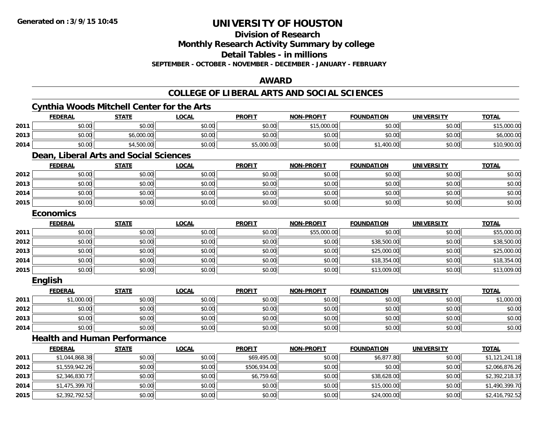**Division of Research**

**Monthly Research Activity Summary by college**

**Detail Tables - in millions**

**SEPTEMBER - OCTOBER - NOVEMBER - DECEMBER - JANUARY - FEBRUARY**

## **AWARD**

|      |                  | <b>Cynthia Woods Mitchell Center for the Arts</b> |              |               |                   |                   |                   |                |
|------|------------------|---------------------------------------------------|--------------|---------------|-------------------|-------------------|-------------------|----------------|
|      | <b>FEDERAL</b>   | <b>STATE</b>                                      | <b>LOCAL</b> | <b>PROFIT</b> | <b>NON-PROFIT</b> | <b>FOUNDATION</b> | <b>UNIVERSITY</b> | <b>TOTAL</b>   |
| 2011 | \$0.00           | \$0.00                                            | \$0.00       | \$0.00        | \$15,000.00       | \$0.00            | \$0.00            | \$15,000.00    |
| 2013 | \$0.00           | \$6,000.00                                        | \$0.00       | \$0.00        | \$0.00            | \$0.00            | \$0.00            | \$6,000.00     |
| 2014 | \$0.00           | \$4,500.00                                        | \$0.00       | \$5,000.00    | \$0.00            | \$1,400.00        | \$0.00            | \$10,900.00    |
|      |                  | Dean, Liberal Arts and Social Sciences            |              |               |                   |                   |                   |                |
|      | <b>FEDERAL</b>   | <b>STATE</b>                                      | <b>LOCAL</b> | <b>PROFIT</b> | <b>NON-PROFIT</b> | <b>FOUNDATION</b> | <b>UNIVERSITY</b> | <b>TOTAL</b>   |
| 2012 | \$0.00           | \$0.00                                            | \$0.00       | \$0.00        | \$0.00            | \$0.00            | \$0.00            | \$0.00         |
| 2013 | \$0.00           | \$0.00                                            | \$0.00       | \$0.00        | \$0.00            | \$0.00            | \$0.00            | \$0.00         |
| 2014 | \$0.00           | \$0.00                                            | \$0.00       | \$0.00        | \$0.00            | \$0.00            | \$0.00            | \$0.00         |
| 2015 | \$0.00           | \$0.00                                            | \$0.00       | \$0.00        | \$0.00            | \$0.00            | \$0.00            | \$0.00         |
|      | <b>Economics</b> |                                                   |              |               |                   |                   |                   |                |
|      | <b>FEDERAL</b>   | <b>STATE</b>                                      | <b>LOCAL</b> | <b>PROFIT</b> | <b>NON-PROFIT</b> | <b>FOUNDATION</b> | <b>UNIVERSITY</b> | <b>TOTAL</b>   |
| 2011 | \$0.00           | \$0.00                                            | \$0.00       | \$0.00        | \$55,000.00       | \$0.00            | \$0.00            | \$55,000.00    |
| 2012 | \$0.00           | \$0.00                                            | \$0.00       | \$0.00        | \$0.00            | \$38,500.00       | \$0.00            | \$38,500.00    |
| 2013 | \$0.00           | \$0.00                                            | \$0.00       | \$0.00        | \$0.00            | \$25,000.00       | \$0.00            | \$25,000.00    |
| 2014 | \$0.00           | \$0.00                                            | \$0.00       | \$0.00        | \$0.00            | \$18,354.00       | \$0.00            | \$18,354.00    |
| 2015 | \$0.00           | \$0.00                                            | \$0.00       | \$0.00        | \$0.00            | \$13,009.00       | \$0.00            | \$13,009.00    |
|      | <b>English</b>   |                                                   |              |               |                   |                   |                   |                |
|      | <b>FEDERAL</b>   | <b>STATE</b>                                      | <b>LOCAL</b> | <b>PROFIT</b> | <b>NON-PROFIT</b> | <b>FOUNDATION</b> | <b>UNIVERSITY</b> | <b>TOTAL</b>   |
| 2011 | \$1,000.00       | \$0.00                                            | \$0.00       | \$0.00        | \$0.00            | \$0.00            | \$0.00            | \$1,000.00     |
| 2012 | \$0.00           | \$0.00                                            | \$0.00       | \$0.00        | \$0.00            | \$0.00            | \$0.00            | \$0.00         |
| 2013 | \$0.00           | \$0.00                                            | \$0.00       | \$0.00        | \$0.00            | \$0.00            | \$0.00            | \$0.00         |
| 2014 | \$0.00           | \$0.00                                            | \$0.00       | \$0.00        | \$0.00            | \$0.00            | \$0.00            | \$0.00         |
|      |                  | <b>Health and Human Performance</b>               |              |               |                   |                   |                   |                |
|      | <b>FEDERAL</b>   | <b>STATE</b>                                      | <b>LOCAL</b> | <b>PROFIT</b> | <b>NON-PROFIT</b> | <b>FOUNDATION</b> | <b>UNIVERSITY</b> | <b>TOTAL</b>   |
| 2011 | \$1,044,868.38   | \$0.00                                            | \$0.00       | \$69,495.00   | \$0.00            | \$6,877.80        | \$0.00            | \$1,121,241.18 |
| 2012 | \$1,559,942.26   | \$0.00                                            | \$0.00       | \$506,934.00  | \$0.00            | \$0.00            | \$0.00            | \$2,066,876.26 |
| 2013 | \$2,346,830.77   | \$0.00                                            | \$0.00       | \$6,759.60    | \$0.00            | \$38,628.00       | \$0.00            | \$2,392,218.37 |
| 2014 | \$1,475,399.70   | \$0.00                                            | \$0.00       | \$0.00        | \$0.00            | \$15,000.00       | \$0.00            | \$1,490,399.70 |
| 2015 | \$2,392,792.52   | \$0.00                                            | \$0.00       | \$0.00        | \$0.00            | \$24,000.00       | \$0.00            | \$2,416,792.52 |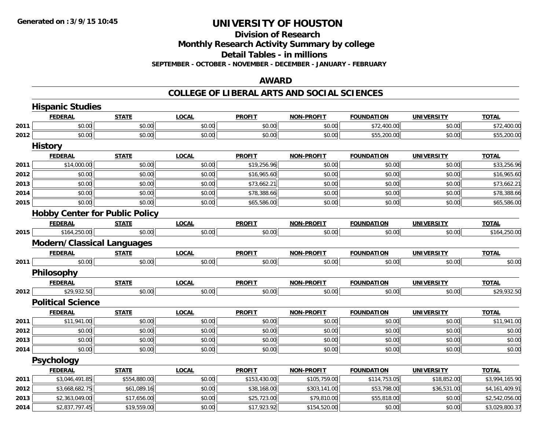# **Division of Research**

**Monthly Research Activity Summary by college**

**Detail Tables - in millions**

**SEPTEMBER - OCTOBER - NOVEMBER - DECEMBER - JANUARY - FEBRUARY**

## **AWARD**

|      | <b>Hispanic Studies</b>               |              |              |               |                   |                   |                   |                |  |  |  |
|------|---------------------------------------|--------------|--------------|---------------|-------------------|-------------------|-------------------|----------------|--|--|--|
|      | <b>FEDERAL</b>                        | <b>STATE</b> | <b>LOCAL</b> | <b>PROFIT</b> | <b>NON-PROFIT</b> | <b>FOUNDATION</b> | <b>UNIVERSITY</b> | <b>TOTAL</b>   |  |  |  |
| 2011 | \$0.00                                | \$0.00       | \$0.00       | \$0.00        | \$0.00            | \$72,400.00       | \$0.00            | \$72,400.00    |  |  |  |
| 2012 | \$0.00                                | \$0.00       | \$0.00       | \$0.00        | \$0.00            | \$55,200.00       | \$0.00            | \$55,200.00    |  |  |  |
|      | <b>History</b>                        |              |              |               |                   |                   |                   |                |  |  |  |
|      | <b>FEDERAL</b>                        | <b>STATE</b> | <b>LOCAL</b> | <b>PROFIT</b> | <b>NON-PROFIT</b> | <b>FOUNDATION</b> | <b>UNIVERSITY</b> | <b>TOTAL</b>   |  |  |  |
| 2011 | \$14,000.00                           | \$0.00       | \$0.00       | \$19,256.96   | \$0.00            | \$0.00            | \$0.00            | \$33,256.96    |  |  |  |
| 2012 | \$0.00                                | \$0.00       | \$0.00       | \$16,965.60   | \$0.00            | \$0.00            | \$0.00            | \$16,965.60    |  |  |  |
| 2013 | \$0.00                                | \$0.00       | \$0.00       | \$73,662.21   | \$0.00            | \$0.00            | \$0.00            | \$73,662.21    |  |  |  |
| 2014 | \$0.00                                | \$0.00       | \$0.00       | \$78,388.66   | \$0.00            | \$0.00            | \$0.00            | \$78,388.66    |  |  |  |
| 2015 | \$0.00                                | \$0.00       | \$0.00       | \$65,586.00   | \$0.00            | \$0.00            | \$0.00            | \$65,586.00    |  |  |  |
|      | <b>Hobby Center for Public Policy</b> |              |              |               |                   |                   |                   |                |  |  |  |
|      | <b>FEDERAL</b>                        | <b>STATE</b> | <b>LOCAL</b> | <b>PROFIT</b> | <b>NON-PROFIT</b> | <b>FOUNDATION</b> | <b>UNIVERSITY</b> | <b>TOTAL</b>   |  |  |  |
| 2015 | \$164,250.00                          | \$0.00       | \$0.00       | \$0.00        | \$0.00            | \$0.00            | \$0.00            | \$164,250.00   |  |  |  |
|      | <b>Modern/Classical Languages</b>     |              |              |               |                   |                   |                   |                |  |  |  |
|      | <b>FEDERAL</b>                        | <b>STATE</b> | <b>LOCAL</b> | <b>PROFIT</b> | <b>NON-PROFIT</b> | <b>FOUNDATION</b> | <b>UNIVERSITY</b> | <b>TOTAL</b>   |  |  |  |
| 2011 | \$0.00                                | \$0.00       | \$0.00       | \$0.00        | \$0.00            | \$0.00            | \$0.00            | \$0.00         |  |  |  |
|      | Philosophy                            |              |              |               |                   |                   |                   |                |  |  |  |
|      | <b>FEDERAL</b>                        | <b>STATE</b> | <b>LOCAL</b> | <b>PROFIT</b> | <b>NON-PROFIT</b> | <b>FOUNDATION</b> | <b>UNIVERSITY</b> | <b>TOTAL</b>   |  |  |  |
| 2012 | \$29,932.50                           | \$0.00       | \$0.00       | \$0.00        | \$0.00            | \$0.00            | \$0.00            | \$29,932.50    |  |  |  |
|      | <b>Political Science</b>              |              |              |               |                   |                   |                   |                |  |  |  |
|      | <b>FEDERAL</b>                        | <b>STATE</b> | <b>LOCAL</b> | <b>PROFIT</b> | <b>NON-PROFIT</b> | <b>FOUNDATION</b> | <b>UNIVERSITY</b> | <b>TOTAL</b>   |  |  |  |
| 2011 | \$11,941.00                           | \$0.00       | \$0.00       | \$0.00        | \$0.00            | \$0.00            | \$0.00            | \$11,941.00    |  |  |  |
| 2012 | \$0.00                                | \$0.00       | \$0.00       | \$0.00        | \$0.00            | \$0.00            | \$0.00            | \$0.00         |  |  |  |
| 2013 | \$0.00                                | \$0.00       | \$0.00       | \$0.00        | \$0.00            | \$0.00            | \$0.00            | \$0.00         |  |  |  |
| 2014 | \$0.00                                | \$0.00       | \$0.00       | \$0.00        | \$0.00            | \$0.00            | \$0.00            | \$0.00         |  |  |  |
|      | Psychology                            |              |              |               |                   |                   |                   |                |  |  |  |
|      | <b>FEDERAL</b>                        | <b>STATE</b> | <b>LOCAL</b> | <b>PROFIT</b> | <b>NON-PROFIT</b> | <b>FOUNDATION</b> | <b>UNIVERSITY</b> | <b>TOTAL</b>   |  |  |  |
| 2011 | \$3,046,491.85                        | \$554,880.00 | \$0.00       | \$153,430.00  | \$105,759.00      | \$114,753.05      | \$18,852.00       | \$3,994,165.90 |  |  |  |
| 2012 | \$3,668,682.75                        | \$61,089.16  | \$0.00       | \$38,168.00   | \$303,141.00      | \$53,798.00       | \$36,531.00       | \$4,161,409.91 |  |  |  |
| 2013 | \$2,363,049.00                        | \$17,656.00  | \$0.00       | \$25,723.00   | \$79,810.00       | \$55,818.00       | \$0.00            | \$2,542,056.00 |  |  |  |
| 2014 | \$2,837,797.45                        | \$19,559.00  | \$0.00       | \$17,923.92   | \$154,520.00      | \$0.00            | \$0.00            | \$3,029,800.37 |  |  |  |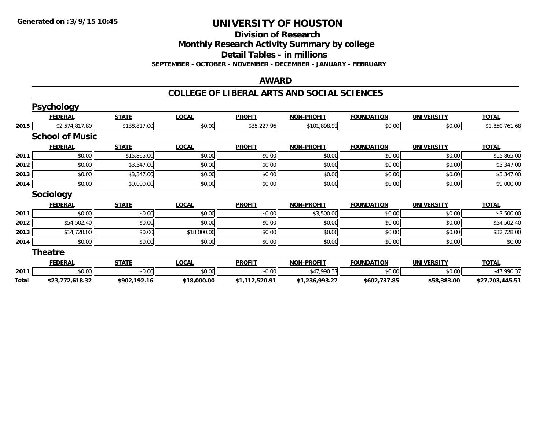**Division of Research**

**Monthly Research Activity Summary by college**

**Detail Tables - in millions**

**SEPTEMBER - OCTOBER - NOVEMBER - DECEMBER - JANUARY - FEBRUARY**

#### **AWARD**

|       | <b>Psychology</b>      |              |              |                |                   |                   |                   |                 |
|-------|------------------------|--------------|--------------|----------------|-------------------|-------------------|-------------------|-----------------|
|       | <b>FEDERAL</b>         | <b>STATE</b> | <b>LOCAL</b> | <b>PROFIT</b>  | <b>NON-PROFIT</b> | <b>FOUNDATION</b> | <b>UNIVERSITY</b> | <b>TOTAL</b>    |
| 2015  | \$2,574,817.80         | \$138,817.00 | \$0.00       | \$35,227.96    | \$101,898.92      | \$0.00            | \$0.00            | \$2,850,761.68  |
|       | <b>School of Music</b> |              |              |                |                   |                   |                   |                 |
|       | <b>FEDERAL</b>         | <b>STATE</b> | <b>LOCAL</b> | <b>PROFIT</b>  | <b>NON-PROFIT</b> | <b>FOUNDATION</b> | <b>UNIVERSITY</b> | <b>TOTAL</b>    |
| 2011  | \$0.00                 | \$15,865.00  | \$0.00       | \$0.00         | \$0.00            | \$0.00            | \$0.00            | \$15,865.00     |
| 2012  | \$0.00                 | \$3,347.00   | \$0.00       | \$0.00         | \$0.00            | \$0.00            | \$0.00            | \$3,347.00      |
| 2013  | \$0.00                 | \$3,347.00   | \$0.00       | \$0.00         | \$0.00            | \$0.00            | \$0.00            | \$3,347.00      |
| 2014  | \$0.00                 | \$9,000.00   | \$0.00       | \$0.00         | \$0.00            | \$0.00            | \$0.00            | \$9,000.00      |
|       | <b>Sociology</b>       |              |              |                |                   |                   |                   |                 |
|       | <b>FEDERAL</b>         | <b>STATE</b> | <b>LOCAL</b> | <b>PROFIT</b>  | <b>NON-PROFIT</b> | <b>FOUNDATION</b> | <b>UNIVERSITY</b> | <b>TOTAL</b>    |
| 2011  | \$0.00                 | \$0.00       | \$0.00       | \$0.00         | \$3,500.00        | \$0.00            | \$0.00            | \$3,500.00      |
| 2012  | \$54,502.40            | \$0.00       | \$0.00       | \$0.00         | \$0.00            | \$0.00            | \$0.00            | \$54,502.40     |
| 2013  | \$14,728.00            | \$0.00       | \$18,000.00  | \$0.00         | \$0.00            | \$0.00            | \$0.00            | \$32,728.00     |
| 2014  | \$0.00                 | \$0.00       | \$0.00       | \$0.00         | \$0.00            | \$0.00            | \$0.00            | \$0.00          |
|       | <b>Theatre</b>         |              |              |                |                   |                   |                   |                 |
|       | <b>FEDERAL</b>         | <b>STATE</b> | <b>LOCAL</b> | <b>PROFIT</b>  | <b>NON-PROFIT</b> | <b>FOUNDATION</b> | <b>UNIVERSITY</b> | <b>TOTAL</b>    |
| 2011  | \$0.00                 | \$0.00       | \$0.00       | \$0.00         | \$47,990.37       | \$0.00            | \$0.00            | \$47,990.37     |
| Total | \$23,772,618.32        | \$902,192.16 | \$18,000.00  | \$1,112,520.91 | \$1,236,993.27    | \$602,737.85      | \$58,383.00       | \$27,703,445.51 |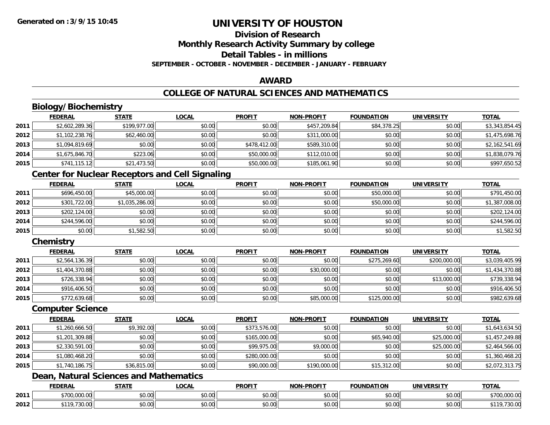### **Division of ResearchMonthly Research Activity Summary by college Detail Tables - in millionsSEPTEMBER - OCTOBER - NOVEMBER - DECEMBER - JANUARY - FEBRUARY**

### **AWARD**

# **COLLEGE OF NATURAL SCIENCES AND MATHEMATICS**

# **Biology/Biochemistry**

|      | <b>FEDERAL</b> | <b>STATE</b> | <u>LOCAL</u> | <b>PROFIT</b> | <b>NON-PROFIT</b> | <b>FOUNDATION</b> | <b>UNIVERSITY</b> | <b>TOTAL</b>   |
|------|----------------|--------------|--------------|---------------|-------------------|-------------------|-------------------|----------------|
| 2011 | \$2,602,289.36 | \$199,977.00 | \$0.00       | \$0.00        | \$457,209.84      | \$84,378.25       | \$0.00            | \$3,343,854.45 |
| 2012 | \$1,102,238.76 | \$62,460.00  | \$0.00       | \$0.00        | \$311,000.00      | \$0.00            | \$0.00            | \$1,475,698.76 |
| 2013 | \$1,094,819.69 | \$0.00       | \$0.00       | \$478,412.00  | \$589,310.00      | \$0.00            | \$0.00            | \$2,162,541.69 |
| 2014 | \$1,675,846.70 | \$223.06     | \$0.00       | \$50,000.00   | \$112,010.00      | \$0.00            | \$0.00            | \$1,838,079.76 |
| 2015 | \$741,115.12   | \$21,473.50  | \$0.00       | \$50,000.00   | \$185,061.90      | \$0.00            | \$0.00            | \$997,650.52   |

## **Center for Nuclear Receptors and Cell Signaling**

|      | <b>FEDERAL</b> | <u>STATE</u>   | <b>LOCAL</b> | <b>PROFIT</b> | <b>NON-PROFIT</b> | <b>FOUNDATION</b> | <b>UNIVERSITY</b> | <b>TOTAL</b>   |
|------|----------------|----------------|--------------|---------------|-------------------|-------------------|-------------------|----------------|
| 2011 | \$696,450.00   | \$45,000.00    | \$0.00       | \$0.00        | \$0.00            | \$50,000.00       | \$0.00            | \$791,450.00   |
| 2012 | \$301,722.00   | \$1,035,286.00 | \$0.00       | \$0.00        | \$0.00            | \$50,000.00       | \$0.00            | \$1,387,008.00 |
| 2013 | \$202,124.00   | \$0.00         | \$0.00       | \$0.00        | \$0.00            | \$0.00            | \$0.00            | \$202,124.00   |
| 2014 | \$244,596.00   | \$0.00         | \$0.00       | \$0.00        | \$0.00            | \$0.00            | \$0.00            | \$244,596.00   |
| 2015 | \$0.00         | \$1,582.50     | \$0.00       | \$0.00        | \$0.00            | \$0.00            | \$0.00            | \$1,582.50     |

# **Chemistry**

|      | <b>FEDERAL</b> | <u>STATE</u> | <u>LOCAL</u> | <b>PROFIT</b> | <b>NON-PROFIT</b> | <b>FOUNDATION</b> | <b>UNIVERSITY</b> | <b>TOTAL</b>   |
|------|----------------|--------------|--------------|---------------|-------------------|-------------------|-------------------|----------------|
| 2011 | \$2,564,136.39 | \$0.00       | \$0.00       | \$0.00        | \$0.00            | \$275,269.60      | \$200,000.00      | \$3,039,405.99 |
| 2012 | \$1,404,370.88 | \$0.00       | \$0.00       | \$0.00        | \$30,000.00       | \$0.00            | \$0.00            | \$1,434,370.88 |
| 2013 | \$726,338.94   | \$0.00       | \$0.00       | \$0.00        | \$0.00            | \$0.00            | \$13,000.00       | \$739,338.94   |
| 2014 | \$916,406.50   | \$0.00       | \$0.00       | \$0.00        | \$0.00            | \$0.00            | \$0.00            | \$916,406.50   |
| 2015 | \$772,639.68   | \$0.00       | \$0.00       | \$0.00        | \$85,000.00       | \$125,000.00      | \$0.00            | \$982,639.68   |

#### **Computer Science**

|      | <b>FEDERAL</b> | <b>STATE</b> | <b>LOCAL</b> | <b>PROFIT</b> | <b>NON-PROFIT</b> | <b>FOUNDATION</b> | <b>UNIVERSITY</b> | <b>TOTAL</b>   |
|------|----------------|--------------|--------------|---------------|-------------------|-------------------|-------------------|----------------|
| 2011 | \$1,260,666.50 | \$9,392.00   | \$0.00       | \$373,576.00  | \$0.00            | \$0.00            | \$0.00            | \$1,643,634.50 |
| 2012 | \$1,201,309.88 | \$0.00       | \$0.00       | \$165,000.00  | \$0.00            | \$65,940.00       | \$25,000.00       | \$1,457,249.88 |
| 2013 | \$2,330,591.00 | \$0.00       | \$0.00       | \$99,975.00   | \$9,000.00        | \$0.00            | \$25,000.00       | \$2,464,566.00 |
| 2014 | \$1,080,468.20 | \$0.00       | \$0.00       | \$280,000.00  | \$0.00            | \$0.00            | \$0.00            | \$1,360,468.20 |
| 2015 | \$1,740,186.75 | \$36,815.00  | \$0.00       | \$90,000.00   | \$190,000.00      | \$15,312.00       | \$0.00            | \$2,072,313.75 |

# **Dean, Natural Sciences and Mathematics**

|      | <b>FEDERAL</b> | $- - - -$       | .OCAI                        | <b>PROFIT</b>          | <b>PROFIT</b><br>ימות  | FOUNDATION                          | UNIVE               | <b>TOTAL</b><br>$\blacksquare$                    |
|------|----------------|-----------------|------------------------------|------------------------|------------------------|-------------------------------------|---------------------|---------------------------------------------------|
| 2011 | 0.7000000      | \$0.00          | ሖ へ<br>$\sim$ $\sim$<br>וטט. | ሐሴ ሰሰ<br>JU.UU         | $\sim$ $\sim$<br>vu.uu | \$0.00                              | $\sim$ 00<br>vu.vu  | $+700$<br>0.0000<br>$\overline{1}$<br>uuu.uu<br>. |
| 2012 | $*110$<br>ט.טע | $\sim$<br>וט.טי | vv.vv                        | $\sim$<br>ት ヘ<br>JU.UL | $\sim$ 00<br>PO.OO     | $\theta$ $\theta$ $\theta$<br>DU.UU | $\sim$ 00<br>\$U.UU | $\Omega$<br>30.UU                                 |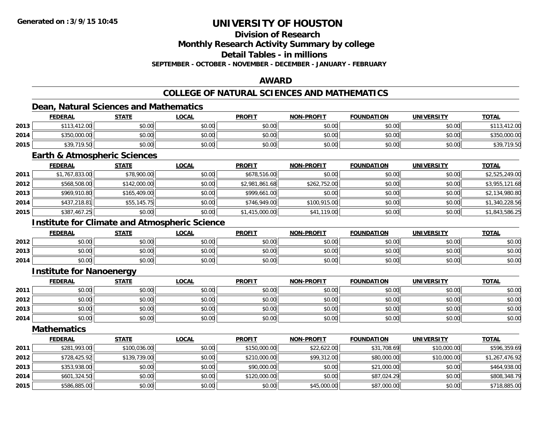# **Division of Research**

**Monthly Research Activity Summary by college**

**Detail Tables - in millions**

**SEPTEMBER - OCTOBER - NOVEMBER - DECEMBER - JANUARY - FEBRUARY**

# **AWARD**

# **COLLEGE OF NATURAL SCIENCES AND MATHEMATICS**

### **Dean, Natural Sciences and Mathematics**

|      | <b>FEDERAL</b> | <b>STATE</b> | <b>LOCAL</b> | <b>PROFIT</b> | <b>NON-PROFIT</b> | <b>FOUNDATION</b> | <b>UNIVERSITY</b> | <b>TOTAL</b> |
|------|----------------|--------------|--------------|---------------|-------------------|-------------------|-------------------|--------------|
| 2013 | \$113,412.00   | \$0.00       | \$0.00       | \$0.00        | \$0.00            | \$0.00            | \$0.00            | .412.00      |
| 2014 | \$350,000.00   | \$0.00       | \$0.00       | \$0.00        | \$0.00            | \$0.00            | \$0.00            | \$350,000.00 |
| 2015 | \$39,719.50    | \$0.00       | \$0.00       | \$0.00        | \$0.00            | \$0.00            | \$0.00            | \$39,719.50  |

#### **Earth & Atmospheric Sciences**

|      | <b>FEDERAL</b> | <b>STATE</b> | <u>LOCAL</u> | <b>PROFIT</b>  | <b>NON-PROFIT</b> | <b>FOUNDATION</b> | <b>UNIVERSITY</b> | <b>TOTAL</b>   |
|------|----------------|--------------|--------------|----------------|-------------------|-------------------|-------------------|----------------|
| 2011 | \$1,767,833.00 | \$78,900.00  | \$0.00       | \$678,516.00   | \$0.00            | \$0.00            | \$0.00            | \$2,525,249.00 |
| 2012 | \$568,508.00   | \$142,000.00 | \$0.00       | \$2,981,861.68 | \$262,752.00      | \$0.00            | \$0.00            | \$3,955,121.68 |
| 2013 | \$969,910.80   | \$165,409.00 | \$0.00       | \$999,661.00   | \$0.00            | \$0.00            | \$0.00            | \$2,134,980.80 |
| 2014 | \$437,218.81   | \$55,145.75  | \$0.00       | \$746,949.00   | \$100,915.00      | \$0.00            | \$0.00            | \$1,340,228.56 |
| 2015 | \$387,467.25   | \$0.00       | \$0.00       | \$1,415,000.00 | \$41,119.00       | \$0.00            | \$0.00            | \$1,843,586.25 |

# **Institute for Climate and Atmospheric Science**

|      | <b>FEDERAL</b> | <b>STATE</b>           | <b>LOCAL</b>                                 | <b>PROFIT</b> | <b>NON-PROFIT</b> | <b>FOUNDATION</b> | <b>UNIVERSITY</b> | <b>TOTAL</b> |
|------|----------------|------------------------|----------------------------------------------|---------------|-------------------|-------------------|-------------------|--------------|
| 2012 | \$0.00         | $n \cap \neg$<br>JU.UU | $\mathfrak{c}\cap\mathfrak{a}\cap$<br>\$U.UU | \$0.00        | \$0.00            | \$0.00            | \$0.00            | \$0.00       |
| 2013 | \$0.00         | 4000<br>DU.UU          | \$0.00                                       | \$0.00        | \$0.00            | \$0.00            | \$0.00            | \$0.00       |
| 2014 | \$0.00         | 40.00<br>JU.UU         | \$0.00                                       | \$0.00        | \$0.00            | \$0.00            | \$0.00            | \$0.00       |

### **Institute for Nanoenergy**

|      | <b>FEDERAL</b> | <b>STATE</b> | <b>LOCAL</b> | <b>PROFIT</b> | <b>NON-PROFIT</b> | <b>FOUNDATION</b> | <b>UNIVERSITY</b> | <b>TOTAL</b> |
|------|----------------|--------------|--------------|---------------|-------------------|-------------------|-------------------|--------------|
| 2011 | \$0.00         | \$0.00       | \$0.00       | \$0.00        | \$0.00            | \$0.00            | \$0.00            | \$0.00       |
| 2012 | \$0.00         | \$0.00       | \$0.00       | \$0.00        | \$0.00            | \$0.00            | \$0.00            | \$0.00       |
| 2013 | \$0.00         | \$0.00       | \$0.00       | \$0.00        | \$0.00            | \$0.00            | \$0.00            | \$0.00       |
| 2014 | \$0.00         | \$0.00       | \$0.00       | \$0.00        | \$0.00            | \$0.00            | \$0.00            | \$0.00       |

#### **Mathematics**

|      | <b>FEDERAL</b> | <b>STATE</b> | <u>LOCAL</u> | <b>PROFIT</b> | <b>NON-PROFIT</b> | <b>FOUNDATION</b> | <b>UNIVERSITY</b> | <b>TOTAL</b>   |
|------|----------------|--------------|--------------|---------------|-------------------|-------------------|-------------------|----------------|
| 2011 | \$281,993.00   | \$100,036.00 | \$0.00       | \$150,000.00  | \$22,622.00       | \$31,708.69       | \$10,000.00       | \$596,359.69   |
| 2012 | \$728,425.92   | \$139,739.00 | \$0.00       | \$210,000.00  | \$99,312.00       | \$80,000.00       | \$10,000.00       | \$1,267,476.92 |
| 2013 | \$353,938.00   | \$0.00       | \$0.00       | \$90,000.00   | \$0.00            | \$21,000.00       | \$0.00            | \$464,938.00   |
| 2014 | \$601,324.50   | \$0.00       | \$0.00       | \$120,000.00  | \$0.00            | \$87,024.29       | \$0.00            | \$808,348.79   |
| 2015 | \$586,885.00   | \$0.00       | \$0.00       | \$0.00        | \$45,000.00       | \$87,000.00       | \$0.00            | \$718,885.00   |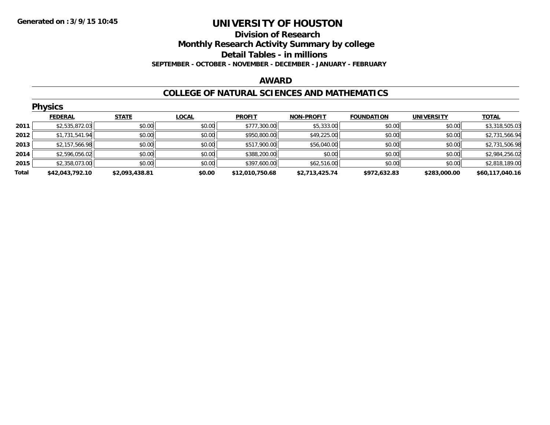### **Division of Research Monthly Research Activity Summary by college Detail Tables - in millions SEPTEMBER - OCTOBER - NOVEMBER - DECEMBER - JANUARY - FEBRUARY**

#### **AWARD**

### **COLLEGE OF NATURAL SCIENCES AND MATHEMATICS**

|       | <b>Physics</b>  |                |              |                 |                   |                   |                   |                 |  |  |  |  |
|-------|-----------------|----------------|--------------|-----------------|-------------------|-------------------|-------------------|-----------------|--|--|--|--|
|       | <b>FEDERAL</b>  | <b>STATE</b>   | <b>LOCAL</b> | <b>PROFIT</b>   | <b>NON-PROFIT</b> | <b>FOUNDATION</b> | <b>UNIVERSITY</b> | <b>TOTAL</b>    |  |  |  |  |
| 2011  | \$2,535,872.03  | \$0.00         | \$0.00       | \$777,300.00    | \$5,333.00        | \$0.00            | \$0.00            | \$3,318,505.03  |  |  |  |  |
| 2012  | \$1,731,541.94  | \$0.00         | \$0.00       | \$950,800.00    | \$49,225.00       | \$0.00            | \$0.00            | \$2,731,566.94  |  |  |  |  |
| 2013  | \$2,157,566.98  | \$0.00         | \$0.00       | \$517,900.00    | \$56,040.00       | \$0.00            | \$0.00            | \$2,731,506.98  |  |  |  |  |
| 2014  | \$2,596,056.02  | \$0.00         | \$0.00       | \$388,200.00    | \$0.00            | \$0.00            | \$0.00            | \$2,984,256.02  |  |  |  |  |
| 2015  | \$2,358,073.00  | \$0.00         | \$0.00       | \$397,600.00    | \$62,516.00       | \$0.00            | \$0.00            | \$2,818,189.00  |  |  |  |  |
| Total | \$42,043,792.10 | \$2,093,438.81 | \$0.00       | \$12,010,750.68 | \$2,713,425.74    | \$972,632.83      | \$283,000.00      | \$60,117,040.16 |  |  |  |  |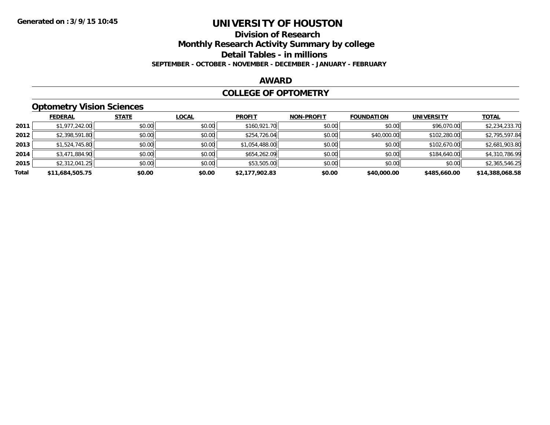# **Division of Research**

**Monthly Research Activity Summary by college**

**Detail Tables - in millions**

**SEPTEMBER - OCTOBER - NOVEMBER - DECEMBER - JANUARY - FEBRUARY**

#### **AWARD**

#### **COLLEGE OF OPTOMETRY**

# **Optometry Vision Sciences**

|       | <b>FEDERAL</b>  | <b>STATE</b> | <b>LOCAL</b> | <b>PROFIT</b>  | <b>NON-PROFIT</b> | <b>FOUNDATION</b> | <b>UNIVERSITY</b> | <b>TOTAL</b>    |
|-------|-----------------|--------------|--------------|----------------|-------------------|-------------------|-------------------|-----------------|
| 2011  | \$1,977,242.00  | \$0.00       | \$0.00       | \$160,921.70   | \$0.00            | \$0.00            | \$96,070.00       | \$2,234,233.70  |
| 2012  | \$2,398,591.80  | \$0.00       | \$0.00       | \$254,726.04   | \$0.00            | \$40,000.00       | \$102,280.00      | \$2,795,597.84  |
| 2013  | \$1,524,745.80  | \$0.00       | \$0.00       | \$1,054,488.00 | \$0.00            | \$0.00            | \$102,670.00      | \$2,681,903.80  |
| 2014  | \$3,471,884.90  | \$0.00       | \$0.00       | \$654,262.09   | \$0.00            | \$0.00            | \$184,640.00      | \$4,310,786.99  |
| 2015  | \$2,312,041.25  | \$0.00       | \$0.00       | \$53,505.00    | \$0.00            | \$0.00            | \$0.00            | \$2,365,546.25  |
| Total | \$11,684,505.75 | \$0.00       | \$0.00       | \$2,177,902.83 | \$0.00            | \$40,000.00       | \$485,660.00      | \$14,388,068.58 |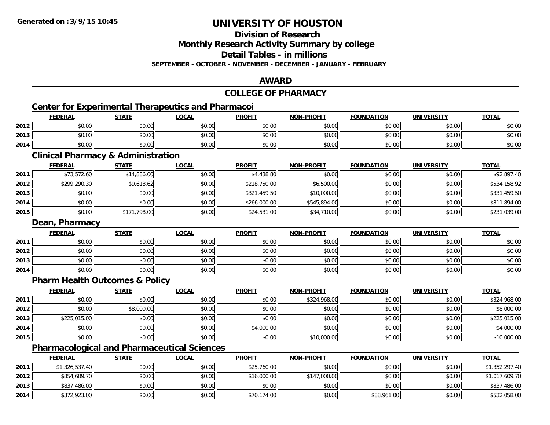# **Division of Research**

**Monthly Research Activity Summary by college**

**Detail Tables - in millions**

**SEPTEMBER - OCTOBER - NOVEMBER - DECEMBER - JANUARY - FEBRUARY**

### **AWARD**

#### **COLLEGE OF PHARMACY**

# **Center for Experimental Therapeutics and Pharmacoi**

|      | <b>FEDERAL</b>         | <b>STATE</b> | <b>LOCAL</b> | <b>PROFIT</b> | <b>NON-PROFIT</b> | <b>FOUNDATION</b> | <b>UNIVERSITY</b><br>ERDI | <b>TOTAL</b> |
|------|------------------------|--------------|--------------|---------------|-------------------|-------------------|---------------------------|--------------|
| 2012 | 0000<br>JU.UU          | \$0.00       | \$0.00       | \$0.00        | \$0.00            | \$0.00            | \$0.00                    | \$0.00       |
| 2013 | $\sim$ $\sim$<br>งบ.บบ | \$0.00       | \$0.00       | \$0.00        | \$0.00            | \$0.00            | \$0.00                    | \$0.00       |
| 2014 | 0000<br>ง∪.∪บ          | \$0.00       | \$0.00       | \$0.00        | \$0.00            | \$0.00            | \$0.00                    | \$0.00       |

<u> 1980 - Johann Barbara, martxa amerikan bashkar (</u>

### **Clinical Pharmacy & Administration**

|      | <b>FEDERAL</b> | <b>STATE</b> | <u>LOCAL</u> | <b>PROFIT</b> | <b>NON-PROFIT</b> | <b>FOUNDATION</b> | <b>UNIVERSITY</b> | <b>TOTAL</b> |
|------|----------------|--------------|--------------|---------------|-------------------|-------------------|-------------------|--------------|
| 2011 | \$73,572.60    | \$14,886.00  | \$0.00       | \$4,438.80    | \$0.00            | \$0.00            | \$0.00            | \$92,897.40  |
| 2012 | \$299,290.30   | \$9,618.62   | \$0.00       | \$218,750.00  | \$6,500.00        | \$0.00            | \$0.00            | \$534,158.92 |
| 2013 | \$0.00         | \$0.00       | \$0.00       | \$321,459.50  | \$10,000.00       | \$0.00            | \$0.00            | \$331,459.50 |
| 2014 | \$0.00         | \$0.00       | \$0.00       | \$266,000.00  | \$545,894.00      | \$0.00            | \$0.00            | \$811,894.00 |
| 2015 | \$0.00         | \$171,798.00 | \$0.00       | \$24,531.00   | \$34,710.00       | \$0.00            | \$0.00            | \$231,039.00 |

### **Dean, Pharmacy**

|      | <b>FEDERAL</b> | <b>STATE</b> | <u>LOCAL</u> | <b>PROFIT</b> | <b>NON-PROFIT</b> | <b>FOUNDATION</b> | <b>UNIVERSITY</b> | <b>TOTAL</b> |
|------|----------------|--------------|--------------|---------------|-------------------|-------------------|-------------------|--------------|
| 2011 | \$0.00         | \$0.00       | \$0.00       | \$0.00        | \$0.00            | \$0.00            | \$0.00            | \$0.00       |
| 2012 | \$0.00         | \$0.00       | \$0.00       | \$0.00        | \$0.00            | \$0.00            | \$0.00            | \$0.00       |
| 2013 | \$0.00         | \$0.00       | \$0.00       | \$0.00        | \$0.00            | \$0.00            | \$0.00            | \$0.00       |
| 2014 | \$0.00         | \$0.00       | \$0.00       | \$0.00        | \$0.00            | \$0.00            | \$0.00            | \$0.00       |

### **Pharm Health Outcomes & Policy**

|      | <u>FEDERAL</u> | <b>STATE</b> | <b>LOCAL</b> | <b>PROFIT</b> | <b>NON-PROFIT</b> | <b>FOUNDATION</b> | <b>UNIVERSITY</b> | <b>TOTAL</b> |
|------|----------------|--------------|--------------|---------------|-------------------|-------------------|-------------------|--------------|
| 2011 | \$0.00         | \$0.00       | \$0.00       | \$0.00        | \$324,968.00      | \$0.00            | \$0.00            | \$324,968.00 |
| 2012 | \$0.00         | \$8,000.00   | \$0.00       | \$0.00        | \$0.00            | \$0.00            | \$0.00            | \$8,000.00   |
| 2013 | \$225,015.00   | \$0.00       | \$0.00       | \$0.00        | \$0.00            | \$0.00            | \$0.00            | \$225,015.00 |
| 2014 | \$0.00         | \$0.00       | \$0.00       | \$4,000.00    | \$0.00            | \$0.00            | \$0.00            | \$4,000.00   |
| 2015 | \$0.00         | \$0.00       | \$0.00       | \$0.00        | \$10,000.00       | \$0.00            | \$0.00            | \$10,000.00  |

# **Pharmacological and Pharmaceutical Sciences**

|      | <b>FEDERAL</b> | <u>STATE</u> | <u>LOCAL</u> | <b>PROFIT</b> | <b>NON-PROFIT</b> | <b>FOUNDATION</b> | <b>UNIVERSITY</b> | <b>TOTAL</b>   |
|------|----------------|--------------|--------------|---------------|-------------------|-------------------|-------------------|----------------|
| 2011 | \$1,326,537.40 | \$0.00       | \$0.00       | \$25,760.00   | \$0.00            | \$0.00            | \$0.00            | \$1,352,297.40 |
| 2012 | \$854,609.70   | \$0.00       | \$0.00       | \$16,000.00   | \$147,000.00      | \$0.00            | \$0.00            | \$1,017,609.70 |
| 2013 | \$837,486.00   | \$0.00       | \$0.00       | \$0.00        | \$0.00            | \$0.00            | \$0.00            | \$837,486.00   |
| 2014 | \$372,923.00   | \$0.00       | \$0.00       | \$70,174.00   | \$0.00            | \$88,961.00       | \$0.00            | \$532,058.00   |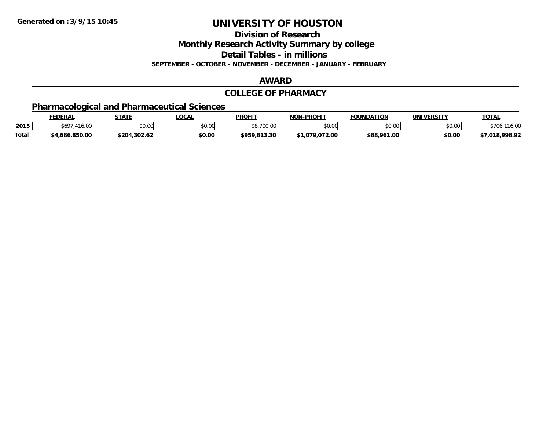**Division of Research**

**Monthly Research Activity Summary by college**

**Detail Tables - in millions**

**SEPTEMBER - OCTOBER - NOVEMBER - DECEMBER - JANUARY - FEBRUARY**

#### **AWARD**

#### **COLLEGE OF PHARMACY**

# **Pharmacological and Pharmaceutical Sciences**

|              | <b>FEDERAL</b>  | <b>STATE</b> | LOCAL         | <b>PROFIT</b> | -PROFIT<br>NON- | <b>FOUNDATION</b>     | UNIVERSITY | TOTA.           |
|--------------|-----------------|--------------|---------------|---------------|-----------------|-----------------------|------------|-----------------|
| 2015         | 569<br>10.UU    | \$0.00       | 0.00<br>JU.UU | 0.700         | 0000<br>PU.UU   | <b>co</b> on<br>,u.uu | \$0.00     | $\sim$<br>10.UU |
| <b>Total</b> | .850.00<br>.686 | ּ ^י∩        | \$0.00        | 012.20        | 72.00<br>070    | \$88,961.00           | \$0.00     | രരെ രാ<br>70.7. |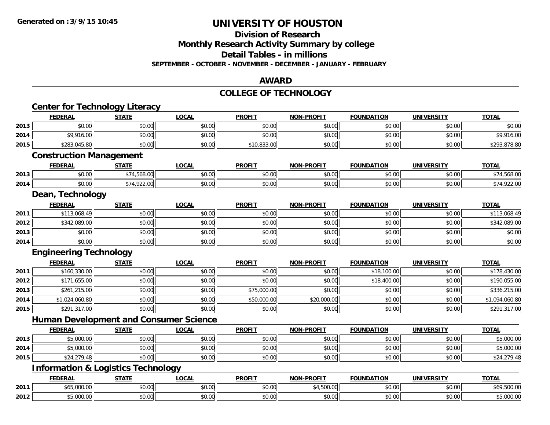#### **Division of Research**

**Monthly Research Activity Summary by college**

**Detail Tables - in millions**

**SEPTEMBER - OCTOBER - NOVEMBER - DECEMBER - JANUARY - FEBRUARY**

#### **AWARD**

#### **COLLEGE OF TECHNOLOGY**

|      | <b>Center for Technology Literacy</b>         |              |              |               |                   |                   |                   |                |
|------|-----------------------------------------------|--------------|--------------|---------------|-------------------|-------------------|-------------------|----------------|
|      | <b>FEDERAL</b>                                | <b>STATE</b> | <b>LOCAL</b> | <b>PROFIT</b> | <b>NON-PROFIT</b> | <b>FOUNDATION</b> | <b>UNIVERSITY</b> | <b>TOTAL</b>   |
| 2013 | \$0.00                                        | \$0.00       | \$0.00       | \$0.00        | \$0.00            | \$0.00            | \$0.00            | \$0.00         |
| 2014 | \$9,916.00                                    | \$0.00       | \$0.00       | \$0.00        | \$0.00            | \$0.00            | \$0.00            | \$9,916.00     |
| 2015 | \$283,045.80                                  | \$0.00       | \$0.00       | \$10,833.00   | \$0.00            | \$0.00            | \$0.00            | \$293,878.80   |
|      | <b>Construction Management</b>                |              |              |               |                   |                   |                   |                |
|      | <b>FEDERAL</b>                                | <b>STATE</b> | <b>LOCAL</b> | <b>PROFIT</b> | <b>NON-PROFIT</b> | <b>FOUNDATION</b> | <b>UNIVERSITY</b> | <b>TOTAL</b>   |
| 2013 | \$0.00                                        | \$74,568.00  | \$0.00       | \$0.00        | \$0.00            | \$0.00            | \$0.00            | \$74,568.00    |
| 2014 | \$0.00                                        | \$74,922.00  | \$0.00       | \$0.00        | \$0.00            | \$0.00            | \$0.00            | \$74,922.00    |
|      | Dean, Technology                              |              |              |               |                   |                   |                   |                |
|      | <b>FEDERAL</b>                                | <b>STATE</b> | <b>LOCAL</b> | <b>PROFIT</b> | <b>NON-PROFIT</b> | <b>FOUNDATION</b> | <b>UNIVERSITY</b> | <b>TOTAL</b>   |
| 2011 | \$113,068.49                                  | \$0.00       | \$0.00       | \$0.00        | \$0.00            | \$0.00            | \$0.00            | \$113,068.49   |
| 2012 | \$342,089.00                                  | \$0.00       | \$0.00       | \$0.00        | \$0.00            | \$0.00            | \$0.00            | \$342,089.00   |
| 2013 | \$0.00                                        | \$0.00       | \$0.00       | \$0.00        | \$0.00            | \$0.00            | \$0.00            | \$0.00         |
| 2014 | \$0.00                                        | \$0.00       | \$0.00       | \$0.00        | \$0.00            | \$0.00            | \$0.00            | \$0.00         |
|      | <b>Engineering Technology</b>                 |              |              |               |                   |                   |                   |                |
|      | <b>FEDERAL</b>                                | <b>STATE</b> | <b>LOCAL</b> | <b>PROFIT</b> | <b>NON-PROFIT</b> | <b>FOUNDATION</b> | <b>UNIVERSITY</b> | <b>TOTAL</b>   |
| 2011 | \$160,330.00                                  | \$0.00       | \$0.00       | \$0.00        | \$0.00            | \$18,100.00       | \$0.00            | \$178,430.00   |
| 2012 | \$171,655.00                                  | \$0.00       | \$0.00       | \$0.00        | \$0.00            | \$18,400.00       | \$0.00            | \$190,055.00   |
| 2013 | \$261,215.00                                  | \$0.00       | \$0.00       | \$75,000.00   | \$0.00            | \$0.00            | \$0.00            | \$336,215.00   |
| 2014 | \$1,024,060.80                                | \$0.00       | \$0.00       | \$50,000.00   | \$20,000.00       | \$0.00            | \$0.00            | \$1,094,060.80 |
| 2015 | \$291,317.00                                  | \$0.00       | \$0.00       | \$0.00        | \$0.00            | \$0.00            | \$0.00            | \$291,317.00   |
|      | <b>Human Development and Consumer Science</b> |              |              |               |                   |                   |                   |                |
|      | <b>FEDERAL</b>                                | <b>STATE</b> | <b>LOCAL</b> | <b>PROFIT</b> | <b>NON-PROFIT</b> | <b>FOUNDATION</b> | <b>UNIVERSITY</b> | <b>TOTAL</b>   |
| 2013 | \$5,000.00                                    | \$0.00       | \$0.00       | \$0.00        | \$0.00            | \$0.00            | \$0.00            | \$5,000.00     |
| 2014 | \$5,000.00                                    | \$0.00       | \$0.00       | \$0.00        | \$0.00            | \$0.00            | \$0.00            | \$5,000.00     |
| 2015 | \$24,279.48                                   | \$0.00       | \$0.00       | \$0.00        | \$0.00            | \$0.00            | \$0.00            | \$24,279.48    |
|      | <b>Information &amp; Logistics Technology</b> |              |              |               |                   |                   |                   |                |
|      | <b>FEDERAL</b>                                | <b>STATE</b> | <b>LOCAL</b> | <b>PROFIT</b> | <b>NON-PROFIT</b> | <b>FOUNDATION</b> | <b>UNIVERSITY</b> | <b>TOTAL</b>   |
| 2011 | \$65,000.00                                   | \$0.00       | \$0.00       | \$0.00        | \$4,500.00        | \$0.00            | \$0.00            | \$69,500.00    |
| 2012 | \$5,000.00                                    | \$0.00       | \$0.00       | \$0.00        | \$0.00            | \$0.00            | \$0.00            | \$5,000.00     |
|      |                                               |              |              |               |                   |                   |                   |                |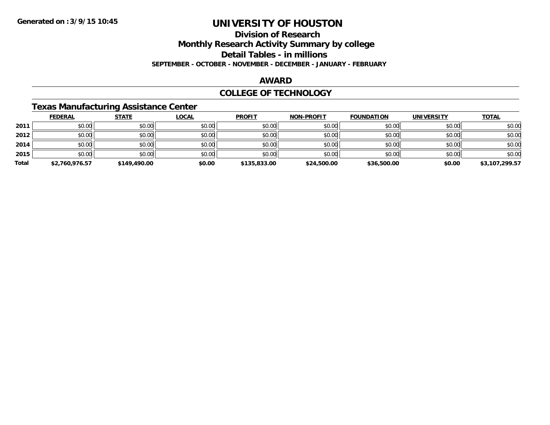# **Division of Research**

**Monthly Research Activity Summary by college**

**Detail Tables - in millions**

**SEPTEMBER - OCTOBER - NOVEMBER - DECEMBER - JANUARY - FEBRUARY**

#### **AWARD**

### **COLLEGE OF TECHNOLOGY**

### **Texas Manufacturing Assistance Center**

|       | <b>FEDERAL</b> | <b>STATE</b> | <u>LOCAL</u> | <b>PROFIT</b> | <b>NON-PROFIT</b> | <b>FOUNDATION</b> | <b>UNIVERSITY</b> | <b>TOTAL</b>   |
|-------|----------------|--------------|--------------|---------------|-------------------|-------------------|-------------------|----------------|
| 2011  | \$0.00         | \$0.00       | \$0.00       | \$0.00        | \$0.00            | \$0.00            | \$0.00            | \$0.00         |
| 2012  | \$0.00         | \$0.00       | \$0.00       | \$0.00        | \$0.00            | \$0.00            | \$0.00            | \$0.00         |
| 2014  | \$0.00         | \$0.00       | \$0.00       | \$0.00        | \$0.00            | \$0.00            | \$0.00            | \$0.00         |
| 2015  | \$0.00         | \$0.00       | \$0.00       | \$0.00        | \$0.00            | \$0.00            | \$0.00            | \$0.00         |
| Total | \$2,760,976.57 | \$149,490.00 | \$0.00       | \$135,833.00  | \$24,500.00       | \$36,500.00       | \$0.00            | \$3,107,299.57 |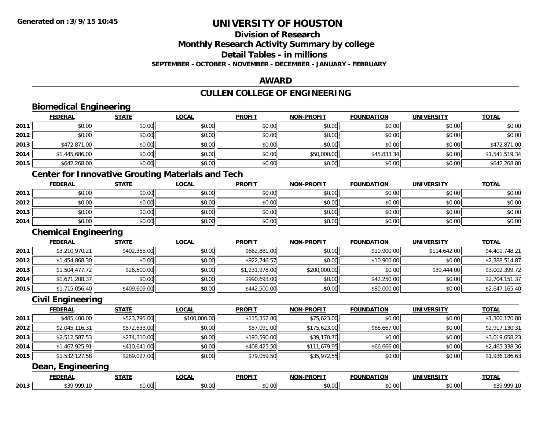# **Division of Research**

**Monthly Research Activity Summary by college**

**Detail Tables - in millions**

**SEPTEMBER - OCTOBER - NOVEMBER - DECEMBER - JANUARY - FEBRUARY**

#### **AWARD**

# **CULLEN COLLEGE OF ENGINEERING**

|      | <b>Biomedical Engineering</b>                            |              |              |                |                   |                   |                   |                |
|------|----------------------------------------------------------|--------------|--------------|----------------|-------------------|-------------------|-------------------|----------------|
|      | <b>FEDERAL</b>                                           | <b>STATE</b> | <b>LOCAL</b> | <b>PROFIT</b>  | <b>NON-PROFIT</b> | <b>FOUNDATION</b> | <b>UNIVERSITY</b> | <b>TOTAL</b>   |
| 2011 | \$0.00                                                   | \$0.00       | \$0.00       | \$0.00         | \$0.00            | \$0.00            | \$0.00            | \$0.00         |
| 2012 | \$0.00                                                   | \$0.00       | \$0.00       | \$0.00         | \$0.00            | \$0.00            | \$0.00            | \$0.00         |
| 2013 | \$472,871.00                                             | \$0.00       | \$0.00       | \$0.00         | \$0.00            | \$0.00            | \$0.00            | \$472,871.00   |
| 2014 | \$1,445,686.00                                           | \$0.00       | \$0.00       | \$0.00         | \$50,000.00       | \$45,833.34       | \$0.00            | \$1,541,519.34 |
| 2015 | \$642,268.00                                             | \$0.00       | \$0.00       | \$0.00         | \$0.00            | \$0.00            | \$0.00            | \$642,268.00   |
|      | <b>Center for Innovative Grouting Materials and Tech</b> |              |              |                |                   |                   |                   |                |
|      | <b>FEDERAL</b>                                           | <b>STATE</b> | <b>LOCAL</b> | <b>PROFIT</b>  | <b>NON-PROFIT</b> | <b>FOUNDATION</b> | <b>UNIVERSITY</b> | <b>TOTAL</b>   |
| 2011 | \$0.00                                                   | \$0.00       | \$0.00       | \$0.00         | \$0.00            | \$0.00            | \$0.00            | \$0.00         |
| 2012 | \$0.00                                                   | \$0.00       | \$0.00       | \$0.00         | \$0.00            | \$0.00            | \$0.00            | \$0.00         |
| 2013 | \$0.00                                                   | \$0.00       | \$0.00       | \$0.00         | \$0.00            | \$0.00            | \$0.00            | \$0.00         |
| 2014 | \$0.00                                                   | \$0.00       | \$0.00       | \$0.00         | \$0.00            | \$0.00            | \$0.00            | \$0.00         |
|      | <b>Chemical Engineering</b>                              |              |              |                |                   |                   |                   |                |
|      | <b>FEDERAL</b>                                           | <b>STATE</b> | <b>LOCAL</b> | <b>PROFIT</b>  | <b>NON-PROFIT</b> | <b>FOUNDATION</b> | <b>UNIVERSITY</b> | <b>TOTAL</b>   |
| 2011 | \$3,210,970.21                                           | \$402,355.00 | \$0.00       | \$662,881.00   | \$0.00            | \$10,900.00       | \$114,642.00      | \$4,401,748.21 |
| 2012 | \$1,454,868.30                                           | \$0.00       | \$0.00       | \$922,746.57   | \$0.00            | \$10,900.00       | \$0.00            | \$2,388,514.87 |
| 2013 | \$1,504,477.72                                           | \$26,500.00  | \$0.00       | \$1,231,978.00 | \$200,000.00      | \$0.00            | \$39,444.00       | \$3,002,399.72 |
| 2014 | \$1,671,208.37                                           | \$0.00       | \$0.00       | \$990,693.00   | \$0.00            | \$42,250.00       | \$0.00            | \$2,704,151.37 |
| 2015 | \$1,715,056.40                                           | \$409,609.00 | \$0.00       | \$442,500.00   | \$0.00            | \$80,000.00       | \$0.00            | \$2,647,165.40 |
|      | <b>Civil Engineering</b>                                 |              |              |                |                   |                   |                   |                |
|      | <b>FEDERAL</b>                                           | <b>STATE</b> | <b>LOCAL</b> | <b>PROFIT</b>  | <b>NON-PROFIT</b> | <b>FOUNDATION</b> | <b>UNIVERSITY</b> | <b>TOTAL</b>   |
| 2011 | \$485,400.00                                             | \$523,795.00 | \$100,000.00 | \$115,352.80   | \$75,623.00       | \$0.00            | \$0.00            | \$1,300,170.80 |
| 2012 | \$2,045,116.31                                           | \$572,633.00 | \$0.00       | \$57,091.00    | \$175,623.00      | \$66,667.00       | \$0.00            | \$2,917,130.31 |
| 2013 | \$2,512,587.53                                           | \$274,310.00 | \$0.00       | \$193,590.00   | \$39,170.70       | \$0.00            | \$0.00            | \$3,019,658.23 |
| 2014 | \$1,467,925.91                                           | \$410,641.00 | \$0.00       | \$408,425.50   | \$111,679.95      | \$66,666.00       | \$0.00            | \$2,465,338.36 |
| 2015 | \$1,532,127.58                                           | \$289,027.00 | \$0.00       | \$79,059.50    | \$35,972.55       | \$0.00            | \$0.00            | \$1,936,186.63 |
|      | Dean, Engineering                                        |              |              |                |                   |                   |                   |                |
|      | <b>FEDERAL</b>                                           | <b>STATE</b> | <b>LOCAL</b> | <b>PROFIT</b>  | <b>NON-PROFIT</b> | <b>FOUNDATION</b> | <b>UNIVERSITY</b> | <b>TOTAL</b>   |
| 2013 | \$39,999.10                                              | \$0.00       | \$0.00       | \$0.00         | \$0.00            | \$0.00            | \$0.00            | \$39,999.10    |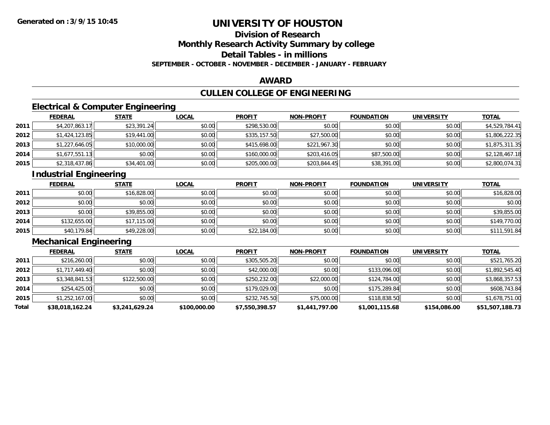# **Division of Research**

**Monthly Research Activity Summary by college**

**Detail Tables - in millions**

**SEPTEMBER - OCTOBER - NOVEMBER - DECEMBER - JANUARY - FEBRUARY**

### **AWARD**

# **CULLEN COLLEGE OF ENGINEERING**

# **Electrical & Computer Engineering**

|      | <b>FEDERAL</b> | <b>STATE</b> | <u>LOCAL</u> | <b>PROFIT</b> | <b>NON-PROFIT</b> | <b>FOUNDATION</b> | <b>UNIVERSITY</b> | <b>TOTAL</b>   |
|------|----------------|--------------|--------------|---------------|-------------------|-------------------|-------------------|----------------|
| 2011 | \$4,207,863.17 | \$23,391.24  | \$0.00       | \$298,530.00  | \$0.00            | \$0.00            | \$0.00            | \$4,529,784.41 |
| 2012 | \$1,424,123.85 | \$19,441.00  | \$0.00       | \$335,157.50  | \$27,500.00       | \$0.00            | \$0.00            | \$1,806,222.35 |
| 2013 | \$1,227,646.05 | \$10,000.00  | \$0.00       | \$415,698.00  | \$221,967.30      | \$0.00            | \$0.00            | \$1,875,311.35 |
| 2014 | \$1,677,551.13 | \$0.00       | \$0.00       | \$160,000.00  | \$203,416.05      | \$87,500.00       | \$0.00            | \$2,128,467.18 |
| 2015 | \$2,318,437.86 | \$34,401.00  | \$0.00       | \$205,000.00  | \$203,844.45      | \$38,391.00       | \$0.00            | \$2,800,074.31 |

# **Industrial Engineering**

|      | <b>FEDERAL</b> | <b>STATE</b> | <u>LOCAL</u> | <b>PROFIT</b> | <b>NON-PROFIT</b> | <b>FOUNDATION</b> | <b>UNIVERSITY</b> | <b>TOTAL</b> |
|------|----------------|--------------|--------------|---------------|-------------------|-------------------|-------------------|--------------|
| 2011 | \$0.00         | \$16,828.00  | \$0.00       | \$0.00        | \$0.00            | \$0.00            | \$0.00            | \$16,828.00  |
| 2012 | \$0.00         | \$0.00       | \$0.00       | \$0.00        | \$0.00            | \$0.00            | \$0.00            | \$0.00       |
| 2013 | \$0.00         | \$39,855.00  | \$0.00       | \$0.00        | \$0.00            | \$0.00            | \$0.00            | \$39,855.00  |
| 2014 | \$132,655.00   | \$17,115.00  | \$0.00       | \$0.00        | \$0.00            | \$0.00            | \$0.00            | \$149,770.00 |
| 2015 | \$40,179.84    | \$49,228.00  | \$0.00       | \$22,184.00   | \$0.00            | \$0.00            | \$0.00            | \$111,591.84 |

# **Mechanical Engineering**

|       | <b>FEDERAL</b>  | <b>STATE</b>   | <u>LOCAL</u> | <b>PROFIT</b>  | <b>NON-PROFIT</b> | <b>FOUNDATION</b> | <b>UNIVERSITY</b> | <b>TOTAL</b>    |
|-------|-----------------|----------------|--------------|----------------|-------------------|-------------------|-------------------|-----------------|
| 2011  | \$216,260.00    | \$0.00         | \$0.00       | \$305,505.20   | \$0.00            | \$0.00            | \$0.00            | \$521,765.20    |
| 2012  | \$1,717,449.40  | \$0.00         | \$0.00       | \$42,000.00    | \$0.00            | \$133,096.00      | \$0.00            | \$1,892,545.40  |
| 2013  | \$3,348,841.53  | \$122,500.00   | \$0.00       | \$250,232.00   | \$22,000.00       | \$124,784.00      | \$0.00            | \$3,868,357.53  |
| 2014  | \$254,425.00    | \$0.00         | \$0.00       | \$179,029,00   | \$0.00            | \$175,289.84      | \$0.00            | \$608,743.84    |
| 2015  | \$1,252,167.00  | \$0.00         | \$0.00       | \$232,745.50   | \$75,000.00       | \$118,838.50      | \$0.00            | \$1,678,751.00  |
| Total | \$38,018,162.24 | \$3,241,629.24 | \$100,000.00 | \$7,550,398.57 | \$1,441,797.00    | \$1,001,115.68    | \$154,086.00      | \$51,507,188.73 |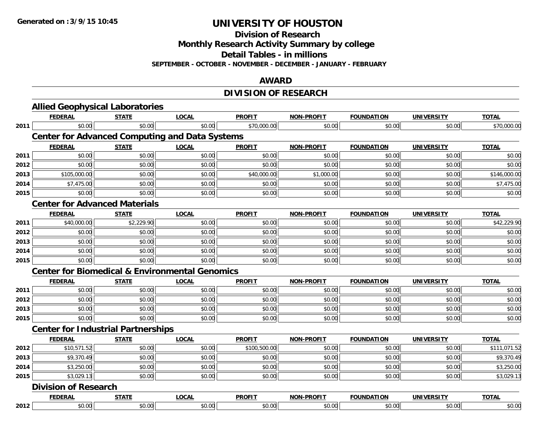**Division of Research**

**Monthly Research Activity Summary by college**

**Detail Tables - in millions**

**SEPTEMBER - OCTOBER - NOVEMBER - DECEMBER - JANUARY - FEBRUARY**

### **AWARD**

# **DIVISION OF RESEARCH**

|      | <b>Allied Geophysical Laboratories</b>                    |              |              |               |                   |                   |                   |              |
|------|-----------------------------------------------------------|--------------|--------------|---------------|-------------------|-------------------|-------------------|--------------|
|      | <b>FEDERAL</b>                                            | <b>STATE</b> | <b>LOCAL</b> | <b>PROFIT</b> | <b>NON-PROFIT</b> | <b>FOUNDATION</b> | <b>UNIVERSITY</b> | <b>TOTAL</b> |
| 2011 | \$0.00                                                    | \$0.00       | \$0.00       | \$70,000.00   | \$0.00            | \$0.00            | \$0.00            | \$70,000.00  |
|      | <b>Center for Advanced Computing and Data Systems</b>     |              |              |               |                   |                   |                   |              |
|      | <b>FEDERAL</b>                                            | <b>STATE</b> | <b>LOCAL</b> | <b>PROFIT</b> | <b>NON-PROFIT</b> | <b>FOUNDATION</b> | <b>UNIVERSITY</b> | <b>TOTAL</b> |
| 2011 | \$0.00                                                    | \$0.00       | \$0.00       | \$0.00        | \$0.00            | \$0.00            | \$0.00            | \$0.00       |
| 2012 | \$0.00                                                    | \$0.00       | \$0.00       | \$0.00        | \$0.00            | \$0.00            | \$0.00            | \$0.00       |
| 2013 | \$105,000.00                                              | \$0.00       | \$0.00       | \$40,000.00   | \$1,000.00        | \$0.00            | \$0.00            | \$146,000.00 |
| 2014 | \$7,475.00                                                | \$0.00       | \$0.00       | \$0.00        | \$0.00            | \$0.00            | \$0.00            | \$7,475.00   |
| 2015 | \$0.00                                                    | \$0.00       | \$0.00       | \$0.00        | \$0.00            | \$0.00            | \$0.00            | \$0.00       |
|      | <b>Center for Advanced Materials</b>                      |              |              |               |                   |                   |                   |              |
|      | <b>FEDERAL</b>                                            | <b>STATE</b> | <b>LOCAL</b> | <b>PROFIT</b> | <b>NON-PROFIT</b> | <b>FOUNDATION</b> | <b>UNIVERSITY</b> | <b>TOTAL</b> |
| 2011 | \$40,000.00                                               | \$2,229.90   | \$0.00       | \$0.00        | \$0.00            | \$0.00            | \$0.00            | \$42,229.90  |
| 2012 | \$0.00                                                    | \$0.00       | \$0.00       | \$0.00        | \$0.00            | \$0.00            | \$0.00            | \$0.00       |
| 2013 | \$0.00                                                    | \$0.00       | \$0.00       | \$0.00        | \$0.00            | \$0.00            | \$0.00            | \$0.00       |
| 2014 | \$0.00                                                    | \$0.00       | \$0.00       | \$0.00        | \$0.00            | \$0.00            | \$0.00            | \$0.00       |
| 2015 | \$0.00                                                    | \$0.00       | \$0.00       | \$0.00        | \$0.00            | \$0.00            | \$0.00            | \$0.00       |
|      | <b>Center for Biomedical &amp; Environmental Genomics</b> |              |              |               |                   |                   |                   |              |
|      | <b>FEDERAL</b>                                            | <b>STATE</b> | <b>LOCAL</b> | <b>PROFIT</b> | <b>NON-PROFIT</b> | <b>FOUNDATION</b> | <b>UNIVERSITY</b> | <b>TOTAL</b> |
| 2011 | \$0.00                                                    | \$0.00       | \$0.00       | \$0.00        | \$0.00            | \$0.00            | \$0.00            | \$0.00       |
| 2012 | \$0.00                                                    | \$0.00       | \$0.00       | \$0.00        | \$0.00            | \$0.00            | \$0.00            | \$0.00       |
| 2013 | \$0.00                                                    | \$0.00       | \$0.00       | \$0.00        | \$0.00            | \$0.00            | \$0.00            | \$0.00       |
| 2015 | \$0.00                                                    | \$0.00       | \$0.00       | \$0.00        | \$0.00            | \$0.00            | \$0.00            | \$0.00       |
|      | <b>Center for Industrial Partnerships</b>                 |              |              |               |                   |                   |                   |              |
|      | <b>FEDERAL</b>                                            | <b>STATE</b> | <b>LOCAL</b> | <b>PROFIT</b> | <b>NON-PROFIT</b> | <b>FOUNDATION</b> | <b>UNIVERSITY</b> | <b>TOTAL</b> |
| 2012 | \$10,571.52                                               | \$0.00       | \$0.00       | \$100,500.00  | \$0.00            | \$0.00            | \$0.00            | \$111,071.52 |
| 2013 | \$9,370.49                                                | \$0.00       | \$0.00       | \$0.00        | \$0.00            | \$0.00            | \$0.00            | \$9,370.49   |
| 2014 | \$3,250.00                                                | \$0.00       | \$0.00       | \$0.00        | \$0.00            | \$0.00            | \$0.00            | \$3,250.00   |
| 2015 | \$3,029.13                                                | \$0.00       | \$0.00       | \$0.00        | \$0.00            | \$0.00            | \$0.00            | \$3,029.13   |
|      | <b>Division of Research</b>                               |              |              |               |                   |                   |                   |              |
|      | <b>FEDERAL</b>                                            | <b>STATE</b> | <b>LOCAL</b> | <b>PROFIT</b> | <b>NON-PROFIT</b> | <b>FOUNDATION</b> | <b>UNIVERSITY</b> | <b>TOTAL</b> |
| 2012 | \$0.00                                                    | \$0.00       | \$0.00       | \$0.00        | \$0.00            | \$0.00            | \$0.00            | \$0.00       |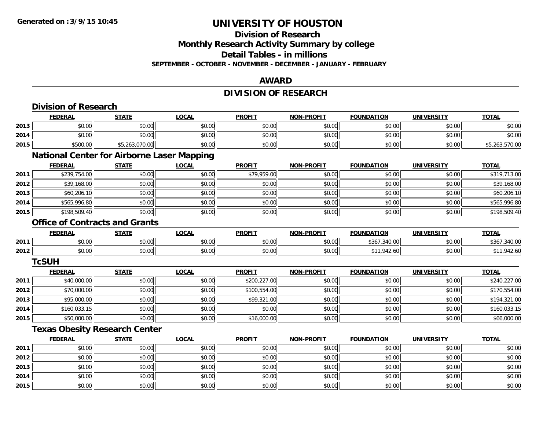# **Division of Research**

**Monthly Research Activity Summary by college**

**Detail Tables - in millions**

**SEPTEMBER - OCTOBER - NOVEMBER - DECEMBER - JANUARY - FEBRUARY**

### **AWARD**

# **DIVISION OF RESEARCH**

|      | <b>Division of Research</b>                       |                |              |               |                   |                   |                   |                |
|------|---------------------------------------------------|----------------|--------------|---------------|-------------------|-------------------|-------------------|----------------|
|      | <b>FEDERAL</b>                                    | <b>STATE</b>   | <b>LOCAL</b> | <b>PROFIT</b> | <b>NON-PROFIT</b> | <b>FOUNDATION</b> | <b>UNIVERSITY</b> | <b>TOTAL</b>   |
| 2013 | \$0.00                                            | \$0.00         | \$0.00       | \$0.00        | \$0.00            | \$0.00            | \$0.00            | \$0.00         |
| 2014 | \$0.00                                            | \$0.00         | \$0.00       | \$0.00        | \$0.00            | \$0.00            | \$0.00            | \$0.00         |
| 2015 | \$500.00                                          | \$5,263,070.00 | \$0.00       | \$0.00        | \$0.00            | \$0.00            | \$0.00            | \$5,263,570.00 |
|      | <b>National Center for Airborne Laser Mapping</b> |                |              |               |                   |                   |                   |                |
|      | <b>FEDERAL</b>                                    | <b>STATE</b>   | <b>LOCAL</b> | <b>PROFIT</b> | <b>NON-PROFIT</b> | <b>FOUNDATION</b> | <b>UNIVERSITY</b> | <b>TOTAL</b>   |
| 2011 | \$239,754.00                                      | \$0.00         | \$0.00       | \$79,959.00   | \$0.00            | \$0.00            | \$0.00            | \$319,713.00   |
| 2012 | \$39,168.00                                       | \$0.00         | \$0.00       | \$0.00        | \$0.00            | \$0.00            | \$0.00            | \$39,168.00    |
| 2013 | \$60,206.10                                       | \$0.00         | \$0.00       | \$0.00        | \$0.00            | \$0.00            | \$0.00            | \$60,206.10    |
| 2014 | \$565,996.80                                      | \$0.00         | \$0.00       | \$0.00        | \$0.00            | \$0.00            | \$0.00            | \$565,996.80   |
| 2015 | \$198,509.40                                      | \$0.00         | \$0.00       | \$0.00        | \$0.00            | \$0.00            | \$0.00            | \$198,509.40   |
|      | <b>Office of Contracts and Grants</b>             |                |              |               |                   |                   |                   |                |
|      | <b>FEDERAL</b>                                    | <b>STATE</b>   | <b>LOCAL</b> | <b>PROFIT</b> | <b>NON-PROFIT</b> | <b>FOUNDATION</b> | <b>UNIVERSITY</b> | <b>TOTAL</b>   |
| 2011 | \$0.00                                            | \$0.00         | \$0.00       | \$0.00        | \$0.00            | \$367,340.00      | \$0.00            | \$367,340.00   |
| 2012 | \$0.00                                            | \$0.00         | \$0.00       | \$0.00        | \$0.00            | \$11,942.60       | \$0.00            | \$11,942.60    |
|      | <b>TcSUH</b>                                      |                |              |               |                   |                   |                   |                |
|      | <b>FEDERAL</b>                                    | <b>STATE</b>   | <b>LOCAL</b> | <b>PROFIT</b> | <b>NON-PROFIT</b> | <b>FOUNDATION</b> | <b>UNIVERSITY</b> | <b>TOTAL</b>   |
| 2011 | \$40,000.00                                       | \$0.00         | \$0.00       | \$200,227.00  | \$0.00            | \$0.00            | \$0.00            | \$240,227.00   |
| 2012 | \$70,000.00                                       | \$0.00         | \$0.00       | \$100,554.00  | \$0.00            | \$0.00            | \$0.00            | \$170,554.00   |
| 2013 | \$95,000.00                                       | \$0.00         | \$0.00       | \$99,321.00   | \$0.00            | \$0.00            | \$0.00            | \$194,321.00   |
| 2014 | \$160,033.15                                      | \$0.00         | \$0.00       | \$0.00        | \$0.00            | \$0.00            | \$0.00            | \$160,033.15   |
| 2015 | \$50,000.00                                       | \$0.00         | \$0.00       | \$16,000.00   | \$0.00            | \$0.00            | \$0.00            | \$66,000.00    |
|      | <b>Texas Obesity Research Center</b>              |                |              |               |                   |                   |                   |                |
|      | <b>FEDERAL</b>                                    | <b>STATE</b>   | <b>LOCAL</b> | <b>PROFIT</b> | <b>NON-PROFIT</b> | <b>FOUNDATION</b> | <b>UNIVERSITY</b> | <b>TOTAL</b>   |
| 2011 | \$0.00                                            | \$0.00         | \$0.00       | \$0.00        | \$0.00            | \$0.00            | \$0.00            | \$0.00         |
| 2012 | \$0.00                                            | \$0.00         | \$0.00       | \$0.00        | \$0.00            | \$0.00            | \$0.00            | \$0.00         |
| 2013 | \$0.00                                            | \$0.00         | \$0.00       | \$0.00        | \$0.00            | \$0.00            | \$0.00            | \$0.00         |
| 2014 | \$0.00                                            | \$0.00         | \$0.00       | \$0.00        | \$0.00            | \$0.00            | \$0.00            | \$0.00         |
| 2015 | \$0.00                                            | \$0.00         | \$0.00       | \$0.00        | \$0.00            | \$0.00            | \$0.00            | \$0.00         |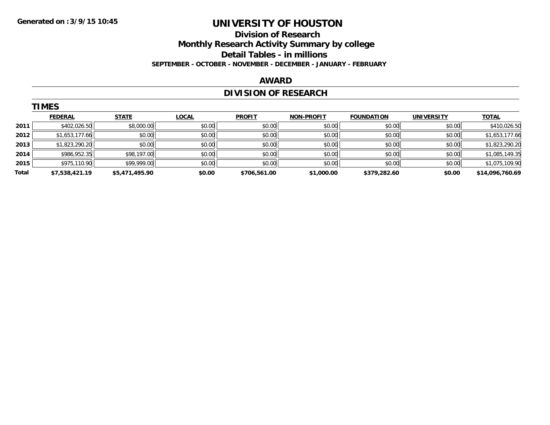### **Division of Research Monthly Research Activity Summary by college Detail Tables - in millions SEPTEMBER - OCTOBER - NOVEMBER - DECEMBER - JANUARY - FEBRUARY**

#### **AWARD**

# **DIVISION OF RESEARCH**

|       | <b>TIMES</b>   |                |              |               |                   |                   |                   |                 |  |  |  |  |  |
|-------|----------------|----------------|--------------|---------------|-------------------|-------------------|-------------------|-----------------|--|--|--|--|--|
|       | <b>FEDERAL</b> | <b>STATE</b>   | <b>LOCAL</b> | <b>PROFIT</b> | <b>NON-PROFIT</b> | <b>FOUNDATION</b> | <b>UNIVERSITY</b> | <b>TOTAL</b>    |  |  |  |  |  |
| 2011  | \$402,026.50   | \$8,000.00     | \$0.00       | \$0.00        | \$0.00            | \$0.00            | \$0.00            | \$410,026.50    |  |  |  |  |  |
| 2012  | \$1,653,177.66 | \$0.00         | \$0.00       | \$0.00        | \$0.00            | \$0.00            | \$0.00            | \$1,653,177.66  |  |  |  |  |  |
| 2013  | \$1,823,290.20 | \$0.00         | \$0.00       | \$0.00        | \$0.00            | \$0.00            | \$0.00            | \$1,823,290.20  |  |  |  |  |  |
| 2014  | \$986,952.35   | \$98,197.00    | \$0.00       | \$0.00        | \$0.00            | \$0.00            | \$0.00            | \$1,085,149.35  |  |  |  |  |  |
| 2015  | \$975,110.90   | \$99,999.00    | \$0.00       | \$0.00        | \$0.00            | \$0.00            | \$0.00            | \$1,075,109.90  |  |  |  |  |  |
| Total | \$7,538,421.19 | \$5,471,495.90 | \$0.00       | \$706,561.00  | \$1,000.00        | \$379,282.60      | \$0.00            | \$14,096,760.69 |  |  |  |  |  |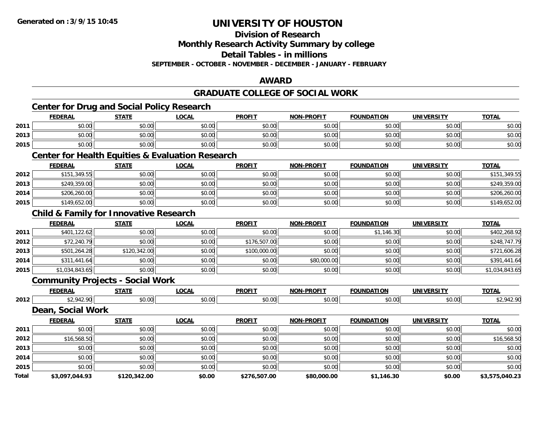**Division of Research**

**Monthly Research Activity Summary by college**

**Detail Tables - in millions**

**SEPTEMBER - OCTOBER - NOVEMBER - DECEMBER - JANUARY - FEBRUARY**

### **AWARD**

### **GRADUATE COLLEGE OF SOCIAL WORK**

|       | <b>Center for Drug and Social Policy Research</b>           |              |              |               |                   |                   |                   |                |
|-------|-------------------------------------------------------------|--------------|--------------|---------------|-------------------|-------------------|-------------------|----------------|
|       | <b>FEDERAL</b>                                              | <b>STATE</b> | <b>LOCAL</b> | <b>PROFIT</b> | <b>NON-PROFIT</b> | <b>FOUNDATION</b> | <b>UNIVERSITY</b> | <b>TOTAL</b>   |
| 2011  | \$0.00                                                      | \$0.00       | \$0.00       | \$0.00        | \$0.00            | \$0.00            | \$0.00            | \$0.00         |
| 2013  | \$0.00                                                      | \$0.00       | \$0.00       | \$0.00        | \$0.00            | \$0.00            | \$0.00            | \$0.00         |
| 2015  | \$0.00                                                      | \$0.00       | \$0.00       | \$0.00        | \$0.00            | \$0.00            | \$0.00            | \$0.00         |
|       | <b>Center for Health Equities &amp; Evaluation Research</b> |              |              |               |                   |                   |                   |                |
|       | <b>FEDERAL</b>                                              | <b>STATE</b> | <b>LOCAL</b> | <b>PROFIT</b> | <b>NON-PROFIT</b> | <b>FOUNDATION</b> | <b>UNIVERSITY</b> | <b>TOTAL</b>   |
| 2012  | \$151,349.55                                                | \$0.00       | \$0.00       | \$0.00        | \$0.00            | \$0.00            | \$0.00            | \$151,349.55   |
| 2013  | \$249,359.00                                                | \$0.00       | \$0.00       | \$0.00        | \$0.00            | \$0.00            | \$0.00            | \$249,359.00   |
| 2014  | \$206,260.00                                                | \$0.00       | \$0.00       | \$0.00        | \$0.00            | \$0.00            | \$0.00            | \$206,260.00   |
| 2015  | \$149,652.00                                                | \$0.00       | \$0.00       | \$0.00        | \$0.00            | \$0.00            | \$0.00            | \$149,652.00   |
|       | <b>Child &amp; Family for Innovative Research</b>           |              |              |               |                   |                   |                   |                |
|       | <b>FEDERAL</b>                                              | <b>STATE</b> | <b>LOCAL</b> | <b>PROFIT</b> | <b>NON-PROFIT</b> | <b>FOUNDATION</b> | <b>UNIVERSITY</b> | <b>TOTAL</b>   |
| 2011  | \$401,122.62                                                | \$0.00       | \$0.00       | \$0.00        | \$0.00            | \$1,146.30        | \$0.00            | \$402,268.92   |
| 2012  | \$72,240.79                                                 | \$0.00       | \$0.00       | \$176,507.00  | \$0.00            | \$0.00            | \$0.00            | \$248,747.79   |
| 2013  | \$501,264.28                                                | \$120,342.00 | \$0.00       | \$100,000.00  | \$0.00            | \$0.00            | \$0.00            | \$721,606.28   |
| 2014  | \$311,441.64                                                | \$0.00       | \$0.00       | \$0.00        | \$80,000.00       | \$0.00            | \$0.00            | \$391,441.64   |
| 2015  | \$1,034,843.65                                              | \$0.00       | \$0.00       | \$0.00        | \$0.00            | \$0.00            | \$0.00            | \$1,034,843.65 |
|       | <b>Community Projects - Social Work</b>                     |              |              |               |                   |                   |                   |                |
|       | <b>FEDERAL</b>                                              | <b>STATE</b> | <b>LOCAL</b> | <b>PROFIT</b> | <b>NON-PROFIT</b> | <b>FOUNDATION</b> | <b>UNIVERSITY</b> | <b>TOTAL</b>   |
| 2012  | \$2,942.90                                                  | \$0.00       | \$0.00       | \$0.00        | \$0.00            | \$0.00            | \$0.00            | \$2,942.90     |
|       | Dean, Social Work                                           |              |              |               |                   |                   |                   |                |
|       | <b>FEDERAL</b>                                              | <b>STATE</b> | <b>LOCAL</b> | <b>PROFIT</b> | <b>NON-PROFIT</b> | <b>FOUNDATION</b> | <b>UNIVERSITY</b> | <b>TOTAL</b>   |
| 2011  | \$0.00                                                      | \$0.00       | \$0.00       | \$0.00        | \$0.00            | \$0.00            | \$0.00            | \$0.00         |
| 2012  | \$16,568.50                                                 | \$0.00       | \$0.00       | \$0.00        | \$0.00            | \$0.00            | \$0.00            | \$16,568.50    |
| 2013  | \$0.00                                                      | \$0.00       | \$0.00       | \$0.00        | \$0.00            | \$0.00            | \$0.00            | \$0.00         |
| 2014  | \$0.00                                                      | \$0.00       | \$0.00       | \$0.00        | \$0.00            | \$0.00            | \$0.00            | \$0.00         |
| 2015  | \$0.00                                                      | \$0.00       | \$0.00       | \$0.00        | \$0.00            | \$0.00            | \$0.00            | \$0.00         |
| Total | \$3,097,044.93                                              | \$120,342.00 | \$0.00       | \$276,507.00  | \$80,000.00       | \$1,146.30        | \$0.00            | \$3,575,040.23 |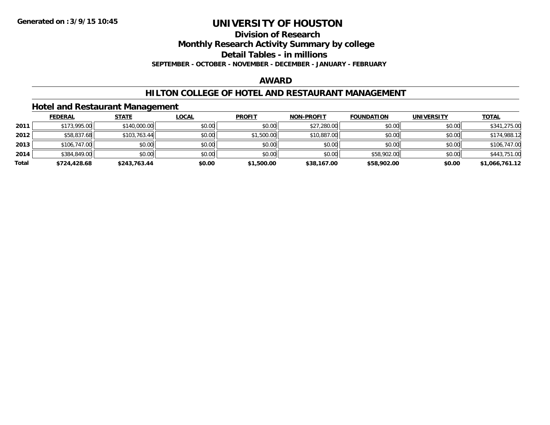**Division of Research**

**Monthly Research Activity Summary by college**

**Detail Tables - in millions**

**SEPTEMBER - OCTOBER - NOVEMBER - DECEMBER - JANUARY - FEBRUARY**

#### **AWARD**

### **HILTON COLLEGE OF HOTEL AND RESTAURANT MANAGEMENT**

### **Hotel and Restaurant Management**

|       | <b>FEDERAL</b> | <b>STATE</b> | <u>LOCAL</u> | <b>PROFIT</b> | <b>NON-PROFIT</b> | <b>FOUNDATION</b> | <b>UNIVERSITY</b> | <b>TOTAL</b>   |
|-------|----------------|--------------|--------------|---------------|-------------------|-------------------|-------------------|----------------|
| 2011  | \$173,995.00   | \$140,000.00 | \$0.00       | \$0.00        | \$27,280.00       | \$0.00            | \$0.00            | \$341,275.00   |
| 2012  | \$58,837.68    | \$103,763.44 | \$0.00       | \$1,500.00    | \$10,887.00       | \$0.00            | \$0.00            | \$174,988.12   |
| 2013  | \$106,747.00   | \$0.00       | \$0.00       | \$0.00        | \$0.00            | \$0.00            | \$0.00            | \$106,747.00   |
| 2014  | \$384,849.00   | \$0.00       | \$0.00       | \$0.00        | \$0.00            | \$58,902.00       | \$0.00            | \$443,751.00   |
| Total | \$724,428.68   | \$243,763.44 | \$0.00       | \$1,500.00    | \$38,167.00       | \$58,902.00       | \$0.00            | \$1,066,761.12 |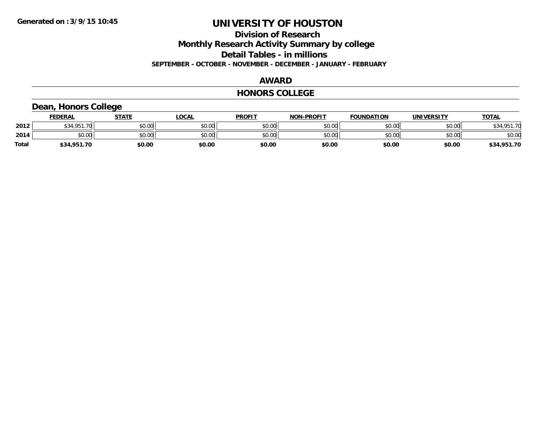**Division of Research**

**Monthly Research Activity Summary by college**

**Detail Tables - in millions**

**SEPTEMBER - OCTOBER - NOVEMBER - DECEMBER - JANUARY - FEBRUARY**

#### **AWARD**

#### **HONORS COLLEGE**

# **Dean, Honors College**

|       | <b>FEDERAL</b>            | STATE  | LOCAL  | <b>PROFIT</b> | <b>NON-PROFIT</b> | <b>FOUNDATION</b> | <b>UNIVERSITY</b> | <b>TOTAL</b> |
|-------|---------------------------|--------|--------|---------------|-------------------|-------------------|-------------------|--------------|
| 2012  | $*34.951$ ,<br>70L<br>7 J | \$0.00 | \$0.00 | \$0.00        | \$0.00            | \$0.00            | \$0.00            | \$34,951.70  |
| 2014  | \$0.00                    | \$0.00 | \$0.00 | \$0.00        | \$0.00            | \$0.00            | \$0.00            | \$0.00       |
| Total | \$34,951.70               | \$0.00 | \$0.00 | \$0.00        | \$0.00            | \$0.00            | \$0.00            | \$34,951.70  |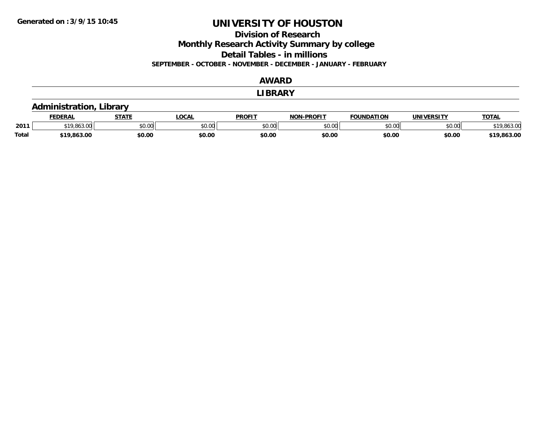**Division of Research**

**Monthly Research Activity Summary by college**

**Detail Tables - in millions**

**SEPTEMBER - OCTOBER - NOVEMBER - DECEMBER - JANUARY - FEBRUARY**

### **AWARD**

#### **LIBRARY**

### **Administration, Library**

|              | <b>FEDERAL</b> | $   -$                 | ne N<br>UUMI | <b>PROFIT</b>           | -PROFIT<br>NON- | -OLINDA-<br>71 A R |               | <b>TOTAL</b> |
|--------------|----------------|------------------------|--------------|-------------------------|-----------------|--------------------|---------------|--------------|
| 2011         |                | $\sim$<br><b>JU.UU</b> | JU.UU        | 0 <sup>0</sup><br>JU.UU | 0000<br>JU.UU   | ልስ ሰሰ<br>DU.UU     | 0000<br>PO.OO | , UU         |
| <b>Total</b> | \$19.863.00    | \$0.00                 | \$0.00       | \$0.00                  | \$0.00          | \$0.00             | \$0.00        | .863.00      |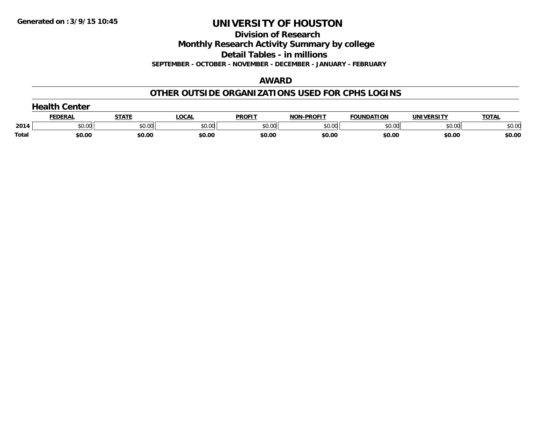**Division of Research**

**Monthly Research Activity Summary by college**

**Detail Tables - in millions**

**SEPTEMBER - OCTOBER - NOVEMBER - DECEMBER - JANUARY - FEBRUARY**

#### **AWARD**

### **OTHER OUTSIDE ORGANIZATIONS USED FOR CPHS LOGINS**

|       | .<br>Center   |        |        |               |                  |                   |                   |              |  |  |
|-------|---------------|--------|--------|---------------|------------------|-------------------|-------------------|--------------|--|--|
|       | <b>EDERAL</b> | STATE  | LOCAI  | <b>PROFIT</b> | -PROFIT<br>וחריי | <b>FOUNDATION</b> | <b>UNIVERSITY</b> | <b>TOTAL</b> |  |  |
| 2014  | \$0.00        | \$0.00 | \$0.00 | \$0.00        | \$0.00           | \$0.00            | \$0.00            | \$0.00       |  |  |
| Total | \$0.00        | \$0.00 | \$0.00 | \$0.00        | \$0.00           | \$0.00            | \$0.00            | \$0.00       |  |  |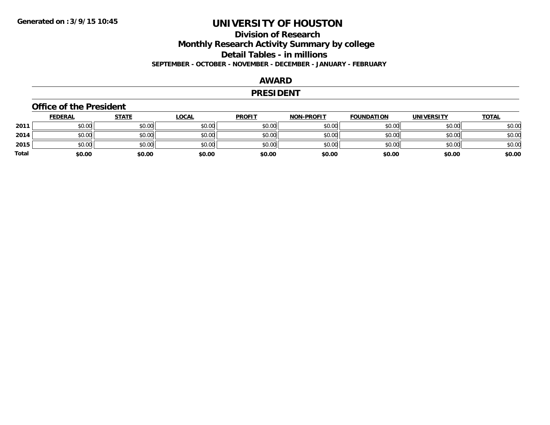## **Division of Research Monthly Research Activity Summary by college Detail Tables - in millions SEPTEMBER - OCTOBER - NOVEMBER - DECEMBER - JANUARY - FEBRUARY**

#### **AWARD**

#### **PRESIDENT**

#### **Office of the President**

|       | <b>FEDERAL</b> | <b>STATE</b> | <u>LOCAL</u> | <b>PROFIT</b> | <b>NON-PROFIT</b> | <b>FOUNDATION</b> | UNIVERSITY | <b>TOTAL</b> |
|-------|----------------|--------------|--------------|---------------|-------------------|-------------------|------------|--------------|
| 2011  | \$0.00         | \$0.00       | \$0.00       | \$0.00        | \$0.00            | \$0.00            | \$0.00     | \$0.00       |
| 2014  | \$0.00         | \$0.00       | \$0.00       | \$0.00        | \$0.00            | \$0.00            | \$0.00     | \$0.00       |
| 2015  | \$0.00         | \$0.00       | \$0.00       | \$0.00        | \$0.00            | \$0.00            | \$0.00     | \$0.00       |
| Total | \$0.00         | \$0.00       | \$0.00       | \$0.00        | \$0.00            | \$0.00            | \$0.00     | \$0.00       |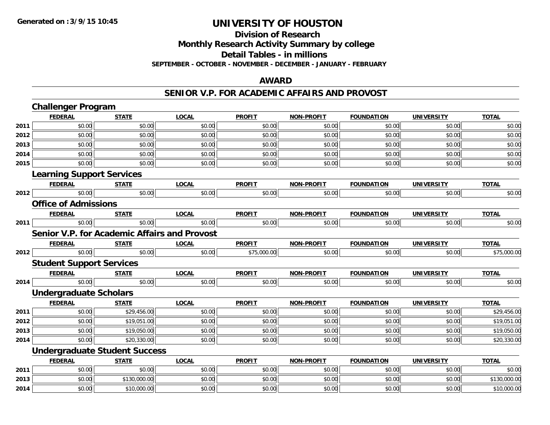## **Division of ResearchMonthly Research Activity Summary by college Detail Tables - in millions SEPTEMBER - OCTOBER - NOVEMBER - DECEMBER - JANUARY - FEBRUARY**

### **AWARD**

### **SENIOR V.P. FOR ACADEMIC AFFAIRS AND PROVOST**

|      | <b>Challenger Program</b>                           |              |              |               |                   |                   |                   |              |
|------|-----------------------------------------------------|--------------|--------------|---------------|-------------------|-------------------|-------------------|--------------|
|      | <b>FEDERAL</b>                                      | <b>STATE</b> | <b>LOCAL</b> | <b>PROFIT</b> | <b>NON-PROFIT</b> | <b>FOUNDATION</b> | <b>UNIVERSITY</b> | <b>TOTAL</b> |
| 2011 | \$0.00                                              | \$0.00       | \$0.00       | \$0.00        | \$0.00            | \$0.00            | \$0.00            | \$0.00       |
| 2012 | \$0.00                                              | \$0.00       | \$0.00       | \$0.00        | \$0.00            | \$0.00            | \$0.00            | \$0.00       |
| 2013 | \$0.00                                              | \$0.00       | \$0.00       | \$0.00        | \$0.00            | \$0.00            | \$0.00            | \$0.00       |
| 2014 | \$0.00                                              | \$0.00       | \$0.00       | \$0.00        | \$0.00            | \$0.00            | \$0.00            | \$0.00       |
| 2015 | \$0.00                                              | \$0.00       | \$0.00       | \$0.00        | \$0.00            | \$0.00            | \$0.00            | \$0.00       |
|      | <b>Learning Support Services</b>                    |              |              |               |                   |                   |                   |              |
|      | <b>FEDERAL</b>                                      | <b>STATE</b> | <b>LOCAL</b> | <b>PROFIT</b> | <b>NON-PROFIT</b> | <b>FOUNDATION</b> | <b>UNIVERSITY</b> | <b>TOTAL</b> |
| 2012 | \$0.00                                              | \$0.00       | \$0.00       | \$0.00        | \$0.00            | \$0.00            | \$0.00            | \$0.00       |
|      | <b>Office of Admissions</b>                         |              |              |               |                   |                   |                   |              |
|      | <b>FEDERAL</b>                                      | <b>STATE</b> | <b>LOCAL</b> | <b>PROFIT</b> | <b>NON-PROFIT</b> | <b>FOUNDATION</b> | <b>UNIVERSITY</b> | <b>TOTAL</b> |
| 2011 | \$0.00                                              | \$0.00       | \$0.00       | \$0.00        | \$0.00            | \$0.00            | \$0.00            | \$0.00       |
|      | <b>Senior V.P. for Academic Affairs and Provost</b> |              |              |               |                   |                   |                   |              |
|      | <b>FEDERAL</b>                                      | <b>STATE</b> | <b>LOCAL</b> | <b>PROFIT</b> | <b>NON-PROFIT</b> | <b>FOUNDATION</b> | <b>UNIVERSITY</b> | <b>TOTAL</b> |
| 2012 | \$0.00                                              | \$0.00       | \$0.00       | \$75,000.00   | \$0.00            | \$0.00            | \$0.00            | \$75,000.00  |
|      | <b>Student Support Services</b>                     |              |              |               |                   |                   |                   |              |
|      | <b>FEDERAL</b>                                      | <b>STATE</b> | <b>LOCAL</b> | <b>PROFIT</b> | <b>NON-PROFIT</b> | <b>FOUNDATION</b> | <b>UNIVERSITY</b> | <b>TOTAL</b> |
| 2014 | \$0.00                                              | \$0.00       | \$0.00       | \$0.00        | \$0.00            | \$0.00            | \$0.00            | \$0.00       |
|      | <b>Undergraduate Scholars</b>                       |              |              |               |                   |                   |                   |              |
|      | <b>FEDERAL</b>                                      | <b>STATE</b> | <b>LOCAL</b> | <b>PROFIT</b> | <b>NON-PROFIT</b> | <b>FOUNDATION</b> | <b>UNIVERSITY</b> | <b>TOTAL</b> |
| 2011 | \$0.00                                              | \$29,456.00  | \$0.00       | \$0.00        | \$0.00            | \$0.00            | \$0.00            | \$29,456.00  |
| 2012 | \$0.00                                              | \$19,051.00  | \$0.00       | \$0.00        | \$0.00            | \$0.00            | \$0.00            | \$19,051.00  |
| 2013 | \$0.00                                              | \$19,050.00  | \$0.00       | \$0.00        | \$0.00            | \$0.00            | \$0.00            | \$19,050.00  |
| 2014 | \$0.00                                              | \$20,330.00  | \$0.00       | \$0.00        | \$0.00            | \$0.00            | \$0.00            | \$20,330.00  |
|      | <b>Undergraduate Student Success</b>                |              |              |               |                   |                   |                   |              |
|      | <b>FEDERAL</b>                                      | <b>STATE</b> | <b>LOCAL</b> | <b>PROFIT</b> | <b>NON-PROFIT</b> | <b>FOUNDATION</b> | <b>UNIVERSITY</b> | <b>TOTAL</b> |
| 2011 | \$0.00                                              | \$0.00       | \$0.00       | \$0.00        | \$0.00            | \$0.00            | \$0.00            | \$0.00       |
| 2013 | \$0.00                                              | \$130,000.00 | \$0.00       | \$0.00        | \$0.00            | \$0.00            | \$0.00            | \$130,000.00 |
| 2014 | \$0.00                                              | \$10,000.00  | \$0.00       | \$0.00        | \$0.00            | \$0.00            | \$0.00            | \$10,000.00  |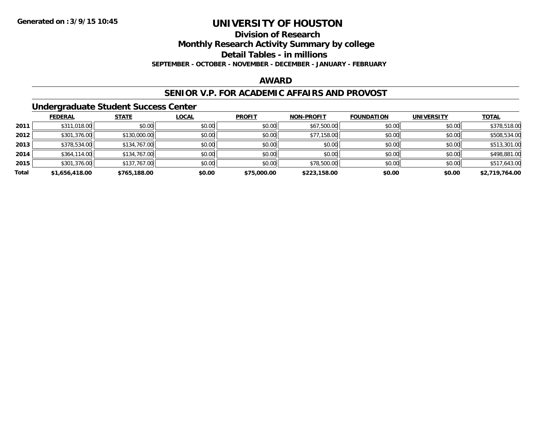**Division of Research**

**Monthly Research Activity Summary by college**

**Detail Tables - in millions**

**SEPTEMBER - OCTOBER - NOVEMBER - DECEMBER - JANUARY - FEBRUARY**

#### **AWARD**

### **SENIOR V.P. FOR ACADEMIC AFFAIRS AND PROVOST**

### **Undergraduate Student Success Center**

|       | <b>FEDERAL</b> | <b>STATE</b> | <b>LOCAL</b> | <b>PROFIT</b> | <b>NON-PROFIT</b> | <b>FOUNDATION</b> | <b>UNIVERSITY</b> | <b>TOTAL</b>   |
|-------|----------------|--------------|--------------|---------------|-------------------|-------------------|-------------------|----------------|
| 2011  | \$311,018.00   | \$0.00       | \$0.00       | \$0.00        | \$67,500.00       | \$0.00            | \$0.00            | \$378,518.00   |
| 2012  | \$301,376.00   | \$130,000.00 | \$0.00       | \$0.00        | \$77,158.00       | \$0.00            | \$0.00            | \$508,534.00   |
| 2013  | \$378,534.00   | \$134,767.00 | \$0.00       | \$0.00        | \$0.00            | \$0.00            | \$0.00            | \$513,301.00   |
| 2014  | \$364,114.00   | \$134,767.00 | \$0.00       | \$0.00        | \$0.00            | \$0.00            | \$0.00            | \$498,881.00   |
| 2015  | \$301,376.00   | \$137,767.00 | \$0.00       | \$0.00        | \$78,500.00       | \$0.00            | \$0.00            | \$517,643.00   |
| Total | \$1,656,418.00 | \$765,188.00 | \$0.00       | \$75,000.00   | \$223,158.00      | \$0.00            | \$0.00            | \$2,719,764.00 |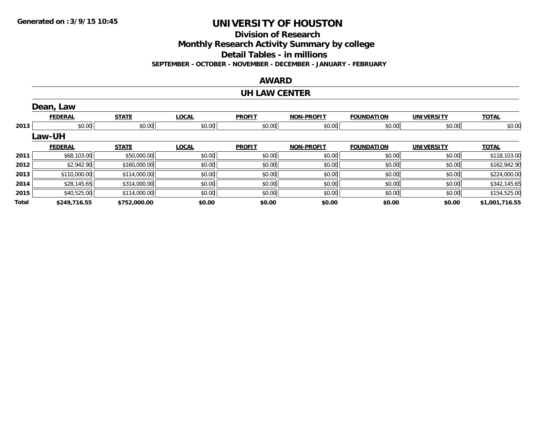**Division of Research**

**Monthly Research Activity Summary by college**

**Detail Tables - in millions**

**SEPTEMBER - OCTOBER - NOVEMBER - DECEMBER - JANUARY - FEBRUARY**

### **AWARD**

#### **UH LAW CENTER**

|       | Dean, Law      |              |              |               |                   |                   |                   |                |
|-------|----------------|--------------|--------------|---------------|-------------------|-------------------|-------------------|----------------|
|       | <b>FEDERAL</b> | <b>STATE</b> | <b>LOCAL</b> | <b>PROFIT</b> | <b>NON-PROFIT</b> | <b>FOUNDATION</b> | <b>UNIVERSITY</b> | <b>TOTAL</b>   |
| 2013  | \$0.00         | \$0.00       | \$0.00       | \$0.00        | \$0.00            | \$0.00            | \$0.00            | \$0.00         |
|       | <b>Law-UH</b>  |              |              |               |                   |                   |                   |                |
|       | <b>FEDERAL</b> | <b>STATE</b> | <b>LOCAL</b> | <b>PROFIT</b> | <b>NON-PROFIT</b> | <b>FOUNDATION</b> | <b>UNIVERSITY</b> | <b>TOTAL</b>   |
| 2011  | \$68,103.00    | \$50,000.00  | \$0.00       | \$0.00        | \$0.00            | \$0.00            | \$0.00            | \$118,103.00   |
| 2012  | \$2,942.90     | \$160,000.00 | \$0.00       | \$0.00        | \$0.00            | \$0.00            | \$0.00            | \$162,942.90   |
| 2013  | \$110,000.00   | \$114,000.00 | \$0.00       | \$0.00        | \$0.00            | \$0.00            | \$0.00            | \$224,000.00   |
| 2014  | \$28,145.65    | \$314,000.00 | \$0.00       | \$0.00        | \$0.00            | \$0.00            | \$0.00            | \$342,145.65   |
| 2015  | \$40,525.00    | \$114,000.00 | \$0.00       | \$0.00        | \$0.00            | \$0.00            | \$0.00            | \$154,525.00   |
| Total | \$249,716.55   | \$752,000.00 | \$0.00       | \$0.00        | \$0.00            | \$0.00            | \$0.00            | \$1,001,716.55 |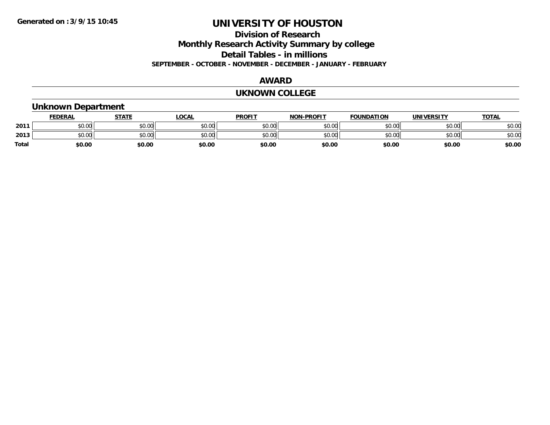**Division of Research**

**Monthly Research Activity Summary by college**

**Detail Tables - in millions**

**SEPTEMBER - OCTOBER - NOVEMBER - DECEMBER - JANUARY - FEBRUARY**

### **AWARD**

#### **UKNOWN COLLEGE**

#### **Unknown Department FEDERAL STATE LOCAL PROFIT NON-PROFIT FOUNDATION UNIVERSITY TOTALTOTAL 2011** \$0.00 \$0.00 \$0.00 \$0.00 \$0.00 \$0.00 \$0.00 \$0.00 **2013** $3\,|\,$  \$0.00  $\,|$  \$0.00  $\,|$  \$0.00  $\,|$  \$0.00  $\,|$  \$0.00  $\,|$  \$0.00  $\,|$  \$0.00  $\,|$  \$0.00  $\,|$  \$0.00  $\,|$  \$0.00  $\,|$  \$0.00  $\,|$ **Total \$0.00\$0.00 \$0.00 \$0.00 \$0.00 \$0.00 \$0.00 \$0.00**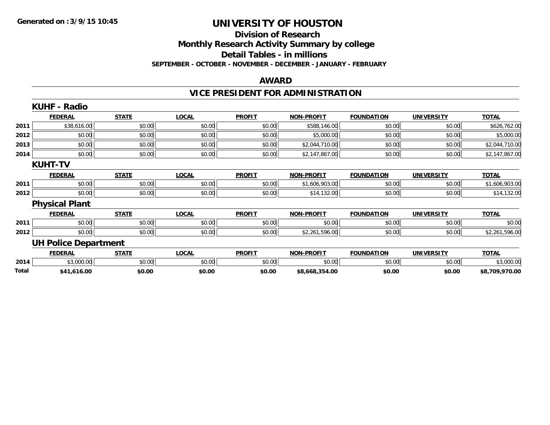### **Division of Research Monthly Research Activity Summary by college Detail Tables - in millions SEPTEMBER - OCTOBER - NOVEMBER - DECEMBER - JANUARY - FEBRUARY**

#### **AWARD**

# **VICE PRESIDENT FOR ADMINISTRATION**

|       | <b>KUHF - Radio</b>         |              |              |               |                   |                   |                   |                |
|-------|-----------------------------|--------------|--------------|---------------|-------------------|-------------------|-------------------|----------------|
|       | <b>FEDERAL</b>              | <b>STATE</b> | <b>LOCAL</b> | <b>PROFIT</b> | <b>NON-PROFIT</b> | <b>FOUNDATION</b> | <b>UNIVERSITY</b> | <b>TOTAL</b>   |
| 2011  | \$38,616.00                 | \$0.00       | \$0.00       | \$0.00        | \$588,146.00      | \$0.00            | \$0.00            | \$626,762.00   |
| 2012  | \$0.00                      | \$0.00       | \$0.00       | \$0.00        | \$5,000.00        | \$0.00            | \$0.00            | \$5,000.00     |
| 2013  | \$0.00                      | \$0.00       | \$0.00       | \$0.00        | \$2,044,710.00    | \$0.00            | \$0.00            | \$2,044,710.00 |
| 2014  | \$0.00                      | \$0.00       | \$0.00       | \$0.00        | \$2,147,867.00    | \$0.00            | \$0.00            | \$2,147,867.00 |
|       | <b>KUHT-TV</b>              |              |              |               |                   |                   |                   |                |
|       | <b>FEDERAL</b>              | <b>STATE</b> | <b>LOCAL</b> | <b>PROFIT</b> | <b>NON-PROFIT</b> | <b>FOUNDATION</b> | <b>UNIVERSITY</b> | <b>TOTAL</b>   |
| 2011  | \$0.00                      | \$0.00       | \$0.00       | \$0.00        | \$1,606,903.00    | \$0.00            | \$0.00            | \$1,606,903.00 |
| 2012  | \$0.00                      | \$0.00       | \$0.00       | \$0.00        | \$14,132.00       | \$0.00            | \$0.00            | \$14,132.00    |
|       | <b>Physical Plant</b>       |              |              |               |                   |                   |                   |                |
|       | <b>FEDERAL</b>              | <b>STATE</b> | <b>LOCAL</b> | <b>PROFIT</b> | <b>NON-PROFIT</b> | <b>FOUNDATION</b> | <b>UNIVERSITY</b> | <b>TOTAL</b>   |
| 2011  | \$0.00                      | \$0.00       | \$0.00       | \$0.00        | \$0.00            | \$0.00            | \$0.00            | \$0.00         |
| 2012  | \$0.00                      | \$0.00       | \$0.00       | \$0.00        | \$2,261,596.00    | \$0.00            | \$0.00            | \$2,261,596.00 |
|       | <b>UH Police Department</b> |              |              |               |                   |                   |                   |                |
|       | <b>FEDERAL</b>              | <b>STATE</b> | <b>LOCAL</b> | <b>PROFIT</b> | <b>NON-PROFIT</b> | <b>FOUNDATION</b> | <b>UNIVERSITY</b> | <b>TOTAL</b>   |
| 2014  | \$3,000.00                  | \$0.00       | \$0.00       | \$0.00        | \$0.00            | \$0.00            | \$0.00            | \$3,000.00     |
| Total | \$41,616.00                 | \$0.00       | \$0.00       | \$0.00        | \$8,668,354.00    | \$0.00            | \$0.00            | \$8,709,970.00 |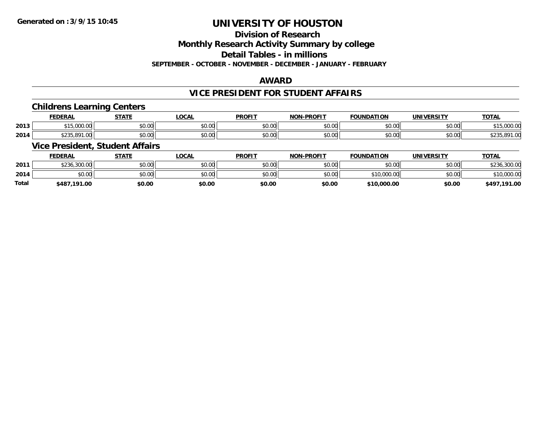# **Division of Research**

**Monthly Research Activity Summary by college**

**Detail Tables - in millions**

**SEPTEMBER - OCTOBER - NOVEMBER - DECEMBER - JANUARY - FEBRUARY**

#### **AWARD**

### **VICE PRESIDENT FOR STUDENT AFFAIRS**

### **Childrens Learning Centers**

|      | <b>FEDERAL</b>           | <b>CTATE</b>   | $\sim$<br>.UUAI         | <b>PROFIT</b>            | -PROFI <sup>T</sup><br><b>NION</b> | <b>UNDATION</b> | . <del>.</del> .                               | TOTAL                                                    |
|------|--------------------------|----------------|-------------------------|--------------------------|------------------------------------|-----------------|------------------------------------------------|----------------------------------------------------------|
| 2013 | 00000<br>.               | ሶስ ሰሰ<br>JU.UU | $\sim$ $\sim$<br>DU.UU  | 0.00<br>JU.UU            | \$0.00                             | 0000<br>JU.UU   | $\mathfrak{c} \cap \mathfrak{c} \cap$<br>JU.UU | 00000<br>$\mathcal{A} \times \mathcal{C}$<br>, 13,000.00 |
| 2014 | 001<br>ሐ ሰ ሰ ୮<br>1. V V | ሶስ ስስ<br>JU.UU | 0 <sup>0</sup><br>JU.UU | $n \cap \Omega$<br>JU.UU | \$0.00                             | 0000<br>JU.UU   | \$0.00                                         | $\sim$<br>,071.UU<br>ັ້ນມີ                               |

### **Vice President, Student Affairs**

|       | <b>FEDERAL</b> | STATE  | <u>LOCAL</u> | <b>PROFIT</b> | <b>NON-PROFIT</b> | <b>FOUNDATION</b> | <b>UNIVERSITY</b> | <b>TOTAL</b> |
|-------|----------------|--------|--------------|---------------|-------------------|-------------------|-------------------|--------------|
| 2011  | \$236,300.00   | \$0.00 | \$0.00       | \$0.00        | \$0.00            | \$0.00            | \$0.00            | \$236,300.00 |
| 2014  | \$0.00         | \$0.00 | \$0.00       | \$0.00        | \$0.00            | \$10,000.00       | \$0.00            | \$10,000.00  |
| Total | \$487.191.00   | \$0.00 | \$0.00       | \$0.00        | \$0.00            | \$10,000.00       | \$0.00            | \$497,191.00 |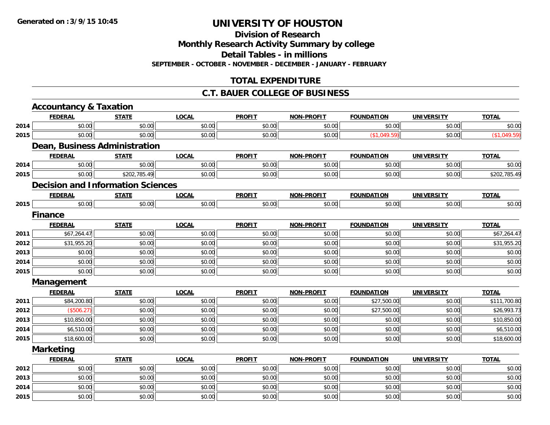**Division of Research**

**Monthly Research Activity Summary by college**

**Detail Tables - in millions**

**SEPTEMBER - OCTOBER - NOVEMBER - DECEMBER - JANUARY - FEBRUARY**

# **TOTAL EXPENDITURE**

### **C.T. BAUER COLLEGE OF BUSINESS**

|      | <b>Accountancy &amp; Taxation</b>        |              |              |               |                   |                   |                   |              |
|------|------------------------------------------|--------------|--------------|---------------|-------------------|-------------------|-------------------|--------------|
|      | <b>FEDERAL</b>                           | <b>STATE</b> | <b>LOCAL</b> | <b>PROFIT</b> | <b>NON-PROFIT</b> | <b>FOUNDATION</b> | <b>UNIVERSITY</b> | <b>TOTAL</b> |
| 2014 | \$0.00                                   | \$0.00       | \$0.00       | \$0.00        | \$0.00            | \$0.00            | \$0.00            | \$0.00       |
| 2015 | \$0.00                                   | \$0.00       | \$0.00       | \$0.00        | \$0.00            | (\$1,049.59)      | \$0.00            | (\$1,049.59) |
|      | Dean, Business Administration            |              |              |               |                   |                   |                   |              |
|      | <b>FEDERAL</b>                           | <b>STATE</b> | <b>LOCAL</b> | <b>PROFIT</b> | <b>NON-PROFIT</b> | <b>FOUNDATION</b> | <b>UNIVERSITY</b> | <b>TOTAL</b> |
| 2014 | \$0.00                                   | \$0.00       | \$0.00       | \$0.00        | \$0.00            | \$0.00            | \$0.00            | \$0.00       |
| 2015 | \$0.00                                   | \$202,785.49 | \$0.00       | \$0.00        | \$0.00            | \$0.00            | \$0.00            | \$202,785.49 |
|      | <b>Decision and Information Sciences</b> |              |              |               |                   |                   |                   |              |
|      | <b>FEDERAL</b>                           | <b>STATE</b> | <b>LOCAL</b> | <b>PROFIT</b> | <b>NON-PROFIT</b> | <b>FOUNDATION</b> | <b>UNIVERSITY</b> | <b>TOTAL</b> |
| 2015 | \$0.00                                   | \$0.00       | \$0.00       | \$0.00        | \$0.00            | \$0.00            | \$0.00            | \$0.00       |
|      | <b>Finance</b>                           |              |              |               |                   |                   |                   |              |
|      | <b>FEDERAL</b>                           | <b>STATE</b> | <b>LOCAL</b> | <b>PROFIT</b> | <b>NON-PROFIT</b> | <b>FOUNDATION</b> | <b>UNIVERSITY</b> | <b>TOTAL</b> |
| 2011 | \$67,264.47                              | \$0.00       | \$0.00       | \$0.00        | \$0.00            | \$0.00            | \$0.00            | \$67,264.47  |
| 2012 | \$31,955.20                              | \$0.00       | \$0.00       | \$0.00        | \$0.00            | \$0.00            | \$0.00            | \$31,955.20  |
| 2013 | \$0.00                                   | \$0.00       | \$0.00       | \$0.00        | \$0.00            | \$0.00            | \$0.00            | \$0.00       |
| 2014 | \$0.00                                   | \$0.00       | \$0.00       | \$0.00        | \$0.00            | \$0.00            | \$0.00            | \$0.00       |
| 2015 | \$0.00                                   | \$0.00       | \$0.00       | \$0.00        | \$0.00            | \$0.00            | \$0.00            | \$0.00       |
|      | Management                               |              |              |               |                   |                   |                   |              |
|      | <b>FEDERAL</b>                           | <b>STATE</b> | <b>LOCAL</b> | <b>PROFIT</b> | <b>NON-PROFIT</b> | <b>FOUNDATION</b> | <b>UNIVERSITY</b> | <b>TOTAL</b> |
| 2011 | \$84,200.80                              | \$0.00       | \$0.00       | \$0.00        | \$0.00            | \$27,500.00       | \$0.00            | \$111,700.80 |
| 2012 | (\$506.27)                               | \$0.00       | \$0.00       | \$0.00        | \$0.00            | \$27,500.00       | \$0.00            | \$26,993.73  |
| 2013 | \$10,850.00                              | \$0.00       | \$0.00       | \$0.00        | \$0.00            | \$0.00            | \$0.00            | \$10,850.00  |
| 2014 | \$6,510.00                               | \$0.00       | \$0.00       | \$0.00        | \$0.00            | \$0.00            | \$0.00            | \$6,510.00   |
| 2015 | \$18,600.00                              | \$0.00       | \$0.00       | \$0.00        | \$0.00            | \$0.00            | \$0.00            | \$18,600.00  |
|      | <b>Marketing</b>                         |              |              |               |                   |                   |                   |              |
|      | <b>FEDERAL</b>                           | <b>STATE</b> | <b>LOCAL</b> | <b>PROFIT</b> | <b>NON-PROFIT</b> | <b>FOUNDATION</b> | <b>UNIVERSITY</b> | <b>TOTAL</b> |
| 2012 | \$0.00                                   | \$0.00       | \$0.00       | \$0.00        | \$0.00            | \$0.00            | \$0.00            | \$0.00       |
| 2013 | \$0.00                                   | \$0.00       | \$0.00       | \$0.00        | \$0.00            | \$0.00            | \$0.00            | \$0.00       |
| 2014 | \$0.00                                   | \$0.00       | \$0.00       | \$0.00        | \$0.00            | \$0.00            | \$0.00            | \$0.00       |
| 2015 | \$0.00                                   | \$0.00       | \$0.00       | \$0.00        | \$0.00            | \$0.00            | \$0.00            | \$0.00       |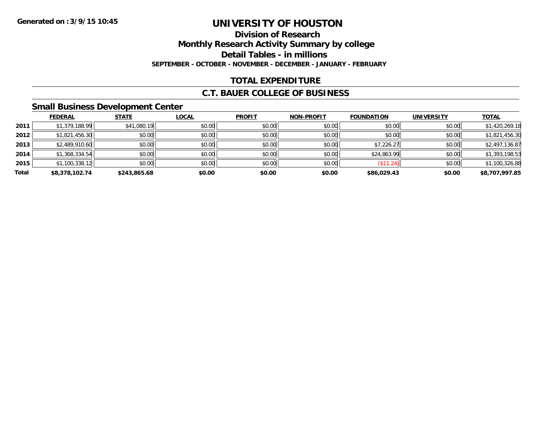# **Division of ResearchMonthly Research Activity Summary by college Detail Tables - in millions SEPTEMBER - OCTOBER - NOVEMBER - DECEMBER - JANUARY - FEBRUARY**

# **TOTAL EXPENDITURE**

### **C.T. BAUER COLLEGE OF BUSINESS**

### **Small Business Development Center**

|       | <b>FEDERAL</b> | <b>STATE</b> | <b>LOCAL</b> | <b>PROFIT</b> | <b>NON-PROFIT</b> | <b>FOUNDATION</b> | <b>UNIVERSITY</b> | <b>TOTAL</b>   |
|-------|----------------|--------------|--------------|---------------|-------------------|-------------------|-------------------|----------------|
| 2011  | \$1,379,188.99 | \$41,080.19  | \$0.00       | \$0.00        | \$0.00            | \$0.00            | \$0.00            | \$1,420,269.18 |
| 2012  | \$1,821,456.30 | \$0.00       | \$0.00       | \$0.00        | \$0.00            | \$0.00            | \$0.00            | \$1,821,456.30 |
| 2013  | \$2,489,910.60 | \$0.00       | \$0.00       | \$0.00        | \$0.00            | \$7,226.27        | \$0.00            | \$2,497,136.87 |
| 2014  | \$1,368,334.54 | \$0.00       | \$0.00       | \$0.00        | \$0.00            | \$24,863.99       | \$0.00            | \$1,393,198.53 |
| 2015  | \$1,100,338.12 | \$0.00       | \$0.00       | \$0.00        | \$0.00            | (\$11.24)         | \$0.00            | \$1,100,326.88 |
| Total | \$8,378,102.74 | \$243,865.68 | \$0.00       | \$0.00        | \$0.00            | \$86,029.43       | \$0.00            | \$8,707,997.85 |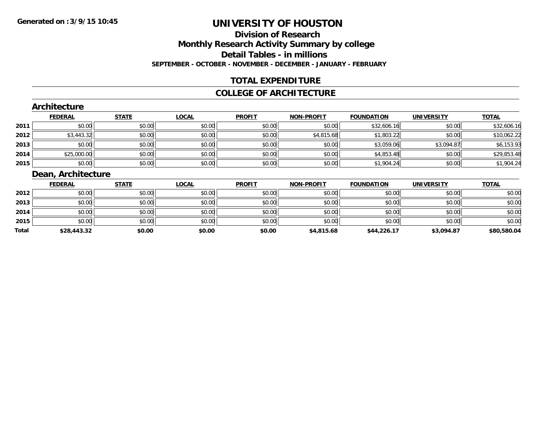# **Division of ResearchMonthly Research Activity Summary by college Detail Tables - in millionsSEPTEMBER - OCTOBER - NOVEMBER - DECEMBER - JANUARY - FEBRUARY**

# **TOTAL EXPENDITURE**

### **COLLEGE OF ARCHITECTURE**

#### **Architecture FEDERAL STATE LOCAL PROFIT NON-PROFIT FOUNDATION UNIVERSITY TOTALTOTAL 2011** $\texttt{[1]} \quad \texttt{[1]} \quad \texttt{[1]} \quad \texttt{[1]} \quad \texttt{[1]} \quad \texttt{[1]} \quad \texttt{[1]} \quad \texttt{[1]} \quad \texttt{[1]} \quad \texttt{[1]} \quad \texttt{[1]} \quad \texttt{[1]} \quad \texttt{[1]} \quad \texttt{[1]} \quad \texttt{[1]} \quad \texttt{[1]} \quad \texttt{[1]} \quad \texttt{[1]} \quad \texttt{[1]} \quad \texttt{[1]} \quad \texttt{[1]} \quad \texttt{[1]} \quad \texttt{[1]} \quad \texttt{[1]} \quad \texttt{$ **2012** $\bm{2} \mid 3,443.32 \mid 50.00 \mid 50.00 \mid 50.00 \mid 50.00 \mid 50.00 \mid 510.05.22 \mid 51.803.22 \mid 50.00 \mid 510.062.22 \mid 510.05.22 \mid 510.05.22 \mid 510.05.22 \mid 510.05.22 \mid 510.05.22 \mid 510.05.22 \mid 510.05.22 \mid 510.05.22 \mid 510.05.22 \mid 510.05.2$ **2013** $\textbf{3} \hspace{14mm} |\hspace{14mm} \text{\$5.00}] \hspace{3mm} \text{\$6.153.93}$ **2014**4 \$25,000.00 \$0.00 \$0.00 \$0.00 \$0.00 \$0.00 \$0.00 \$0.00 \$0.00 \$0.00 \$4,853.48 \$0.00 \$29,853.48 **2015**5 | \$0.00 || \$0.00 || \$0.00 || \$0.00 || \$0.00 || \$0.00 || \$0.00 || \$1,904.24 \$0.00 || \$1,904.24 \$0.00 | **Dean, Architecture**

|       | <u>FEDERAL</u> | <u>STATE</u> | <u>LOCAL</u> | <b>PROFIT</b> | <b>NON-PROFIT</b> | <b>FOUNDATION</b> | <b>UNIVERSITY</b> | <u>TOTAL</u> |
|-------|----------------|--------------|--------------|---------------|-------------------|-------------------|-------------------|--------------|
| 2012  | \$0.00         | \$0.00       | \$0.00       | \$0.00        | \$0.00            | \$0.00            | \$0.00            | \$0.00       |
| 2013  | \$0.00         | \$0.00       | \$0.00       | \$0.00        | \$0.00            | \$0.00            | \$0.00            | \$0.00       |
| 2014  | \$0.00         | \$0.00       | \$0.00       | \$0.00        | \$0.00            | \$0.00            | \$0.00            | \$0.00       |
| 2015  | \$0.00         | \$0.00       | \$0.00       | \$0.00        | \$0.00            | \$0.00            | \$0.00            | \$0.00       |
| Total | \$28,443.32    | \$0.00       | \$0.00       | \$0.00        | \$4,815.68        | \$44,226.17       | \$3,094.87        | \$80,580.04  |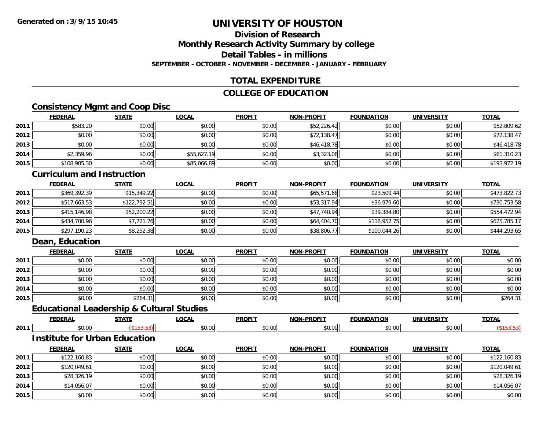### **Division of ResearchMonthly Research Activity Summary by college Detail Tables - in millionsSEPTEMBER - OCTOBER - NOVEMBER - DECEMBER - JANUARY - FEBRUARY**

# **TOTAL EXPENDITURE**

# **COLLEGE OF EDUCATION**

# **Consistency Mgmt and Coop Disc**

|      | <b>FEDERAL</b> | <b>STATE</b> | <u>LOCAL</u> | <b>PROFIT</b> | <b>NON-PROFIT</b> | <b>FOUNDATION</b> | <b>UNIVERSITY</b> | <b>TOTAL</b> |
|------|----------------|--------------|--------------|---------------|-------------------|-------------------|-------------------|--------------|
| 2011 | \$583.20       | \$0.00       | \$0.00       | \$0.00        | \$52,226.42       | \$0.00            | \$0.00            | \$52,809.62  |
| 2012 | \$0.00         | \$0.00       | \$0.00       | \$0.00        | \$72,138.47       | \$0.00            | \$0.00            | \$72,138.47  |
| 2013 | \$0.00         | \$0.00       | \$0.00       | \$0.00        | \$46,418.78       | \$0.00            | \$0.00            | \$46,418.78  |
| 2014 | \$2,359.96     | \$0.00       | \$55,627.19  | \$0.00        | \$3,323.08        | \$0.00            | \$0.00            | \$61,310.23  |
| 2015 | \$108,905.30   | \$0.00       | \$85,066.89  | \$0.00        | \$0.00            | \$0.00            | \$0.00            | \$193,972.19 |

#### **Curriculum and Instruction**

|      | <b>FEDERAL</b> | <b>STATE</b> | <b>LOCAL</b> | <b>PROFIT</b> | <b>NON-PROFIT</b> | <b>FOUNDATION</b> | <b>UNIVERSITY</b> | <b>TOTAL</b> |
|------|----------------|--------------|--------------|---------------|-------------------|-------------------|-------------------|--------------|
| 2011 | \$369,392.39   | \$15,349.22  | \$0.00       | \$0.00        | \$65,571.68       | \$23,509.44       | \$0.00            | \$473,822.73 |
| 2012 | \$517,663.53   | \$122,792.51 | \$0.00       | \$0.00        | \$53,317.94       | \$36,979.60       | \$0.00            | \$730,753.58 |
| 2013 | \$415,146.98   | \$52,200.22  | \$0.00       | \$0.00        | \$47,740.94       | \$39,384.80       | \$0.00            | \$554,472.94 |
| 2014 | \$434,700.96   | \$7,721.76   | \$0.00       | \$0.00        | \$64,404.70       | \$118,957.75      | \$0.00            | \$625,785.17 |
| 2015 | \$297,190.23   | \$8,252.38   | \$0.00       | \$0.00        | \$38,806.77       | \$100,044.26      | \$0.00            | \$444,293.65 |

# **Dean, Education**

|      | <b>FEDERAL</b> | <b>STATE</b> | <u>LOCAL</u> | <b>PROFIT</b> | <b>NON-PROFIT</b> | <b>FOUNDATION</b> | <b>UNIVERSITY</b> | <b>TOTAL</b> |
|------|----------------|--------------|--------------|---------------|-------------------|-------------------|-------------------|--------------|
| 2011 | \$0.00         | \$0.00       | \$0.00       | \$0.00        | \$0.00            | \$0.00            | \$0.00            | \$0.00       |
| 2012 | \$0.00         | \$0.00       | \$0.00       | \$0.00        | \$0.00            | \$0.00            | \$0.00            | \$0.00       |
| 2013 | \$0.00         | \$0.00       | \$0.00       | \$0.00        | \$0.00            | \$0.00            | \$0.00            | \$0.00       |
| 2014 | \$0.00         | \$0.00       | \$0.00       | \$0.00        | \$0.00            | \$0.00            | \$0.00            | \$0.00       |
| 2015 | \$0.00         | \$264.31     | \$0.00       | \$0.00        | \$0.00            | \$0.00            | \$0.00            | \$264.31     |

# **Educational Leadership & Cultural Studies**

|      | ---        | ---- | <b>OCAL</b>  | <b>DDOEIT</b><br>к,      | .<br>ורות  | υr              | .INF                         | $T^{\prime}$ |
|------|------------|------|--------------|--------------------------|------------|-----------------|------------------------------|--------------|
| 2011 | - -<br>ט.ט |      | . ഹപ<br>u.uu | $\uparrow$ $\cap$<br>,,, | ົ<br>. V V | $\Omega$<br>u.u | $\sim$ $\sim$ $\sim$<br>⊸∿∿∙ |              |

#### **Institute for Urban Education**

|      | <u>FEDERAL</u> | <b>STATE</b> | <u>LOCAL</u> | <b>PROFIT</b> | <b>NON-PROFIT</b> | <b>FOUNDATION</b> | <b>UNIVERSITY</b> | <b>TOTAL</b> |
|------|----------------|--------------|--------------|---------------|-------------------|-------------------|-------------------|--------------|
| 2011 | \$122,160.83   | \$0.00       | \$0.00       | \$0.00        | \$0.00            | \$0.00            | \$0.00            | \$122,160.83 |
| 2012 | \$120,049.61   | \$0.00       | \$0.00       | \$0.00        | \$0.00            | \$0.00            | \$0.00            | \$120,049.61 |
| 2013 | \$28,326.19    | \$0.00       | \$0.00       | \$0.00        | \$0.00            | \$0.00            | \$0.00            | \$28,326.19  |
| 2014 | \$14,056.07    | \$0.00       | \$0.00       | \$0.00        | \$0.00            | \$0.00            | \$0.00            | \$14,056.07  |
| 2015 | \$0.00         | \$0.00       | \$0.00       | \$0.00        | \$0.00            | \$0.00            | \$0.00            | \$0.00       |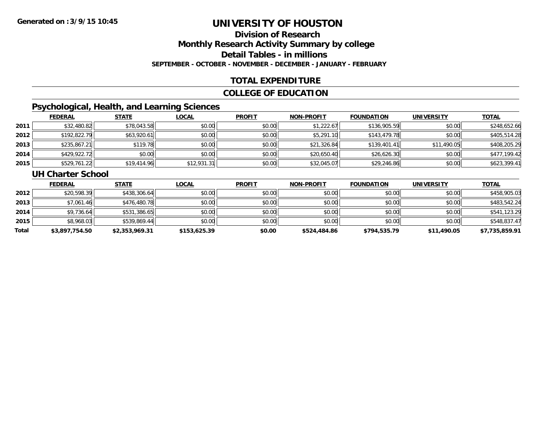# **Division of ResearchMonthly Research Activity Summary by college Detail Tables - in millions SEPTEMBER - OCTOBER - NOVEMBER - DECEMBER - JANUARY - FEBRUARY**

# **TOTAL EXPENDITURE**

### **COLLEGE OF EDUCATION**

# **Psychological, Health, and Learning Sciences**

|      | <b>FEDERAL</b> | <b>STATE</b> | <u>LOCAL</u> | <b>PROFIT</b> | <b>NON-PROFIT</b> | <b>FOUNDATION</b> | UNIVERSITY  | <b>TOTAL</b> |
|------|----------------|--------------|--------------|---------------|-------------------|-------------------|-------------|--------------|
| 2011 | \$32,480.82    | \$78,043.58  | \$0.00       | \$0.00        | \$1,222.67        | \$136,905.59      | \$0.00      | \$248,652.66 |
| 2012 | \$192,822.79   | \$63,920.61  | \$0.00       | \$0.00        | \$5,291.10        | \$143,479.78      | \$0.00      | \$405,514.28 |
| 2013 | \$235,867.21   | \$119.78     | \$0.00       | \$0.00        | \$21,326.84       | \$139,401.41      | \$11,490.05 | \$408,205.29 |
| 2014 | \$429,922.72   | \$0.00       | \$0.00       | \$0.00        | \$20,650.40       | \$26,626.30       | \$0.00      | \$477,199.42 |
| 2015 | \$529,761.22   | \$19,414.96  | \$12,931.31  | \$0.00        | \$32,045.07       | \$29,246.86       | \$0.00      | \$623,399.41 |

### **UH Charter School**

|       | <b>FEDERAL</b> | <b>STATE</b>   | <u>LOCAL</u> | <b>PROFIT</b> | <b>NON-PROFIT</b> | <b>FOUNDATION</b> | <b>UNIVERSITY</b> | <b>TOTAL</b>   |
|-------|----------------|----------------|--------------|---------------|-------------------|-------------------|-------------------|----------------|
| 2012  | \$20,598.39    | \$438,306.64   | \$0.00       | \$0.00        | \$0.00            | \$0.00            | \$0.00            | \$458,905.03   |
| 2013  | \$7,061.46     | \$476,480.78   | \$0.00       | \$0.00        | \$0.00            | \$0.00            | \$0.00            | \$483,542.24   |
| 2014  | \$9,736.64     | \$531,386.65   | \$0.00       | \$0.00        | \$0.00            | \$0.00            | \$0.00            | \$541,123.29   |
| 2015  | \$8,968.03     | \$539,869.44   | \$0.00       | \$0.00        | \$0.00            | \$0.00            | \$0.00            | \$548,837.47   |
| Total | \$3,897,754.50 | \$2,353,969.31 | \$153,625.39 | \$0.00        | \$524,484.86      | \$794,535.79      | \$11,490.05       | \$7,735,859.91 |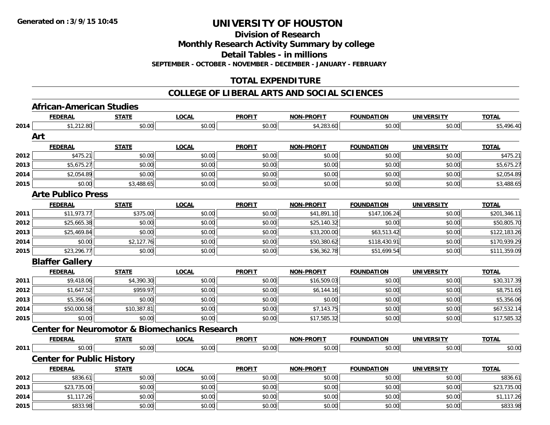**Division of Research**

**Monthly Research Activity Summary by college**

**Detail Tables - in millions**

**SEPTEMBER - OCTOBER - NOVEMBER - DECEMBER - JANUARY - FEBRUARY**

# **TOTAL EXPENDITURE**

#### **COLLEGE OF LIBERAL ARTS AND SOCIAL SCIENCES**

# **African-American Studies**

|      | <b>FEDERAL</b>                                           | <b>STATE</b> | <b>LOCAL</b> | <b>PROFIT</b> | <b>NON-PROFIT</b> | <b>FOUNDATION</b> | <b>UNIVERSITY</b> | <b>TOTAL</b> |
|------|----------------------------------------------------------|--------------|--------------|---------------|-------------------|-------------------|-------------------|--------------|
| 2014 | \$1,212.80                                               | \$0.00       | \$0.00       | \$0.00        | \$4,283.60        | \$0.00            | \$0.00            | \$5,496.40   |
|      | Art                                                      |              |              |               |                   |                   |                   |              |
|      | <b>FEDERAL</b>                                           | <b>STATE</b> | <b>LOCAL</b> | <b>PROFIT</b> | <b>NON-PROFIT</b> | <b>FOUNDATION</b> | <b>UNIVERSITY</b> | <b>TOTAL</b> |
| 2012 | \$475.21                                                 | \$0.00       | \$0.00       | \$0.00        | \$0.00            | \$0.00            | \$0.00            | \$475.21     |
| 2013 | \$5,675.27                                               | \$0.00       | \$0.00       | \$0.00        | \$0.00            | \$0.00            | \$0.00            | \$5,675.27   |
| 2014 | \$2,054.89                                               | \$0.00       | \$0.00       | \$0.00        | \$0.00            | \$0.00            | \$0.00            | \$2,054.89   |
| 2015 | \$0.00                                                   | \$3,488.65   | \$0.00       | \$0.00        | \$0.00            | \$0.00            | \$0.00            | \$3,488.65   |
|      | <b>Arte Publico Press</b>                                |              |              |               |                   |                   |                   |              |
|      | <b>FEDERAL</b>                                           | <b>STATE</b> | <b>LOCAL</b> | <b>PROFIT</b> | <b>NON-PROFIT</b> | <b>FOUNDATION</b> | <b>UNIVERSITY</b> | <b>TOTAL</b> |
| 2011 | \$11,973.77                                              | \$375.00     | \$0.00       | \$0.00        | \$41,891.10       | \$147,106.24      | \$0.00            | \$201,346.11 |
| 2012 | \$25,665.38                                              | \$0.00       | \$0.00       | \$0.00        | \$25,140.32       | \$0.00            | \$0.00            | \$50,805.70  |
| 2013 | \$25,469.84                                              | \$0.00       | \$0.00       | \$0.00        | \$33,200.00       | \$63,513.42       | \$0.00            | \$122,183.26 |
| 2014 | \$0.00                                                   | \$2,127.76   | \$0.00       | \$0.00        | \$50,380.62       | \$118,430.91      | \$0.00            | \$170,939.29 |
| 2015 | \$23,296.77                                              | \$0.00       | \$0.00       | \$0.00        | \$36,362.78       | \$51,699.54       | \$0.00            | \$111,359.09 |
|      | <b>Blaffer Gallery</b>                                   |              |              |               |                   |                   |                   |              |
|      | <b>FEDERAL</b>                                           | <b>STATE</b> | <b>LOCAL</b> | <b>PROFIT</b> | <b>NON-PROFIT</b> | <b>FOUNDATION</b> | <b>UNIVERSITY</b> | <b>TOTAL</b> |
| 2011 | \$9,418.06                                               | \$4,390.30   | \$0.00       | \$0.00        | \$16,509.03       | \$0.00            | \$0.00            | \$30,317.39  |
| 2012 | \$1,647.52                                               | \$959.97     | \$0.00       | \$0.00        | \$6,144.16        | \$0.00            | \$0.00            | \$8,751.65   |
| 2013 | \$5,356.06                                               | \$0.00       | \$0.00       | \$0.00        | \$0.00            | \$0.00            | \$0.00            | \$5,356.06   |
| 2014 | \$50,000.58                                              | \$10,387.81  | \$0.00       | \$0.00        | \$7,143.75        | \$0.00            | \$0.00            | \$67,532.14  |
| 2015 | \$0.00                                                   | \$0.00       | \$0.00       | \$0.00        | \$17,585.32       | \$0.00            | \$0.00            | \$17,585.32  |
|      | <b>Center for Neuromotor &amp; Biomechanics Research</b> |              |              |               |                   |                   |                   |              |
|      | <b>FEDERAL</b>                                           | <b>STATE</b> | <b>LOCAL</b> | <b>PROFIT</b> | <b>NON-PROFIT</b> | <b>FOUNDATION</b> | <b>UNIVERSITY</b> | <b>TOTAL</b> |
| 2011 | \$0.00                                                   | \$0.00       | \$0.00       | \$0.00        | \$0.00            | \$0.00            | \$0.00            | \$0.00       |
|      | <b>Center for Public History</b>                         |              |              |               |                   |                   |                   |              |
|      | <b>FEDERAL</b>                                           | <b>STATE</b> | <b>LOCAL</b> | <b>PROFIT</b> | <b>NON-PROFIT</b> | <b>FOUNDATION</b> | <b>UNIVERSITY</b> | <b>TOTAL</b> |
| 2012 | \$836.61                                                 | \$0.00       | \$0.00       | \$0.00        | \$0.00            | \$0.00            | \$0.00            | \$836.61     |
| 2013 | \$23,735.00                                              | \$0.00       | \$0.00       | \$0.00        | \$0.00            | \$0.00            | \$0.00            | \$23,735.00  |
| 2014 | \$1,117.26                                               | \$0.00       | \$0.00       | \$0.00        | \$0.00            | \$0.00            | \$0.00            | \$1,117.26   |
| 2015 | \$833.98                                                 | \$0.00       | \$0.00       | \$0.00        | \$0.00            | \$0.00            | \$0.00            | \$833.98     |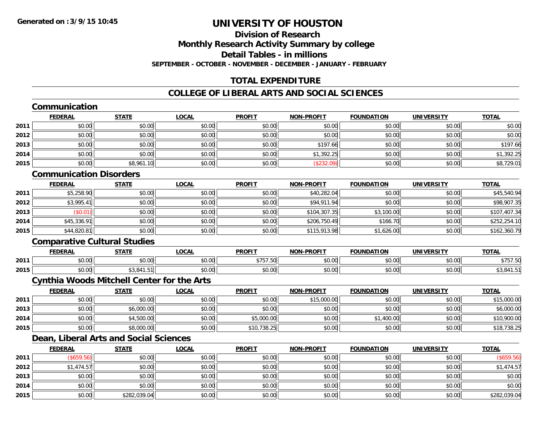### **Division of ResearchMonthly Research Activity Summary by college Detail Tables - in millionsSEPTEMBER - OCTOBER - NOVEMBER - DECEMBER - JANUARY - FEBRUARY**

# **TOTAL EXPENDITURE**

# **COLLEGE OF LIBERAL ARTS AND SOCIAL SCIENCES**

# **Communication**

|      | <b>FEDERAL</b> | <b>STATE</b> | <u>LOCAL</u> | <b>PROFIT</b> | <b>NON-PROFIT</b> | <b>FOUNDATION</b> | <b>UNIVERSITY</b> | <b>TOTAL</b> |
|------|----------------|--------------|--------------|---------------|-------------------|-------------------|-------------------|--------------|
| 2011 | \$0.00         | \$0.00       | \$0.00       | \$0.00        | \$0.00            | \$0.00            | \$0.00            | \$0.00       |
| 2012 | \$0.00         | \$0.00       | \$0.00       | \$0.00        | \$0.00            | \$0.00            | \$0.00            | \$0.00       |
| 2013 | \$0.00         | \$0.00       | \$0.00       | \$0.00        | \$197.66          | \$0.00            | \$0.00            | \$197.66     |
| 2014 | \$0.00         | \$0.00       | \$0.00       | \$0.00        | \$1,392.25        | \$0.00            | \$0.00            | \$1,392.25   |
| 2015 | \$0.00         | \$8,961.10   | \$0.00       | \$0.00        | (\$232.09)        | \$0.00            | \$0.00            | \$8,729.01   |

### **Communication Disorders**

|      | <u>FEDERAL</u> | <b>STATE</b> | <u>LOCAL</u> | <b>PROFIT</b> | <b>NON-PROFIT</b> | <b>FOUNDATION</b> | <b>UNIVERSITY</b> | <b>TOTAL</b> |
|------|----------------|--------------|--------------|---------------|-------------------|-------------------|-------------------|--------------|
| 2011 | \$5,258.90     | \$0.00       | \$0.00       | \$0.00        | \$40,282.04       | \$0.00            | \$0.00            | \$45,540.94  |
| 2012 | \$3,995.41     | \$0.00       | \$0.00       | \$0.00        | \$94,911.94       | \$0.00            | \$0.00            | \$98,907.35  |
| 2013 | \$0.01         | \$0.00       | \$0.00       | \$0.00        | \$104,307.35      | \$3,100.00        | \$0.00            | \$107,407.34 |
| 2014 | \$45,336.91    | \$0.00       | \$0.00       | \$0.00        | \$206,750.49      | \$166.70          | \$0.00            | \$252,254.10 |
| 2015 | \$44,820.81    | \$0.00       | \$0.00       | \$0.00        | \$115,913.98      | \$1,626.00        | \$0.00            | \$162,360.79 |

# **Comparative Cultural Studies**

|      | <b>FEDERAL</b> | C T A T C                       | _OCAL                  | <b>PROFIT</b>                                        | <b>LPROFIT</b><br><b>NON</b>  | <b>FOUNDATION</b>        | $1111111$ $FDC1$ $T1$<br>UN | <b>TOTA</b>     |
|------|----------------|---------------------------------|------------------------|------------------------------------------------------|-------------------------------|--------------------------|-----------------------------|-----------------|
| 2011 | 0000<br>DU.UU  | \$0.00                          | $\sim$ $\sim$<br>vv.vu | $\sim$ $\sim$ $\sim$ $\sim$ $\sim$ $\sim$<br>,,,,,,, | $\sim$ $\sim$ $\sim$<br>vv.vv | $n \cap \Omega$<br>JU.UU | 0000<br>vv.vv               | きフロフ にん<br>ن رب |
| 2015 | 0000<br>PU.UU  | 0.11<br>$-4$<br><b>JJ.041.J</b> | $\sim$<br>vv.vv        | 0000<br>DU.UU                                        | vu.vu                         | $n \cap \Omega$<br>JU.UU | 0000<br>PO.OO               | ט.וד<br>ن, ت⊊   |

## **Cynthia Woods Mitchell Center for the Arts**

|      | <b>FEDERAL</b> | <u>STATE</u> | <u>LOCAL</u> | <b>PROFIT</b> | <b>NON-PROFIT</b> | <b>FOUNDATION</b>        | <b>UNIVERSITY</b> | <b>TOTAL</b> |
|------|----------------|--------------|--------------|---------------|-------------------|--------------------------|-------------------|--------------|
| 2011 | \$0.00         | \$0.00       | \$0.00       | \$0.00        | \$15,000.00       | \$0.00                   | \$0.00            | \$15,000.00  |
| 2013 | \$0.00         | \$6,000.00   | \$0.00       | \$0.00        | \$0.00            | \$0.00                   | \$0.00            | \$6,000.00   |
| 2014 | \$0.00         | \$4,500.00   | \$0.00       | \$5,000.00    | \$0.00            | \$1,400.00<br><b>ሮ 1</b> | \$0.00            | \$10,900.00  |
| 2015 | \$0.00         | \$8,000.00   | \$0.00       | \$10,738.25   | \$0.00            | \$0.00                   | \$0.00            | \$18,738.25  |

# **Dean, Liberal Arts and Social Sciences**

|      | <u>FEDERAL</u> | <b>STATE</b> | <u>LOCAL</u> | <b>PROFIT</b> | <b>NON-PROFIT</b> | <b>FOUNDATION</b> | <b>UNIVERSITY</b> | <b>TOTAL</b> |
|------|----------------|--------------|--------------|---------------|-------------------|-------------------|-------------------|--------------|
| 2011 | (\$659.56)     | \$0.00       | \$0.00       | \$0.00        | \$0.00            | \$0.00            | \$0.00            | (\$659.56)   |
| 2012 | \$1,474.57     | \$0.00       | \$0.00       | \$0.00        | \$0.00            | \$0.00            | \$0.00            | \$1,474.57   |
| 2013 | \$0.00         | \$0.00       | \$0.00       | \$0.00        | \$0.00            | \$0.00            | \$0.00            | \$0.00       |
| 2014 | \$0.00         | \$0.00       | \$0.00       | \$0.00        | \$0.00            | \$0.00            | \$0.00            | \$0.00       |
| 2015 | \$0.00         | \$282,039.04 | \$0.00       | \$0.00        | \$0.00            | \$0.00            | \$0.00            | \$282,039.04 |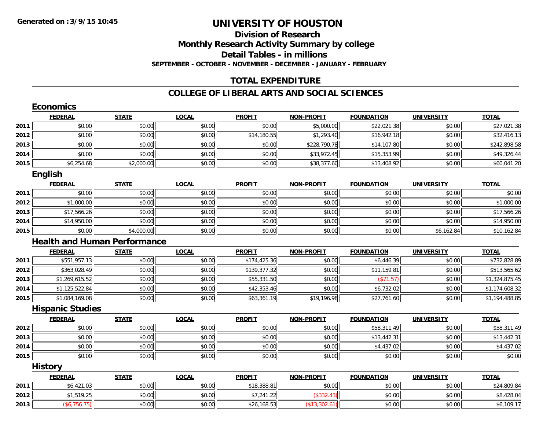# **Division of ResearchMonthly Research Activity Summary by college Detail Tables - in millions**

**SEPTEMBER - OCTOBER - NOVEMBER - DECEMBER - JANUARY - FEBRUARY**

# **TOTAL EXPENDITURE**

|      | <b>FEDERAL</b>          | <b>STATE</b>                        | <b>LOCAL</b> | <b>PROFIT</b> | <b>NON-PROFIT</b> | <b>FOUNDATION</b> | <b>UNIVERSITY</b> | <b>TOTAL</b>   |
|------|-------------------------|-------------------------------------|--------------|---------------|-------------------|-------------------|-------------------|----------------|
| 2011 | \$0.00                  | \$0.00                              | \$0.00       | \$0.00        | \$5,000.00        | \$22,021.38       | \$0.00            | \$27,021.38    |
| 2012 | \$0.00                  | \$0.00                              | \$0.00       | \$14,180.55   | \$1,293.40        | \$16,942.18       | \$0.00            | \$32,416.13    |
| 2013 | \$0.00                  | \$0.00                              | \$0.00       | \$0.00        | \$228,790.78      | \$14,107.80       | \$0.00            | \$242,898.58   |
| 2014 | \$0.00                  | \$0.00                              | \$0.00       | \$0.00        | \$33,972.45       | \$15,353.99       | \$0.00            | \$49,326.44    |
| 2015 | \$6,254.68              | \$2,000.00                          | \$0.00       | \$0.00        | \$38,377.60       | \$13,408.92       | \$0.00            | \$60,041.20    |
|      | <b>English</b>          |                                     |              |               |                   |                   |                   |                |
|      | <b>FEDERAL</b>          | <b>STATE</b>                        | <b>LOCAL</b> | <b>PROFIT</b> | <b>NON-PROFIT</b> | <b>FOUNDATION</b> | <b>UNIVERSITY</b> | <b>TOTAL</b>   |
| 2011 | \$0.00                  | \$0.00                              | \$0.00       | \$0.00        | \$0.00            | \$0.00            | \$0.00            | \$0.00         |
| 2012 | \$1,000.00              | \$0.00                              | \$0.00       | \$0.00        | \$0.00            | \$0.00            | \$0.00            | \$1,000.00     |
| 2013 | \$17,566.26             | \$0.00                              | \$0.00       | \$0.00        | \$0.00            | \$0.00            | \$0.00            | \$17,566.26    |
| 2014 | \$14,950.00             | \$0.00                              | \$0.00       | \$0.00        | \$0.00            | \$0.00            | \$0.00            | \$14,950.00    |
| 2015 | \$0.00                  | \$4,000.00                          | \$0.00       | \$0.00        | \$0.00            | \$0.00            | \$6,162.84        | \$10,162.84    |
|      |                         | <b>Health and Human Performance</b> |              |               |                   |                   |                   |                |
|      | <b>FEDERAL</b>          | <b>STATE</b>                        | <b>LOCAL</b> | <b>PROFIT</b> | <b>NON-PROFIT</b> | <b>FOUNDATION</b> | <b>UNIVERSITY</b> | <b>TOTAL</b>   |
| 2011 | \$551,957.13            | \$0.00                              | \$0.00       | \$174,425.36  | \$0.00            | \$6,446.39        | \$0.00            | \$732,828.89   |
| 2012 | \$363,028.49            | \$0.00                              | \$0.00       | \$139,377.32  | \$0.00            | \$11,159.81       | \$0.00            | \$513,565.62   |
| 2013 | \$1,269,615.52          | \$0.00                              | \$0.00       | \$55,331.50   | \$0.00            | (\$71.57)         | \$0.00            | \$1,324,875.45 |
| 2014 | \$1,125,522.84          | \$0.00                              | \$0.00       | \$42,353.46   | \$0.00            | \$6,732.02        | \$0.00            | \$1,174,608.32 |
| 2015 | \$1,084,169.08          | \$0.00                              | \$0.00       | \$63,361.19   | \$19,196.98       | \$27,761.60       | \$0.00            | \$1,194,488.85 |
|      | <b>Hispanic Studies</b> |                                     |              |               |                   |                   |                   |                |
|      | <b>FEDERAL</b>          | <b>STATE</b>                        | <b>LOCAL</b> | <b>PROFIT</b> | <b>NON-PROFIT</b> | <b>FOUNDATION</b> | <b>UNIVERSITY</b> | <b>TOTAL</b>   |
| 2012 | \$0.00                  | \$0.00                              | \$0.00       | \$0.00        | \$0.00            | \$58,311.49       | \$0.00            | \$58,311.49    |
| 2013 | \$0.00                  | \$0.00                              | \$0.00       | \$0.00        | \$0.00            | \$13,442.31       | \$0.00            | \$13,442.31    |
| 2014 | \$0.00                  | \$0.00                              | \$0.00       | \$0.00        | \$0.00            | \$4,437.02        | \$0.00            | \$4,437.02     |
| 2015 | \$0.00                  | \$0.00                              | \$0.00       | \$0.00        | \$0.00            | \$0.00            | \$0.00            | \$0.00         |
|      | <b>History</b>          |                                     |              |               |                   |                   |                   |                |
|      | <b>FEDERAL</b>          | <b>STATE</b>                        | <b>LOCAL</b> | <b>PROFIT</b> | <b>NON-PROFIT</b> | <b>FOUNDATION</b> | <b>UNIVERSITY</b> | <b>TOTAL</b>   |
| 2011 | \$6,421.03              | \$0.00                              | \$0.00       | \$18,388.81   | \$0.00            | \$0.00            | \$0.00            | \$24,809.84    |
| 2012 | \$1,519.25              | \$0.00                              | \$0.00       | \$7,241.22    | (\$332.43)        | \$0.00            | \$0.00            | \$8,428.04     |
| 2013 | (\$6,756.75)            | \$0.00                              | \$0.00       | \$26,168.53   | (\$13,302.61)     | \$0.00            | \$0.00            | \$6,109.17     |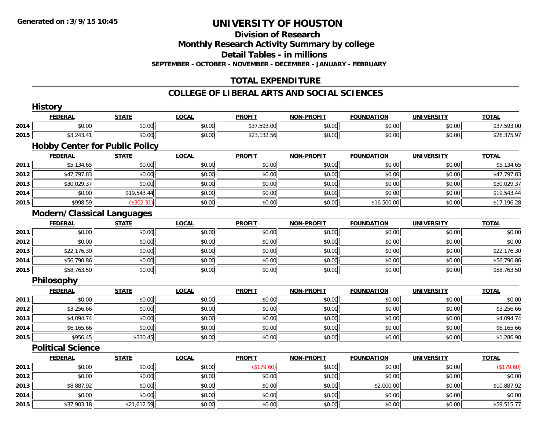#### **Division of Research**

**Monthly Research Activity Summary by college**

**Detail Tables - in millions**

**SEPTEMBER - OCTOBER - NOVEMBER - DECEMBER - JANUARY - FEBRUARY**

# **TOTAL EXPENDITURE**

|      | <b>History</b>                        |              |              |               |                   |                   |                   |              |
|------|---------------------------------------|--------------|--------------|---------------|-------------------|-------------------|-------------------|--------------|
|      | <b>FEDERAL</b>                        | <b>STATE</b> | <b>LOCAL</b> | <b>PROFIT</b> | <b>NON-PROFIT</b> | <b>FOUNDATION</b> | <b>UNIVERSITY</b> | <b>TOTAL</b> |
| 2014 | \$0.00                                | \$0.00       | \$0.00       | \$37,593.00   | \$0.00            | \$0.00            | \$0.00            | \$37,593.00  |
| 2015 | \$3,243.41                            | \$0.00       | \$0.00       | \$23,132.56   | \$0.00            | \$0.00            | \$0.00            | \$26,375.97  |
|      | <b>Hobby Center for Public Policy</b> |              |              |               |                   |                   |                   |              |
|      | <b>FEDERAL</b>                        | <b>STATE</b> | <b>LOCAL</b> | <b>PROFIT</b> | NON-PROFIT        | <b>FOUNDATION</b> | <b>UNIVERSITY</b> | <b>TOTAL</b> |
| 2011 | \$5,134.65                            | \$0.00       | \$0.00       | \$0.00        | \$0.00            | \$0.00            | \$0.00            | \$5,134.65   |
| 2012 | \$47,797.83                           | \$0.00       | \$0.00       | \$0.00        | \$0.00            | \$0.00            | \$0.00            | \$47,797.83  |
| 2013 | \$30,029.37                           | \$0.00       | \$0.00       | \$0.00        | \$0.00            | \$0.00            | \$0.00            | \$30,029.37  |
| 2014 | \$0.00                                | \$19,543.44  | \$0.00       | \$0.00        | \$0.00            | \$0.00            | \$0.00            | \$19,543.44  |
| 2015 | \$998.59                              | (\$302.31)   | \$0.00       | \$0.00        | \$0.00            | \$16,500.00       | \$0.00            | \$17,196.28  |
|      | <b>Modern/Classical Languages</b>     |              |              |               |                   |                   |                   |              |
|      | <b>FEDERAL</b>                        | <b>STATE</b> | <b>LOCAL</b> | <b>PROFIT</b> | <b>NON-PROFIT</b> | <b>FOUNDATION</b> | <b>UNIVERSITY</b> | <b>TOTAL</b> |
| 2011 | \$0.00                                | \$0.00       | \$0.00       | \$0.00        | \$0.00            | \$0.00            | \$0.00            | \$0.00       |
| 2012 | \$0.00                                | \$0.00       | \$0.00       | \$0.00        | \$0.00            | \$0.00            | \$0.00            | \$0.00       |
| 2013 | \$22,176.30                           | \$0.00       | \$0.00       | \$0.00        | \$0.00            | \$0.00            | \$0.00            | \$22,176.30  |
| 2014 | \$56,790.86                           | \$0.00       | \$0.00       | \$0.00        | \$0.00            | \$0.00            | \$0.00            | \$56,790.86  |
| 2015 | \$58,763.50                           | \$0.00       | \$0.00       | \$0.00        | \$0.00            | \$0.00            | \$0.00            | \$58,763.50  |
|      | <b>Philosophy</b>                     |              |              |               |                   |                   |                   |              |
|      | <b>FEDERAL</b>                        | <b>STATE</b> | <b>LOCAL</b> | <b>PROFIT</b> | <b>NON-PROFIT</b> | <b>FOUNDATION</b> | <b>UNIVERSITY</b> | <b>TOTAL</b> |
| 2011 | \$0.00                                | \$0.00       | \$0.00       | \$0.00        | \$0.00            | \$0.00            | \$0.00            | \$0.00       |
| 2012 | \$3,256.66                            | \$0.00       | \$0.00       | \$0.00        | \$0.00            | \$0.00            | \$0.00            | \$3,256.66   |
| 2013 | \$4,094.74                            | \$0.00       | \$0.00       | \$0.00        | \$0.00            | \$0.00            | \$0.00            | \$4,094.74   |
| 2014 | \$6,165.66                            | \$0.00       | \$0.00       | \$0.00        | \$0.00            | \$0.00            | \$0.00            | \$6,165.66   |
| 2015 | \$956.45                              | \$330.45     | \$0.00       | \$0.00        | \$0.00            | \$0.00            | \$0.00            | \$1,286.90   |
|      | <b>Political Science</b>              |              |              |               |                   |                   |                   |              |
|      | <b>FEDERAL</b>                        | <b>STATE</b> | <b>LOCAL</b> | <b>PROFIT</b> | <b>NON-PROFIT</b> | <b>FOUNDATION</b> | <b>UNIVERSITY</b> | <b>TOTAL</b> |
| 2011 | \$0.00                                | \$0.00       | \$0.00       | (\$179.60)    | \$0.00            | \$0.00            | \$0.00            | (\$179.60)   |
| 2012 | \$0.00                                | \$0.00       | \$0.00       | \$0.00        | \$0.00            | \$0.00            | \$0.00            | \$0.00       |
| 2013 | \$8,887.92                            | \$0.00       | \$0.00       | \$0.00        | \$0.00            | \$2,000.00        | \$0.00            | \$10,887.92  |
| 2014 | \$0.00                                | \$0.00       | \$0.00       | \$0.00        | \$0.00            | \$0.00            | \$0.00            | \$0.00       |
| 2015 | \$37,903.18                           | \$21,612.59  | \$0.00       | \$0.00        | \$0.00            | \$0.00            | \$0.00            | \$59,515.77  |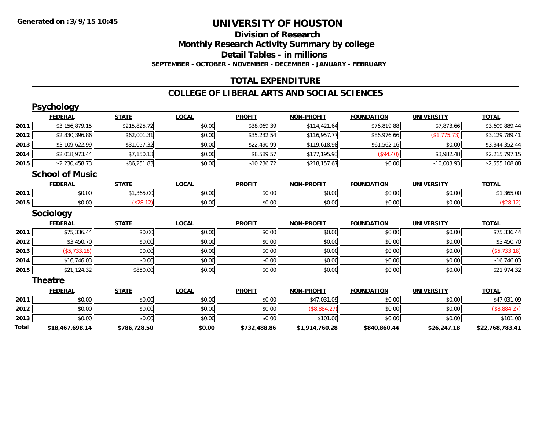### **Division of Research Monthly Research Activity Summary by college Detail Tables - in millions SEPTEMBER - OCTOBER - NOVEMBER - DECEMBER - JANUARY - FEBRUARY**

# **TOTAL EXPENDITURE**

|       | <b>Psychology</b>      |              |              |               |                   |                   |                   |                 |
|-------|------------------------|--------------|--------------|---------------|-------------------|-------------------|-------------------|-----------------|
|       | <b>FEDERAL</b>         | <b>STATE</b> | <b>LOCAL</b> | <b>PROFIT</b> | <b>NON-PROFIT</b> | <b>FOUNDATION</b> | <b>UNIVERSITY</b> | <b>TOTAL</b>    |
| 2011  | \$3,156,879.15         | \$215,825.72 | \$0.00       | \$38,069.39   | \$114,421.64      | \$76,819.88       | \$7,873.66        | \$3,609,889.44  |
| 2012  | \$2,830,396.86         | \$62,001.31  | \$0.00       | \$35,232.54   | \$116,957.77      | \$86,976.66       | (\$1,775.73)      | \$3,129,789.41  |
| 2013  | \$3,109,622.99         | \$31,057.32  | \$0.00       | \$22,490.99   | \$119,618.98      | \$61,562.16       | \$0.00            | \$3,344,352.44  |
| 2014  | \$2,018,973.44         | \$7,150.13   | \$0.00       | \$8,589.57    | \$177,195.93      | (\$94.40)         | \$3,982.48        | \$2,215,797.15  |
| 2015  | \$2,230,458.73         | \$86,251.83  | \$0.00       | \$10,236.72   | \$218,157.67      | \$0.00            | \$10,003.93       | \$2,555,108.88  |
|       | <b>School of Music</b> |              |              |               |                   |                   |                   |                 |
|       | <b>FEDERAL</b>         | <b>STATE</b> | <b>LOCAL</b> | <b>PROFIT</b> | <b>NON-PROFIT</b> | <b>FOUNDATION</b> | <b>UNIVERSITY</b> | <b>TOTAL</b>    |
| 2011  | \$0.00                 | \$1,365.00   | \$0.00       | \$0.00        | \$0.00            | \$0.00            | \$0.00            | \$1,365.00      |
| 2015  | \$0.00                 | (\$28.12)    | \$0.00       | \$0.00        | \$0.00            | \$0.00            | \$0.00            | (\$28.12)       |
|       | Sociology              |              |              |               |                   |                   |                   |                 |
|       | <b>FEDERAL</b>         | <b>STATE</b> | <b>LOCAL</b> | <b>PROFIT</b> | <b>NON-PROFIT</b> | <b>FOUNDATION</b> | <b>UNIVERSITY</b> | <b>TOTAL</b>    |
| 2011  | \$75,336.44            | \$0.00       | \$0.00       | \$0.00        | \$0.00            | \$0.00            | \$0.00            | \$75,336.44     |
| 2012  | \$3,450.70             | \$0.00       | \$0.00       | \$0.00        | \$0.00            | \$0.00            | \$0.00            | \$3,450.70      |
| 2013  | (\$5,733.18)           | \$0.00       | \$0.00       | \$0.00        | \$0.00            | \$0.00            | \$0.00            | $($ \$5,733.18) |
| 2014  | \$16,746.03            | \$0.00       | \$0.00       | \$0.00        | \$0.00            | \$0.00            | \$0.00            | \$16,746.03     |
| 2015  | \$21,124.32            | \$850.00     | \$0.00       | \$0.00        | \$0.00            | \$0.00            | \$0.00            | \$21,974.32     |
|       | <b>Theatre</b>         |              |              |               |                   |                   |                   |                 |
|       | <b>FEDERAL</b>         | <b>STATE</b> | <b>LOCAL</b> | <b>PROFIT</b> | <b>NON-PROFIT</b> | <b>FOUNDATION</b> | <b>UNIVERSITY</b> | <b>TOTAL</b>    |
| 2011  | \$0.00                 | \$0.00       | \$0.00       | \$0.00        | \$47,031.09       | \$0.00            | \$0.00            | \$47,031.09     |
| 2012  | \$0.00                 | \$0.00       | \$0.00       | \$0.00        | (\$8,884.27)      | \$0.00            | \$0.00            | (\$8,884.27)    |
| 2013  | \$0.00                 | \$0.00       | \$0.00       | \$0.00        | \$101.00          | \$0.00            | \$0.00            | \$101.00        |
| Total | \$18,467,698.14        | \$786,728.50 | \$0.00       | \$732,488.86  | \$1,914,760.28    | \$840,860.44      | \$26,247.18       | \$22,768,783.41 |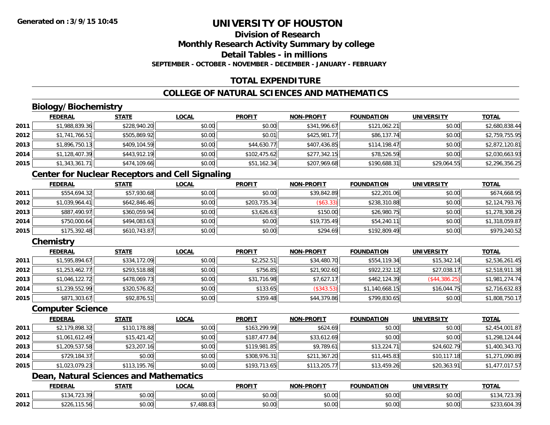# **Division of Research**

**Monthly Research Activity Summary by college**

**Detail Tables - in millions**

**SEPTEMBER - OCTOBER - NOVEMBER - DECEMBER - JANUARY - FEBRUARY**

# **TOTAL EXPENDITURE**

# **COLLEGE OF NATURAL SCIENCES AND MATHEMATICS**

# **Biology/Biochemistry**

|      | <b>FEDERAL</b> | <u>STATE</u> | <b>LOCAL</b> | <b>PROFIT</b> | <b>NON-PROFIT</b> | <b>FOUNDATION</b> | <b>UNIVERSITY</b> | <b>TOTAL</b>   |
|------|----------------|--------------|--------------|---------------|-------------------|-------------------|-------------------|----------------|
| 2011 | \$1,988,839.36 | \$228,940.20 | \$0.00       | \$0.00        | \$341,996.67      | \$121,062.21      | \$0.00            | \$2,680,838.44 |
| 2012 | \$1,741,766.51 | \$505,869.92 | \$0.00       | \$0.01        | \$425,981.77      | \$86,137.74       | \$0.00            | \$2,759,755.95 |
| 2013 | \$1,896,750.13 | \$409,104.59 | \$0.00       | \$44,630.77   | \$407,436.85      | \$114,198.47      | \$0.00            | \$2,872,120.81 |
| 2014 | \$1,128,407.39 | \$443,912.19 | \$0.00       | \$102,475.62  | \$277,342.15      | \$78,526.59       | \$0.00            | \$2,030,663.93 |
| 2015 | \$1,343,361.71 | \$474,109.66 | \$0.00       | \$51,162.34   | \$207,969.68      | \$190,688.31      | \$29,064.55       | \$2,296,356.25 |

### **Center for Nuclear Receptors and Cell Signaling**

|      | <u>FEDERAL</u> | <b>STATE</b> | <u>LOCAL</u> | <b>PROFIT</b> | <b>NON-PROFIT</b> | <b>FOUNDATION</b> | <b>UNIVERSITY</b> | <b>TOTAL</b>   |
|------|----------------|--------------|--------------|---------------|-------------------|-------------------|-------------------|----------------|
| 2011 | \$554,694.32   | \$57,930.68  | \$0.00       | \$0.00        | \$39,842.89       | \$22,201.06       | \$0.00            | \$674,668.95   |
| 2012 | \$1.039.964.41 | \$642.846.46 | \$0.00       | \$203,735.34  | $$63.33$ ]        | \$238,310.88      | \$0.00            | \$2,124,793.76 |
| 2013 | \$887,490.97   | \$360.059.94 | \$0.00       | \$3.626.63    | \$150.00          | \$26,980.75       | \$0.00            | \$1,278,308.29 |
| 2014 | \$750,000.64   | \$494,083.63 | \$0.00       | \$0.00        | \$19,735.49       | \$54,240.11       | \$0.00            | \$1,318,059.87 |
| 2015 | \$175,392.48   | \$610,743.87 | \$0.00       | \$0.00        | \$294.69          | \$192,809.49      | \$0.00            | \$979,240.52   |

# **Chemistry**

|      | <b>FEDERAL</b> | <b>STATE</b> | <b>LOCAL</b> | <b>PROFIT</b> | <b>NON-PROFIT</b> | <b>FOUNDATION</b> | UNIVERSITY    | <b>TOTAL</b>   |
|------|----------------|--------------|--------------|---------------|-------------------|-------------------|---------------|----------------|
| 2011 | \$1,595,894.67 | \$334,172.09 | \$0.00       | \$2,252.51    | \$34,480.70       | \$554,119.34      | \$15,342.14   | \$2,536,261.45 |
| 2012 | \$1,253,462.77 | \$293,518.88 | \$0.00       | \$756.85      | \$21,902.60       | \$922,232.12      | \$27,038.17   | \$2,518,911.38 |
| 2013 | \$1,046,122.72 | \$478,069.73 | \$0.00       | \$31,716.98   | \$7,627.17        | \$462,124.39      | (\$44,386.25) | \$1,981,274.74 |
| 2014 | \$1,239,552.99 | \$320,576.82 | \$0.00       | \$133.65      | (\$343.53)        | \$1,140,668.15    | \$16.044.75   | \$2,716,632.83 |
| 2015 | \$871,303.67   | \$92,876.51  | \$0.00       | \$359.48      | \$44,379.86       | \$799,830.65      | \$0.00        | \$1,808,750.17 |

#### **Computer Science**

|      | <b>FEDERAL</b> | <b>STATE</b> | <b>LOCAL</b> | <b>PROFIT</b> | <b>NON-PROFIT</b> | <b>FOUNDATION</b> | <b>UNIVERSITY</b> | <b>TOTAL</b>   |
|------|----------------|--------------|--------------|---------------|-------------------|-------------------|-------------------|----------------|
| 2011 | \$2,179,898.32 | \$110,178.88 | \$0.00       | \$163,299.99  | \$624.69          | \$0.00            | \$0.00            | \$2,454,001.87 |
| 2012 | \$1,061,612.49 | \$15,421.42  | \$0.00       | \$187,477.84  | \$33,612.69       | \$0.00            | \$0.00            | \$1,298,124.44 |
| 2013 | \$1,209,537.58 | \$23,207.16  | \$0.00       | \$119,981.85  | \$9,789.61        | \$13,224.71       | \$24,602.79       | \$1,400,343.70 |
| 2014 | \$729,184.37   | \$0.00       | \$0.00       | \$308,976.31  | \$211,367.20      | \$11,445.83       | \$10,117.18       | \$1,271,090.89 |
| 2015 | \$1,023,079.23 | \$113,195.76 | \$0.00       | \$193,713.65  | \$113,205.77      | \$13,459.26       | \$20,363.91       | \$1,477,017.57 |

# **Dean, Natural Sciences and Mathematics**

|      | <b>FEDERAL</b>                                         | <b>STATE</b>  | <b>_OCAL</b>       | <b>PROFIT</b> | NON-DDOELT           | <b>UNDATION</b> | UNIVERSITY     | <b>TOTAL</b>                      |
|------|--------------------------------------------------------|---------------|--------------------|---------------|----------------------|-----------------|----------------|-----------------------------------|
| 2011 | $\overline{\phantom{a}}$<br>$+10$<br>$\sim$<br>.<br>້~ | 0000<br>JU.UU | $\sim$ 00<br>vv.vv | 0000<br>vu.vu | 0.00<br>pu.uu        | \$0.00          | 0000<br>\$U.UU | ن ب ک                             |
| 2012 | $\sim$ $\sim$<br>15.50L<br>DZZO                        | 0000<br>JU.U  | ده ۱۵۵<br>00.O.    | 0000<br>PO.OO | 0.00<br><b>DU.UU</b> | \$0.00          | \$0.00         | $\sim$ $\sim$<br><b>UL JUUT.U</b> |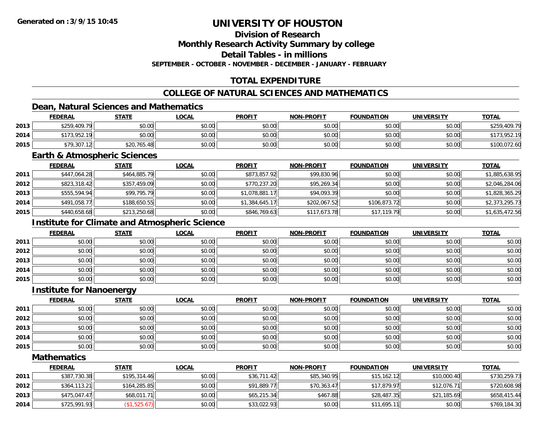# **Division of Research**

**Monthly Research Activity Summary by college**

**Detail Tables - in millions**

**SEPTEMBER - OCTOBER - NOVEMBER - DECEMBER - JANUARY - FEBRUARY**

# **TOTAL EXPENDITURE**

# **COLLEGE OF NATURAL SCIENCES AND MATHEMATICS**

# **Dean, Natural Sciences and Mathematics**

|      | <b>FEDERAL</b>   | <b>STATE</b> | <u>LOCAL</u> | <b>PROFIT</b> | <b>NON-PROFIT</b> | <b>FOUNDATION</b> | <b>UNIVERSITY</b> | <b>TOTAL</b> |
|------|------------------|--------------|--------------|---------------|-------------------|-------------------|-------------------|--------------|
| 2013 | \$259,409.79     | \$0.00       | \$0.00       | \$0.00        | \$0.00            | \$0.00            | \$0.00            | \$259,409.79 |
| 2014 | \$173.952.<br>10 | \$0.00       | \$0.00       | \$0.00        | \$0.00            | \$0.00            | \$0.00            | \$173,952.19 |
| 2015 | \$79,307.12      | \$20,765.48  | \$0.00       | \$0.00        | \$0.00            | \$0.00            | \$0.00            |              |

#### **Earth & Atmospheric Sciences**

|      | <b>FEDERAL</b> | <b>STATE</b> | <b>LOCAL</b> | <b>PROFIT</b>  | <b>NON-PROFIT</b> | <b>FOUNDATION</b> | <b>UNIVERSITY</b> | <u>TOTAL</u>   |
|------|----------------|--------------|--------------|----------------|-------------------|-------------------|-------------------|----------------|
| 2011 | \$447,064.28   | \$464,885.79 | \$0.00       | \$873,857.92   | \$99,830.96       | \$0.00            | \$0.00            | \$1,885,638.95 |
| 2012 | \$823,318.42   | \$357,459.09 | \$0.00       | \$770,237.20   | \$95,269.34       | \$0.00            | \$0.00            | \$2,046,284.06 |
| 2013 | \$555,594.94   | \$99,795.79  | \$0.00       | \$1,078,881.17 | \$94,093.39       | \$0.00            | \$0.00            | \$1,828,365.29 |
| 2014 | \$491,058.77   | \$188,650.55 | \$0.00       | \$1,384,645.17 | \$202,067.52      | \$106,873.72      | \$0.00            | \$2,373,295.73 |
| 2015 | \$440,658.68   | \$213,250.68 | \$0.00       | \$846,769.63   | \$117,673.78      | \$17,119.79       | \$0.00            | \$1,635,472.56 |

# **Institute for Climate and Atmospheric Science**

|      | <b>FEDERAL</b> | <b>STATE</b> | <u>LOCAL</u> | <b>PROFIT</b> | <b>NON-PROFIT</b> | <b>FOUNDATION</b> | <b>UNIVERSITY</b> | <b>TOTAL</b> |
|------|----------------|--------------|--------------|---------------|-------------------|-------------------|-------------------|--------------|
| 2011 | \$0.00         | \$0.00       | \$0.00       | \$0.00        | \$0.00            | \$0.00            | \$0.00            | \$0.00       |
| 2012 | \$0.00         | \$0.00       | \$0.00       | \$0.00        | \$0.00            | \$0.00            | \$0.00            | \$0.00       |
| 2013 | \$0.00         | \$0.00       | \$0.00       | \$0.00        | \$0.00            | \$0.00            | \$0.00            | \$0.00       |
| 2014 | \$0.00         | \$0.00       | \$0.00       | \$0.00        | \$0.00            | \$0.00            | \$0.00            | \$0.00       |
| 2015 | \$0.00         | \$0.00       | \$0.00       | \$0.00        | \$0.00            | \$0.00            | \$0.00            | \$0.00       |

#### **Institute for Nanoenergy**

|      | <u>FEDERAL</u> | <b>STATE</b> | <b>LOCAL</b> | <b>PROFIT</b> | <b>NON-PROFIT</b> | <b>FOUNDATION</b> | <b>UNIVERSITY</b> | <b>TOTAL</b> |
|------|----------------|--------------|--------------|---------------|-------------------|-------------------|-------------------|--------------|
| 2011 | \$0.00         | \$0.00       | \$0.00       | \$0.00        | \$0.00            | \$0.00            | \$0.00            | \$0.00       |
| 2012 | \$0.00         | \$0.00       | \$0.00       | \$0.00        | \$0.00            | \$0.00            | \$0.00            | \$0.00       |
| 2013 | \$0.00         | \$0.00       | \$0.00       | \$0.00        | \$0.00            | \$0.00            | \$0.00            | \$0.00       |
| 2014 | \$0.00         | \$0.00       | \$0.00       | \$0.00        | \$0.00            | \$0.00            | \$0.00            | \$0.00       |
| 2015 | \$0.00         | \$0.00       | \$0.00       | \$0.00        | \$0.00            | \$0.00            | \$0.00            | \$0.00       |

#### **Mathematics**

|      | <b>FEDERAL</b> | <u>STATE</u> | <u>LOCAL</u> | <b>PROFIT</b> | <b>NON-PROFIT</b> | <b>FOUNDATION</b> | UNIVERSITY  | <b>TOTAL</b> |
|------|----------------|--------------|--------------|---------------|-------------------|-------------------|-------------|--------------|
| 2011 | \$387,730.38   | \$195,314.46 | \$0.00       | \$36,711.42   | \$85,340.95       | \$15,162.12       | \$10,000.40 | \$730,259.73 |
| 2012 | \$364,113.21   | \$164,285.85 | \$0.00       | \$91,889.77   | \$70,363.47       | \$17,879.97       | \$12,076.71 | \$720,608.98 |
| 2013 | \$475,047.47   | \$68,011.71  | \$0.00       | \$65,215.34   | \$467.88          | \$28,487.35       | \$21,185.69 | \$658,415.44 |
| 2014 | \$725,991.93   | (S1, 525.67) | \$0.00       | \$33,022.93   | \$0.00            | \$11,695.11       | \$0.00      | \$769,184.30 |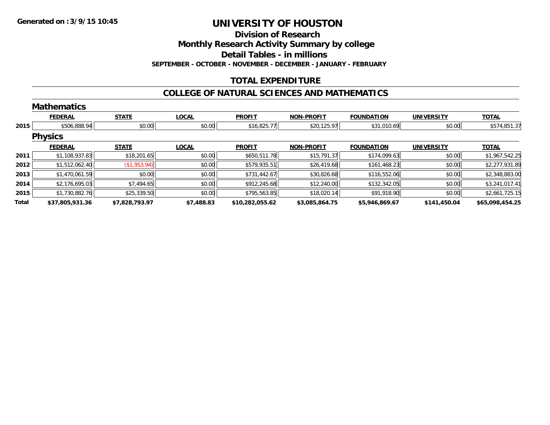**Division of Research**

**Monthly Research Activity Summary by college**

**Detail Tables - in millions**

**SEPTEMBER - OCTOBER - NOVEMBER - DECEMBER - JANUARY - FEBRUARY**

# **TOTAL EXPENDITURE**

#### **COLLEGE OF NATURAL SCIENCES AND MATHEMATICS**

|       | <b>Mathematics</b> |                |              |                 |                   |                   |                   |                 |
|-------|--------------------|----------------|--------------|-----------------|-------------------|-------------------|-------------------|-----------------|
|       | <b>FEDERAL</b>     | <b>STATE</b>   | <b>LOCAL</b> | <b>PROFIT</b>   | <b>NON-PROFIT</b> | <b>FOUNDATION</b> | <b>UNIVERSITY</b> | <b>TOTAL</b>    |
| 2015  | \$506,888.94       | \$0.00         | \$0.00       | \$16,825.77     | \$20,125.97       | \$31,010.69       | \$0.00            | \$574,851.37    |
|       | <b>Physics</b>     |                |              |                 |                   |                   |                   |                 |
|       | <b>FEDERAL</b>     | <b>STATE</b>   | <b>LOCAL</b> | <b>PROFIT</b>   | <b>NON-PROFIT</b> | <b>FOUNDATION</b> | <b>UNIVERSITY</b> | <b>TOTAL</b>    |
| 2011  | \$1,108,937.83     | \$18,201.65    | \$0.00       | \$650,511.78    | \$15,791.37       | \$174,099.63      | \$0.00            | \$1,967,542.25  |
| 2012  | \$1,512,062.40     | (\$1,953.94)   | \$0.00       | \$579,935.51    | \$26,419.68       | \$161,468.23      | \$0.00            | \$2,277,931.89  |
| 2013  | \$1,470,061.59     | \$0.00         | \$0.00       | \$731,442.67    | \$30,826.68       | \$116,552.06      | \$0.00            | \$2,348,883.00  |
| 2014  | \$2,176,695.03     | \$7,494.65     | \$0.00       | \$912,245.68    | \$12,240.00       | \$132,342.05      | \$0.00            | \$3,241,017.41  |
| 2015  | \$1,730,882.76     | \$25,339.50    | \$0.00       | \$795,563.85    | \$18,020.14       | \$91,918.90       | \$0.00            | \$2,661,725.15  |
| Total | \$37,805,931.36    | \$7,828,793.97 | \$7,488.83   | \$10,282,055.62 | \$3,085,864.75    | \$5,946,869.67    | \$141,450.04      | \$65,098,454.25 |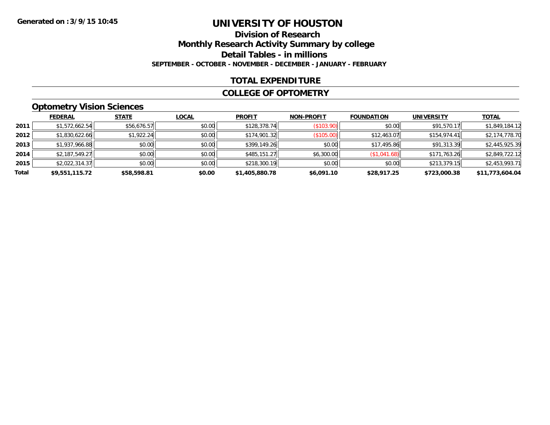# **Division of ResearchMonthly Research Activity Summary by college Detail Tables - in millions SEPTEMBER - OCTOBER - NOVEMBER - DECEMBER - JANUARY - FEBRUARY**

### **TOTAL EXPENDITURE**

#### **COLLEGE OF OPTOMETRY**

# **Optometry Vision Sciences**

|       | <b>FEDERAL</b> | <b>STATE</b> | <b>LOCAL</b> | <b>PROFIT</b>  | <b>NON-PROFIT</b> | <b>FOUNDATION</b> | UNIVERSITY   | <b>TOTAL</b>    |
|-------|----------------|--------------|--------------|----------------|-------------------|-------------------|--------------|-----------------|
| 2011  | \$1,572,662.54 | \$56,676.57  | \$0.00       | \$128,378.74   | (S103.90)         | \$0.00            | \$91,570.17  | \$1,849,184.12  |
| 2012  | \$1,830,622.66 | \$1,922.24   | \$0.00       | \$174,901.32   | (\$105.00)        | \$12,463.07       | \$154,974.41 | \$2,174,778.70  |
| 2013  | \$1,937,966.88 | \$0.00       | \$0.00       | \$399,149.26   | \$0.00            | \$17,495.86       | \$91,313.39  | \$2,445,925.39  |
| 2014  | \$2,187,549.27 | \$0.00       | \$0.00       | \$485,151.27   | \$6,300.00        | (\$1,041.68)      | \$171,763.26 | \$2,849,722.12  |
| 2015  | \$2,022,314.37 | \$0.00       | \$0.00       | \$218,300.19   | \$0.00            | \$0.00            | \$213,379.15 | \$2,453,993.71  |
| Total | \$9,551,115.72 | \$58,598.81  | \$0.00       | \$1,405,880.78 | \$6,091.10        | \$28,917.25       | \$723,000.38 | \$11,773,604.04 |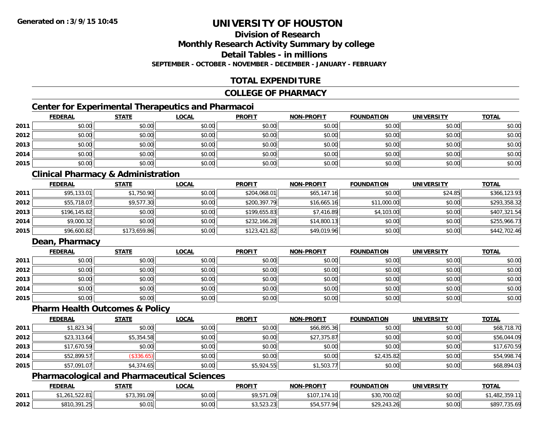# **Division of Research**

**Monthly Research Activity Summary by college**

**Detail Tables - in millions**

**SEPTEMBER - OCTOBER - NOVEMBER - DECEMBER - JANUARY - FEBRUARY**

# **TOTAL EXPENDITURE**

#### **COLLEGE OF PHARMACY**

# **Center for Experimental Therapeutics and Pharmacoi**

|      | <b>FEDERAL</b> | <b>STATE</b> | <u>LOCAL</u> | <b>PROFIT</b> | <b>NON-PROFIT</b> | <b>FOUNDATION</b> | <b>UNIVERSITY</b> | <b>TOTAL</b> |
|------|----------------|--------------|--------------|---------------|-------------------|-------------------|-------------------|--------------|
| 2011 | \$0.00         | \$0.00       | \$0.00       | \$0.00        | \$0.00            | \$0.00            | \$0.00            | \$0.00       |
| 2012 | \$0.00         | \$0.00       | \$0.00       | \$0.00        | \$0.00            | \$0.00            | \$0.00            | \$0.00       |
| 2013 | \$0.00         | \$0.00       | \$0.00       | \$0.00        | \$0.00            | \$0.00            | \$0.00            | \$0.00       |
| 2014 | \$0.00         | \$0.00       | \$0.00       | \$0.00        | \$0.00            | \$0.00            | \$0.00            | \$0.00       |
| 2015 | \$0.00         | \$0.00       | \$0.00       | \$0.00        | \$0.00            | \$0.00            | \$0.00            | \$0.00       |

# **Clinical Pharmacy & Administration**

|      | <b>FEDERAL</b> | <u>STATE</u> | <b>LOCAL</b> | <b>PROFIT</b> | <b>NON-PROFIT</b> | <b>FOUNDATION</b> | <b>UNIVERSITY</b> | <b>TOTAL</b> |
|------|----------------|--------------|--------------|---------------|-------------------|-------------------|-------------------|--------------|
| 2011 | \$95,133.01    | \$1,750.90   | \$0.00       | \$204,068.01  | \$65,147.16       | \$0.00            | \$24.85           | \$366,123.93 |
| 2012 | \$55,718.07    | \$9,577.30   | \$0.00       | \$200,397.79  | \$16,665.16       | \$11,000.00       | \$0.00            | \$293,358.32 |
| 2013 | \$196,145.82   | \$0.00       | \$0.00       | \$199.655.83  | \$7,416.89        | \$4,103.00        | \$0.00            | \$407,321.54 |
| 2014 | \$9,000.32     | \$0.00       | \$0.00       | \$232,166.28  | \$14,800.13       | \$0.00            | \$0.00            | \$255,966.73 |
| 2015 | \$96,600.82    | \$173,659.86 | \$0.00       | \$123,421.82  | \$49,019.96       | \$0.00            | \$0.00            | \$442,702.46 |

# **Dean, Pharmacy**

|      | <b>FEDERAL</b> | <b>STATE</b> | <b>LOCAL</b> | <b>PROFIT</b> | <b>NON-PROFIT</b> | <b>FOUNDATION</b> | <b>UNIVERSITY</b> | <b>TOTAL</b> |
|------|----------------|--------------|--------------|---------------|-------------------|-------------------|-------------------|--------------|
| 2011 | \$0.00         | \$0.00       | \$0.00       | \$0.00        | \$0.00            | \$0.00            | \$0.00            | \$0.00       |
| 2012 | \$0.00         | \$0.00       | \$0.00       | \$0.00        | \$0.00            | \$0.00            | \$0.00            | \$0.00       |
| 2013 | \$0.00         | \$0.00       | \$0.00       | \$0.00        | \$0.00            | \$0.00            | \$0.00            | \$0.00       |
| 2014 | \$0.00         | \$0.00       | \$0.00       | \$0.00        | \$0.00            | \$0.00            | \$0.00            | \$0.00       |
| 2015 | \$0.00         | \$0.00       | \$0.00       | \$0.00        | \$0.00            | \$0.00            | \$0.00            | \$0.00       |

#### **Pharm Health Outcomes & Policy**

|      | <b>FEDERAL</b> | <b>STATE</b> | <b>LOCAL</b> | <b>PROFIT</b> | <b>NON-PROFIT</b> | <b>FOUNDATION</b> | <b>UNIVERSITY</b> | <b>TOTAL</b> |
|------|----------------|--------------|--------------|---------------|-------------------|-------------------|-------------------|--------------|
| 2011 | \$1,823.34     | \$0.00       | \$0.00       | \$0.00        | \$66,895.36       | \$0.00            | \$0.00            | \$68,718.70  |
| 2012 | \$23,313.64    | \$5,354.58   | \$0.00       | \$0.00        | \$27,375.87       | \$0.00            | \$0.00            | \$56,044.09  |
| 2013 | \$17,670.59    | \$0.00       | \$0.00       | \$0.00        | \$0.00            | \$0.00            | \$0.00            | \$17,670.59  |
| 2014 | \$52,899.57    | (\$336.65)   | \$0.00       | \$0.00        | \$0.00            | \$2,435.82        | \$0.00            | \$54,998.74  |
| 2015 | \$57,091.07    | \$4,374.65   | \$0.00       | \$5,924.55    | \$1,503.77        | \$0.00            | \$0.00            | \$68,894.03  |

### **Pharmacological and Pharmaceutical Sciences**

|      | <b>FEDERAL</b>                                    | <b>STATE</b> | <b>LOCAL</b>   | <b>PROFIT</b>                                                                                     | <b>NON-PROFIT</b>  | <b>FOUNDATION</b> | <b>UNIVERSITY</b> | <b>TOTAL</b>             |
|------|---------------------------------------------------|--------------|----------------|---------------------------------------------------------------------------------------------------|--------------------|-------------------|-------------------|--------------------------|
| 2011 | $F \cap \cap A$<br>∟ 20∟،<br>11 0. <i>2 2 3</i> 3 | \$73,391.09  | nn on<br>DU.UU | \$9,571.09                                                                                        | \$107<br>.174.10   | \$30,700.02       | \$0.00            | 102<br>−⊓∪∠,             |
| 2012 | \$810,391.25                                      | \$0.01       | ልስ ሀህ<br>DU.UU | $\uparrow$ $\uparrow$ $\uparrow$ $\uparrow$ $\uparrow$ $\uparrow$ $\uparrow$<br><b>J</b> J.JZJ.ZJ | 4 577 94<br>J94.97 | \$29,243.26       | \$0.00            | \$897<br>72572<br>.735.0 |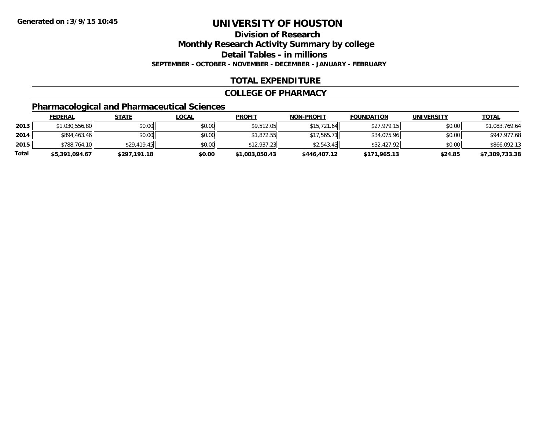**Division of Research**

**Monthly Research Activity Summary by college**

**Detail Tables - in millions**

**SEPTEMBER - OCTOBER - NOVEMBER - DECEMBER - JANUARY - FEBRUARY**

# **TOTAL EXPENDITURE**

#### **COLLEGE OF PHARMACY**

# **Pharmacological and Pharmaceutical Sciences**

|       | <b>FEDERAL</b> | <u>STATE</u> | <u>LOCAL</u> | <b>PROFIT</b>  | <b>NON-PROFIT</b> | <b>FOUNDATION</b> | <b>UNIVERSITY</b> | <b>TOTAL</b>   |
|-------|----------------|--------------|--------------|----------------|-------------------|-------------------|-------------------|----------------|
| 2013  | \$1,030,556.80 | \$0.00       | \$0.00       | \$9,512.05     | \$15.721.64       | \$27,979.15       | \$0.00            | \$1,083,769.64 |
| 2014  | \$894,463.46   | \$0.00       | \$0.00       | \$1.872.55     | \$17.565.71       | \$34,075.96       | \$0.00            | \$947,977.68   |
| 2015  | \$788,764.10   | \$29,419.45  | \$0.00       | \$12,937.23    | \$2.543.43        | \$32,427.92       | \$0.00            | \$866,092.13   |
| Total | \$5,391,094.67 | \$297,191.18 | \$0.00       | \$1,003,050.43 | \$446,407.12      | \$171,965.13      | \$24.85           | \$7,309,733.38 |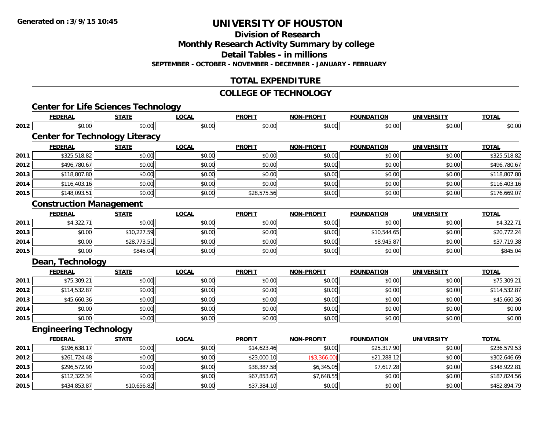**Division of Research**

**Monthly Research Activity Summary by college**

**Detail Tables - in millions**

**SEPTEMBER - OCTOBER - NOVEMBER - DECEMBER - JANUARY - FEBRUARY**

# **TOTAL EXPENDITURE**

#### **COLLEGE OF TECHNOLOGY**

|      | <b>Center for Life Sciences Technology</b> |              |              |               |                   |                   |                   |              |
|------|--------------------------------------------|--------------|--------------|---------------|-------------------|-------------------|-------------------|--------------|
|      | <b>FEDERAL</b>                             | <b>STATE</b> | <b>LOCAL</b> | <b>PROFIT</b> | <b>NON-PROFIT</b> | <b>FOUNDATION</b> | <b>UNIVERSITY</b> | <b>TOTAL</b> |
| 2012 | \$0.00                                     | \$0.00       | \$0.00       | \$0.00        | \$0.00            | \$0.00            | \$0.00            | \$0.00       |
|      | <b>Center for Technology Literacy</b>      |              |              |               |                   |                   |                   |              |
|      | <b>FEDERAL</b>                             | <b>STATE</b> | <b>LOCAL</b> | <b>PROFIT</b> | <b>NON-PROFIT</b> | <b>FOUNDATION</b> | <b>UNIVERSITY</b> | <b>TOTAL</b> |
| 2011 | \$325,518.82                               | \$0.00       | \$0.00       | \$0.00        | \$0.00            | \$0.00            | \$0.00            | \$325,518.82 |
| 2012 | \$496,780.67                               | \$0.00       | \$0.00       | \$0.00        | \$0.00            | \$0.00            | \$0.00            | \$496,780.67 |
| 2013 | \$118,807.80                               | \$0.00       | \$0.00       | \$0.00        | \$0.00            | \$0.00            | \$0.00            | \$118,807.80 |
| 2014 | \$116,403.16                               | \$0.00       | \$0.00       | \$0.00        | \$0.00            | \$0.00            | \$0.00            | \$116,403.16 |
| 2015 | \$148,093.51                               | \$0.00       | \$0.00       | \$28,575.56   | \$0.00            | \$0.00            | \$0.00            | \$176,669.07 |
|      | <b>Construction Management</b>             |              |              |               |                   |                   |                   |              |
|      | <b>FEDERAL</b>                             | <b>STATE</b> | <b>LOCAL</b> | <b>PROFIT</b> | <b>NON-PROFIT</b> | <b>FOUNDATION</b> | <b>UNIVERSITY</b> | <b>TOTAL</b> |
| 2011 | \$4,322.71                                 | \$0.00       | \$0.00       | \$0.00        | \$0.00            | \$0.00            | \$0.00            | \$4,322.71   |
| 2013 | \$0.00                                     | \$10,227.59  | \$0.00       | \$0.00        | \$0.00            | \$10,544.65       | \$0.00            | \$20,772.24  |
| 2014 | \$0.00                                     | \$28,773.51  | \$0.00       | \$0.00        | \$0.00            | \$8,945.87        | \$0.00            | \$37,719.38  |
| 2015 | \$0.00                                     | \$845.04     | \$0.00       | \$0.00        | \$0.00            | \$0.00            | \$0.00            | \$845.04     |
|      | Dean, Technology                           |              |              |               |                   |                   |                   |              |
|      | <b>FEDERAL</b>                             | <b>STATE</b> | <b>LOCAL</b> | <b>PROFIT</b> | <b>NON-PROFIT</b> | <b>FOUNDATION</b> | <b>UNIVERSITY</b> | <b>TOTAL</b> |
| 2011 | \$75,309.21                                | \$0.00       | \$0.00       | \$0.00        | \$0.00            | \$0.00            | \$0.00            | \$75,309.21  |
| 2012 | \$114,532.87                               | \$0.00       | \$0.00       | \$0.00        | \$0.00            | \$0.00            | \$0.00            | \$114,532.87 |
| 2013 | \$45,660.36                                | \$0.00       | \$0.00       | \$0.00        | \$0.00            | \$0.00            | \$0.00            | \$45,660.36  |
| 2014 | \$0.00                                     | \$0.00       | \$0.00       | \$0.00        | \$0.00            | \$0.00            | \$0.00            | \$0.00       |
| 2015 | \$0.00                                     | \$0.00       | \$0.00       | \$0.00        | \$0.00            | \$0.00            | \$0.00            | \$0.00       |
|      | <b>Engineering Technology</b>              |              |              |               |                   |                   |                   |              |
|      | <b>FEDERAL</b>                             | <b>STATE</b> | <b>LOCAL</b> | <b>PROFIT</b> | <b>NON-PROFIT</b> | <b>FOUNDATION</b> | <b>UNIVERSITY</b> | <b>TOTAL</b> |
| 2011 | \$196,638.17                               | \$0.00       | \$0.00       | \$14,623.46   | \$0.00            | \$25,317.90       | \$0.00            | \$236,579.53 |
| 2012 | \$261,724.48                               | \$0.00       | \$0.00       | \$23,000.10   | (\$3,366.00)      | \$21,288.12       | \$0.00            | \$302,646.69 |
| 2013 | \$296,572.90                               | \$0.00       | \$0.00       | \$38,387.58   | \$6,345.05        | \$7,617.28        | \$0.00            | \$348,922.81 |
| 2014 | \$112,322.34                               | \$0.00       | \$0.00       | \$67,853.67   | \$7,648.55        | \$0.00            | \$0.00            | \$187,824.56 |
| 2015 | \$434,853.87                               | \$10,656.82  | \$0.00       | \$37,384.10   | \$0.00            | \$0.00            | \$0.00            | \$482,894.79 |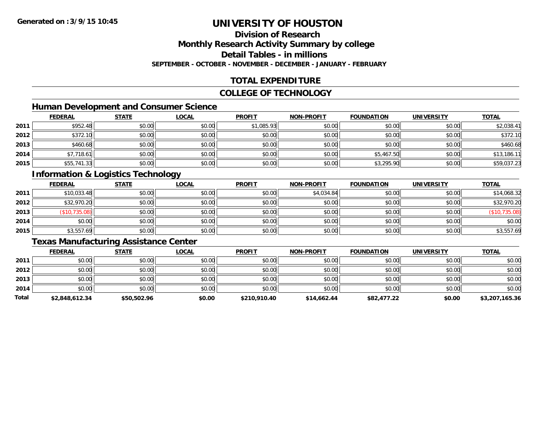# **Division of Research**

**Monthly Research Activity Summary by college**

**Detail Tables - in millions**

**SEPTEMBER - OCTOBER - NOVEMBER - DECEMBER - JANUARY - FEBRUARY**

# **TOTAL EXPENDITURE**

#### **COLLEGE OF TECHNOLOGY**

# **Human Development and Consumer Science**

|      | <b>FEDERAL</b> | <b>STATE</b> | <b>LOCAL</b> | <b>PROFIT</b> | <b>NON-PROFIT</b> | <b>FOUNDATION</b> | <b>UNIVERSITY</b> | <b>TOTAL</b> |
|------|----------------|--------------|--------------|---------------|-------------------|-------------------|-------------------|--------------|
| 2011 | \$952.48       | \$0.00       | \$0.00       | \$1,085.93    | \$0.00            | \$0.00            | \$0.00            | \$2,038.41   |
| 2012 | \$372.10       | \$0.00       | \$0.00       | \$0.00        | \$0.00            | \$0.00            | \$0.00            | \$372.10     |
| 2013 | \$460.68       | \$0.00       | \$0.00       | \$0.00        | \$0.00            | \$0.00            | \$0.00            | \$460.68     |
| 2014 | \$7,718.61     | \$0.00       | \$0.00       | \$0.00        | \$0.00            | \$5,467.50        | \$0.00            | \$13,186.11  |
| 2015 | \$55,741.33    | \$0.00       | \$0.00       | \$0.00        | \$0.00            | \$3,295.90        | \$0.00            | \$59,037.23  |

# **Information & Logistics Technology**

|      | <b>FEDERAL</b> | <b>STATE</b> | <u>LOCAL</u> | <b>PROFIT</b> | <b>NON-PROFIT</b> | <b>FOUNDATION</b> | <b>UNIVERSITY</b> | <b>TOTAL</b>  |
|------|----------------|--------------|--------------|---------------|-------------------|-------------------|-------------------|---------------|
| 2011 | \$10,033.48    | \$0.00       | \$0.00       | \$0.00        | \$4,034.84        | \$0.00            | \$0.00            | \$14,068.32   |
| 2012 | \$32,970.20    | \$0.00       | \$0.00       | \$0.00        | \$0.00            | \$0.00            | \$0.00            | \$32,970.20   |
| 2013 | (\$10,735.08)  | \$0.00       | \$0.00       | \$0.00        | \$0.00            | \$0.00            | \$0.00            | (\$10,735.08) |
| 2014 | \$0.00         | \$0.00       | \$0.00       | \$0.00        | \$0.00            | \$0.00            | \$0.00            | \$0.00        |
| 2015 | \$3,557.69     | \$0.00       | \$0.00       | \$0.00        | \$0.00            | \$0.00            | \$0.00            | \$3,557.69    |

# **Texas Manufacturing Assistance Center**

|       | <b>FEDERAL</b> | <b>STATE</b> | <b>LOCAL</b> | <b>PROFIT</b> | <b>NON-PROFIT</b> | <b>FOUNDATION</b> | <b>UNIVERSITY</b> | <b>TOTAL</b>   |
|-------|----------------|--------------|--------------|---------------|-------------------|-------------------|-------------------|----------------|
| 2011  | \$0.00         | \$0.00       | \$0.00       | \$0.00        | \$0.00            | \$0.00            | \$0.00            | \$0.00         |
| 2012  | \$0.00         | \$0.00       | \$0.00       | \$0.00        | \$0.00            | \$0.00            | \$0.00            | \$0.00         |
| 2013  | \$0.00         | \$0.00       | \$0.00       | \$0.00        | \$0.00            | \$0.00            | \$0.00            | \$0.00         |
| 2014  | \$0.00         | \$0.00       | \$0.00       | \$0.00        | \$0.00            | \$0.00            | \$0.00            | \$0.00         |
| Total | \$2,848,612.34 | \$50,502.96  | \$0.00       | \$210,910.40  | \$14,662.44       | \$82,477.22       | \$0.00            | \$3,207,165.36 |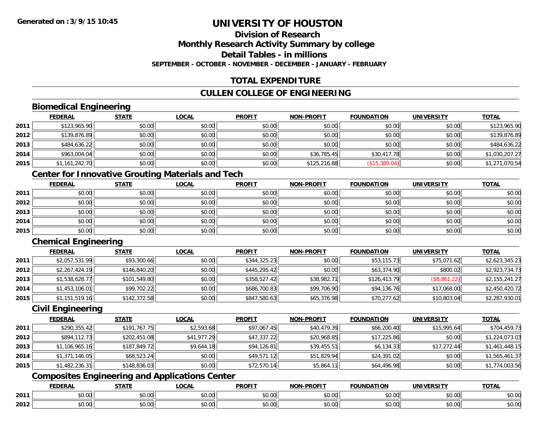# **Division of Research**

**Monthly Research Activity Summary by college**

**Detail Tables - in millions**

**SEPTEMBER - OCTOBER - NOVEMBER - DECEMBER - JANUARY - FEBRUARY**

# **TOTAL EXPENDITURE**

# **CULLEN COLLEGE OF ENGINEERING**

# **Biomedical Engineering**

|      | <b>FEDERAL</b> | <b>STATE</b> | <b>LOCAL</b> | <b>PROFIT</b> | <b>NON-PROFIT</b> | <b>FOUNDATION</b>    | <b>UNIVERSITY</b> | <u>TOTAL</u>   |
|------|----------------|--------------|--------------|---------------|-------------------|----------------------|-------------------|----------------|
| 2011 | \$123,965.90   | \$0.00       | \$0.00       | \$0.00        | \$0.00            | \$0.00               | \$0.00            | \$123,965.90   |
| 2012 | \$139,876.89   | \$0.00       | \$0.00       | \$0.00        | \$0.00            | \$0.00               | \$0.00            | \$139,876.89   |
| 2013 | \$484,636.22   | \$0.00       | \$0.00       | \$0.00        | \$0.00            | \$0.00               | \$0.00            | \$484,636.22   |
| 2014 | \$963,004.04   | \$0.00       | \$0.00       | \$0.00        | \$36,785.45       | \$30,417.78          | \$0.00            | \$1,030,207.27 |
| 2015 | \$1,161,242.70 | \$0.00       | \$0.00       | \$0.00        | \$125,216.88      | $($ \$15,389.04) $ $ | \$0.00            | \$1,271,070.54 |

# **Center for Innovative Grouting Materials and Tech**

|      | <b>FEDERAL</b> | <u>STATE</u> | <u>LOCAL</u> | <b>PROFIT</b> | <b>NON-PROFIT</b> | <b>FOUNDATION</b> | <b>UNIVERSITY</b> | <b>TOTAL</b> |
|------|----------------|--------------|--------------|---------------|-------------------|-------------------|-------------------|--------------|
| 2011 | \$0.00         | \$0.00       | \$0.00       | \$0.00        | \$0.00            | \$0.00            | \$0.00            | \$0.00       |
| 2012 | \$0.00         | \$0.00       | \$0.00       | \$0.00        | \$0.00            | \$0.00            | \$0.00            | \$0.00       |
| 2013 | \$0.00         | \$0.00       | \$0.00       | \$0.00        | \$0.00            | \$0.00            | \$0.00            | \$0.00       |
| 2014 | \$0.00         | \$0.00       | \$0.00       | \$0.00        | \$0.00            | \$0.00            | \$0.00            | \$0.00       |
| 2015 | \$0.00         | \$0.00       | \$0.00       | \$0.00        | \$0.00            | \$0.00            | \$0.00            | \$0.00       |

# **Chemical Engineering**

|      | <b>FEDERAL</b> | <b>STATE</b> | <b>LOCAL</b> | <b>PROFIT</b> | <b>NON-PROFIT</b> | <b>FOUNDATION</b> | <b>UNIVERSITY</b> | <b>TOTAL</b>   |
|------|----------------|--------------|--------------|---------------|-------------------|-------------------|-------------------|----------------|
| 2011 | \$2,057,531.99 | \$93,300.66  | \$0.00       | \$344,325.23  | \$0.00            | \$53,115.73       | \$75,071.62       | \$2,623,345.23 |
| 2012 | \$2,267,424.19 | \$146,840.20 | \$0.00       | \$445,295.42  | \$0.00            | \$63,374.90       | \$800.02          | \$2,923,734.73 |
| 2013 | \$1,538,628.77 | \$101,549.80 | \$0.00       | \$358,527.42  | \$38,982.71       | \$126,413.79      | (\$8,861.22)      | \$2,155,241.27 |
| 2014 | \$1,453,106.01 | \$99,702.22  | \$0.00       | \$686,700.83  | \$99,706.90       | \$94,136.76       | \$17,068.00       | \$2,450,420.72 |
| 2015 | \$1,151,519.16 | \$142,372.58 | \$0.00       | \$847,580.63  | \$65,376.98       | \$70,277.62       | \$10,803.04       | \$2,287,930.01 |

### **Civil Engineering**

|      | <b>FEDERAL</b> | <b>STATE</b> | <b>LOCAL</b> | <b>PROFIT</b> | <b>NON-PROFIT</b> | <b>FOUNDATION</b> | <b>UNIVERSITY</b> | <b>TOTAL</b>   |
|------|----------------|--------------|--------------|---------------|-------------------|-------------------|-------------------|----------------|
| 2011 | \$290,355.42   | \$191,767.75 | \$2,593.68   | \$97,067.45   | \$40,479.39       | \$66,200.40       | \$15,995.64       | \$704,459.73   |
| 2012 | \$894,112.73   | \$202,451.08 | \$41,977.29  | \$47,337.22   | \$20,968.85       | \$17,225.86       | \$0.00            | \$1,224,073.03 |
| 2013 | \$1,106,965.16 | \$187,849.72 | \$9,644.18   | \$94,126.81   | \$39,455.51       | \$6,134.33        | \$17,272.44       | \$1,461,448.15 |
| 2014 | \$1,371,146.05 | \$68,523.24  | \$0.00       | \$49,571.12   | \$51,829.94       | \$24,391.02       | \$0.00            | \$1,565,461.37 |
| 2015 | \$1,482,236.31 | \$148,836.03 | \$0.00       | \$72,570.14   | \$5,864.11        | \$64,496.98       | \$0.00            | \$1,774,003.56 |

# **Composites Engineering and Applications Center**

|      | <b>DERAL</b>                    | <b>CTATI</b>          | .OCAI                  | <b>PROFIT</b>         | <b>DDAEIT</b><br><b>NION</b> | .<br>ב נוחו<br>пом | - R.J.        | <b>TOTAL</b>                   |
|------|---------------------------------|-----------------------|------------------------|-----------------------|------------------------------|--------------------|---------------|--------------------------------|
| 2011 | $\sim$<br>. uu u                | $\overline{ }$<br>ט.ט | $\sim$ 00<br>pu.uu     | $\sim$ 00<br>ູ∞ບ.ບບ   | 0.00<br>PO.OO                | vv.vv              | 0.00<br>vv.vv | 0000<br>\$U.UU                 |
| 2012 | $\sim$ $\sim$<br>$\sim$<br>ט.טע | しいい                   | $\sim$ $\sim$<br>vu.uu | $\sim$ 00<br>ັ້ນບ.ບເ∞ | 0.00<br>PO.OO                | JU.UU              | 0.00<br>PO.OO | 0 <sup>0</sup><br><b>JU.UU</b> |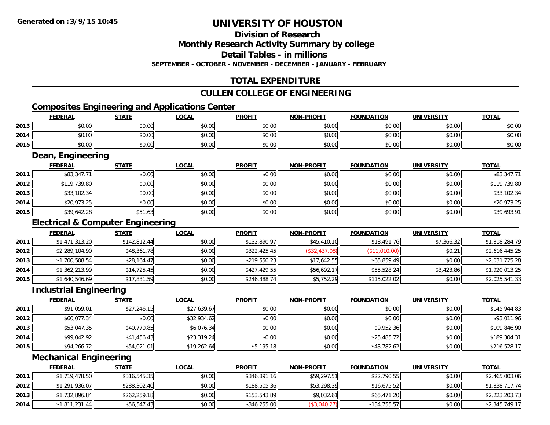# **Division of Research**

**Monthly Research Activity Summary by college**

**Detail Tables - in millions**

**SEPTEMBER - OCTOBER - NOVEMBER - DECEMBER - JANUARY - FEBRUARY**

# **TOTAL EXPENDITURE**

### **CULLEN COLLEGE OF ENGINEERING**

# **Composites Engineering and Applications Center**

|      | Composites Engineering and Applications Center |              |              |               |                   |                   |            |              |  |  |  |  |
|------|------------------------------------------------|--------------|--------------|---------------|-------------------|-------------------|------------|--------------|--|--|--|--|
|      | <b>FEDERAL</b>                                 | <b>STATE</b> | <b>LOCAL</b> | <b>PROFIT</b> | <b>NON-PROFIT</b> | <b>FOUNDATION</b> | UNIVERSITY | <b>TOTAL</b> |  |  |  |  |
| 2013 | \$0.00                                         | \$0.00       | \$0.00       | \$0.00        | \$0.00            | \$0.00            | \$0.00     | \$0.00       |  |  |  |  |
| 2014 | \$0.00                                         | \$0.00       | \$0.00       | \$0.00        | \$0.00            | \$0.00            | \$0.00     | \$0.00       |  |  |  |  |
| 2015 | \$0.00                                         | \$0.00       | \$0.00       | \$0.00        | \$0.00            | \$0.00            | \$0.00     | \$0.00       |  |  |  |  |

<u> 1989 - Johann Stoff, amerikansk politiker (d. 1989)</u>

### **Dean, Engineering**

|      | <b>FEDERAL</b> | <b>STATE</b> | <b>LOCAL</b> | <b>PROFIT</b> | <b>NON-PROFIT</b> | <b>FOUNDATION</b> | <b>UNIVERSITY</b> | <b>TOTAL</b> |
|------|----------------|--------------|--------------|---------------|-------------------|-------------------|-------------------|--------------|
| 2011 | \$83,347.71    | \$0.00       | \$0.00       | \$0.00        | \$0.00            | \$0.00            | \$0.00            | \$83,347.71  |
| 2012 | \$119,739.80   | \$0.00       | \$0.00       | \$0.00        | \$0.00            | \$0.00            | \$0.00            | \$119,739.80 |
| 2013 | \$33,102.34    | \$0.00       | \$0.00       | \$0.00        | \$0.00            | \$0.00            | \$0.00            | \$33,102.34  |
| 2014 | \$20,973.25    | \$0.00       | \$0.00       | \$0.00        | \$0.00            | \$0.00            | \$0.00            | \$20,973.25  |
| 2015 | \$39,642.28    | \$51.63      | \$0.00       | \$0.00        | \$0.00            | \$0.00            | \$0.00            | \$39,693.91  |

# **Electrical & Computer Engineering**

|      | <b>FEDERAL</b> | <b>STATE</b> | <b>LOCAL</b> | <b>PROFIT</b> | <b>NON-PROFIT</b> | <b>FOUNDATION</b> | <b>UNIVERSITY</b> | <b>TOTAL</b>   |
|------|----------------|--------------|--------------|---------------|-------------------|-------------------|-------------------|----------------|
| 2011 | \$1,471,313.20 | \$142,812.44 | \$0.00       | \$132,890.97  | \$45,410.10       | \$18,491.76       | \$7,366.32        | \$1,818,284.79 |
| 2012 | \$2,289,104.90 | \$48,361.78  | \$0.00       | \$322,425.45  | (\$32,437.08)     | (\$11,010.00)     | \$0.21            | \$2,616,445.25 |
| 2013 | \$1,700,508.54 | \$28,164.47  | \$0.00       | \$219,550.23  | \$17,642.55       | \$65,859.49       | \$0.00            | \$2,031,725.28 |
| 2014 | \$1,362,213.99 | \$14,725.45  | \$0.00       | \$427,429.55  | \$56,692.17       | \$55,528.24       | \$3,423.86        | \$1,920,013.25 |
| 2015 | \$1,640,546.69 | \$17,831.59  | \$0.00       | \$246,388.74  | \$5,752.29        | \$115,022.02      | \$0.00            | \$2,025,541.33 |

#### **Industrial Engineering**

|      | <b>FEDERAL</b> | <b>STATE</b> | <u>LOCAL</u> | <b>PROFIT</b> | <b>NON-PROFIT</b> | <b>FOUNDATION</b> | <b>UNIVERSITY</b> | <b>TOTAL</b> |
|------|----------------|--------------|--------------|---------------|-------------------|-------------------|-------------------|--------------|
| 2011 | \$91,059.01    | \$27,246.15  | \$27,639.67  | \$0.00        | \$0.00            | \$0.00            | \$0.00            | \$145,944.83 |
| 2012 | \$60,077.34    | \$0.00       | \$32,934.62  | \$0.00        | \$0.00            | \$0.00            | \$0.00            | \$93,011.96  |
| 2013 | \$53,047.35    | \$40,770.85  | \$6,076.34   | \$0.00        | \$0.00            | \$9,952.36        | \$0.00            | \$109,846.90 |
| 2014 | \$99,042.92    | \$41,456.43  | \$23,319.24  | \$0.00        | \$0.00            | \$25,485.72       | \$0.00            | \$189,304.31 |
| 2015 | \$94,266.72    | \$54,021.01  | \$19,262.64  | \$5,195.18    | \$0.00            | \$43,782.62       | \$0.00            | \$216,528.17 |

#### **Mechanical Engineering**

|      | <b>FEDERAL</b> | <u>STATE</u> | <b>LOCAL</b> | <b>PROFIT</b> | <b>NON-PROFIT</b> | <b>FOUNDATION</b> | UNIVERSITY | <b>TOTAL</b>   |
|------|----------------|--------------|--------------|---------------|-------------------|-------------------|------------|----------------|
| 2011 | \$1,719,478.50 | \$316,545.35 | \$0.00       | \$346.891.16  | \$59,297.51       | \$22,790.55       | \$0.00     | \$2,465,003.06 |
| 2012 | \$1,291,936.07 | \$288,302.40 | \$0.00       | \$188,505.36  | \$53,298.39       | \$16,675.52       | \$0.00     | \$1,838,717.74 |
| 2013 | \$1,732,896.84 | \$262,259.18 | \$0.00       | \$153,543.89  | \$9,032.61        | \$65,471.20       | \$0.00     | \$2,223,203.73 |
| 2014 | \$1,811,231.44 | \$56,547.43  | \$0.00       | \$346,255.00  | (\$3,040.27)      | \$134,755.57      | \$0.00     | \$2,345,749.17 |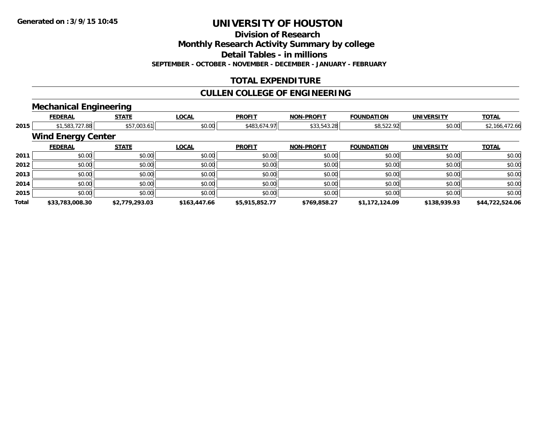**Division of Research**

**Monthly Research Activity Summary by college**

**Detail Tables - in millions**

**SEPTEMBER - OCTOBER - NOVEMBER - DECEMBER - JANUARY - FEBRUARY**

# **TOTAL EXPENDITURE**

# **CULLEN COLLEGE OF ENGINEERING**

#### **Mechanical Engineering**

|       | <b>FEDERAL</b>            | <b>STATE</b>                  | <b>LOCAL</b> | <b>PROFIT</b>  | <b>NON-PROFIT</b> | <b>FOUNDATION</b> | <b>UNIVERSITY</b> | <b>TOTAL</b>    |  |  |  |
|-------|---------------------------|-------------------------------|--------------|----------------|-------------------|-------------------|-------------------|-----------------|--|--|--|
| 2015  |                           | \$1,583,727.88<br>\$57,003.61 | \$0.00       | \$483,674.97   | \$33,543.28       | \$8,522.92        | \$0.00            | \$2,166,472.66  |  |  |  |
|       | <b>Wind Energy Center</b> |                               |              |                |                   |                   |                   |                 |  |  |  |
|       | <b>FEDERAL</b>            | <b>STATE</b>                  | <b>LOCAL</b> | <b>PROFIT</b>  | <b>NON-PROFIT</b> | <b>FOUNDATION</b> | <b>UNIVERSITY</b> | <b>TOTAL</b>    |  |  |  |
| 2011  | \$0.00                    | \$0.00                        | \$0.00       | \$0.00         | \$0.00            | \$0.00            | \$0.00            | \$0.00          |  |  |  |
| 2012  | \$0.00                    | \$0.00                        | \$0.00       | \$0.00         | \$0.00            | \$0.00            | \$0.00            | \$0.00          |  |  |  |
| 2013  | \$0.00                    | \$0.00                        | \$0.00       | \$0.00         | \$0.00            | \$0.00            | \$0.00            | \$0.00          |  |  |  |
| 2014  | \$0.00                    | \$0.00                        | \$0.00       | \$0.00         | \$0.00            | \$0.00            | \$0.00            | \$0.00          |  |  |  |
| 2015  | \$0.00                    | \$0.00                        | \$0.00       | \$0.00         | \$0.00            | \$0.00            | \$0.00            | \$0.00          |  |  |  |
| Total | \$33,783,008.30           | \$2,779,293.03                | \$163,447.66 | \$5,915,852.77 | \$769,858.27      | \$1,172,124.09    | \$138,939.93      | \$44,722,524.06 |  |  |  |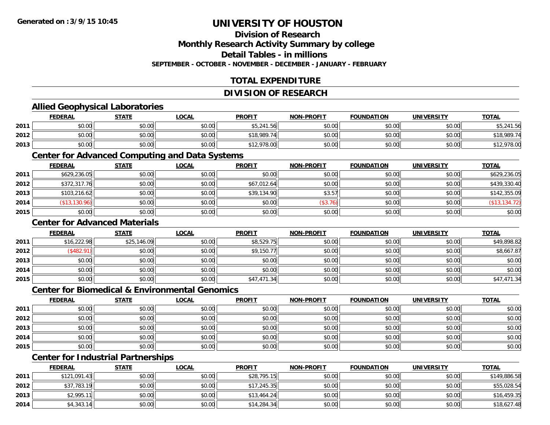# **Division of Research**

**Monthly Research Activity Summary by college**

**Detail Tables - in millions**

**SEPTEMBER - OCTOBER - NOVEMBER - DECEMBER - JANUARY - FEBRUARY**

# **TOTAL EXPENDITURE**

#### **DIVISION OF RESEARCH**

### **Allied Geophysical Laboratories**

|      | <b>FEDERAL</b> | <b>STATE</b> | LOCAL  | <b>PROFIT</b>                   | <b>NON-PROFIT</b> | <b>FOUNDATION</b> | UNIVERSITY | <b>TOTAL</b> |
|------|----------------|--------------|--------|---------------------------------|-------------------|-------------------|------------|--------------|
| 2011 | \$0.00         | \$0.00       | \$0.00 | $AT$ $244$ $T/$<br>.56<br>55,Z4 | \$0.00            | \$0.00            | \$0.00     | 21156        |
| 2012 | \$0.00         | \$0.00       | \$0.00 | \$18,989.7                      | \$0.00            | \$0.00            | \$0.00     | \$18,989.74  |
| 2013 | \$0.00         | \$0.00       | \$0.00 | \$12,978.00                     | \$0.00            | \$0.00            | \$0.00     | \$12,978.00  |

#### **Center for Advanced Computing and Data Systems**

|      | <b>FEDERAL</b> | <b>STATE</b> | <u>LOCAL</u> | <b>PROFIT</b> | <b>NON-PROFIT</b> | <b>FOUNDATION</b> | <b>UNIVERSITY</b> | <b>TOTAL</b>  |
|------|----------------|--------------|--------------|---------------|-------------------|-------------------|-------------------|---------------|
| 2011 | \$629,236.05   | \$0.00       | \$0.00       | \$0.00        | \$0.00            | \$0.00            | \$0.00            | \$629,236.05  |
| 2012 | \$372,317.76   | \$0.00       | \$0.00       | \$67,012.64   | \$0.00            | \$0.00            | \$0.00            | \$439,330.40  |
| 2013 | \$103,216.62   | \$0.00       | \$0.00       | \$39,134.90   | \$3.57            | \$0.00            | \$0.00            | \$142,355.09  |
| 2014 | (\$13,130.96)  | \$0.00       | \$0.00       | \$0.00        | (\$3.76)          | \$0.00            | \$0.00            | (\$13,134.72) |
| 2015 | \$0.00         | \$0.00       | \$0.00       | \$0.00        | \$0.00            | \$0.00            | \$0.00            | \$0.00        |

### **Center for Advanced Materials**

|      | <b>FEDERAL</b> | <b>STATE</b> | <b>LOCAL</b> | <b>PROFIT</b> | <b>NON-PROFIT</b> | <b>FOUNDATION</b> | <b>UNIVERSITY</b> | <b>TOTAL</b> |
|------|----------------|--------------|--------------|---------------|-------------------|-------------------|-------------------|--------------|
| 2011 | \$16,222.98    | \$25,146.09  | \$0.00       | \$8,529.75    | \$0.00            | \$0.00            | \$0.00            | \$49,898.82  |
| 2012 | \$482.91       | \$0.00       | \$0.00       | \$9,150.77    | \$0.00            | \$0.00            | \$0.00            | \$8,667.87   |
| 2013 | \$0.00         | \$0.00       | \$0.00       | \$0.00        | \$0.00            | \$0.00            | \$0.00            | \$0.00       |
| 2014 | \$0.00         | \$0.00       | \$0.00       | \$0.00        | \$0.00            | \$0.00            | \$0.00            | \$0.00       |
| 2015 | \$0.00         | \$0.00       | \$0.00       | \$47,471.34   | \$0.00            | \$0.00            | \$0.00            | \$47,471.34  |

#### **Center for Biomedical & Environmental Genomics**

|      | <u>FEDERAL</u> | <b>STATE</b> | <b>LOCAL</b> | <b>PROFIT</b> | <b>NON-PROFIT</b> | <b>FOUNDATION</b> | <b>UNIVERSITY</b> | <b>TOTAL</b> |
|------|----------------|--------------|--------------|---------------|-------------------|-------------------|-------------------|--------------|
| 2011 | \$0.00         | \$0.00       | \$0.00       | \$0.00        | \$0.00            | \$0.00            | \$0.00            | \$0.00       |
| 2012 | \$0.00         | \$0.00       | \$0.00       | \$0.00        | \$0.00            | \$0.00            | \$0.00            | \$0.00       |
| 2013 | \$0.00         | \$0.00       | \$0.00       | \$0.00        | \$0.00            | \$0.00            | \$0.00            | \$0.00       |
| 2014 | \$0.00         | \$0.00       | \$0.00       | \$0.00        | \$0.00            | \$0.00            | \$0.00            | \$0.00       |
| 2015 | \$0.00         | \$0.00       | \$0.00       | \$0.00        | \$0.00            | \$0.00            | \$0.00            | \$0.00       |

# **Center for Industrial Partnerships**

|      | <b>FEDERAL</b> | <b>STATE</b> | <b>LOCAL</b> | <b>PROFIT</b> | <b>NON-PROFIT</b> | <b>FOUNDATION</b> | <b>UNIVERSITY</b> | <b>TOTAL</b> |
|------|----------------|--------------|--------------|---------------|-------------------|-------------------|-------------------|--------------|
| 2011 | \$121,091.43   | \$0.00       | \$0.00       | \$28,795.15   | \$0.00            | \$0.00            | \$0.00            | \$149,886.58 |
| 2012 | \$37,783.19    | \$0.00       | \$0.00       | \$17,245.35   | \$0.00            | \$0.00            | \$0.00            | \$55,028.54  |
| 2013 | \$2,995.1      | \$0.00       | \$0.00       | \$13,464.24   | \$0.00            | \$0.00            | \$0.00            | \$16,459.35  |
| 2014 | \$4,343.14     | \$0.00       | \$0.00       | \$14,284.34   | \$0.00            | \$0.00            | \$0.00            | \$18,627.48  |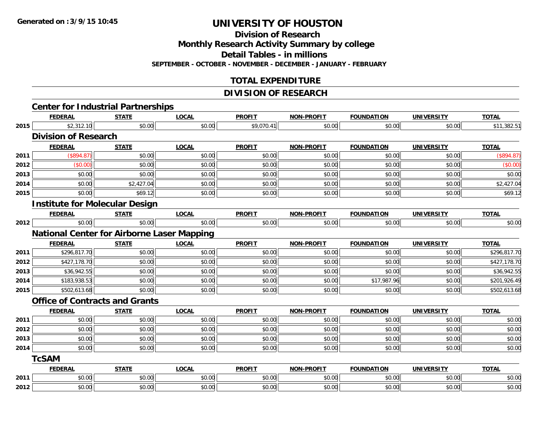**Division of Research**

**Monthly Research Activity Summary by college**

**Detail Tables - in millions**

**SEPTEMBER - OCTOBER - NOVEMBER - DECEMBER - JANUARY - FEBRUARY**

# **TOTAL EXPENDITURE**

### **DIVISION OF RESEARCH**

|      |                             | <b>Center for Industrial Partnerships</b>         |              |               |                   |                   |                   |              |
|------|-----------------------------|---------------------------------------------------|--------------|---------------|-------------------|-------------------|-------------------|--------------|
|      | <b>FEDERAL</b>              | <b>STATE</b>                                      | <b>LOCAL</b> | <b>PROFIT</b> | <b>NON-PROFIT</b> | <b>FOUNDATION</b> | <b>UNIVERSITY</b> | <b>TOTAL</b> |
| 2015 | \$2,312.10                  | \$0.00                                            | \$0.00       | \$9,070.41    | \$0.00            | \$0.00            | \$0.00            | \$11,382.51  |
|      | <b>Division of Research</b> |                                                   |              |               |                   |                   |                   |              |
|      | <b>FEDERAL</b>              | <b>STATE</b>                                      | <b>LOCAL</b> | <b>PROFIT</b> | <b>NON-PROFIT</b> | <b>FOUNDATION</b> | <b>UNIVERSITY</b> | <b>TOTAL</b> |
| 2011 | (\$894.87)                  | \$0.00                                            | \$0.00       | \$0.00        | \$0.00            | \$0.00            | \$0.00            | (\$894.87)   |
| 2012 | (\$0.00)                    | \$0.00                                            | \$0.00       | \$0.00        | \$0.00            | \$0.00            | \$0.00            | (\$0.00)     |
| 2013 | \$0.00                      | \$0.00                                            | \$0.00       | \$0.00        | \$0.00            | \$0.00            | \$0.00            | \$0.00       |
| 2014 | \$0.00                      | \$2,427.04                                        | \$0.00       | \$0.00        | \$0.00            | \$0.00            | \$0.00            | \$2,427.04   |
| 2015 | \$0.00                      | \$69.12                                           | \$0.00       | \$0.00        | \$0.00            | \$0.00            | \$0.00            | \$69.12      |
|      |                             | <b>Institute for Molecular Design</b>             |              |               |                   |                   |                   |              |
|      | <b>FEDERAL</b>              | <b>STATE</b>                                      | <b>LOCAL</b> | <b>PROFIT</b> | <b>NON-PROFIT</b> | <b>FOUNDATION</b> | <b>UNIVERSITY</b> | <b>TOTAL</b> |
| 2012 | \$0.00                      | \$0.00                                            | \$0.00       | \$0.00        | \$0.00            | \$0.00            | \$0.00            | \$0.00       |
|      |                             | <b>National Center for Airborne Laser Mapping</b> |              |               |                   |                   |                   |              |
|      | <b>FEDERAL</b>              | <b>STATE</b>                                      | <b>LOCAL</b> | <b>PROFIT</b> | NON-PROFIT        | <b>FOUNDATION</b> | <b>UNIVERSITY</b> | <b>TOTAL</b> |
| 2011 | \$296,817.70                | \$0.00                                            | \$0.00       | \$0.00        | \$0.00            | \$0.00            | \$0.00            | \$296,817.70 |
| 2012 | \$427,178.70                | \$0.00                                            | \$0.00       | \$0.00        | \$0.00            | \$0.00            | \$0.00            | \$427,178.70 |
| 2013 | \$36,942.55                 | \$0.00                                            | \$0.00       | \$0.00        | \$0.00            | \$0.00            | \$0.00            | \$36,942.55  |
| 2014 | \$183,938.53                | \$0.00                                            | \$0.00       | \$0.00        | \$0.00            | \$17,987.96       | \$0.00            | \$201,926.49 |
| 2015 | \$502,613.68                | \$0.00                                            | \$0.00       | \$0.00        | \$0.00            | \$0.00            | \$0.00            | \$502,613.68 |
|      |                             | <b>Office of Contracts and Grants</b>             |              |               |                   |                   |                   |              |
|      | <b>FEDERAL</b>              | <b>STATE</b>                                      | <b>LOCAL</b> | <b>PROFIT</b> | <b>NON-PROFIT</b> | <b>FOUNDATION</b> | <b>UNIVERSITY</b> | <b>TOTAL</b> |
| 2011 | \$0.00                      | \$0.00                                            | \$0.00       | \$0.00        | \$0.00            | \$0.00            | \$0.00            | \$0.00       |
| 2012 | \$0.00                      | \$0.00                                            | \$0.00       | \$0.00        | \$0.00            | \$0.00            | \$0.00            | \$0.00       |
| 2013 | \$0.00                      | \$0.00                                            | \$0.00       | \$0.00        | \$0.00            | \$0.00            | \$0.00            | \$0.00       |
| 2014 | \$0.00                      | \$0.00                                            | \$0.00       | \$0.00        | \$0.00            | \$0.00            | \$0.00            | \$0.00       |
|      | <b>TcSAM</b>                |                                                   |              |               |                   |                   |                   |              |
|      | <b>FEDERAL</b>              | <b>STATE</b>                                      | <b>LOCAL</b> | <b>PROFIT</b> | <b>NON-PROFIT</b> | <b>FOUNDATION</b> | <b>UNIVERSITY</b> | <b>TOTAL</b> |
| 2011 | \$0.00                      | \$0.00                                            | \$0.00       | \$0.00        | \$0.00            | \$0.00            | \$0.00            | \$0.00       |
| 2012 | \$0.00                      | \$0.00                                            | \$0.00       | \$0.00        | \$0.00            | \$0.00            | \$0.00            | \$0.00       |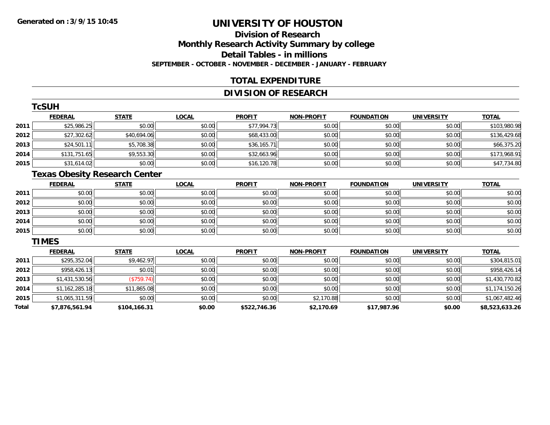# **Division of ResearchMonthly Research Activity Summary by college Detail Tables - in millions SEPTEMBER - OCTOBER - NOVEMBER - DECEMBER - JANUARY - FEBRUARY**

## **TOTAL EXPENDITURE**

# **DIVISION OF RESEARCH**

|      | <b>TcSUH</b>   |              |              |               |                   |                   |                   |              |
|------|----------------|--------------|--------------|---------------|-------------------|-------------------|-------------------|--------------|
|      | <b>FEDERAL</b> | <b>STATE</b> | <b>LOCAL</b> | <b>PROFIT</b> | <b>NON-PROFIT</b> | <b>FOUNDATION</b> | <b>UNIVERSITY</b> | <b>TOTAL</b> |
| 2011 | \$25,986.25    | \$0.00       | \$0.00       | \$77,994.73   | \$0.00            | \$0.00            | \$0.00            | \$103,980.98 |
| 2012 | \$27,302.62    | \$40,694.06  | \$0.00       | \$68,433.00   | \$0.00            | \$0.00            | \$0.00            | \$136,429.68 |
| 2013 | \$24,501.11    | \$5,708.38   | \$0.00       | \$36,165.71   | \$0.00            | \$0.00            | \$0.00            | \$66,375.20  |
| 2014 | \$131,751.65   | \$9,553.30   | \$0.00       | \$32,663.96   | \$0.00            | \$0.00            | \$0.00            | \$173,968.91 |
| 2015 | \$31,614.02    | \$0.00       | \$0.00       | \$16,120.78   | \$0.00            | \$0.00            | \$0.00            | \$47,734.80  |

# **Texas Obesity Research Center**

|      | <b>FEDERAL</b> | <b>STATE</b> | <u>LOCAL</u> | <b>PROFIT</b> | <b>NON-PROFIT</b> | <b>FOUNDATION</b> | <b>UNIVERSITY</b> | <b>TOTAL</b> |
|------|----------------|--------------|--------------|---------------|-------------------|-------------------|-------------------|--------------|
| 2011 | \$0.00         | \$0.00       | \$0.00       | \$0.00        | \$0.00            | \$0.00            | \$0.00            | \$0.00       |
| 2012 | \$0.00         | \$0.00       | \$0.00       | \$0.00        | \$0.00            | \$0.00            | \$0.00            | \$0.00       |
| 2013 | \$0.00         | \$0.00       | \$0.00       | \$0.00        | \$0.00            | \$0.00            | \$0.00            | \$0.00       |
| 2014 | \$0.00         | \$0.00       | \$0.00       | \$0.00        | \$0.00            | \$0.00            | \$0.00            | \$0.00       |
| 2015 | \$0.00         | \$0.00       | \$0.00       | \$0.00        | \$0.00            | \$0.00            | \$0.00            | \$0.00       |

#### **TIMES**

|       | <b>FEDERAL</b> | <b>STATE</b> | <b>LOCAL</b> | <b>PROFIT</b> | <b>NON-PROFIT</b> | <b>FOUNDATION</b> | <b>UNIVERSITY</b> | <u>TOTAL</u>   |
|-------|----------------|--------------|--------------|---------------|-------------------|-------------------|-------------------|----------------|
| 2011  | \$295,352.04   | \$9,462.97   | \$0.00       | \$0.00        | \$0.00            | \$0.00            | \$0.00            | \$304,815.01   |
| 2012  | \$958,426.13   | \$0.01       | \$0.00       | \$0.00        | \$0.00            | \$0.00            | \$0.00            | \$958,426.14   |
| 2013  | \$1,431,530.56 | (S759.74)    | \$0.00       | \$0.00        | \$0.00            | \$0.00            | \$0.00            | \$1,430,770.82 |
| 2014  | \$1,162,285.18 | \$11,865.08  | \$0.00       | \$0.00        | \$0.00            | \$0.00            | \$0.00            | \$1,174,150.26 |
| 2015  | \$1,065,311.59 | \$0.00       | \$0.00       | \$0.00        | \$2,170.88        | \$0.00            | \$0.00            | \$1,067,482.46 |
| Total | \$7,876,561.94 | \$104,166.31 | \$0.00       | \$522,746.36  | \$2,170.69        | \$17,987.96       | \$0.00            | \$8,523,633.26 |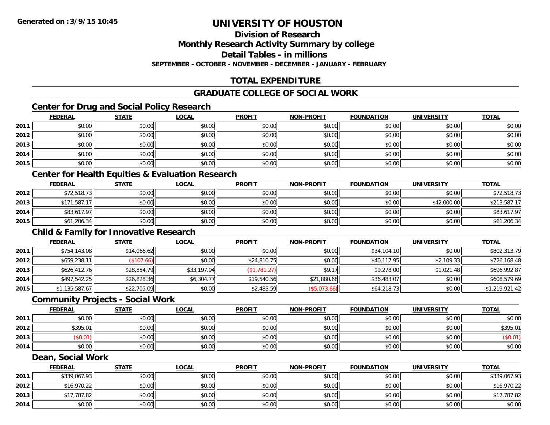**Division of Research**

**Monthly Research Activity Summary by college**

**Detail Tables - in millions**

**SEPTEMBER - OCTOBER - NOVEMBER - DECEMBER - JANUARY - FEBRUARY**

# **TOTAL EXPENDITURE**

# **GRADUATE COLLEGE OF SOCIAL WORK**

# **Center for Drug and Social Policy Research**

|      | <b>FEDERAL</b> | <b>STATE</b> | <u>LOCAL</u> | <b>PROFIT</b> | <b>NON-PROFIT</b> | <b>FOUNDATION</b> | <b>UNIVERSITY</b> | <b>TOTAL</b> |
|------|----------------|--------------|--------------|---------------|-------------------|-------------------|-------------------|--------------|
| 2011 | \$0.00         | \$0.00       | \$0.00       | \$0.00        | \$0.00            | \$0.00            | \$0.00            | \$0.00       |
| 2012 | \$0.00         | \$0.00       | \$0.00       | \$0.00        | \$0.00            | \$0.00            | \$0.00            | \$0.00       |
| 2013 | \$0.00         | \$0.00       | \$0.00       | \$0.00        | \$0.00            | \$0.00            | \$0.00            | \$0.00       |
| 2014 | \$0.00         | \$0.00       | \$0.00       | \$0.00        | \$0.00            | \$0.00            | \$0.00            | \$0.00       |
| 2015 | \$0.00         | \$0.00       | \$0.00       | \$0.00        | \$0.00            | \$0.00            | \$0.00            | \$0.00       |

# **Center for Health Equities & Evaluation Research**

|      | <b>FEDERAL</b> | <b>STATE</b> | <u>LOCAL</u> | <b>PROFIT</b> | <b>NON-PROFIT</b> | <b>FOUNDATION</b> | <b>UNIVERSITY</b> | <b>TOTAL</b> |
|------|----------------|--------------|--------------|---------------|-------------------|-------------------|-------------------|--------------|
| 2012 | \$72,518.73    | \$0.00       | \$0.00       | \$0.00        | \$0.00            | \$0.00            | \$0.00            | \$72,518.73  |
| 2013 | \$171,587.17   | \$0.00       | \$0.00       | \$0.00        | \$0.00            | \$0.00            | \$42,000.00       | \$213,587.17 |
| 2014 | \$83,617.97    | \$0.00       | \$0.00       | \$0.00        | \$0.00            | \$0.00            | \$0.00            | \$83,617.97  |
| 2015 | \$61,206.34    | \$0.00       | \$0.00       | \$0.00        | \$0.00            | \$0.00            | \$0.00            | \$61,206.34  |

# **Child & Family for Innovative Research**

|      | <b>FEDERAL</b> | <b>STATE</b> | <b>LOCAL</b> | <b>PROFIT</b>      | <b>NON-PROFIT</b> | <b>FOUNDATION</b> | <b>UNIVERSITY</b> | <b>TOTAL</b>   |
|------|----------------|--------------|--------------|--------------------|-------------------|-------------------|-------------------|----------------|
| 2011 | \$754,143.08   | \$14,066.62  | \$0.00       | \$0.00             | \$0.00            | \$34,104.10       | \$0.00            | \$802,313.79   |
| 2012 | \$659,238.11   | \$107.66     | \$0.00       | \$24,810.75        | \$0.00            | \$40,117.95       | \$2,109.33        | \$726,168.48   |
| 2013 | \$626,412.76   | \$28,854.79  | \$33,197.94  | $($ \$1,781.27 $)$ | \$9.17            | \$9,278.00        | \$1,021.48        | \$696,992.87   |
| 2014 | \$497,542.25   | \$26,828.36  | \$6,304.77   | \$19,540.56        | \$21,880.68       | \$36,483.07       | \$0.00            | \$608,579.69   |
| 2015 | \$1,135,587.67 | \$22,705.09  | \$0.00       | \$2,483.59         | (\$5,073.66)      | \$64,218.73       | \$0.00            | \$1,219,921.42 |

#### **Community Projects - Social Work**

|      | <b>FEDERAL</b> | STATE  | <b>LOCAL</b> | <b>PROFIT</b> | <b>NON-PROFIT</b> | <b>FOUNDATION</b> | <b>UNIVERSITY</b> | <u>TOTAL</u> |
|------|----------------|--------|--------------|---------------|-------------------|-------------------|-------------------|--------------|
| 2011 | \$0.00         | \$0.00 | \$0.00       | \$0.00        | \$0.00            | \$0.00            | \$0.00            | \$0.00       |
| 2012 | \$395.01       | \$0.00 | \$0.00       | \$0.00        | \$0.00            | \$0.00            | \$0.00            | \$395.01     |
| 2013 | \$0.01)        | \$0.00 | \$0.00       | \$0.00        | \$0.00            | \$0.00            | \$0.00            | (\$0.01)     |
| 2014 | \$0.00         | \$0.00 | \$0.00       | \$0.00        | \$0.00            | \$0.00            | \$0.00            | \$0.00       |

#### **Dean, Social Work**

|      | <b>FEDERAL</b> | <u>STATE</u> | <u>LOCAL</u> | <b>PROFIT</b> | <b>NON-PROFIT</b> | <b>FOUNDATION</b> | <b>UNIVERSITY</b> | <b>TOTAL</b> |
|------|----------------|--------------|--------------|---------------|-------------------|-------------------|-------------------|--------------|
| 2011 | \$339,067.93   | \$0.00       | \$0.00       | \$0.00        | \$0.00            | \$0.00            | \$0.00            | \$339,067.93 |
| 2012 | \$16,970.22    | \$0.00       | \$0.00       | \$0.00        | \$0.00            | \$0.00            | \$0.00            | \$16,970.22  |
| 2013 | \$17,787.82    | \$0.00       | \$0.00       | \$0.00        | \$0.00            | \$0.00            | \$0.00            | \$17,787.82  |
| 2014 | \$0.00         | \$0.00       | \$0.00       | \$0.00        | \$0.00            | \$0.00            | \$0.00            | \$0.00       |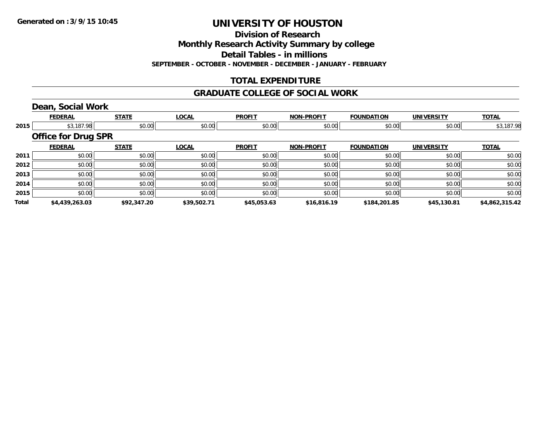**Division of Research**

**Monthly Research Activity Summary by college**

**Detail Tables - in millions**

**SEPTEMBER - OCTOBER - NOVEMBER - DECEMBER - JANUARY - FEBRUARY**

# **TOTAL EXPENDITURE**

#### **GRADUATE COLLEGE OF SOCIAL WORK**

### **Dean, Social Work**

|       | <b>FEDERAL</b>             | <b>STATE</b> | <b>LOCAL</b> | <b>PROFIT</b> | <b>NON-PROFIT</b> | <b>FOUNDATION</b> | <b>UNIVERSITY</b> | <b>TOTAL</b>   |
|-------|----------------------------|--------------|--------------|---------------|-------------------|-------------------|-------------------|----------------|
| 2015  | \$3,187.98                 | \$0.00       | \$0.00       | \$0.00        | \$0.00            | \$0.00            | \$0.00            | \$3,187.98     |
|       | <b>Office for Drug SPR</b> |              |              |               |                   |                   |                   |                |
|       | <b>FEDERAL</b>             | <b>STATE</b> | <b>LOCAL</b> | <b>PROFIT</b> | <b>NON-PROFIT</b> | <b>FOUNDATION</b> | <b>UNIVERSITY</b> | <b>TOTAL</b>   |
| 2011  | \$0.00                     | \$0.00       | \$0.00       | \$0.00        | \$0.00            | \$0.00            | \$0.00            | \$0.00         |
| 2012  | \$0.00                     | \$0.00       | \$0.00       | \$0.00        | \$0.00            | \$0.00            | \$0.00            | \$0.00         |
| 2013  | \$0.00                     | \$0.00       | \$0.00       | \$0.00        | \$0.00            | \$0.00            | \$0.00            | \$0.00         |
| 2014  | \$0.00                     | \$0.00       | \$0.00       | \$0.00        | \$0.00            | \$0.00            | \$0.00            | \$0.00         |
| 2015  | \$0.00                     | \$0.00       | \$0.00       | \$0.00        | \$0.00            | \$0.00            | \$0.00            | \$0.00         |
| Total | \$4,439,263.03             | \$92,347.20  | \$39,502.71  | \$45,053.63   | \$16,816.19       | \$184,201.85      | \$45,130.81       | \$4,862,315.42 |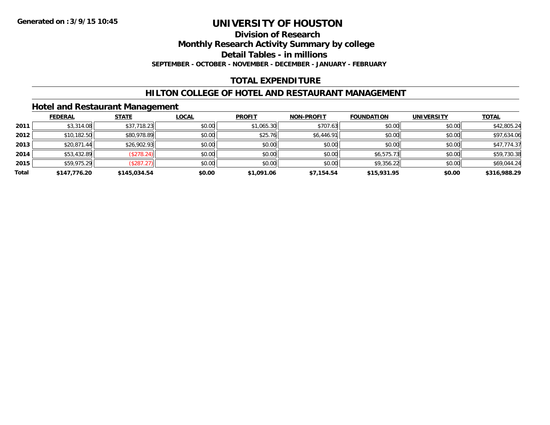#### **Division of Research**

**Monthly Research Activity Summary by college**

**Detail Tables - in millions**

**SEPTEMBER - OCTOBER - NOVEMBER - DECEMBER - JANUARY - FEBRUARY**

### **TOTAL EXPENDITURE**

#### **HILTON COLLEGE OF HOTEL AND RESTAURANT MANAGEMENT**

### **Hotel and Restaurant Management**

|       | <b>FEDERAL</b> | <b>STATE</b> | <u>LOCAL</u> | <b>PROFIT</b> | <b>NON-PROFIT</b> | <b>FOUNDATION</b> | <b>UNIVERSITY</b> | <b>TOTAL</b> |
|-------|----------------|--------------|--------------|---------------|-------------------|-------------------|-------------------|--------------|
| 2011  | \$3,314.08     | \$37,718.23  | \$0.00       | \$1,065.30    | \$707.63          | \$0.00            | \$0.00            | \$42,805.24  |
| 2012  | \$10,182.50    | \$80,978.89  | \$0.00       | \$25.76       | \$6,446.91        | \$0.00            | \$0.00            | \$97,634.06  |
| 2013  | \$20,871.44    | \$26,902.93  | \$0.00       | \$0.00        | \$0.00            | \$0.00            | \$0.00            | \$47,774.37  |
| 2014  | \$53,432.89    | (\$278.24)   | \$0.00       | \$0.00        | \$0.00            | \$6,575.73        | \$0.00            | \$59,730.38  |
| 2015  | \$59,975.29    | (\$287.27)   | \$0.00       | \$0.00        | \$0.00            | \$9,356.22        | \$0.00            | \$69,044.24  |
| Total | \$147,776.20   | \$145,034.54 | \$0.00       | \$1,091.06    | \$7,154.54        | \$15,931.95       | \$0.00            | \$316,988.29 |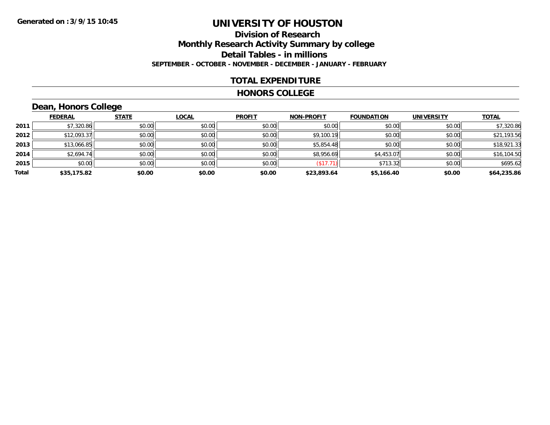# **Division of ResearchMonthly Research Activity Summary by college Detail Tables - in millions SEPTEMBER - OCTOBER - NOVEMBER - DECEMBER - JANUARY - FEBRUARY**

### **TOTAL EXPENDITURE**

#### **HONORS COLLEGE**

# **Dean, Honors College**

|       | <b>FEDERAL</b> | <b>STATE</b> | <b>LOCAL</b> | <b>PROFIT</b> | <b>NON-PROFIT</b> | <b>FOUNDATION</b> | <b>UNIVERSITY</b> | <b>TOTAL</b> |
|-------|----------------|--------------|--------------|---------------|-------------------|-------------------|-------------------|--------------|
| 2011  | \$7,320.86     | \$0.00       | \$0.00       | \$0.00        | \$0.00            | \$0.00            | \$0.00            | \$7,320.86   |
| 2012  | \$12,093.37    | \$0.00       | \$0.00       | \$0.00        | \$9,100.19        | \$0.00            | \$0.00            | \$21,193.56  |
| 2013  | \$13,066.85    | \$0.00       | \$0.00       | \$0.00        | \$5,854.48        | \$0.00            | \$0.00            | \$18,921.33  |
| 2014  | \$2,694.74     | \$0.00       | \$0.00       | \$0.00        | \$8,956.69        | \$4,453.07        | \$0.00            | \$16,104.50  |
| 2015  | \$0.00         | \$0.00       | \$0.00       | \$0.00        | (\$17.71)         | \$713.32          | \$0.00            | \$695.62     |
| Total | \$35,175.82    | \$0.00       | \$0.00       | \$0.00        | \$23,893.64       | \$5,166.40        | \$0.00            | \$64,235.86  |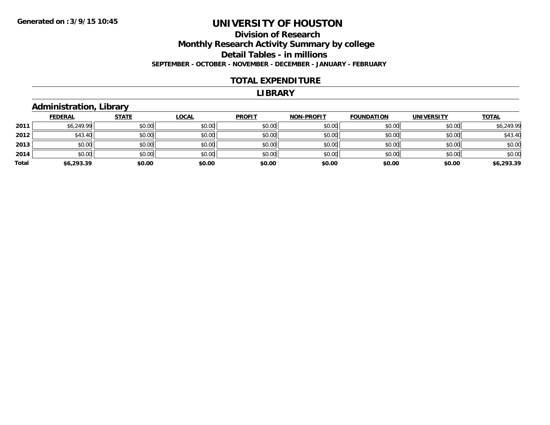### **Division of Research Monthly Research Activity Summary by college Detail Tables - in millions SEPTEMBER - OCTOBER - NOVEMBER - DECEMBER - JANUARY - FEBRUARY**

#### **TOTAL EXPENDITURE**

#### **LIBRARY**

### **Administration, Library**

|       | <b>FEDERAL</b> | <b>STATE</b> | <b>LOCAL</b> | <b>PROFIT</b> | <b>NON-PROFIT</b> | <b>FOUNDATION</b> | <b>UNIVERSITY</b> | <b>TOTAL</b> |
|-------|----------------|--------------|--------------|---------------|-------------------|-------------------|-------------------|--------------|
| 2011  | \$6,249.99     | \$0.00       | \$0.00       | \$0.00        | \$0.00            | \$0.00            | \$0.00            | \$6,249.99   |
| 2012  | \$43.40        | \$0.00       | \$0.00       | \$0.00        | \$0.00            | \$0.00            | \$0.00            | \$43.40      |
| 2013  | \$0.00         | \$0.00       | \$0.00       | \$0.00        | \$0.00            | \$0.00            | \$0.00            | \$0.00       |
| 2014  | \$0.00         | \$0.00       | \$0.00       | \$0.00        | \$0.00            | \$0.00            | \$0.00            | \$0.00       |
| Total | \$6,293.39     | \$0.00       | \$0.00       | \$0.00        | \$0.00            | \$0.00            | \$0.00            | \$6,293.39   |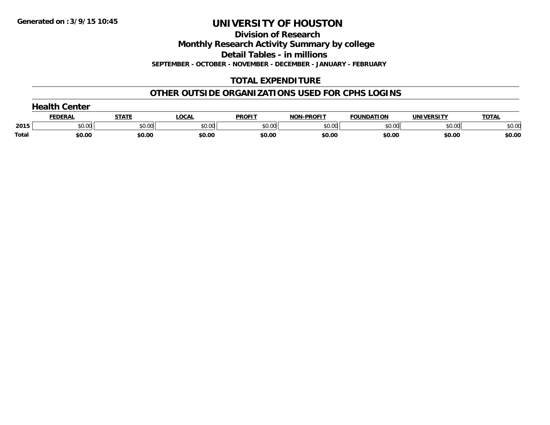**Division of Research**

**Monthly Research Activity Summary by college**

**Detail Tables - in millions**

**SEPTEMBER - OCTOBER - NOVEMBER - DECEMBER - JANUARY - FEBRUARY**

# **TOTAL EXPENDITURE**

# **OTHER OUTSIDE ORGANIZATIONS USED FOR CPHS LOGINS**

|              | nealth ∂<br><b>Center</b> |        |        |               |                   |                   |                   |              |
|--------------|---------------------------|--------|--------|---------------|-------------------|-------------------|-------------------|--------------|
|              | <b>FEDERAL</b>            | STATE  | LOCAL  | <b>PROFIT</b> | <b>NON-PROFIT</b> | <b>FOUNDATION</b> | <b>UNIVERSITY</b> | <b>TOTAL</b> |
| 2015         | \$0.00                    | \$0.00 | \$0.00 | \$0.00        | \$0.00            | \$0.00            | \$0.00            | \$0.00       |
| <b>Total</b> | \$0.00                    | \$0.00 | \$0.00 | \$0.00        | \$0.00            | \$0.00            | \$0.00            | \$0.00       |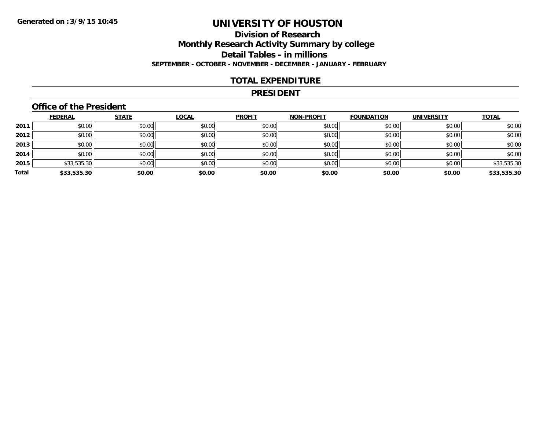# **Division of ResearchMonthly Research Activity Summary by college Detail Tables - in millions SEPTEMBER - OCTOBER - NOVEMBER - DECEMBER - JANUARY - FEBRUARY**

#### **TOTAL EXPENDITURE**

#### **PRESIDENT**

### **Office of the President**

|       | <b>FEDERAL</b> | <b>STATE</b> | <b>LOCAL</b> | <b>PROFIT</b> | <b>NON-PROFIT</b> | <b>FOUNDATION</b> | <b>UNIVERSITY</b> | <b>TOTAL</b> |
|-------|----------------|--------------|--------------|---------------|-------------------|-------------------|-------------------|--------------|
| 2011  | \$0.00         | \$0.00       | \$0.00       | \$0.00        | \$0.00            | \$0.00            | \$0.00            | \$0.00       |
| 2012  | \$0.00         | \$0.00       | \$0.00       | \$0.00        | \$0.00            | \$0.00            | \$0.00            | \$0.00       |
| 2013  | \$0.00         | \$0.00       | \$0.00       | \$0.00        | \$0.00            | \$0.00            | \$0.00            | \$0.00       |
| 2014  | \$0.00         | \$0.00       | \$0.00       | \$0.00        | \$0.00            | \$0.00            | \$0.00            | \$0.00       |
| 2015  | \$33,535.30    | \$0.00       | \$0.00       | \$0.00        | \$0.00            | \$0.00            | \$0.00            | \$33,535.30  |
| Total | \$33,535.30    | \$0.00       | \$0.00       | \$0.00        | \$0.00            | \$0.00            | \$0.00            | \$33,535.30  |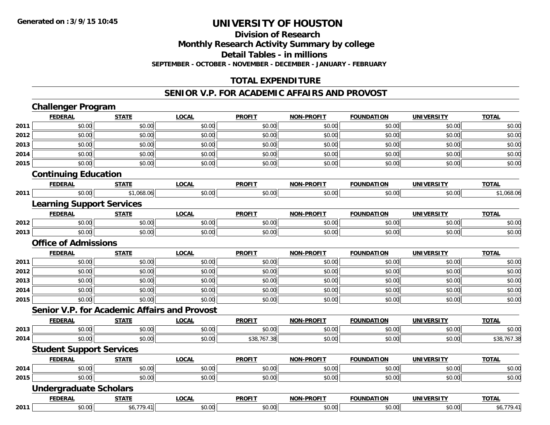**Division of Research**

**Monthly Research Activity Summary by college**

**Detail Tables - in millions**

**SEPTEMBER - OCTOBER - NOVEMBER - DECEMBER - JANUARY - FEBRUARY**

# **TOTAL EXPENDITURE**

#### **SENIOR V.P. FOR ACADEMIC AFFAIRS AND PROVOST**

|      | <b>Challenger Program</b>                           |              |              |               |                   |                   |                   |              |
|------|-----------------------------------------------------|--------------|--------------|---------------|-------------------|-------------------|-------------------|--------------|
|      | <b>FEDERAL</b>                                      | <b>STATE</b> | <b>LOCAL</b> | <b>PROFIT</b> | <b>NON-PROFIT</b> | <b>FOUNDATION</b> | <b>UNIVERSITY</b> | <b>TOTAL</b> |
| 2011 | \$0.00                                              | \$0.00       | \$0.00       | \$0.00        | \$0.00            | \$0.00            | \$0.00            | \$0.00       |
| 2012 | \$0.00                                              | \$0.00       | \$0.00       | \$0.00        | \$0.00            | \$0.00            | \$0.00            | \$0.00       |
| 2013 | \$0.00                                              | \$0.00       | \$0.00       | \$0.00        | \$0.00            | \$0.00            | \$0.00            | \$0.00       |
| 2014 | \$0.00                                              | \$0.00       | \$0.00       | \$0.00        | \$0.00            | \$0.00            | \$0.00            | \$0.00       |
| 2015 | \$0.00                                              | \$0.00       | \$0.00       | \$0.00        | \$0.00            | \$0.00            | \$0.00            | \$0.00       |
|      | <b>Continuing Education</b>                         |              |              |               |                   |                   |                   |              |
|      | <b>FEDERAL</b>                                      | <b>STATE</b> | <b>LOCAL</b> | <b>PROFIT</b> | <b>NON-PROFIT</b> | <b>FOUNDATION</b> | <b>UNIVERSITY</b> | <b>TOTAL</b> |
| 2011 | \$0.00                                              | \$1,068.06   | \$0.00       | \$0.00        | \$0.00            | \$0.00            | \$0.00            | \$1,068.06   |
|      | <b>Learning Support Services</b>                    |              |              |               |                   |                   |                   |              |
|      | <b>FEDERAL</b>                                      | <b>STATE</b> | <b>LOCAL</b> | <b>PROFIT</b> | <b>NON-PROFIT</b> | <b>FOUNDATION</b> | <b>UNIVERSITY</b> | <b>TOTAL</b> |
| 2012 | \$0.00                                              | \$0.00       | \$0.00       | \$0.00        | \$0.00            | \$0.00            | \$0.00            | \$0.00       |
| 2013 | \$0.00                                              | \$0.00       | \$0.00       | \$0.00        | \$0.00            | \$0.00            | \$0.00            | \$0.00       |
|      | <b>Office of Admissions</b>                         |              |              |               |                   |                   |                   |              |
|      | <b>FEDERAL</b>                                      | <b>STATE</b> | <b>LOCAL</b> | <b>PROFIT</b> | <b>NON-PROFIT</b> | <b>FOUNDATION</b> | <b>UNIVERSITY</b> | <b>TOTAL</b> |
| 2011 | \$0.00                                              | \$0.00       | \$0.00       | \$0.00        | \$0.00            | \$0.00            | \$0.00            | \$0.00       |
| 2012 | \$0.00                                              | \$0.00       | \$0.00       | \$0.00        | \$0.00            | \$0.00            | \$0.00            | \$0.00       |
| 2013 | \$0.00                                              | \$0.00       | \$0.00       | \$0.00        | \$0.00            | \$0.00            | \$0.00            | \$0.00       |
| 2014 | \$0.00                                              | \$0.00       | \$0.00       | \$0.00        | \$0.00            | \$0.00            | \$0.00            | \$0.00       |
| 2015 | \$0.00                                              | \$0.00       | \$0.00       | \$0.00        | \$0.00            | \$0.00            | \$0.00            | \$0.00       |
|      | <b>Senior V.P. for Academic Affairs and Provost</b> |              |              |               |                   |                   |                   |              |
|      | <b>FEDERAL</b>                                      | <b>STATE</b> | <b>LOCAL</b> | <b>PROFIT</b> | <b>NON-PROFIT</b> | <b>FOUNDATION</b> | <b>UNIVERSITY</b> | <b>TOTAL</b> |
| 2013 | \$0.00                                              | \$0.00       | \$0.00       | \$0.00        | \$0.00            | \$0.00            | \$0.00            | \$0.00       |
| 2014 | \$0.00                                              | \$0.00       | \$0.00       | \$38,767.38   | \$0.00            | \$0.00            | \$0.00            | \$38,767.38  |
|      | <b>Student Support Services</b>                     |              |              |               |                   |                   |                   |              |
|      | <b>FEDERAL</b>                                      | <b>STATE</b> | <b>LOCAL</b> | <b>PROFIT</b> | <b>NON-PROFIT</b> | <b>FOUNDATION</b> | <b>UNIVERSITY</b> | <b>TOTAL</b> |
| 2014 | \$0.00                                              | \$0.00       | \$0.00       | \$0.00        | \$0.00            | \$0.00            | \$0.00            | \$0.00       |
| 2015 | \$0.00                                              | \$0.00       | \$0.00       | \$0.00        | \$0.00            | \$0.00            | \$0.00            | \$0.00       |
|      | <b>Undergraduate Scholars</b>                       |              |              |               |                   |                   |                   |              |
|      | <b>FEDERAL</b>                                      | <b>STATE</b> | <b>LOCAL</b> | <b>PROFIT</b> | <b>NON-PROFIT</b> | <b>FOUNDATION</b> | <b>UNIVERSITY</b> | <b>TOTAL</b> |
| 2011 | \$0.00                                              | \$6,779.41   | \$0.00       | \$0.00        | \$0.00            | \$0.00            | \$0.00            | \$6,779.41   |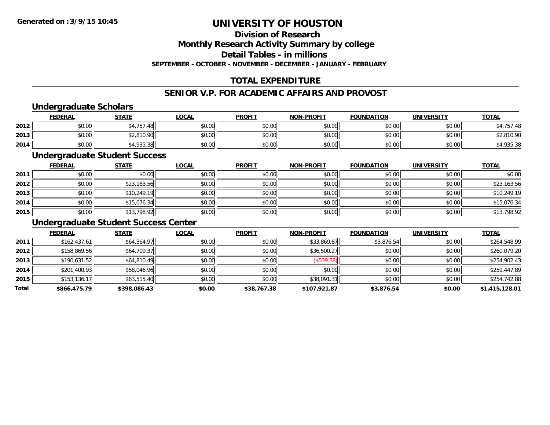# **Division of Research**

**Monthly Research Activity Summary by college**

**Detail Tables - in millions**

**SEPTEMBER - OCTOBER - NOVEMBER - DECEMBER - JANUARY - FEBRUARY**

# **TOTAL EXPENDITURE**

# **SENIOR V.P. FOR ACADEMIC AFFAIRS AND PROVOST**

# **Undergraduate Scholars**

|      | <b>FEDERAL</b> | <b>STATE</b> | <b>LOCAL</b> | <b>PROFIT</b> | <b>NON-PROFIT</b> | <b>FOUNDATION</b> | <b>UNIVERSITY</b> | <b>TOTAL</b> |
|------|----------------|--------------|--------------|---------------|-------------------|-------------------|-------------------|--------------|
| 2012 | \$0.00         | .757.48      | \$0.00       | \$0.00        | \$0.00            | \$0.00            | \$0.00            | /57.48       |
| 2013 | \$0.00         | \$2,810.90   | \$0.00       | \$0.00        | \$0.00            | \$0.00            | \$0.00            | \$2,810.90   |
| 2014 | \$0.00         | \$4,935.38   | \$0.00       | \$0.00        | \$0.00            | \$0.00            | \$0.00            | 4,935.38     |

#### **Undergraduate Student Success**

|      | <b>FEDERAL</b> | <b>STATE</b> | <u>LOCAL</u> | <b>PROFIT</b> | <b>NON-PROFIT</b> | <b>FOUNDATION</b> | <b>UNIVERSITY</b> | <b>TOTAL</b> |
|------|----------------|--------------|--------------|---------------|-------------------|-------------------|-------------------|--------------|
| 2011 | \$0.00         | \$0.00       | \$0.00       | \$0.00        | \$0.00            | \$0.00            | \$0.00            | \$0.00       |
| 2012 | \$0.00         | \$23,163.56  | \$0.00       | \$0.00        | \$0.00            | \$0.00            | \$0.00            | \$23,163.56  |
| 2013 | \$0.00         | \$10,249.19  | \$0.00       | \$0.00        | \$0.00            | \$0.00            | \$0.00            | \$10,249.19  |
| 2014 | \$0.00         | \$15,076.34  | \$0.00       | \$0.00        | \$0.00            | \$0.00            | \$0.00            | \$15,076.34  |
| 2015 | \$0.00         | \$13,798.92  | \$0.00       | \$0.00        | \$0.00            | \$0.00            | \$0.00            | \$13,798.92  |

### **Undergraduate Student Success Center**

|       | <b>FEDERAL</b> | <b>STATE</b> | <b>LOCAL</b> | <b>PROFIT</b> | <b>NON-PROFIT</b> | <b>FOUNDATION</b> | <b>UNIVERSITY</b> | <b>TOTAL</b>   |
|-------|----------------|--------------|--------------|---------------|-------------------|-------------------|-------------------|----------------|
| 2011  | \$162,437.61   | \$64,364.97  | \$0.00       | \$0.00        | \$33,869.87       | \$3,876.54        | \$0.00            | \$264,548.99   |
| 2012  | \$158,869.56   | \$64,709.37  | \$0.00       | \$0.00        | \$36,500.27       | \$0.00            | \$0.00            | \$260,079.20   |
| 2013  | \$190,631.52   | \$64,810.49  | \$0.00       | \$0.00        | (\$539.58)        | \$0.00            | \$0.00            | \$254,902.43   |
| 2014  | \$201,400.93   | \$58,046.96  | \$0.00       | \$0.00        | \$0.00            | \$0.00            | \$0.00            | \$259,447.89   |
| 2015  | \$153, 136.17  | \$63,515.40  | \$0.00       | \$0.00        | \$38,091.31       | \$0.00            | \$0.00            | \$254,742.88   |
| Total | \$866,475.79   | \$398,086.43 | \$0.00       | \$38,767.38   | \$107,921.87      | \$3,876.54        | \$0.00            | \$1,415,128.01 |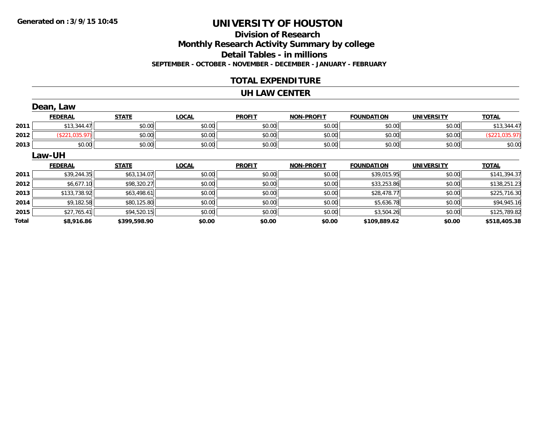# **Division of ResearchMonthly Research Activity Summary by college Detail Tables - in millions SEPTEMBER - OCTOBER - NOVEMBER - DECEMBER - JANUARY - FEBRUARY**

### **TOTAL EXPENDITURE**

#### **UH LAW CENTER**

|              | Dean, Law      |              |              |               |                   |                   |                   |                |
|--------------|----------------|--------------|--------------|---------------|-------------------|-------------------|-------------------|----------------|
|              | <b>FEDERAL</b> | <b>STATE</b> | <b>LOCAL</b> | <b>PROFIT</b> | <b>NON-PROFIT</b> | <b>FOUNDATION</b> | <b>UNIVERSITY</b> | <b>TOTAL</b>   |
| 2011         | \$13,344.47    | \$0.00       | \$0.00       | \$0.00        | \$0.00            | \$0.00            | \$0.00            | \$13,344.47    |
| 2012         | (\$221,035.97) | \$0.00       | \$0.00       | \$0.00        | \$0.00            | \$0.00            | \$0.00            | (\$221,035.97) |
| 2013         | \$0.00         | \$0.00       | \$0.00       | \$0.00        | \$0.00            | \$0.00            | \$0.00            | \$0.00         |
|              | Law-UH         |              |              |               |                   |                   |                   |                |
|              | <b>FEDERAL</b> | <b>STATE</b> | <b>LOCAL</b> | <b>PROFIT</b> | <b>NON-PROFIT</b> | <b>FOUNDATION</b> | <b>UNIVERSITY</b> | <b>TOTAL</b>   |
| 2011         | \$39,244.35    | \$63,134.07  | \$0.00       | \$0.00        | \$0.00            | \$39,015.95       | \$0.00            | \$141,394.37   |
| 2012         | \$6,677.10     | \$98,320.27  | \$0.00       | \$0.00        | \$0.00            | \$33,253.86       | \$0.00            | \$138,251.23   |
| 2013         | \$133,738.92   | \$63,498.61  | \$0.00       | \$0.00        | \$0.00            | \$28,478.77       | \$0.00            | \$225,716.30   |
| 2014         | \$9,182.58     | \$80,125.80  | \$0.00       | \$0.00        | \$0.00            | \$5,636.78        | \$0.00            | \$94,945.16    |
| 2015         | \$27,765.41    | \$94,520.15  | \$0.00       | \$0.00        | \$0.00            | \$3,504.26        | \$0.00            | \$125,789.82   |
| <b>Total</b> | \$8,916.86     | \$399,598.90 | \$0.00       | \$0.00        | \$0.00            | \$109,889.62      | \$0.00            | \$518,405.38   |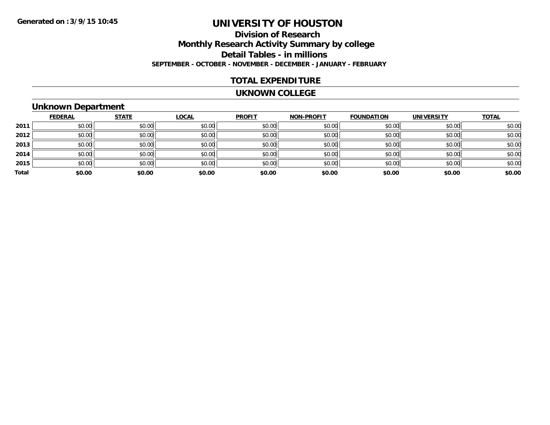# **Division of ResearchMonthly Research Activity Summary by college Detail Tables - in millions SEPTEMBER - OCTOBER - NOVEMBER - DECEMBER - JANUARY - FEBRUARY**

### **TOTAL EXPENDITURE**

#### **UKNOWN COLLEGE**

### **Unknown Department**

|       | <b>FEDERAL</b> | <b>STATE</b> | <b>LOCAL</b> | <b>PROFIT</b> | <b>NON-PROFIT</b> | <b>FOUNDATION</b> | <b>UNIVERSITY</b> | <b>TOTAL</b> |
|-------|----------------|--------------|--------------|---------------|-------------------|-------------------|-------------------|--------------|
| 2011  | \$0.00         | \$0.00       | \$0.00       | \$0.00        | \$0.00            | \$0.00            | \$0.00            | \$0.00       |
| 2012  | \$0.00         | \$0.00       | \$0.00       | \$0.00        | \$0.00            | \$0.00            | \$0.00            | \$0.00       |
| 2013  | \$0.00         | \$0.00       | \$0.00       | \$0.00        | \$0.00            | \$0.00            | \$0.00            | \$0.00       |
| 2014  | \$0.00         | \$0.00       | \$0.00       | \$0.00        | \$0.00            | \$0.00            | \$0.00            | \$0.00       |
| 2015  | \$0.00         | \$0.00       | \$0.00       | \$0.00        | \$0.00            | \$0.00            | \$0.00            | \$0.00       |
| Total | \$0.00         | \$0.00       | \$0.00       | \$0.00        | \$0.00            | \$0.00            | \$0.00            | \$0.00       |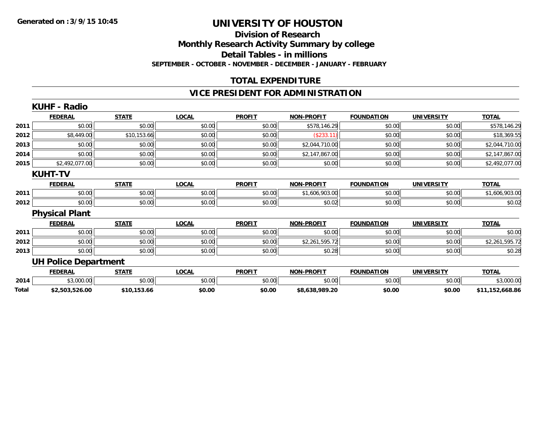#### **Division of Research Monthly Research Activity Summary by college Detail Tables - in millions SEPTEMBER - OCTOBER - NOVEMBER - DECEMBER - JANUARY - FEBRUARY**

## **TOTAL EXPENDITURE**

# **VICE PRESIDENT FOR ADMINISTRATION**

|       | <b>KUHF - Radio</b>         |              |              |               |                   |                   |                   |                 |
|-------|-----------------------------|--------------|--------------|---------------|-------------------|-------------------|-------------------|-----------------|
|       | <b>FEDERAL</b>              | <b>STATE</b> | <b>LOCAL</b> | <b>PROFIT</b> | <b>NON-PROFIT</b> | <b>FOUNDATION</b> | <b>UNIVERSITY</b> | <b>TOTAL</b>    |
| 2011  | \$0.00                      | \$0.00       | \$0.00       | \$0.00        | \$578,146.29      | \$0.00            | \$0.00            | \$578,146.29    |
| 2012  | \$8,449.00                  | \$10,153.66  | \$0.00       | \$0.00        | (\$233.11)        | \$0.00            | \$0.00            | \$18,369.55     |
| 2013  | \$0.00                      | \$0.00       | \$0.00       | \$0.00        | \$2,044,710.00    | \$0.00            | \$0.00            | \$2,044,710.00  |
| 2014  | \$0.00                      | \$0.00       | \$0.00       | \$0.00        | \$2,147,867.00    | \$0.00            | \$0.00            | \$2,147,867.00  |
| 2015  | \$2,492,077.00              | \$0.00       | \$0.00       | \$0.00        | \$0.00            | \$0.00            | \$0.00            | \$2,492,077.00  |
|       | <b>KUHT-TV</b>              |              |              |               |                   |                   |                   |                 |
|       | <b>FEDERAL</b>              | <b>STATE</b> | <b>LOCAL</b> | <b>PROFIT</b> | <b>NON-PROFIT</b> | <b>FOUNDATION</b> | <b>UNIVERSITY</b> | <b>TOTAL</b>    |
| 2011  | \$0.00                      | \$0.00       | \$0.00       | \$0.00        | \$1,606,903.00    | \$0.00            | \$0.00            | \$1,606,903.00  |
| 2012  | \$0.00                      | \$0.00       | \$0.00       | \$0.00        | \$0.02            | \$0.00            | \$0.00            | \$0.02          |
|       | <b>Physical Plant</b>       |              |              |               |                   |                   |                   |                 |
|       | <b>FEDERAL</b>              | <b>STATE</b> | <b>LOCAL</b> | <b>PROFIT</b> | <b>NON-PROFIT</b> | <b>FOUNDATION</b> | <b>UNIVERSITY</b> | <b>TOTAL</b>    |
| 2011  | \$0.00                      | \$0.00       | \$0.00       | \$0.00        | \$0.00            | \$0.00            | \$0.00            | \$0.00          |
| 2012  | \$0.00                      | \$0.00       | \$0.00       | \$0.00        | \$2,261,595.72    | \$0.00            | \$0.00            | \$2,261,595.72  |
| 2013  | \$0.00                      | \$0.00       | \$0.00       | \$0.00        | \$0.28            | \$0.00            | \$0.00            | \$0.28          |
|       | <b>UH Police Department</b> |              |              |               |                   |                   |                   |                 |
|       | <b>FEDERAL</b>              | <b>STATE</b> | <b>LOCAL</b> | <b>PROFIT</b> | <b>NON-PROFIT</b> | <b>FOUNDATION</b> | <b>UNIVERSITY</b> | <b>TOTAL</b>    |
| 2014  | \$3,000.00                  | \$0.00       | \$0.00       | \$0.00        | \$0.00            | \$0.00            | \$0.00            | \$3,000.00      |
| Total | \$2,503,526.00              | \$10,153.66  | \$0.00       | \$0.00        | \$8,638,989.20    | \$0.00            | \$0.00            | \$11,152,668.86 |
|       |                             |              |              |               |                   |                   |                   |                 |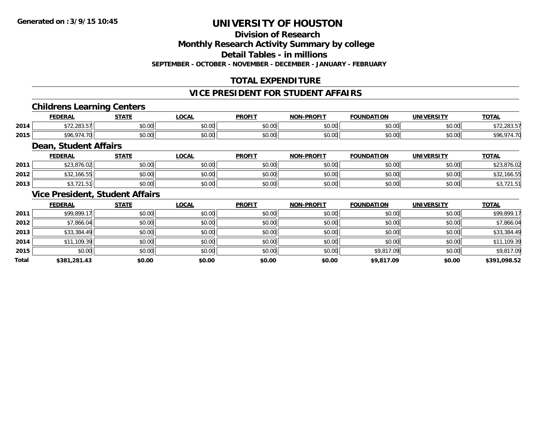**Division of Research**

**Monthly Research Activity Summary by college**

**Detail Tables - in millions**

**SEPTEMBER - OCTOBER - NOVEMBER - DECEMBER - JANUARY - FEBRUARY**

# **TOTAL EXPENDITURE**

# **VICE PRESIDENT FOR STUDENT AFFAIRS**

### **Childrens Learning Centers**

|      | <b>FEDERAL</b>       | C T A T C          | <b>OCAL</b><br>$\mathbf{u}$ | <b>PROFIT</b> | -PROFIT<br>NON- | <b>FOUNDATION</b>             | <b>UNIVERSITY</b> | <b>TOTAL</b> |
|------|----------------------|--------------------|-----------------------------|---------------|-----------------|-------------------------------|-------------------|--------------|
| 2014 | $0.00$ $F$<br>، دەغ، | $\sim$ 00<br>vv.vv | 0.00<br>vu.vu               | vv.vu         | 0000<br>vv.vv   | 0000<br>,u.uu                 | 0000<br>PO.OO     | $\cdots$     |
| 2015 |                      | $\sim$ 00<br>PU.UU | 0000<br>PO.OO               | vv.v          | 0000<br>PO.OO   | $\sim$ $\sim$ $\sim$<br>∕∪.∪∪ | 0000<br>JU.UU     | ۵۵٬          |

### **Dean, Student Affairs**

|      | <b>FEDERAL</b>          | <b>STATE</b> | <b>OCAL</b> | <b>PROFIT</b> | <b>NON-PROFIT</b> | <b>FOUNDATION</b> | UNIVERSITY | <b>TOTAL</b>       |
|------|-------------------------|--------------|-------------|---------------|-------------------|-------------------|------------|--------------------|
| 2011 | $*$ 22.07/02<br>.816.UZ | \$0.00       | \$0.00      | \$0.00        | \$0.00            | \$0.00            | \$0.00     | \$23,876.02        |
| 2012 | \$32,166.55             | \$0.00       | \$0.00      | \$0.00        | \$0.00            | \$0.00            | \$0.00     | $'$ 100.50<br>DJZ. |
| 2013 | $-1$<br>\$3,721.511     | \$0.00       | \$0.00      | \$0.00        | \$0.00            | \$0.00            | \$0.00     | . ت                |

### **Vice President, Student Affairs**

|       | <b>FEDERAL</b> | <b>STATE</b> | <u>LOCAL</u> | <b>PROFIT</b> | <b>NON-PROFIT</b> | <b>FOUNDATION</b> | <b>UNIVERSITY</b> | <b>TOTAL</b> |
|-------|----------------|--------------|--------------|---------------|-------------------|-------------------|-------------------|--------------|
| 2011  | \$99,899.17    | \$0.00       | \$0.00       | \$0.00        | \$0.00            | \$0.00            | \$0.00            | \$99,899.17  |
| 2012  | \$7,866.04     | \$0.00       | \$0.00       | \$0.00        | \$0.00            | \$0.00            | \$0.00            | \$7,866.04   |
| 2013  | \$33,384.49    | \$0.00       | \$0.00       | \$0.00        | \$0.00            | \$0.00            | \$0.00            | \$33,384.49  |
| 2014  | \$11,109.39    | \$0.00       | \$0.00       | \$0.00        | \$0.00            | \$0.00            | \$0.00            | \$11,109.39  |
| 2015  | \$0.00         | \$0.00       | \$0.00       | \$0.00        | \$0.00            | \$9,817.09        | \$0.00            | \$9,817.09   |
| Total | \$381,281.43   | \$0.00       | \$0.00       | \$0.00        | \$0.00            | \$9,817.09        | \$0.00            | \$391,098.52 |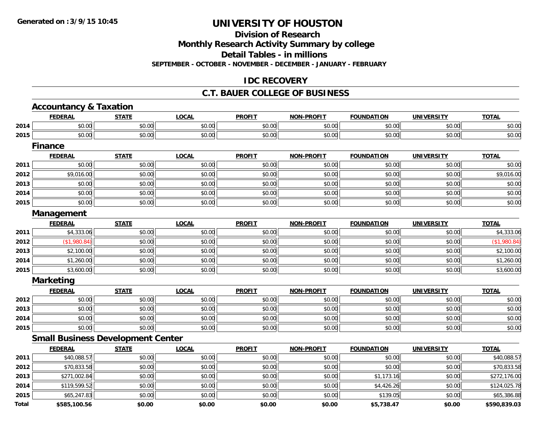**Division of Research**

**Monthly Research Activity Summary by college**

**Detail Tables - in millions**

**SEPTEMBER - OCTOBER - NOVEMBER - DECEMBER - JANUARY - FEBRUARY**

## **IDC RECOVERY**

#### **C.T. BAUER COLLEGE OF BUSINESS**

|              | <b>Accountancy &amp; Taxation</b> |                                          |              |               |                   |                   |                   |              |
|--------------|-----------------------------------|------------------------------------------|--------------|---------------|-------------------|-------------------|-------------------|--------------|
|              | <b>FEDERAL</b>                    | <b>STATE</b>                             | <b>LOCAL</b> | <b>PROFIT</b> | <b>NON-PROFIT</b> | <b>FOUNDATION</b> | <b>UNIVERSITY</b> | <b>TOTAL</b> |
| 2014         | \$0.00                            | \$0.00                                   | \$0.00       | \$0.00        | \$0.00            | \$0.00            | \$0.00            | \$0.00       |
| 2015         | \$0.00                            | \$0.00                                   | \$0.00       | \$0.00        | \$0.00            | \$0.00            | \$0.00            | \$0.00       |
|              | <b>Finance</b>                    |                                          |              |               |                   |                   |                   |              |
|              | <b>FEDERAL</b>                    | <b>STATE</b>                             | <b>LOCAL</b> | <b>PROFIT</b> | <b>NON-PROFIT</b> | <b>FOUNDATION</b> | <b>UNIVERSITY</b> | <b>TOTAL</b> |
| 2011         | \$0.00                            | \$0.00                                   | \$0.00       | \$0.00        | \$0.00            | \$0.00            | \$0.00            | \$0.00       |
| 2012         | \$9,016.00                        | \$0.00                                   | \$0.00       | \$0.00        | \$0.00            | \$0.00            | \$0.00            | \$9,016.00   |
| 2013         | \$0.00                            | \$0.00                                   | \$0.00       | \$0.00        | \$0.00            | \$0.00            | \$0.00            | \$0.00       |
| 2014         | \$0.00                            | \$0.00                                   | \$0.00       | \$0.00        | \$0.00            | \$0.00            | \$0.00            | \$0.00       |
| 2015         | \$0.00                            | \$0.00                                   | \$0.00       | \$0.00        | \$0.00            | \$0.00            | \$0.00            | \$0.00       |
|              | Management                        |                                          |              |               |                   |                   |                   |              |
|              | <b>FEDERAL</b>                    | <b>STATE</b>                             | <b>LOCAL</b> | <b>PROFIT</b> | <b>NON-PROFIT</b> | <b>FOUNDATION</b> | <b>UNIVERSITY</b> | <b>TOTAL</b> |
| 2011         | \$4,333.06                        | \$0.00                                   | \$0.00       | \$0.00        | \$0.00            | \$0.00            | \$0.00            | \$4,333.06   |
| 2012         | (\$1,980.84)                      | \$0.00                                   | \$0.00       | \$0.00        | \$0.00            | \$0.00            | \$0.00            | (\$1,980.84) |
| 2013         | \$2,100.00                        | \$0.00                                   | \$0.00       | \$0.00        | \$0.00            | \$0.00            | \$0.00            | \$2,100.00   |
| 2014         | \$1,260.00                        | \$0.00                                   | \$0.00       | \$0.00        | \$0.00            | \$0.00            | \$0.00            | \$1,260.00   |
| 2015         | \$3,600.00                        | \$0.00                                   | \$0.00       | \$0.00        | \$0.00            | \$0.00            | \$0.00            | \$3,600.00   |
|              | <b>Marketing</b>                  |                                          |              |               |                   |                   |                   |              |
|              | <b>FEDERAL</b>                    | <b>STATE</b>                             | <b>LOCAL</b> | <b>PROFIT</b> | <b>NON-PROFIT</b> | <b>FOUNDATION</b> | <b>UNIVERSITY</b> | <b>TOTAL</b> |
| 2012         | \$0.00                            | \$0.00                                   | \$0.00       | \$0.00        | \$0.00            | \$0.00            | \$0.00            | \$0.00       |
| 2013         | \$0.00                            | \$0.00                                   | \$0.00       | \$0.00        | \$0.00            | \$0.00            | \$0.00            | \$0.00       |
| 2014         | \$0.00                            | \$0.00                                   | \$0.00       | \$0.00        | \$0.00            | \$0.00            | \$0.00            | \$0.00       |
| 2015         | \$0.00                            | \$0.00                                   | \$0.00       | \$0.00        | \$0.00            | \$0.00            | \$0.00            | \$0.00       |
|              |                                   | <b>Small Business Development Center</b> |              |               |                   |                   |                   |              |
|              | <b>FEDERAL</b>                    | <b>STATE</b>                             | <b>LOCAL</b> | <b>PROFIT</b> | <b>NON-PROFIT</b> | <b>FOUNDATION</b> | <b>UNIVERSITY</b> | <b>TOTAL</b> |
| 2011         | \$40,088.57                       | \$0.00                                   | \$0.00       | \$0.00        | \$0.00            | \$0.00            | \$0.00            | \$40,088.57  |
| 2012         | \$70,833.58                       | \$0.00                                   | \$0.00       | \$0.00        | \$0.00            | \$0.00            | \$0.00            | \$70,833.58  |
| 2013         | \$271,002.84                      | \$0.00                                   | \$0.00       | \$0.00        | \$0.00            | \$1,173.16        | \$0.00            | \$272,176.00 |
| 2014         | \$119,599.52                      | \$0.00                                   | \$0.00       | \$0.00        | \$0.00            | \$4,426.26        | \$0.00            | \$124,025.78 |
| 2015         | \$65,247.83                       | \$0.00                                   | \$0.00       | \$0.00        | \$0.00            | \$139.05          | \$0.00            | \$65,386.88  |
| <b>Total</b> | \$585.100.56                      | \$0.00                                   | \$0.00       | \$0.00        | \$0.00            | \$5,738.47        | \$0.00            | \$590.839.03 |

**\$585,100.56 \$0.00 \$0.00 \$0.00 \$0.00 \$5,738.47 \$0.00 \$590,839.03**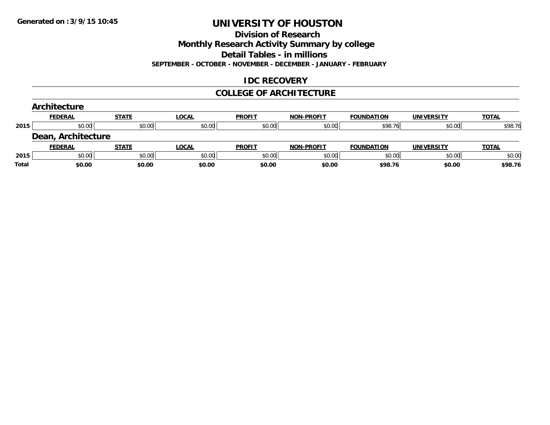#### **Division of Research**

**Monthly Research Activity Summary by college**

**Detail Tables - in millions**

**SEPTEMBER - OCTOBER - NOVEMBER - DECEMBER - JANUARY - FEBRUARY**

## **IDC RECOVERY**

#### **COLLEGE OF ARCHITECTURE**

|       | Architecture       |              |              |               |                   |                   |                   |              |
|-------|--------------------|--------------|--------------|---------------|-------------------|-------------------|-------------------|--------------|
|       | <b>FEDERAL</b>     | <b>STATE</b> | <b>LOCAL</b> | <b>PROFIT</b> | <b>NON-PROFIT</b> | <b>FOUNDATION</b> | <b>UNIVERSITY</b> | <b>TOTAL</b> |
| 2015  | \$0.00             | \$0.00       | \$0.00       | \$0.00        | \$0.00            | \$98.76           | \$0.00            | \$98.76      |
|       | Dean, Architecture |              |              |               |                   |                   |                   |              |
|       | <b>FEDERAL</b>     | <b>STATE</b> | LOCAL        | <b>PROFIT</b> | <b>NON-PROFIT</b> | <b>FOUNDATION</b> | <b>UNIVERSITY</b> | <b>TOTAL</b> |
| 2015  | \$0.00             | \$0.00       | \$0.00       | \$0.00        | \$0.00            | \$0.00            | \$0.00            | \$0.00       |
| Total | \$0.00             | \$0.00       | \$0.00       | \$0.00        | \$0.00            | \$98.76           | \$0.00            | \$98.76      |
|       |                    |              |              |               |                   |                   |                   |              |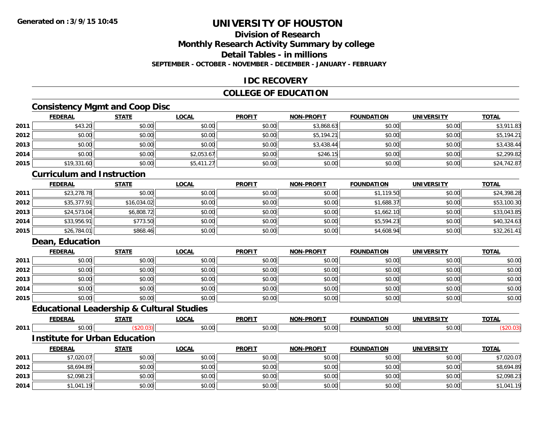# **Division of Research**

**Monthly Research Activity Summary by college**

**Detail Tables - in millions**

**SEPTEMBER - OCTOBER - NOVEMBER - DECEMBER - JANUARY - FEBRUARY**

## **IDC RECOVERY**

### **COLLEGE OF EDUCATION**

# **Consistency Mgmt and Coop Disc**

|      | <b>FEDERAL</b> | <b>STATE</b> | <b>LOCAL</b> | <b>PROFIT</b> | NON-PROFIT | <b>FOUNDATION</b> | <b>UNIVERSITY</b> | <b>TOTAL</b> |
|------|----------------|--------------|--------------|---------------|------------|-------------------|-------------------|--------------|
| 2011 | \$43.20        | \$0.00       | \$0.00       | \$0.00        | \$3,868.63 | \$0.00            | \$0.00            | \$3,911.83   |
| 2012 | \$0.00         | \$0.00       | \$0.00       | \$0.00        | \$5,194.21 | \$0.00            | \$0.00            | \$5,194.21   |
| 2013 | \$0.00         | \$0.00       | \$0.00       | \$0.00        | \$3,438.44 | \$0.00            | \$0.00            | \$3,438.44   |
| 2014 | \$0.00         | \$0.00       | \$2,053.67   | \$0.00        | \$246.15   | \$0.00            | \$0.00            | \$2,299.82   |
| 2015 | \$19,331.60    | \$0.00       | \$5,411.27   | \$0.00        | \$0.00     | \$0.00            | \$0.00            | \$24,742.87  |

#### **Curriculum and Instruction**

|      | <b>FEDERAL</b> | <b>STATE</b> | <u>LOCAL</u> | <b>PROFIT</b> | <b>NON-PROFIT</b> | <b>FOUNDATION</b> | <b>UNIVERSITY</b> | <b>TOTAL</b> |
|------|----------------|--------------|--------------|---------------|-------------------|-------------------|-------------------|--------------|
| 2011 | \$23,278.78    | \$0.00       | \$0.00       | \$0.00        | \$0.00            | \$1,119.50        | \$0.00            | \$24,398.28  |
| 2012 | \$35,377.91    | \$16,034.02  | \$0.00       | \$0.00        | \$0.00            | \$1,688.37        | \$0.00            | \$53,100.30  |
| 2013 | \$24,573.04    | \$6,808.72   | \$0.00       | \$0.00        | \$0.00            | \$1,662.10        | \$0.00            | \$33,043.85  |
| 2014 | \$33,956.91    | \$773.50     | \$0.00       | \$0.00        | \$0.00            | \$5,594.23        | \$0.00            | \$40,324.63  |
| 2015 | \$26,784.01    | \$868.46     | \$0.00       | \$0.00        | \$0.00            | \$4,608.94        | \$0.00            | \$32,261.41  |

# **Dean, Education**

|      | <b>FEDERAL</b> | <b>STATE</b> | <b>LOCAL</b> | <b>PROFIT</b> | <b>NON-PROFIT</b> | <b>FOUNDATION</b> | <b>UNIVERSITY</b> | <b>TOTAL</b> |
|------|----------------|--------------|--------------|---------------|-------------------|-------------------|-------------------|--------------|
| 2011 | \$0.00         | \$0.00       | \$0.00       | \$0.00        | \$0.00            | \$0.00            | \$0.00            | \$0.00       |
| 2012 | \$0.00         | \$0.00       | \$0.00       | \$0.00        | \$0.00            | \$0.00            | \$0.00            | \$0.00       |
| 2013 | \$0.00         | \$0.00       | \$0.00       | \$0.00        | \$0.00            | \$0.00            | \$0.00            | \$0.00       |
| 2014 | \$0.00         | \$0.00       | \$0.00       | \$0.00        | \$0.00            | \$0.00            | \$0.00            | \$0.00       |
| 2015 | \$0.00         | \$0.00       | \$0.00       | \$0.00        | \$0.00            | \$0.00            | \$0.00            | \$0.00       |

# **Educational Leadership & Cultural Studies**

|      | <b>FFBFB8</b><br>--- | $   -$ | $\sim$ $\sim$ $\sim$<br>w | <b>DDOEIT</b> | -----<br><b>NOR</b> |            | <b>INIL</b>           | $T\cap T$ |
|------|----------------------|--------|---------------------------|---------------|---------------------|------------|-----------------------|-----------|
| 2011 |                      |        | 50.00<br><b>U.V.</b>      |               | $\sim$ $\sim$       | $\sim$ 0.0 | $\sim$ 00 $\sim$<br>w |           |

#### **Institute for Urban Education**

|      | <b>FEDERAL</b> | STATE  | <u>LOCAL</u> | <b>PROFIT</b> | <b>NON-PROFIT</b> | <b>FOUNDATION</b> | UNIVERSITY | <b>TOTAL</b> |
|------|----------------|--------|--------------|---------------|-------------------|-------------------|------------|--------------|
| 2011 | \$7,020.07     | \$0.00 | \$0.00       | \$0.00        | \$0.00            | \$0.00            | \$0.00     | \$7,020.07   |
| 2012 | \$8,694.89     | \$0.00 | \$0.00       | \$0.00        | \$0.00            | \$0.00            | \$0.00     | \$8,694.89   |
| 2013 | \$2,098.23     | \$0.00 | \$0.00       | \$0.00        | \$0.00            | \$0.00            | \$0.00     | \$2,098.23   |
| 2014 | \$1,041.19     | \$0.00 | \$0.00       | \$0.00        | \$0.00            | \$0.00            | \$0.00     | \$1,041.19   |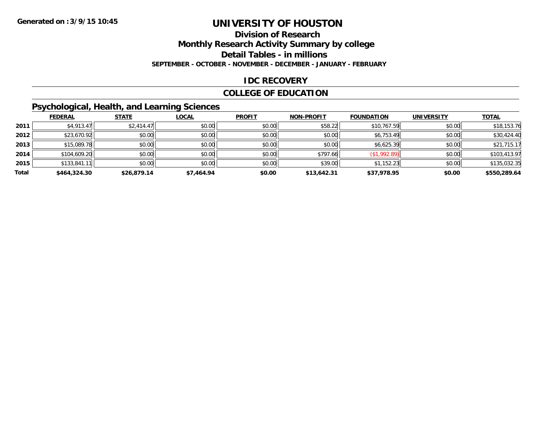#### **Division of Research**

**Monthly Research Activity Summary by college**

**Detail Tables - in millions**

**SEPTEMBER - OCTOBER - NOVEMBER - DECEMBER - JANUARY - FEBRUARY**

### **IDC RECOVERY**

### **COLLEGE OF EDUCATION**

# **Psychological, Health, and Learning Sciences**

|       | <b>FEDERAL</b> | <b>STATE</b> | <b>LOCAL</b> | <b>PROFIT</b> | <b>NON-PROFIT</b> | <b>FOUNDATION</b> | <b>UNIVERSITY</b> | <b>TOTAL</b> |
|-------|----------------|--------------|--------------|---------------|-------------------|-------------------|-------------------|--------------|
| 2011  | \$4,913.47     | \$2,414.47   | \$0.00       | \$0.00        | \$58.22           | \$10,767.59       | \$0.00            | \$18,153.76  |
| 2012  | \$23,670.92    | \$0.00       | \$0.00       | \$0.00        | \$0.00            | \$6,753.49        | \$0.00            | \$30,424.40  |
| 2013  | \$15,089.78    | \$0.00       | \$0.00       | \$0.00        | \$0.00            | \$6,625.39        | \$0.00            | \$21,715.17  |
| 2014  | \$104,609.20   | \$0.00       | \$0.00       | \$0.00        | \$797.66          | (\$1,992.89)      | \$0.00            | \$103,413.97 |
| 2015  | \$133,841.11   | \$0.00       | \$0.00       | \$0.00        | \$39.00           | \$1,152.23        | \$0.00            | \$135,032.35 |
| Total | \$464,324,30   | \$26,879.14  | \$7,464.94   | \$0.00        | \$13,642.31       | \$37,978.95       | \$0.00            | \$550,289.64 |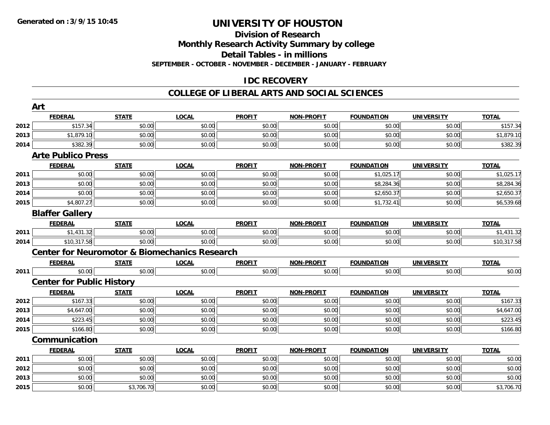# **Division of Research**

**Monthly Research Activity Summary by college**

**Detail Tables - in millions**

**SEPTEMBER - OCTOBER - NOVEMBER - DECEMBER - JANUARY - FEBRUARY**

# **IDC RECOVERY**

#### **COLLEGE OF LIBERAL ARTS AND SOCIAL SCIENCES**

|      | Art                                                      |              |              |               |                   |                   |                   |              |
|------|----------------------------------------------------------|--------------|--------------|---------------|-------------------|-------------------|-------------------|--------------|
|      | <b>FEDERAL</b>                                           | <b>STATE</b> | <b>LOCAL</b> | <b>PROFIT</b> | NON-PROFIT        | <b>FOUNDATION</b> | <b>UNIVERSITY</b> | <b>TOTAL</b> |
| 2012 | \$157.34                                                 | \$0.00       | \$0.00       | \$0.00        | \$0.00            | \$0.00            | \$0.00            | \$157.34     |
| 2013 | \$1,879.10                                               | \$0.00       | \$0.00       | \$0.00        | \$0.00            | \$0.00            | \$0.00            | \$1,879.10   |
| 2014 | \$382.39                                                 | \$0.00       | \$0.00       | \$0.00        | \$0.00            | \$0.00            | \$0.00            | \$382.39     |
|      | <b>Arte Publico Press</b>                                |              |              |               |                   |                   |                   |              |
|      | <b>FEDERAL</b>                                           | <b>STATE</b> | <b>LOCAL</b> | <b>PROFIT</b> | <b>NON-PROFIT</b> | <b>FOUNDATION</b> | <b>UNIVERSITY</b> | <b>TOTAL</b> |
| 2011 | \$0.00                                                   | \$0.00       | \$0.00       | \$0.00        | \$0.00            | \$1,025.17        | \$0.00            | \$1,025.17   |
| 2013 | \$0.00                                                   | \$0.00       | \$0.00       | \$0.00        | \$0.00            | \$8,284.36        | \$0.00            | \$8,284.36   |
| 2014 | \$0.00                                                   | \$0.00       | \$0.00       | \$0.00        | \$0.00            | \$2,650.37        | \$0.00            | \$2,650.37   |
| 2015 | \$4,807.27                                               | \$0.00       | \$0.00       | \$0.00        | \$0.00            | \$1,732.41        | \$0.00            | \$6,539.68   |
|      | <b>Blaffer Gallery</b>                                   |              |              |               |                   |                   |                   |              |
|      | <b>FEDERAL</b>                                           | <b>STATE</b> | <b>LOCAL</b> | <b>PROFIT</b> | <b>NON-PROFIT</b> | <b>FOUNDATION</b> | <b>UNIVERSITY</b> | <b>TOTAL</b> |
| 2011 | \$1,431.32                                               | \$0.00       | \$0.00       | \$0.00        | \$0.00            | \$0.00            | \$0.00            | \$1,431.32   |
| 2014 | \$10,317.58                                              | \$0.00       | \$0.00       | \$0.00        | \$0.00            | \$0.00            | \$0.00            | \$10,317.58  |
|      | <b>Center for Neuromotor &amp; Biomechanics Research</b> |              |              |               |                   |                   |                   |              |
|      | <b>FEDERAL</b>                                           | <b>STATE</b> | <b>LOCAL</b> | <b>PROFIT</b> | <b>NON-PROFIT</b> | <b>FOUNDATION</b> | <b>UNIVERSITY</b> | <b>TOTAL</b> |
| 2011 | \$0.00                                                   | \$0.00       | \$0.00       | \$0.00        | \$0.00            | \$0.00            | \$0.00            | \$0.00       |
|      | <b>Center for Public History</b>                         |              |              |               |                   |                   |                   |              |
|      | <b>FEDERAL</b>                                           | <b>STATE</b> | <b>LOCAL</b> | <b>PROFIT</b> | <b>NON-PROFIT</b> | <b>FOUNDATION</b> | <b>UNIVERSITY</b> | <b>TOTAL</b> |
| 2012 | \$167.33                                                 | \$0.00       | \$0.00       | \$0.00        | \$0.00            | \$0.00            | \$0.00            | \$167.33     |
| 2013 | \$4,647.00                                               | \$0.00       | \$0.00       | \$0.00        | \$0.00            | \$0.00            | \$0.00            | \$4,647.00   |
| 2014 | \$223.45                                                 | \$0.00       | \$0.00       | \$0.00        | \$0.00            | \$0.00            | \$0.00            | \$223.45     |
| 2015 | \$166.80                                                 | \$0.00       | \$0.00       | \$0.00        | \$0.00            | \$0.00            | \$0.00            | \$166.80     |
|      | Communication                                            |              |              |               |                   |                   |                   |              |
|      | <b>FEDERAL</b>                                           | <b>STATE</b> | <b>LOCAL</b> | <b>PROFIT</b> | <b>NON-PROFIT</b> | <b>FOUNDATION</b> | <b>UNIVERSITY</b> | <b>TOTAL</b> |
| 2011 | \$0.00                                                   | \$0.00       | \$0.00       | \$0.00        | \$0.00            | \$0.00            | \$0.00            | \$0.00       |
| 2012 | \$0.00                                                   | \$0.00       | \$0.00       | \$0.00        | \$0.00            | \$0.00            | \$0.00            | \$0.00       |
| 2013 | \$0.00                                                   | \$0.00       | \$0.00       | \$0.00        | \$0.00            | \$0.00            | \$0.00            | \$0.00       |
| 2015 | \$0.00                                                   | \$3,706.70   | \$0.00       | \$0.00        | \$0.00            | \$0.00            | \$0.00            | \$3,706.70   |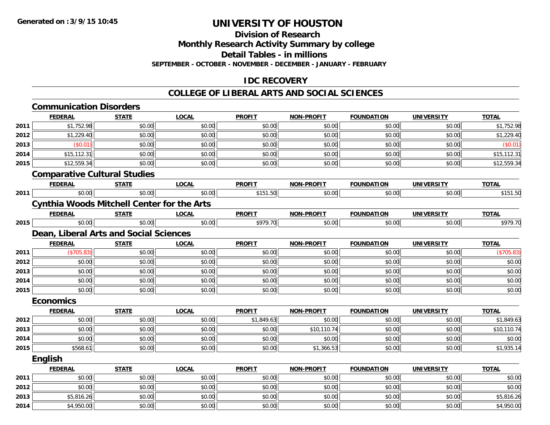**Division of Research**

**Monthly Research Activity Summary by college**

**Detail Tables - in millions**

**SEPTEMBER - OCTOBER - NOVEMBER - DECEMBER - JANUARY - FEBRUARY**

## **IDC RECOVERY**

#### **COLLEGE OF LIBERAL ARTS AND SOCIAL SCIENCES**

|      | <b>Communication Disorders</b>                    |              |              |               |                   |                   |                   |              |
|------|---------------------------------------------------|--------------|--------------|---------------|-------------------|-------------------|-------------------|--------------|
|      | <b>FEDERAL</b>                                    | <b>STATE</b> | <b>LOCAL</b> | <b>PROFIT</b> | <b>NON-PROFIT</b> | <b>FOUNDATION</b> | <b>UNIVERSITY</b> | <b>TOTAL</b> |
| 2011 | \$1,752.98                                        | \$0.00       | \$0.00       | \$0.00        | \$0.00            | \$0.00            | \$0.00            | \$1,752.98   |
| 2012 | \$1,229.40                                        | \$0.00       | \$0.00       | \$0.00        | \$0.00            | \$0.00            | \$0.00            | \$1,229.40   |
| 2013 | (\$0.01)                                          | \$0.00       | \$0.00       | \$0.00        | \$0.00            | \$0.00            | \$0.00            | (\$0.01)     |
| 2014 | \$15,112.31                                       | \$0.00       | \$0.00       | \$0.00        | \$0.00            | \$0.00            | \$0.00            | \$15,112.31  |
| 2015 | \$12,559.34                                       | \$0.00       | \$0.00       | \$0.00        | \$0.00            | \$0.00            | \$0.00            | \$12,559.34  |
|      | <b>Comparative Cultural Studies</b>               |              |              |               |                   |                   |                   |              |
|      | <b>FEDERAL</b>                                    | <b>STATE</b> | <b>LOCAL</b> | <b>PROFIT</b> | <b>NON-PROFIT</b> | <b>FOUNDATION</b> | <b>UNIVERSITY</b> | <b>TOTAL</b> |
| 2011 | \$0.00                                            | \$0.00       | \$0.00       | \$151.50      | \$0.00            | \$0.00            | \$0.00            | \$151.50     |
|      | <b>Cynthia Woods Mitchell Center for the Arts</b> |              |              |               |                   |                   |                   |              |
|      | <b>FEDERAL</b>                                    | <b>STATE</b> | <b>LOCAL</b> | <b>PROFIT</b> | <b>NON-PROFIT</b> | <b>FOUNDATION</b> | <b>UNIVERSITY</b> | <b>TOTAL</b> |
| 2015 | \$0.00                                            | \$0.00       | \$0.00       | \$979.70      | \$0.00            | \$0.00            | \$0.00            | \$979.70     |
|      | Dean, Liberal Arts and Social Sciences            |              |              |               |                   |                   |                   |              |
|      | <b>FEDERAL</b>                                    | <b>STATE</b> | <b>LOCAL</b> | <b>PROFIT</b> | <b>NON-PROFIT</b> | <b>FOUNDATION</b> | <b>UNIVERSITY</b> | <b>TOTAL</b> |
| 2011 | (\$705.83)                                        | \$0.00       | \$0.00       | \$0.00        | \$0.00            | \$0.00            | \$0.00            | (\$705.83)   |
| 2012 | \$0.00                                            | \$0.00       | \$0.00       | \$0.00        | \$0.00            | \$0.00            | \$0.00            | \$0.00       |
| 2013 | \$0.00                                            | \$0.00       | \$0.00       | \$0.00        | \$0.00            | \$0.00            | \$0.00            | \$0.00       |
| 2014 | \$0.00                                            | \$0.00       | \$0.00       | \$0.00        | \$0.00            | \$0.00            | \$0.00            | \$0.00       |
| 2015 | \$0.00                                            | \$0.00       | \$0.00       | \$0.00        | \$0.00            | \$0.00            | \$0.00            | \$0.00       |
|      | <b>Economics</b>                                  |              |              |               |                   |                   |                   |              |
|      | <b>FEDERAL</b>                                    | <b>STATE</b> | <b>LOCAL</b> | <b>PROFIT</b> | <b>NON-PROFIT</b> | <b>FOUNDATION</b> | <b>UNIVERSITY</b> | <b>TOTAL</b> |
| 2012 | \$0.00                                            | \$0.00       | \$0.00       | \$1,849.63    | \$0.00            | \$0.00            | \$0.00            | \$1,849.63   |
| 2013 | \$0.00                                            | \$0.00       | \$0.00       | \$0.00        | \$10,110.74       | \$0.00            | \$0.00            | \$10,110.74  |
| 2014 | \$0.00                                            | \$0.00       | \$0.00       | \$0.00        | \$0.00            | \$0.00            | \$0.00            | \$0.00       |
| 2015 | \$568.61                                          | \$0.00       | \$0.00       | \$0.00        | \$1,366.53        | \$0.00            | \$0.00            | \$1,935.14   |
|      | <b>English</b>                                    |              |              |               |                   |                   |                   |              |
|      | <b>FEDERAL</b>                                    | <b>STATE</b> | <b>LOCAL</b> | <b>PROFIT</b> | <b>NON-PROFIT</b> | <b>FOUNDATION</b> | <b>UNIVERSITY</b> | <b>TOTAL</b> |
| 2011 | \$0.00                                            | \$0.00       | \$0.00       | \$0.00        | \$0.00            | \$0.00            | \$0.00            | \$0.00       |
| 2012 | \$0.00                                            | \$0.00       | \$0.00       | \$0.00        | \$0.00            | \$0.00            | \$0.00            | \$0.00       |
| 2013 | \$5,816.26                                        | \$0.00       | \$0.00       | \$0.00        | \$0.00            | \$0.00            | \$0.00            | \$5,816.26   |
| 2014 | \$4,950.00                                        | \$0.00       | \$0.00       | \$0.00        | \$0.00            | \$0.00            | \$0.00            | \$4,950.00   |

4 \$4,950.00| \$0.00| \$0.00| \$0.00| \$0.00| \$0.00| \$4,950.00| \$4,950.00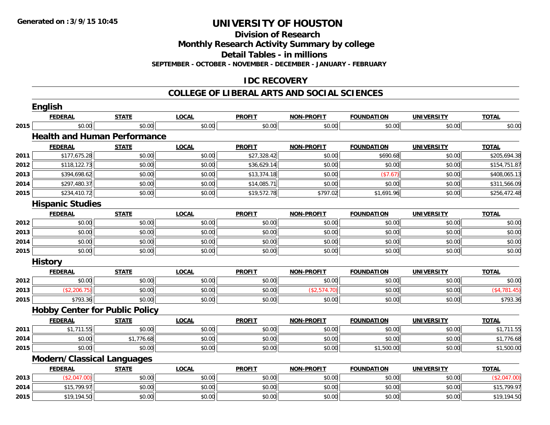**Division of Research**

**Monthly Research Activity Summary by college**

**Detail Tables - in millions**

**SEPTEMBER - OCTOBER - NOVEMBER - DECEMBER - JANUARY - FEBRUARY**

# **IDC RECOVERY**

#### **COLLEGE OF LIBERAL ARTS AND SOCIAL SCIENCES**

|              | <b>English</b>                        |              |              |               |                   |                   |                   |              |
|--------------|---------------------------------------|--------------|--------------|---------------|-------------------|-------------------|-------------------|--------------|
|              | <b>FEDERAL</b>                        | <b>STATE</b> | <b>LOCAL</b> | <b>PROFIT</b> | <b>NON-PROFIT</b> | <b>FOUNDATION</b> | <b>UNIVERSITY</b> | <b>TOTAL</b> |
| 2015         | \$0.00                                | \$0.00       | \$0.00       | \$0.00        | \$0.00            | \$0.00            | \$0.00            | \$0.00       |
|              | <b>Health and Human Performance</b>   |              |              |               |                   |                   |                   |              |
|              | <b>FEDERAL</b>                        | <b>STATE</b> | <b>LOCAL</b> | <b>PROFIT</b> | <b>NON-PROFIT</b> | <b>FOUNDATION</b> | <b>UNIVERSITY</b> | <b>TOTAL</b> |
| 2011         | \$177,675.28                          | \$0.00       | \$0.00       | \$27,328.42   | \$0.00            | \$690.68          | \$0.00            | \$205,694.38 |
| 2012         | \$118,122.73                          | \$0.00       | \$0.00       | \$36,629.14   | \$0.00            | \$0.00            | \$0.00            | \$154,751.87 |
| 2013         | \$394,698.62                          | \$0.00       | \$0.00       | \$13,374.18   | \$0.00            | (\$7.67)          | \$0.00            | \$408,065.13 |
| 2014         | \$297,480.37                          | \$0.00       | \$0.00       | \$14,085.71   | \$0.00            | \$0.00            | \$0.00            | \$311,566.09 |
| 2015         | \$234,410.72                          | \$0.00       | \$0.00       | \$19,572.78   | \$797.02          | \$1,691.96        | \$0.00            | \$256,472.48 |
|              | <b>Hispanic Studies</b>               |              |              |               |                   |                   |                   |              |
|              | <b>FEDERAL</b>                        | <b>STATE</b> | <b>LOCAL</b> | <b>PROFIT</b> | <b>NON-PROFIT</b> | <b>FOUNDATION</b> | <b>UNIVERSITY</b> | <b>TOTAL</b> |
| 2012         | \$0.00                                | \$0.00       | \$0.00       | \$0.00        | \$0.00            | \$0.00            | \$0.00            | \$0.00       |
| 2013         | \$0.00                                | \$0.00       | \$0.00       | \$0.00        | \$0.00            | \$0.00            | \$0.00            | \$0.00       |
| 2014         | \$0.00                                | \$0.00       | \$0.00       | \$0.00        | \$0.00            | \$0.00            | \$0.00            | \$0.00       |
| 2015         | \$0.00                                | \$0.00       | \$0.00       | \$0.00        | \$0.00            | \$0.00            | \$0.00            | \$0.00       |
|              | <b>History</b>                        |              |              |               |                   |                   |                   |              |
|              | <b>FEDERAL</b>                        | <b>STATE</b> | <b>LOCAL</b> | <b>PROFIT</b> | <b>NON-PROFIT</b> | <b>FOUNDATION</b> | <b>UNIVERSITY</b> | <b>TOTAL</b> |
| 2012         | \$0.00                                | \$0.00       | \$0.00       | \$0.00        | \$0.00            | \$0.00            | \$0.00            | \$0.00       |
| 2013         | (\$2,206.75)                          | \$0.00       | \$0.00       | \$0.00        | (\$2,574.70)      | \$0.00            | \$0.00            | (\$4,781.45) |
| 2015         | \$793.36                              | \$0.00       | \$0.00       | \$0.00        | \$0.00            | \$0.00            | \$0.00            | \$793.36     |
|              | <b>Hobby Center for Public Policy</b> |              |              |               |                   |                   |                   |              |
|              | <b>FEDERAL</b>                        | <b>STATE</b> | <b>LOCAL</b> | <b>PROFIT</b> | <b>NON-PROFIT</b> | <b>FOUNDATION</b> | <b>UNIVERSITY</b> | <b>TOTAL</b> |
| 2011         | \$1,711.55                            | \$0.00       | \$0.00       | \$0.00        | \$0.00            | \$0.00            | \$0.00            | \$1,711.55   |
| 2014         | \$0.00                                | \$1,776.68   | \$0.00       | \$0.00        | \$0.00            | \$0.00            | \$0.00            | \$1,776.68   |
| 2015         | \$0.00                                | \$0.00       | \$0.00       | \$0.00        | \$0.00            | \$1,500.00        | \$0.00            | \$1,500.00   |
|              | <b>Modern/Classical Languages</b>     |              |              |               |                   |                   |                   |              |
|              | <b>FEDERAL</b>                        | <b>STATE</b> | <b>LOCAL</b> | <b>PROFIT</b> | <b>NON-PROFIT</b> | <b>FOUNDATION</b> | <b>UNIVERSITY</b> | <b>TOTAL</b> |
|              |                                       |              |              |               |                   |                   |                   |              |
| 2013         | (\$2,047.00)                          | \$0.00       | \$0.00       | \$0.00        | \$0.00            | \$0.00            | \$0.00            | (\$2,047.00) |
| 2014<br>2015 | \$15,799.97<br>\$19,194.50            | \$0.00       | \$0.00       | \$0.00        | \$0.00            | \$0.00            | \$0.00            | \$15,799.97  |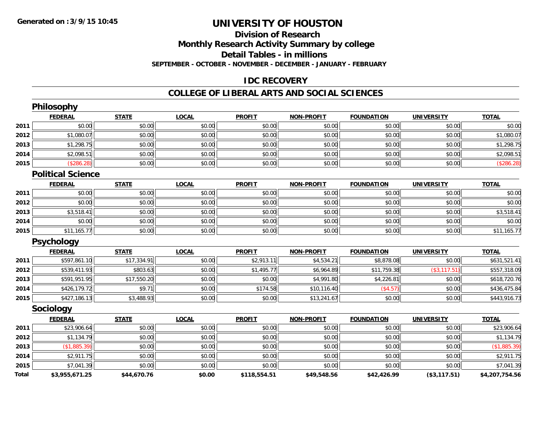# **Division of ResearchMonthly Research Activity Summary by college Detail Tables - in millions**

**SEPTEMBER - OCTOBER - NOVEMBER - DECEMBER - JANUARY - FEBRUARY**

# **IDC RECOVERY**

#### **COLLEGE OF LIBERAL ARTS AND SOCIAL SCIENCES**

|              | Philosophy               |              |              |               |                   |                   |                   |                |
|--------------|--------------------------|--------------|--------------|---------------|-------------------|-------------------|-------------------|----------------|
|              | <b>FEDERAL</b>           | <b>STATE</b> | <b>LOCAL</b> | <b>PROFIT</b> | <b>NON-PROFIT</b> | <b>FOUNDATION</b> | <b>UNIVERSITY</b> | <b>TOTAL</b>   |
| 2011         | \$0.00                   | \$0.00       | \$0.00       | \$0.00        | \$0.00            | \$0.00            | \$0.00            | \$0.00         |
| 2012         | \$1,080.07               | \$0.00       | \$0.00       | \$0.00        | \$0.00            | \$0.00            | \$0.00            | \$1,080.07     |
| 2013         | \$1,298.75               | \$0.00       | \$0.00       | \$0.00        | \$0.00            | \$0.00            | \$0.00            | \$1,298.75     |
| 2014         | \$2,098.51               | \$0.00       | \$0.00       | \$0.00        | \$0.00            | \$0.00            | \$0.00            | \$2,098.51     |
| 2015         | (\$286.28)               | \$0.00       | \$0.00       | \$0.00        | \$0.00            | \$0.00            | \$0.00            | (\$286.28)     |
|              | <b>Political Science</b> |              |              |               |                   |                   |                   |                |
|              | <b>FEDERAL</b>           | <b>STATE</b> | <b>LOCAL</b> | <b>PROFIT</b> | <b>NON-PROFIT</b> | <b>FOUNDATION</b> | <b>UNIVERSITY</b> | <b>TOTAL</b>   |
| 2011         | \$0.00                   | \$0.00       | \$0.00       | \$0.00        | \$0.00            | \$0.00            | \$0.00            | \$0.00         |
| 2012         | \$0.00                   | \$0.00       | \$0.00       | \$0.00        | \$0.00            | \$0.00            | \$0.00            | \$0.00         |
| 2013         | \$3,518.41               | \$0.00       | \$0.00       | \$0.00        | \$0.00            | \$0.00            | \$0.00            | \$3,518.41     |
| 2014         | \$0.00                   | \$0.00       | \$0.00       | \$0.00        | \$0.00            | \$0.00            | \$0.00            | \$0.00         |
| 2015         | \$11,165.77              | \$0.00       | \$0.00       | \$0.00        | \$0.00            | \$0.00            | \$0.00            | \$11,165.77    |
|              | <b>Psychology</b>        |              |              |               |                   |                   |                   |                |
|              | <b>FEDERAL</b>           | <b>STATE</b> | <b>LOCAL</b> | <b>PROFIT</b> | <b>NON-PROFIT</b> | <b>FOUNDATION</b> | <b>UNIVERSITY</b> | <b>TOTAL</b>   |
| 2011         | \$597,861.10             | \$17,334.91  | \$0.00       | \$2,913.11    | \$4,534.21        | \$8,878.08        | \$0.00            | \$631,521.41   |
| 2012         | \$539,411.93             | \$803.63     | \$0.00       | \$1,495.77    | \$6,964.89        | \$11,759.38       | (\$3,117.51)      | \$557,318.09   |
| 2013         | \$591,951.95             | \$17,550.20  | \$0.00       | \$0.00        | \$4,991.80        | \$4,226.81        | \$0.00            | \$618,720.76   |
| 2014         | \$426,179.72             | \$9.71       | \$0.00       | \$174.58      | \$10,116.40       | (\$4.57)          | \$0.00            | \$436,475.84   |
| 2015         | \$427,186.13             | \$3,488.93   | \$0.00       | \$0.00        | \$13,241.67       | \$0.00            | \$0.00            | \$443,916.73   |
|              | <b>Sociology</b>         |              |              |               |                   |                   |                   |                |
|              | <b>FEDERAL</b>           | <b>STATE</b> | <b>LOCAL</b> | <b>PROFIT</b> | <b>NON-PROFIT</b> | <b>FOUNDATION</b> | <b>UNIVERSITY</b> | <b>TOTAL</b>   |
| 2011         | \$23,906.64              | \$0.00       | \$0.00       | \$0.00        | \$0.00            | \$0.00            | \$0.00            | \$23,906.64    |
| 2012         | \$1,134.79               | \$0.00       | \$0.00       | \$0.00        | \$0.00            | \$0.00            | \$0.00            | \$1,134.79     |
| 2013         | (\$1,885.39)             | \$0.00       | \$0.00       | \$0.00        | \$0.00            | \$0.00            | \$0.00            | (\$1,885.39)   |
| 2014         | \$2,911.75               | \$0.00       | \$0.00       | \$0.00        | \$0.00            | \$0.00            | \$0.00            | \$2,911.75     |
| 2015         | \$7,041.39               | \$0.00       | \$0.00       | \$0.00        | \$0.00            | \$0.00            | \$0.00            | \$7,041.39     |
| <b>Total</b> | \$3.955.671.25           | \$44.670.76  | \$0.00       | \$118.554.51  | \$49.548.56       | \$42.426.99       | (S3.117.51)       | \$4.207.754.56 |

**\$3,955,671.25 \$44,670.76 \$0.00 \$118,554.51 \$49,548.56 \$42,426.99 (\$3,117.51) \$4,207,754.56**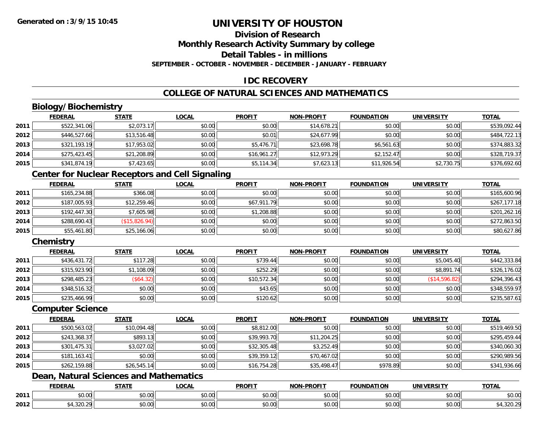# **Division of Research**

**Monthly Research Activity Summary by college**

**Detail Tables - in millions**

**SEPTEMBER - OCTOBER - NOVEMBER - DECEMBER - JANUARY - FEBRUARY**

# **IDC RECOVERY**

# **COLLEGE OF NATURAL SCIENCES AND MATHEMATICS**

# **Biology/Biochemistry**

|      | <b>FEDERAL</b> | <b>STATE</b> | <b>LOCAL</b> | <b>PROFIT</b> | <b>NON-PROFIT</b> | <b>FOUNDATION</b> | <b>UNIVERSITY</b> | <b>TOTAL</b> |
|------|----------------|--------------|--------------|---------------|-------------------|-------------------|-------------------|--------------|
| 2011 | \$522,341.06   | \$2,073.17   | \$0.00       | \$0.00        | \$14,678.21       | \$0.00            | \$0.00            | \$539,092.44 |
| 2012 | \$446,527.66   | \$13,516.48  | \$0.00       | \$0.01        | \$24,677.99       | \$0.00            | \$0.00            | \$484,722.13 |
| 2013 | \$321,193.19   | \$17,953.02  | \$0.00       | \$5,476.71    | \$23,698.78       | \$6,561.63        | \$0.00            | \$374,883.32 |
| 2014 | \$275,423.45   | \$21,208.89  | \$0.00       | \$16,961.27   | \$12,973.29       | \$2,152.47        | \$0.00            | \$328,719.37 |
| 2015 | \$341,874.19   | \$7,423.65   | \$0.00       | \$5,114.34    | \$7,623.13        | \$11,926.54       | \$2,730.75        | \$376,692.60 |

### **Center for Nuclear Receptors and Cell Signaling**

|      | <b>FEDERAL</b> | <b>STATE</b>  | <u>LOCAL</u> | <b>PROFIT</b> | <b>NON-PROFIT</b> | <b>FOUNDATION</b> | <b>UNIVERSITY</b> | <b>TOTAL</b> |
|------|----------------|---------------|--------------|---------------|-------------------|-------------------|-------------------|--------------|
| 2011 | \$165,234.88   | \$366.08      | \$0.00       | \$0.00        | \$0.00            | \$0.00            | \$0.00            | \$165,600.96 |
| 2012 | \$187,005.93   | \$12,259.46   | \$0.00       | \$67,911.79   | \$0.00            | \$0.00            | \$0.00            | \$267,177.18 |
| 2013 | \$192,447.30   | \$7,605.98    | \$0.00       | \$1,208.88    | \$0.00            | \$0.00            | \$0.00            | \$201,262.16 |
| 2014 | \$288,690.43   | (\$15,826.94) | \$0.00       | \$0.00        | \$0.00            | \$0.00            | \$0.00            | \$272,863.50 |
| 2015 | \$55,461.80    | \$25,166.06   | \$0.00       | \$0.00        | \$0.00            | \$0.00            | \$0.00            | \$80,627.86  |

# **Chemistry**

|      | <b>FEDERAL</b> | <b>STATE</b> | <b>LOCAL</b> | <b>PROFIT</b> | <b>NON-PROFIT</b> | <b>FOUNDATION</b> | <b>UNIVERSITY</b> | <b>TOTAL</b> |
|------|----------------|--------------|--------------|---------------|-------------------|-------------------|-------------------|--------------|
| 2011 | \$436,431.72   | \$117.28     | \$0.00       | \$739.44      | \$0.00            | \$0.00            | \$5,045.40        | \$442,333.84 |
| 2012 | \$315,923.90   | \$1,108.09   | \$0.00       | \$252.29      | \$0.00            | \$0.00            | \$8,891.74        | \$326,176.02 |
| 2013 | \$298,485.23   | (S64.32)     | \$0.00       | \$10,572.34   | \$0.00            | \$0.00            | (S14, 596.82)     | \$294,396.43 |
| 2014 | \$348,516.32   | \$0.00       | \$0.00       | \$43.65       | \$0.00            | \$0.00            | \$0.00            | \$348,559.97 |
| 2015 | \$235,466.99   | \$0.00       | \$0.00       | \$120.62      | \$0.00            | \$0.00            | \$0.00            | \$235,587.61 |

#### **Computer Science**

|      | <b>FEDERAL</b> | <b>STATE</b> | <b>LOCAL</b> | <b>PROFIT</b> | <b>NON-PROFIT</b> | <b>FOUNDATION</b> | <b>UNIVERSITY</b> | <b>TOTAL</b> |
|------|----------------|--------------|--------------|---------------|-------------------|-------------------|-------------------|--------------|
| 2011 | \$500,563.02   | \$10,094.48  | \$0.00       | \$8,812.00    | \$0.00            | \$0.00            | \$0.00            | \$519,469.50 |
| 2012 | \$243,368.37   | \$893.13     | \$0.00       | \$39,993.70   | \$11,204.25       | \$0.00            | \$0.00            | \$295,459.44 |
| 2013 | \$301,475.31   | \$3,027.02   | \$0.00       | \$32,305.48   | \$3,252.49        | \$0.00            | \$0.00            | \$340,060.30 |
| 2014 | \$181,163.41   | \$0.00       | \$0.00       | \$39,359.12   | \$70,467.02       | \$0.00            | \$0.00            | \$290,989.56 |
| 2015 | \$262,159.88   | \$26,545.14  | \$0.00       | \$16,754.28   | \$35,498.47       | \$978.89          | \$0.00            | \$341,936.66 |

# **Dean, Natural Sciences and Mathematics**

|      | <b>FEDERAL</b>    | <b>STATE</b>        | <b>_OCAL</b>       | <b>PROFIT</b> | <b>-PROFIT</b><br><b>NIONI</b> | <b>FOUNDATION</b> | <b>UNIVERSITY</b> | <b>TOTAL</b> |
|------|-------------------|---------------------|--------------------|---------------|--------------------------------|-------------------|-------------------|--------------|
| 2011 | 0.00              | ሖ ヘ<br>טט.          | $\sim$ 00<br>DU.UU | 0000<br>JU.UU | 0000<br><b>JU.UU</b>           | JU.UU             | 0.00<br>. JU.UU   | \$0.00       |
| 2012 | $\sim$<br>⊤.J∠∪.∠ | $\triangle$<br>JU.U | $\sim$ 00<br>JU.UU | 0000<br>JU.UU | 0000<br><b>JU.UU</b>           | JU.UU             | 0.00<br>PO.OO     | . 20.        |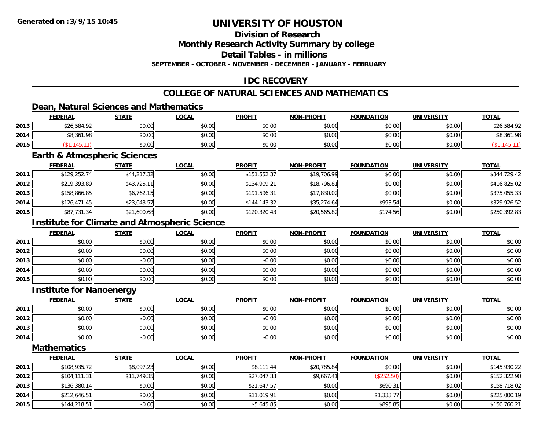## **Division of Research**

**Monthly Research Activity Summary by college**

**Detail Tables - in millions**

**SEPTEMBER - OCTOBER - NOVEMBER - DECEMBER - JANUARY - FEBRUARY**

## **IDC RECOVERY**

## **COLLEGE OF NATURAL SCIENCES AND MATHEMATICS**

## **Dean, Natural Sciences and Mathematics**

|      | <b>FEDERAL</b> | <b>STATE</b> | <b>LOCAL</b> | <b>PROFIT</b> | <b>NON-PROFIT</b> | <b>FOUNDATION</b> | <b>UNIVERSITY</b> | <b>TOTAL</b>       |
|------|----------------|--------------|--------------|---------------|-------------------|-------------------|-------------------|--------------------|
| 2013 | \$26,584.92    | \$0.00       | \$0.00       | \$0.00        | \$0.00            | \$0.00            | \$0.00            | \$26,584.92        |
| 2014 | \$8,361.98     | \$0.00       | \$0.00       | \$0.00        | \$0.00            | \$0.00            | \$0.00            | 40.5<br>\$8,361.98 |
| 2015 |                | \$0.00       | \$0.00       | \$0.00        | \$0.00            | \$0.00            | \$0.00            |                    |

#### **Earth & Atmospheric Sciences**

|      | <u>FEDERAL</u> | <b>STATE</b> | <b>LOCAL</b> | <b>PROFIT</b> | <b>NON-PROFIT</b> | <b>FOUNDATION</b> | <b>UNIVERSITY</b> | <b>TOTAL</b> |
|------|----------------|--------------|--------------|---------------|-------------------|-------------------|-------------------|--------------|
| 2011 | \$129,252.74   | \$44,217.32  | \$0.00       | \$151,552.37  | \$19,706.99       | \$0.00            | \$0.00            | \$344,729.42 |
| 2012 | \$219,393.89   | \$43,725.11  | \$0.00       | \$134,909.21  | \$18,796.81       | \$0.00            | \$0.00            | \$416,825.02 |
| 2013 | \$158,866.85   | \$6,762.15   | \$0.00       | \$191,596.31  | \$17,830.02       | \$0.00            | \$0.00            | \$375,055.33 |
| 2014 | \$126,471.45   | \$23,043.57  | \$0.00       | \$144.143.32  | \$35,274.64       | \$993.54          | \$0.00            | \$329,926.52 |
| 2015 | \$87,731.34    | \$21,600.68  | \$0.00       | \$120,320.43  | \$20,565.82       | \$174.56          | \$0.00            | \$250,392.83 |

## **Institute for Climate and Atmospheric Science**

|      | <u>FEDERAL</u> | <b>STATE</b> | <u>LOCAL</u> | <b>PROFIT</b> | <b>NON-PROFIT</b> | <b>FOUNDATION</b> | <b>UNIVERSITY</b> | <b>TOTAL</b> |
|------|----------------|--------------|--------------|---------------|-------------------|-------------------|-------------------|--------------|
| 2011 | \$0.00         | \$0.00       | \$0.00       | \$0.00        | \$0.00            | \$0.00            | \$0.00            | \$0.00       |
| 2012 | \$0.00         | \$0.00       | \$0.00       | \$0.00        | \$0.00            | \$0.00            | \$0.00            | \$0.00       |
| 2013 | \$0.00         | \$0.00       | \$0.00       | \$0.00        | \$0.00            | \$0.00            | \$0.00            | \$0.00       |
| 2014 | \$0.00         | \$0.00       | \$0.00       | \$0.00        | \$0.00            | \$0.00            | \$0.00            | \$0.00       |
| 2015 | \$0.00         | \$0.00       | \$0.00       | \$0.00        | \$0.00            | \$0.00            | \$0.00            | \$0.00       |

#### **Institute for Nanoenergy**

|      | <u>FEDERAL</u> | <b>STATE</b> | <u>LOCAL</u> | <b>PROFIT</b> | <b>NON-PROFIT</b> | <b>FOUNDATION</b> | <b>UNIVERSITY</b> | <u>TOTAL</u> |
|------|----------------|--------------|--------------|---------------|-------------------|-------------------|-------------------|--------------|
| 2011 | \$0.00         | \$0.00       | \$0.00       | \$0.00        | \$0.00            | \$0.00            | \$0.00            | \$0.00       |
| 2012 | \$0.00         | \$0.00       | \$0.00       | \$0.00        | \$0.00            | \$0.00            | \$0.00            | \$0.00       |
| 2013 | \$0.00         | \$0.00       | \$0.00       | \$0.00        | \$0.00            | \$0.00            | \$0.00            | \$0.00       |
| 2014 | \$0.00         | \$0.00       | \$0.00       | \$0.00        | \$0.00            | \$0.00            | \$0.00            | \$0.00       |

**Mathematics**

|      | <b>FEDERAL</b> | <b>STATE</b> | <u>LOCAL</u> | <b>PROFIT</b> | <b>NON-PROFIT</b> | <b>FOUNDATION</b> | <b>UNIVERSITY</b> | <b>TOTAL</b> |
|------|----------------|--------------|--------------|---------------|-------------------|-------------------|-------------------|--------------|
| 2011 | \$108,935.72   | \$8,097.23   | \$0.00       | \$8,111.44    | \$20,785.84       | \$0.00            | \$0.00            | \$145,930.22 |
| 2012 | \$104, 111.31  | \$11,749.35  | \$0.00       | \$27,047.33   | \$9,667.41        | (\$252.50)        | \$0.00            | \$152,322.90 |
| 2013 | \$136,380.14   | \$0.00       | \$0.00       | \$21,647.57   | \$0.00            | \$690.31          | \$0.00            | \$158,718.02 |
| 2014 | \$212,646.51   | \$0.00       | \$0.00       | \$11,019.91   | \$0.00            | \$1,333.77        | \$0.00            | \$225,000.19 |
| 2015 | \$144,218.51   | \$0.00       | \$0.00       | \$5,645.85    | \$0.00            | \$895.85          | \$0.00            | \$150,760.21 |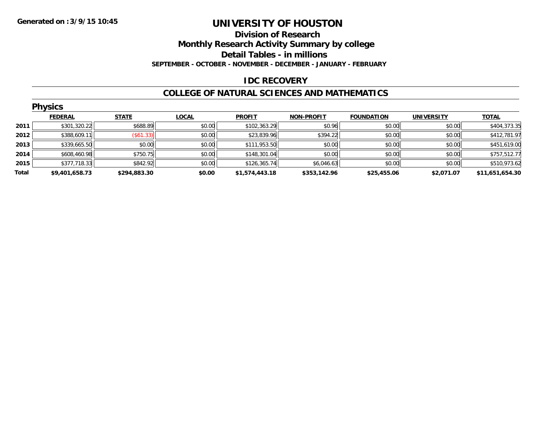#### **Division of Research**

**Monthly Research Activity Summary by college**

**Detail Tables - in millions**

**SEPTEMBER - OCTOBER - NOVEMBER - DECEMBER - JANUARY - FEBRUARY**

### **IDC RECOVERY**

#### **COLLEGE OF NATURAL SCIENCES AND MATHEMATICS**

|       | <b>Physics</b> |                  |              |                |                   |                   |                   |                 |  |  |  |
|-------|----------------|------------------|--------------|----------------|-------------------|-------------------|-------------------|-----------------|--|--|--|
|       | <b>FEDERAL</b> | <b>STATE</b>     | <b>LOCAL</b> | <b>PROFIT</b>  | <b>NON-PROFIT</b> | <b>FOUNDATION</b> | <b>UNIVERSITY</b> | <u>TOTAL</u>    |  |  |  |
| 2011  | \$301,320.22   | \$688.89         | \$0.00       | \$102,363.29   | \$0.96            | \$0.00            | \$0.00            | \$404,373.35    |  |  |  |
| 2012  | \$388,609.11   | $($ \$61.33) $ $ | \$0.00       | \$23,839.96    | \$394.22          | \$0.00            | \$0.00            | \$412,781.97    |  |  |  |
| 2013  | \$339,665.50   | \$0.00           | \$0.00       | \$111,953.50   | \$0.00            | \$0.00            | \$0.00            | \$451,619.00    |  |  |  |
| 2014  | \$608,460.98   | \$750.75         | \$0.00       | \$148,301.04   | \$0.00            | \$0.00            | \$0.00            | \$757,512.77    |  |  |  |
| 2015  | \$377,718.33   | \$842.92         | \$0.00       | \$126,365.74   | \$6,046.63        | \$0.00            | \$0.00            | \$510,973.62    |  |  |  |
| Total | \$9,401,658.73 | \$294,883.30     | \$0.00       | \$1,574,443.18 | \$353,142.96      | \$25,455.06       | \$2,071.07        | \$11,651,654.30 |  |  |  |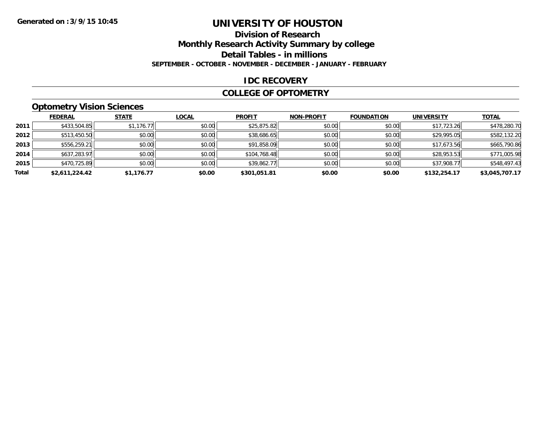# **Division of Research**

**Monthly Research Activity Summary by college**

**Detail Tables - in millions**

**SEPTEMBER - OCTOBER - NOVEMBER - DECEMBER - JANUARY - FEBRUARY**

## **IDC RECOVERY**

### **COLLEGE OF OPTOMETRY**

## **Optometry Vision Sciences**

|       | <b>FEDERAL</b> | <b>STATE</b> | <b>LOCAL</b> | <b>PROFIT</b> | <b>NON-PROFIT</b> | <b>FOUNDATION</b> | <b>UNIVERSITY</b> | <u>TOTAL</u>   |
|-------|----------------|--------------|--------------|---------------|-------------------|-------------------|-------------------|----------------|
| 2011  | \$433,504.85   | \$1,176.77   | \$0.00       | \$25,875.82   | \$0.00            | \$0.00            | \$17,723.26       | \$478,280.70   |
| 2012  | \$513,450.50   | \$0.00       | \$0.00       | \$38,686.65   | \$0.00            | \$0.00            | \$29,995.05       | \$582,132.20   |
| 2013  | \$556,259.21   | \$0.00       | \$0.00       | \$91,858.09   | \$0.00            | \$0.00            | \$17,673.56       | \$665,790.86   |
| 2014  | \$637,283.97   | \$0.00       | \$0.00       | \$104,768.48  | \$0.00            | \$0.00            | \$28,953.53       | \$771,005.98   |
| 2015  | \$470,725.89   | \$0.00       | \$0.00       | \$39,862.77   | \$0.00            | \$0.00            | \$37,908.77       | \$548,497.43   |
| Total | \$2,611,224.42 | \$1,176.77   | \$0.00       | \$301.051.81  | \$0.00            | \$0.00            | \$132,254.17      | \$3,045,707.17 |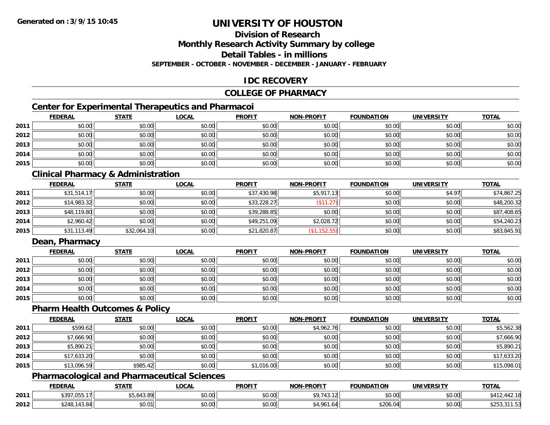## **Division of Research**

**Monthly Research Activity Summary by college**

**Detail Tables - in millions**

**SEPTEMBER - OCTOBER - NOVEMBER - DECEMBER - JANUARY - FEBRUARY**

## **IDC RECOVERY**

### **COLLEGE OF PHARMACY**

## **Center for Experimental Therapeutics and Pharmacoi**

|      | <b>FEDERAL</b> | <b>STATE</b> | <u>LOCAL</u> | <b>PROFIT</b> | <b>NON-PROFIT</b> | <b>FOUNDATION</b> | <b>UNIVERSITY</b> | <b>TOTAL</b> |
|------|----------------|--------------|--------------|---------------|-------------------|-------------------|-------------------|--------------|
| 2011 | \$0.00         | \$0.00       | \$0.00       | \$0.00        | \$0.00            | \$0.00            | \$0.00            | \$0.00       |
| 2012 | \$0.00         | \$0.00       | \$0.00       | \$0.00        | \$0.00            | \$0.00            | \$0.00            | \$0.00       |
| 2013 | \$0.00         | \$0.00       | \$0.00       | \$0.00        | \$0.00            | \$0.00            | \$0.00            | \$0.00       |
| 2014 | \$0.00         | \$0.00       | \$0.00       | \$0.00        | \$0.00            | \$0.00            | \$0.00            | \$0.00       |
| 2015 | \$0.00         | \$0.00       | \$0.00       | \$0.00        | \$0.00            | \$0.00            | \$0.00            | \$0.00       |

## **Clinical Pharmacy & Administration**

|      | <b>FEDERAL</b> | <b>STATE</b> | <u>LOCAL</u> | <b>PROFIT</b> | <b>NON-PROFIT</b> | <b>FOUNDATION</b> | <b>UNIVERSITY</b> | <b>TOTAL</b> |
|------|----------------|--------------|--------------|---------------|-------------------|-------------------|-------------------|--------------|
| 2011 | \$31,514.17    | \$0.00       | \$0.00       | \$37,430.98   | \$5,917.13        | \$0.00            | \$4.97            | \$74,867.25  |
| 2012 | \$14,983.32    | \$0.00       | \$0.00       | \$33,228.27   | (\$11.27)         | \$0.00            | \$0.00            | \$48,200.32  |
| 2013 | \$48,119.80    | \$0.00       | \$0.00       | \$39,288.85   | \$0.00            | \$0.00            | \$0.00            | \$87,408.65  |
| 2014 | \$2,960.42     | \$0.00       | \$0.00       | \$49,251.09   | \$2,028.72        | \$0.00            | \$0.00            | \$54,240.23  |
| 2015 | \$31,113.49    | \$32,064.10  | \$0.00       | \$21,820.87   | (\$1,152.55)      | \$0.00            | \$0.00            | \$83,845.91  |

## **Dean, Pharmacy**

|      | <b>FEDERAL</b> | <b>STATE</b> | <u>LOCAL</u> | <b>PROFIT</b> | NON-PROFIT | <b>FOUNDATION</b> | <b>UNIVERSITY</b> | <b>TOTAL</b> |
|------|----------------|--------------|--------------|---------------|------------|-------------------|-------------------|--------------|
| 2011 | \$0.00         | \$0.00       | \$0.00       | \$0.00        | \$0.00     | \$0.00            | \$0.00            | \$0.00       |
| 2012 | \$0.00         | \$0.00       | \$0.00       | \$0.00        | \$0.00     | \$0.00            | \$0.00            | \$0.00       |
| 2013 | \$0.00         | \$0.00       | \$0.00       | \$0.00        | \$0.00     | \$0.00            | \$0.00            | \$0.00       |
| 2014 | \$0.00         | \$0.00       | \$0.00       | \$0.00        | \$0.00     | \$0.00            | \$0.00            | \$0.00       |
| 2015 | \$0.00         | \$0.00       | \$0.00       | \$0.00        | \$0.00     | \$0.00            | \$0.00            | \$0.00       |

#### **Pharm Health Outcomes & Policy**

|      | <b>FEDERAL</b> | <b>STATE</b> | <u>LOCAL</u> | <b>PROFIT</b> | <b>NON-PROFIT</b> | <b>FOUNDATION</b> | <b>UNIVERSITY</b> | <b>TOTAL</b> |
|------|----------------|--------------|--------------|---------------|-------------------|-------------------|-------------------|--------------|
| 2011 | \$599.62       | \$0.00       | \$0.00       | \$0.00        | \$4,962.76        | \$0.00            | \$0.00            | \$5,562.38   |
| 2012 | \$7,666.90     | \$0.00       | \$0.00       | \$0.00        | \$0.00            | \$0.00            | \$0.00            | \$7,666.90   |
| 2013 | \$5,890.21     | \$0.00       | \$0.00       | \$0.00        | \$0.00            | \$0.00            | \$0.00            | \$5,890.21   |
| 2014 | \$17,633.20    | \$0.00       | \$0.00       | \$0.00        | \$0.00            | \$0.00            | \$0.00            | \$17,633.20  |
| 2015 | \$13,096.59    | \$985.42     | \$0.00       | \$1,016.00    | \$0.00            | \$0.00            | \$0.00            | \$15,098.01  |

## **Pharmacological and Pharmaceutical Sciences**

|      | <b>FEDERAL</b>                     | <b>CTATE</b><br>3 I A I I | <b>OCAL</b>            | <b>PROFIT</b>        | <b>NON-PROFIT</b>                 | <b>FOUNDATION</b> | UNIVERSITY           | <b>TOTAL</b>              |
|------|------------------------------------|---------------------------|------------------------|----------------------|-----------------------------------|-------------------|----------------------|---------------------------|
| 2011 | <b>¢207 055</b><br><b>JUU, 170</b> | ,,043.89                  | $\sim$ 00<br>vv.vv     | 0.00<br>DU.UG        | $\sim$ $\sim$<br>$\sim$<br>- 145. | \$0.00            | 0000<br><b>DU.UG</b> | $\sqrt{2}$<br><b>A</b> 44 |
| 2012 | $\sim$<br>0.04                     | 00001<br>JU.U             | ሖ ∩<br>$\sim$<br>PU.UU | 0000<br><b>DU.UU</b> | 1 O 4                             | \$206.04          | 0000<br><b>DU.UU</b> | ∟, ט⊿∠<br>ان ا            |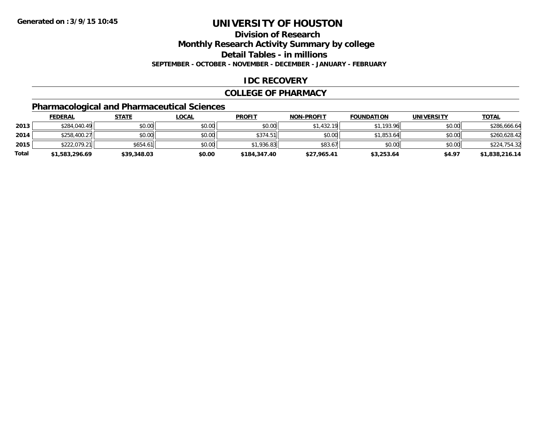**Division of Research**

**Monthly Research Activity Summary by college**

**Detail Tables - in millions**

**SEPTEMBER - OCTOBER - NOVEMBER - DECEMBER - JANUARY - FEBRUARY**

## **IDC RECOVERY**

#### **COLLEGE OF PHARMACY**

## **Pharmacological and Pharmaceutical Sciences**

|       | <b>FEDERAL</b> | <u>STATE</u> | <u>LOCAL</u> | <b>PROFIT</b> | <b>NON-PROFIT</b> | <b>FOUNDATION</b> | <b>UNIVERSITY</b> | <b>TOTAL</b>   |
|-------|----------------|--------------|--------------|---------------|-------------------|-------------------|-------------------|----------------|
| 2013  | \$284,040.49   | \$0.00       | \$0.00       | \$0.00        | \$1,432.19        | \$1,193.96        | \$0.00            | \$286,666.64   |
| 2014  | \$258,400.27   | \$0.00       | \$0.00       | \$374.51      | \$0.00            | \$1.853.64        | \$0.00            | \$260,628.42   |
| 2015  | \$222,079.21   | \$654.61     | \$0.00       | \$1,936.83    | \$83.67           | \$0.00            | \$0.00            | \$224,754.32   |
| Total | \$1,583,296.69 | \$39,348.03  | \$0.00       | \$184,347.40  | \$27.965.41       | \$3,253.64        | \$4.97            | \$1,838,216.14 |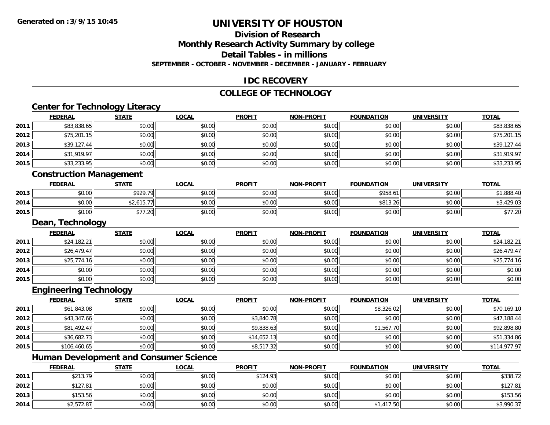## **Division of Research**

**Monthly Research Activity Summary by college**

**Detail Tables - in millions**

**SEPTEMBER - OCTOBER - NOVEMBER - DECEMBER - JANUARY - FEBRUARY**

### **IDC RECOVERY**

#### **COLLEGE OF TECHNOLOGY**

## **Center for Technology Literacy**

|      | <b>FEDERAL</b>    | <b>STATE</b> | <u>LOCAL</u> | <b>PROFIT</b> | <b>NON-PROFIT</b> | <b>FOUNDATION</b> | <b>UNIVERSITY</b> | <b>TOTAL</b> |
|------|-------------------|--------------|--------------|---------------|-------------------|-------------------|-------------------|--------------|
| 2011 | \$83,838.65       | \$0.00       | \$0.00       | \$0.00        | \$0.00            | \$0.00            | \$0.00            | \$83,838.65  |
| 2012 | \$75,201.15       | \$0.00       | \$0.00       | \$0.00        | \$0.00            | \$0.00            | \$0.00            | \$75,201.15  |
| 2013 | \$39,127.44       | \$0.00       | \$0.00       | \$0.00        | \$0.00            | \$0.00            | \$0.00            | \$39,127.44  |
| 2014 | \$31,919.97       | \$0.00       | \$0.00       | \$0.00        | \$0.00            | \$0.00            | \$0.00            | \$31,919.97  |
| 2015 | \$33,233.95       | \$0.00       | \$0.00       | \$0.00        | \$0.00            | \$0.00            | \$0.00            | \$33,233.95  |
|      | .<br>--<br>$\sim$ |              |              |               |                   |                   |                   |              |

#### **Construction Management**

|      | <b>FEDERAL</b> | <b>STATE</b>                 | <u>LOCAL</u>           | <b>PROFIT</b> | <b>NON-PROFIT</b> | <b>FOUNDATION</b> | UNIVERSITY | <u>TOTAL</u>          |
|------|----------------|------------------------------|------------------------|---------------|-------------------|-------------------|------------|-----------------------|
| 2013 | \$0.00         | <b>\$020.70</b><br>P 7 4 7 . | $n \cap \neg$<br>DU.U¢ | \$0.00        | \$0.00            | \$958.61          | \$0.00     | ,888.40               |
| 2014 | \$0.00         | \$2,615.77                   | \$0.00                 | \$0.00        | \$0.00            | \$813.26          | \$0.00     | \$3,429.03            |
| 2015 | \$0.00         | $+ - -$<br>∴∠∪⊡              | \$0.00                 | \$0.00        | \$0.00            | \$0.00            | \$0.00     | $+ - - -$<br>91 I .ZU |

#### **Dean, Technology**

|      | <b>FEDERAL</b> | <b>STATE</b> | <u>LOCAL</u> | <b>PROFIT</b> | <b>NON-PROFIT</b> | <b>FOUNDATION</b> | <b>UNIVERSITY</b> | <b>TOTAL</b> |
|------|----------------|--------------|--------------|---------------|-------------------|-------------------|-------------------|--------------|
| 2011 | \$24,182.21    | \$0.00       | \$0.00       | \$0.00        | \$0.00            | \$0.00            | \$0.00            | \$24,182.21  |
| 2012 | \$26,479.47    | \$0.00       | \$0.00       | \$0.00        | \$0.00            | \$0.00            | \$0.00            | \$26,479.47  |
| 2013 | \$25,774.16    | \$0.00       | \$0.00       | \$0.00        | \$0.00            | \$0.00            | \$0.00            | \$25,774.16  |
| 2014 | \$0.00         | \$0.00       | \$0.00       | \$0.00        | \$0.00            | \$0.00            | \$0.00            | \$0.00       |
| 2015 | \$0.00         | \$0.00       | \$0.00       | \$0.00        | \$0.00            | \$0.00            | \$0.00            | \$0.00       |

#### **Engineering Technology**

|      | <b>FEDERAL</b> | <b>STATE</b> | <u>LOCAL</u> | <b>PROFIT</b> | <b>NON-PROFIT</b> | <b>FOUNDATION</b> | <b>UNIVERSITY</b> | <b>TOTAL</b> |
|------|----------------|--------------|--------------|---------------|-------------------|-------------------|-------------------|--------------|
| 2011 | \$61,843.08    | \$0.00       | \$0.00       | \$0.00        | \$0.00            | \$8,326.02        | \$0.00            | \$70,169.10  |
| 2012 | \$43,347.66    | \$0.00       | \$0.00       | \$3,840.78    | \$0.00            | \$0.00            | \$0.00            | \$47,188.44  |
| 2013 | \$81,492.47    | \$0.00       | \$0.00       | \$9,838.63    | \$0.00            | \$1,567.70        | \$0.00            | \$92,898.80  |
| 2014 | \$36,682.73    | \$0.00       | \$0.00       | \$14,652.13   | \$0.00            | \$0.00            | \$0.00            | \$51,334.86  |
| 2015 | \$106,460.65   | \$0.00       | \$0.00       | \$8,517.32    | \$0.00            | \$0.00            | \$0.00            | \$114,977.97 |

## **Human Development and Consumer Science**

|      | <b>FEDERAL</b> | STATE  | <u>LOCAL</u> | <b>PROFIT</b> | <b>NON-PROFIT</b> | <b>FOUNDATION</b> | <b>UNIVERSITY</b> | <b>TOTAL</b> |
|------|----------------|--------|--------------|---------------|-------------------|-------------------|-------------------|--------------|
| 2011 | \$213.79       | \$0.00 | \$0.00       | \$124.93      | \$0.00            | \$0.00            | \$0.00            | \$338.72     |
| 2012 | \$127.81       | \$0.00 | \$0.00       | \$0.00        | \$0.00            | \$0.00            | \$0.00            | \$127.81     |
| 2013 | \$153.56       | \$0.00 | \$0.00       | \$0.00        | \$0.00            | \$0.00            | \$0.00            | \$153.56     |
| 2014 | \$2,572.87     | \$0.00 | \$0.00       | \$0.00        | \$0.00            | 1.417.50          | \$0.00            | \$3,990.37   |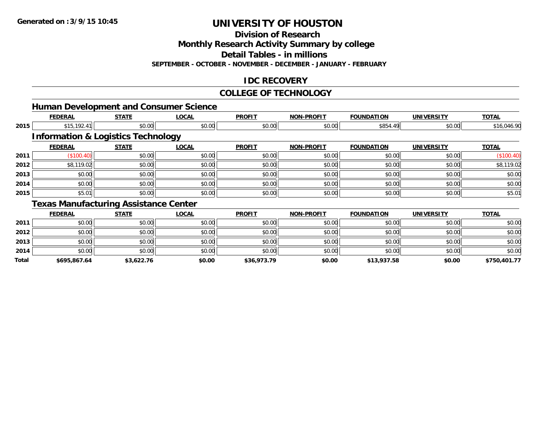**Total**

## **UNIVERSITY OF HOUSTON**

**Division of Research**

**Monthly Research Activity Summary by college**

**Detail Tables - in millions**

**SEPTEMBER - OCTOBER - NOVEMBER - DECEMBER - JANUARY - FEBRUARY**

## **IDC RECOVERY**

#### **COLLEGE OF TECHNOLOGY**

|      | <b>Human Development and Consumer Science</b> |                                               |              |               |                   |                   |                   |              |
|------|-----------------------------------------------|-----------------------------------------------|--------------|---------------|-------------------|-------------------|-------------------|--------------|
|      | <b>FEDERAL</b>                                | <b>STATE</b>                                  | <u>LOCAL</u> | <b>PROFIT</b> | <b>NON-PROFIT</b> | <b>FOUNDATION</b> | <b>UNIVERSITY</b> | <b>TOTAL</b> |
| 2015 | \$15,192.41                                   | \$0.00                                        | \$0.00       | \$0.00        | \$0.00            | \$854.49          | \$0.00            | \$16,046.90  |
|      |                                               | <b>Information &amp; Logistics Technology</b> |              |               |                   |                   |                   |              |
|      | <b>FEDERAL</b>                                | <b>STATE</b>                                  | <b>LOCAL</b> | <b>PROFIT</b> | <b>NON-PROFIT</b> | <b>FOUNDATION</b> | <b>UNIVERSITY</b> | <b>TOTAL</b> |
| 2011 | (\$100.40)                                    | \$0.00                                        | \$0.00       | \$0.00        | \$0.00            | \$0.00            | \$0.00            | (\$100.40)   |
| 2012 | \$8,119.02                                    | \$0.00                                        | \$0.00       | \$0.00        | \$0.00            | \$0.00            | \$0.00            | \$8,119.02   |
| 2013 | \$0.00                                        | \$0.00                                        | \$0.00       | \$0.00        | \$0.00            | \$0.00            | \$0.00            | \$0.00       |
| 2014 | \$0.00                                        | \$0.00                                        | \$0.00       | \$0.00        | \$0.00            | \$0.00            | \$0.00            | \$0.00       |
| 2015 | \$5.01                                        | \$0.00                                        | \$0.00       | \$0.00        | \$0.00            | \$0.00            | \$0.00            | \$5.01       |
|      |                                               | <b>Texas Manufacturing Assistance Center</b>  |              |               |                   |                   |                   |              |
|      | <b>FEDERAL</b>                                | <b>STATE</b>                                  | <u>LOCAL</u> | <b>PROFIT</b> | <b>NON-PROFIT</b> | <b>FOUNDATION</b> | <b>UNIVERSITY</b> | <b>TOTAL</b> |
| 2011 | \$0.00                                        | \$0.00                                        | \$0.00       | \$0.00        | \$0.00            | \$0.00            | \$0.00            | \$0.00       |
| 2012 | \$0.00                                        | \$0.00                                        | \$0.00       | \$0.00        | \$0.00            | \$0.00            | \$0.00            | \$0.00       |
| 2013 | \$0.00                                        | \$0.00                                        | \$0.00       | \$0.00        | \$0.00            | \$0.00            | \$0.00            | \$0.00       |
| 2014 | \$0.00                                        | \$0.00                                        | \$0.00       | \$0.00        | \$0.00            | \$0.00            | \$0.00            | \$0.00       |

**\$695,867.64 \$3,622.76 \$0.00 \$36,973.79 \$0.00 \$13,937.58 \$0.00 \$750,401.77**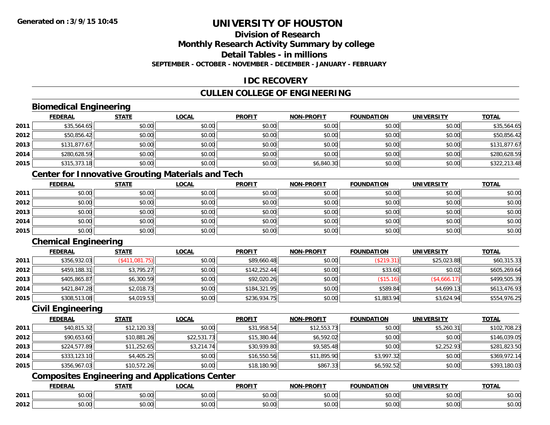## **Division of Research**

**Monthly Research Activity Summary by college**

**Detail Tables - in millions**

**SEPTEMBER - OCTOBER - NOVEMBER - DECEMBER - JANUARY - FEBRUARY**

## **IDC RECOVERY**

## **CULLEN COLLEGE OF ENGINEERING**

## **Biomedical Engineering**

|      | <b>FEDERAL</b> | <b>STATE</b> | <b>LOCAL</b> | <b>PROFIT</b> | <b>NON-PROFIT</b> | <b>FOUNDATION</b> | <b>UNIVERSITY</b> | <b>TOTAL</b> |
|------|----------------|--------------|--------------|---------------|-------------------|-------------------|-------------------|--------------|
| 2011 | \$35,564.65    | \$0.00       | \$0.00       | \$0.00        | \$0.00            | \$0.00            | \$0.00            | \$35,564.65  |
| 2012 | \$50,856.42    | \$0.00       | \$0.00       | \$0.00        | \$0.00            | \$0.00            | \$0.00            | \$50,856.42  |
| 2013 | \$131,877.67   | \$0.00       | \$0.00       | \$0.00        | \$0.00            | \$0.00            | \$0.00            | \$131,877.67 |
| 2014 | \$280,628.59   | \$0.00       | \$0.00       | \$0.00        | \$0.00            | \$0.00            | \$0.00            | \$280,628.59 |
| 2015 | \$315,373.18   | \$0.00       | \$0.00       | \$0.00        | \$6,840.30        | \$0.00            | \$0.00            | \$322,213.48 |

## **Center for Innovative Grouting Materials and Tech**

|      | <b>FEDERAL</b> | <b>STATE</b> | <u>LOCAL</u> | <b>PROFIT</b> | <b>NON-PROFIT</b> | <b>FOUNDATION</b> | <b>UNIVERSITY</b> | <b>TOTAL</b> |
|------|----------------|--------------|--------------|---------------|-------------------|-------------------|-------------------|--------------|
| 2011 | \$0.00         | \$0.00       | \$0.00       | \$0.00        | \$0.00            | \$0.00            | \$0.00            | \$0.00       |
| 2012 | \$0.00         | \$0.00       | \$0.00       | \$0.00        | \$0.00            | \$0.00            | \$0.00            | \$0.00       |
| 2013 | \$0.00         | \$0.00       | \$0.00       | \$0.00        | \$0.00            | \$0.00            | \$0.00            | \$0.00       |
| 2014 | \$0.00         | \$0.00       | \$0.00       | \$0.00        | \$0.00            | \$0.00            | \$0.00            | \$0.00       |
| 2015 | \$0.00         | \$0.00       | \$0.00       | \$0.00        | \$0.00            | \$0.00            | \$0.00            | \$0.00       |

## **Chemical Engineering**

|      | <b>FEDERAL</b> | <u>STATE</u>   | <b>LOCAL</b> | <b>PROFIT</b> | <b>NON-PROFIT</b> | <b>FOUNDATION</b>        | <b>UNIVERSITY</b> | <b>TOTAL</b> |
|------|----------------|----------------|--------------|---------------|-------------------|--------------------------|-------------------|--------------|
| 2011 | \$356,932.03   | (\$411,081.75) | \$0.00       | \$89,660.48   | \$0.00            | (\$219.31)               | \$25,023.88       | \$60,315.33  |
| 2012 | \$459,188.31   | \$3,795.27     | \$0.00       | \$142,252.44  | \$0.00            | \$33.60                  | \$0.02            | \$605,269.64 |
| 2013 | \$405,865.87   | \$6,300.59     | \$0.00       | \$92,020.26   | \$0.00            | $($ \$15.16) $\parallel$ | (\$4,666.17)      | \$499,505.39 |
| 2014 | \$421,847.28   | \$2,018.73     | \$0.00       | \$184,321.95  | \$0.00            | \$589.84                 | \$4,699.13        | \$613,476.93 |
| 2015 | \$308,513.08   | \$4,019.53     | \$0.00       | \$236,934.75  | \$0.00            | \$1,883.94               | \$3,624.94        | \$554,976.25 |

#### **Civil Engineering**

|      | <b>FEDERAL</b> | <b>STATE</b> | <b>LOCAL</b> | <b>PROFIT</b> | <b>NON-PROFIT</b> | <b>FOUNDATION</b> | <b>UNIVERSITY</b> | <b>TOTAL</b> |
|------|----------------|--------------|--------------|---------------|-------------------|-------------------|-------------------|--------------|
| 2011 | \$40,815.32    | \$12,120.33  | \$0.00       | \$31,958.54   | \$12,553.73       | \$0.00            | \$5,260.31        | \$102,708.23 |
| 2012 | \$90,653.60    | \$10,881.26  | \$22,531.73  | \$15,380.44   | \$6,592.02        | \$0.00            | \$0.00            | \$146,039.05 |
| 2013 | \$224,577.89   | \$11,252.65  | \$3,214.74   | \$30,939.80   | \$9,585.48        | \$0.00            | \$2,252.93        | \$281,823.50 |
| 2014 | \$333,123.10   | \$4,405.25   | \$0.00       | \$16,550.56   | \$11,895.90       | \$3,997.32        | \$0.00            | \$369,972.14 |
| 2015 | \$356,967.03   | \$10,572.26  | \$0.00       | \$18,180.90   | \$867.33          | \$6,592.52        | \$0.00            | \$393,180.03 |

## **Composites Engineering and Applications Center**

|      | DERAI  | CTATI     | .OCAL     | <b>PROFIT</b> | <b>DDOCIT</b><br><b>ארות</b> | ΓΙΩΝ    | UNIVERSITY                                   | <b>TOTAL</b> |
|------|--------|-----------|-----------|---------------|------------------------------|---------|----------------------------------------------|--------------|
| 2011 | $\sim$ | $\sim$    | $\sim$    | $\cdots$      | 0000                         | 0.00    | $\mathsf{A} \cap \mathsf{A} \cap \mathsf{A}$ | 0000         |
|      | ∕∪.∪∪  | JU.UU     | vv.vv     | vu.vu         | J∪.∪∪                        | - JU.UU | PO.OO                                        | <b>JU.UU</b> |
|      | 0.00   | $\sim$ 00 | $\sim$ 00 | $\cdots$      | 0.00                         | 0.00    | $\sim$ $\sim$                                | $\cdots$     |
| 2012 | וט.טי  | JU.L      | JU.UU     | vv.vv         | JU.UU                        | ww.uu   | PO.OO                                        | <b>JU.UU</b> |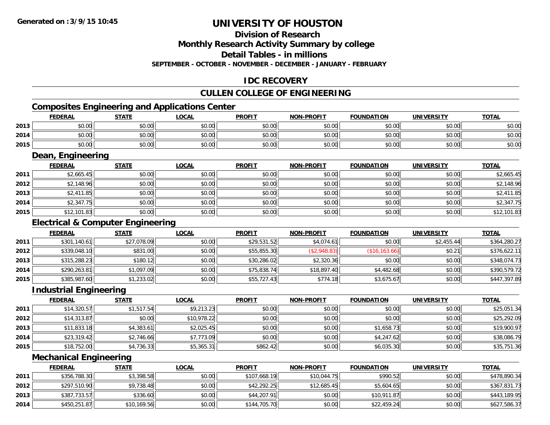## **Division of Research**

**Monthly Research Activity Summary by college**

**Detail Tables - in millions**

**SEPTEMBER - OCTOBER - NOVEMBER - DECEMBER - JANUARY - FEBRUARY**

## **IDC RECOVERY**

## **CULLEN COLLEGE OF ENGINEERING**

## **Composites Engineering and Applications Center**

|      | <b>FEDERAL</b>          | <b>STATE</b> | <b>LOCAL</b> | <b>PROFIT</b> | <b>NON-PROFIT</b> | <b>FOUNDATION</b> | <b>UNIVERSITY</b> | <u>TOTAL</u> |
|------|-------------------------|--------------|--------------|---------------|-------------------|-------------------|-------------------|--------------|
| 2013 | 0 <sub>n</sub><br>JU.UU | \$0.00       | \$0.00       | \$0.00        | \$0.00            | \$0.00            | \$0.00            | \$0.00       |
| 2014 | ሶስ ሰስ<br>JU.UU          | \$0.00       | \$0.00       | \$0.00        | \$0.00            | \$0.00            | \$0.00            | \$0.00       |
| 2015 | 0000<br><b>DU.UG</b>    | \$0.00       | \$0.00       | \$0.00        | \$0.00            | \$0.00            | \$0.00            | \$0.00       |

<u> 1989 - Johann Stoff, deutscher Stoffen und der Stoffen und der Stoffen und der Stoffen und der Stoffen und der</u>

### **Dean, Engineering**

|      | <b>FEDERAL</b> | <b>STATE</b> | <u>LOCAL</u> | <b>PROFIT</b> | <b>NON-PROFIT</b> | <b>FOUNDATION</b> | <b>UNIVERSITY</b> | <b>TOTAL</b> |
|------|----------------|--------------|--------------|---------------|-------------------|-------------------|-------------------|--------------|
| 2011 | \$2,665.45     | \$0.00       | \$0.00       | \$0.00        | \$0.00            | \$0.00            | \$0.00            | \$2,665.45   |
| 2012 | \$2,148.96     | \$0.00       | \$0.00       | \$0.00        | \$0.00            | \$0.00            | \$0.00            | \$2,148.96   |
| 2013 | \$2,411.85     | \$0.00       | \$0.00       | \$0.00        | \$0.00            | \$0.00            | \$0.00            | \$2,411.85   |
| 2014 | \$2,347.75     | \$0.00       | \$0.00       | \$0.00        | \$0.00            | \$0.00            | \$0.00            | \$2,347.75   |
| 2015 | \$12,101.83    | \$0.00       | \$0.00       | \$0.00        | \$0.00            | \$0.00            | \$0.00            | \$12,101.83  |

## **Electrical & Computer Engineering**

|      | <b>FEDERAL</b> | <b>STATE</b> | <u>LOCAL</u> | <b>PROFIT</b> | <b>NON-PROFIT</b> | <b>FOUNDATION</b> | <b>UNIVERSITY</b> | <b>TOTAL</b> |
|------|----------------|--------------|--------------|---------------|-------------------|-------------------|-------------------|--------------|
| 2011 | \$301,140.61   | \$27,078.09  | \$0.00       | \$29,531.52   | \$4,074.61        | \$0.00            | \$2,455.44        | \$364,280.27 |
| 2012 | \$339,048.10   | \$831.00     | \$0.00       | \$55,855.30   | (\$2,948.83)      | (S16, 163.66)     | \$0.21            | \$376,622.11 |
| 2013 | \$315,288.23   | \$180.12     | \$0.00       | \$30,286.02   | \$2,320.36        | \$0.00            | \$0.00            | \$348,074.73 |
| 2014 | \$290,263.81   | \$1,097.09   | \$0.00       | \$75,838.74   | \$18,897.40       | \$4,482.68        | \$0.00            | \$390,579.72 |
| 2015 | \$385,987.60   | \$1,233.02   | \$0.00       | \$55,727.43   | \$774.18          | \$3,675.67        | \$0.00            | \$447,397.89 |

### **Industrial Engineering**

|      | <b>FEDERAL</b> | <u>STATE</u> | <u>LOCAL</u> | <b>PROFIT</b> | <b>NON-PROFIT</b> | <b>FOUNDATION</b> | <b>UNIVERSITY</b> | <b>TOTAL</b> |
|------|----------------|--------------|--------------|---------------|-------------------|-------------------|-------------------|--------------|
| 2011 | \$14,320.57    | \$1,517.54   | \$9,213.23   | \$0.00        | \$0.00            | \$0.00            | \$0.00            | \$25,051.34  |
| 2012 | \$14,313.87    | \$0.00       | \$10,978.22  | \$0.00        | \$0.00            | \$0.00            | \$0.00            | \$25,292.09  |
| 2013 | \$11,833.18    | \$4,383.61   | \$2,025.45   | \$0.00        | \$0.00            | \$1,658.73        | \$0.00            | \$19,900.97  |
| 2014 | \$23,319.42    | \$2,746.66   | \$7,773.09   | \$0.00        | \$0.00            | \$4,247.62        | \$0.00            | \$38,086.79  |
| 2015 | \$18,752.00    | \$4,736.33   | \$5,365.31   | \$862.42      | \$0.00            | \$6,035.30        | \$0.00            | \$35,751.36  |

#### **Mechanical Engineering**

|      | <b>FEDERAL</b> | <u>STATE</u> | <u>LOCAL</u> | <b>PROFIT</b> | <b>NON-PROFIT</b> | <b>FOUNDATION</b> | UNIVERSITY | <b>TOTAL</b> |
|------|----------------|--------------|--------------|---------------|-------------------|-------------------|------------|--------------|
| 2011 | \$356,788.30   | \$3,398.58   | \$0.00       | \$107,668.19  | \$10,044.75       | \$990.52          | \$0.00     | \$478,890.34 |
| 2012 | \$297,510.90   | \$9,738.48   | \$0.00       | \$42,292.25   | \$12,685.45       | \$5,604.65        | \$0.00     | \$367,831.73 |
| 2013 | \$387,733.57   | \$336.60     | \$0.00       | \$44,207.91   | \$0.00            | \$10,911.87       | \$0.00     | \$443,189.95 |
| 2014 | \$450,251.87   | \$10,169.56  | \$0.00       | \$144,705.70  | \$0.00            | \$22,459.24       | \$0.00     | \$627,586.37 |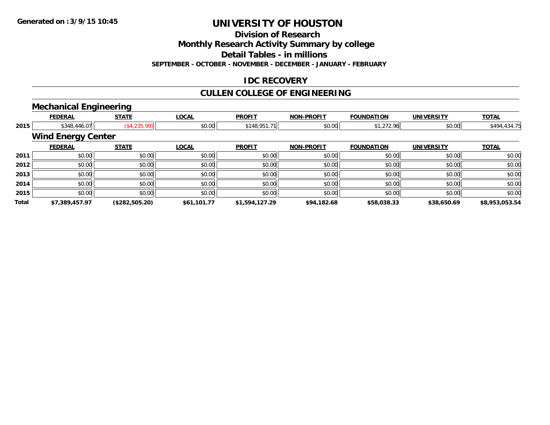**Division of Research**

**Monthly Research Activity Summary by college**

**Detail Tables - in millions**

**SEPTEMBER - OCTOBER - NOVEMBER - DECEMBER - JANUARY - FEBRUARY**

## **IDC RECOVERY**

## **CULLEN COLLEGE OF ENGINEERING**

## **Mechanical Engineering**

|       | <b>FEDERAL</b>            | <b>STATE</b>   | <b>LOCAL</b>           | <b>PROFIT</b>  | <b>NON-PROFIT</b> | <b>FOUNDATION</b> | <b>UNIVERSITY</b> | <b>TOTAL</b>   |  |  |
|-------|---------------------------|----------------|------------------------|----------------|-------------------|-------------------|-------------------|----------------|--|--|
| 2015  | \$348,446.07              |                | (\$4,235.99)<br>\$0.00 | \$148,951.71   | \$0.00            | \$1,272.96        | \$0.00            | \$494,434.75   |  |  |
|       | <b>Wind Energy Center</b> |                |                        |                |                   |                   |                   |                |  |  |
|       | <b>FEDERAL</b>            | <b>STATE</b>   | <b>LOCAL</b>           | <b>PROFIT</b>  | <b>NON-PROFIT</b> | <b>FOUNDATION</b> | <b>UNIVERSITY</b> | <b>TOTAL</b>   |  |  |
| 2011  | \$0.00                    | \$0.00         | \$0.00                 | \$0.00         | \$0.00            | \$0.00            | \$0.00            | \$0.00         |  |  |
| 2012  | \$0.00                    | \$0.00         | \$0.00                 | \$0.00         | \$0.00            | \$0.00            | \$0.00            | \$0.00         |  |  |
| 2013  | \$0.00                    | \$0.00         | \$0.00                 | \$0.00         | \$0.00            | \$0.00            | \$0.00            | \$0.00         |  |  |
| 2014  | \$0.00                    | \$0.00         | \$0.00                 | \$0.00         | \$0.00            | \$0.00            | \$0.00            | \$0.00         |  |  |
| 2015  | \$0.00                    | \$0.00         | \$0.00                 | \$0.00         | \$0.00            | \$0.00            | \$0.00            | \$0.00         |  |  |
| Total | \$7,389,457.97            | (\$282,505.20) | \$61,101.77            | \$1,594,127.29 | \$94,182.68       | \$58,038.33       | \$38,650.69       | \$8,953,053.54 |  |  |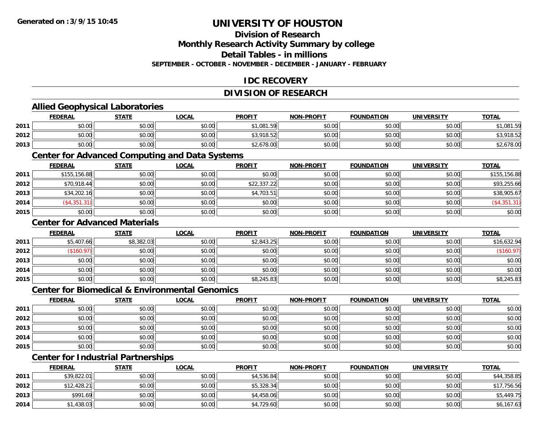## **Division of Research**

**Monthly Research Activity Summary by college**

**Detail Tables - in millions**

**SEPTEMBER - OCTOBER - NOVEMBER - DECEMBER - JANUARY - FEBRUARY**

## **IDC RECOVERY**

## **DIVISION OF RESEARCH**

## **Allied Geophysical Laboratories**

|      | <b>FEDERAL</b> | <b>STATE</b> | <b>LOCAL</b> | <b>PROFIT</b> | <b>NON-PROFIT</b> | <b>FOUNDATION</b> | <b>UNIVERSITY</b> | <b>TOTAL</b>     |
|------|----------------|--------------|--------------|---------------|-------------------|-------------------|-------------------|------------------|
| 2011 | \$0.00         | \$0.00       | \$0.00       | \$1,081.59    | \$0.00            | \$0.00            | \$0.00            | \$1,081.59       |
| 2012 | \$0.00         | \$0.00       | \$0.00       | \$3,918.52    | \$0.00            | \$0.00            | \$0.00            | ,918.52<br>. ت ⊄ |
| 2013 | \$0.00         | \$0.00       | \$0.00       | \$2,678.00    | \$0.00            | \$0.00            | \$0.00            | \$2,678.00       |

### **Center for Advanced Computing and Data Systems**

|      | <u>FEDERAL</u> | <b>STATE</b> | <b>LOCAL</b> | <b>PROFIT</b> | <b>NON-PROFIT</b> | <b>FOUNDATION</b> | <b>UNIVERSITY</b> | <b>TOTAL</b>  |
|------|----------------|--------------|--------------|---------------|-------------------|-------------------|-------------------|---------------|
| 2011 | \$155,156.88   | \$0.00       | \$0.00       | \$0.00        | \$0.00            | \$0.00            | \$0.00            | \$155,156.88  |
| 2012 | \$70,918.44    | \$0.00       | \$0.00       | \$22,337.22   | \$0.00            | \$0.00            | \$0.00            | \$93,255.66   |
| 2013 | \$34,202.16    | \$0.00       | \$0.00       | \$4,703.51    | \$0.00            | \$0.00            | \$0.00            | \$38,905.67   |
| 2014 | (\$4,351.31)   | \$0.00       | \$0.00       | \$0.00        | \$0.00            | \$0.00            | \$0.00            | ( \$4,351.31) |
| 2015 | \$0.00         | \$0.00       | \$0.00       | \$0.00        | \$0.00            | \$0.00            | \$0.00            | \$0.00        |

### **Center for Advanced Materials**

|      | <b>FEDERAL</b> | <b>STATE</b> | <u>LOCAL</u> | <b>PROFIT</b> | <b>NON-PROFIT</b> | <b>FOUNDATION</b> | <b>UNIVERSITY</b> | <b>TOTAL</b> |
|------|----------------|--------------|--------------|---------------|-------------------|-------------------|-------------------|--------------|
| 2011 | \$5,407.66     | \$8,382.03   | \$0.00       | \$2,843.25    | \$0.00            | \$0.00            | \$0.00            | \$16,632.94  |
| 2012 | \$160.97       | \$0.00       | \$0.00       | \$0.00        | \$0.00            | \$0.00            | \$0.00            | (\$160.97)   |
| 2013 | \$0.00         | \$0.00       | \$0.00       | \$0.00        | \$0.00            | \$0.00            | \$0.00            | \$0.00       |
| 2014 | \$0.00         | \$0.00       | \$0.00       | \$0.00        | \$0.00            | \$0.00            | \$0.00            | \$0.00       |
| 2015 | \$0.00         | \$0.00       | \$0.00       | \$8,245.83    | \$0.00            | \$0.00            | \$0.00            | \$8,245.83   |

#### **Center for Biomedical & Environmental Genomics**

|      | <u>FEDERAL</u> | <b>STATE</b> | <u>LOCAL</u> | <b>PROFIT</b> | <b>NON-PROFIT</b> | <b>FOUNDATION</b> | <b>UNIVERSITY</b> | <b>TOTAL</b> |
|------|----------------|--------------|--------------|---------------|-------------------|-------------------|-------------------|--------------|
| 2011 | \$0.00         | \$0.00       | \$0.00       | \$0.00        | \$0.00            | \$0.00            | \$0.00            | \$0.00       |
| 2012 | \$0.00         | \$0.00       | \$0.00       | \$0.00        | \$0.00            | \$0.00            | \$0.00            | \$0.00       |
| 2013 | \$0.00         | \$0.00       | \$0.00       | \$0.00        | \$0.00            | \$0.00            | \$0.00            | \$0.00       |
| 2014 | \$0.00         | \$0.00       | \$0.00       | \$0.00        | \$0.00            | \$0.00            | \$0.00            | \$0.00       |
| 2015 | \$0.00         | \$0.00       | \$0.00       | \$0.00        | \$0.00            | \$0.00            | \$0.00            | \$0.00       |

## **Center for Industrial Partnerships**

|      | <b>FEDERAL</b> | <b>STATE</b> | <b>LOCAL</b> | <b>PROFIT</b> | <b>NON-PROFIT</b> | <b>FOUNDATION</b> | <b>UNIVERSITY</b> | <b>TOTAL</b> |
|------|----------------|--------------|--------------|---------------|-------------------|-------------------|-------------------|--------------|
| 2011 | \$39,822.01    | \$0.00       | \$0.00       | \$4,536.84    | \$0.00            | \$0.00            | \$0.00            | \$44,358.85  |
| 2012 | \$12,428.21    | \$0.00       | \$0.00       | \$5,328.34    | \$0.00            | \$0.00            | \$0.00            | \$17,756.56  |
| 2013 | \$991.69       | \$0.00       | \$0.00       | \$4,458.06    | \$0.00            | \$0.00            | \$0.00            | \$5,449.75   |
| 2014 | \$1,438.03     | \$0.00       | \$0.00       | \$4,729.60    | \$0.00            | \$0.00            | \$0.00            | \$6,167.63   |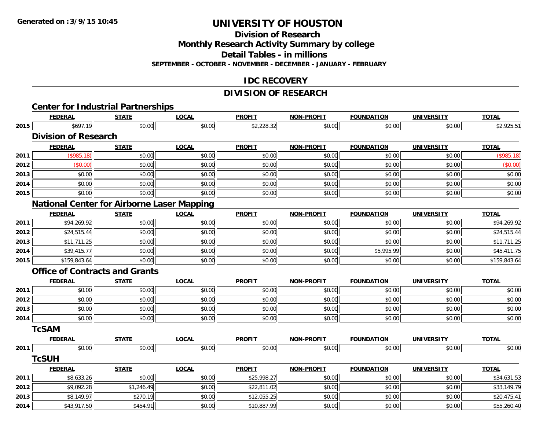**Division of Research**

**Monthly Research Activity Summary by college**

**Detail Tables - in millions**

**SEPTEMBER - OCTOBER - NOVEMBER - DECEMBER - JANUARY - FEBRUARY**

### **IDC RECOVERY**

## **DIVISION OF RESEARCH**

|      |                                                   |              |              | <u>DIVIJIUN UF REJEARUN</u> |                   |                   |                   |              |
|------|---------------------------------------------------|--------------|--------------|-----------------------------|-------------------|-------------------|-------------------|--------------|
|      | <b>Center for Industrial Partnerships</b>         |              |              |                             |                   |                   |                   |              |
|      | <b>FEDERAL</b>                                    | <b>STATE</b> | <b>LOCAL</b> | <b>PROFIT</b>               | <b>NON-PROFIT</b> | <b>FOUNDATION</b> | <b>UNIVERSITY</b> | <b>TOTAL</b> |
| 2015 | \$697.19                                          | \$0.00       | \$0.00       | \$2,228.32                  | \$0.00            | \$0.00            | \$0.00            | \$2,925.51   |
|      | <b>Division of Research</b>                       |              |              |                             |                   |                   |                   |              |
|      | <b>FEDERAL</b>                                    | <b>STATE</b> | <b>LOCAL</b> | <b>PROFIT</b>               | <b>NON-PROFIT</b> | <b>FOUNDATION</b> | <b>UNIVERSITY</b> | <b>TOTAL</b> |
| 2011 | (\$985.18)                                        | \$0.00       | \$0.00       | \$0.00                      | \$0.00            | \$0.00            | \$0.00            | (\$985.18)   |
| 2012 | (\$0.00)                                          | \$0.00       | \$0.00       | \$0.00                      | \$0.00            | \$0.00            | \$0.00            | (\$0.00)     |
| 2013 | \$0.00                                            | \$0.00       | \$0.00       | \$0.00                      | \$0.00            | \$0.00            | \$0.00            | \$0.00       |
| 2014 | \$0.00                                            | \$0.00       | \$0.00       | \$0.00                      | \$0.00            | \$0.00            | \$0.00            | \$0.00       |
| 2015 | \$0.00                                            | \$0.00       | \$0.00       | \$0.00                      | \$0.00            | \$0.00            | \$0.00            | \$0.00       |
|      | <b>National Center for Airborne Laser Mapping</b> |              |              |                             |                   |                   |                   |              |
|      | <b>FEDERAL</b>                                    | <b>STATE</b> | <b>LOCAL</b> | <b>PROFIT</b>               | <b>NON-PROFIT</b> | <b>FOUNDATION</b> | <b>UNIVERSITY</b> | <b>TOTAL</b> |
| 2011 | \$94,269.92                                       | \$0.00       | \$0.00       | \$0.00                      | \$0.00            | \$0.00            | \$0.00            | \$94,269.92  |
| 2012 | \$24,515.44                                       | \$0.00       | \$0.00       | \$0.00                      | \$0.00            | \$0.00            | \$0.00            | \$24,515.44  |
| 2013 | \$11,711.25                                       | \$0.00       | \$0.00       | \$0.00                      | \$0.00            | \$0.00            | \$0.00            | \$11,711.25  |
| 2014 | \$39,415.77                                       | \$0.00       | \$0.00       | \$0.00                      | \$0.00            | \$5,995.99        | \$0.00            | \$45,411.75  |
| 2015 | \$159,843.64                                      | \$0.00       | \$0.00       | \$0.00                      | \$0.00            | \$0.00            | \$0.00            | \$159,843.64 |
|      | <b>Office of Contracts and Grants</b>             |              |              |                             |                   |                   |                   |              |
|      | <b>FEDERAL</b>                                    | <b>STATE</b> | <b>LOCAL</b> | <b>PROFIT</b>               | <b>NON-PROFIT</b> | <b>FOUNDATION</b> | <b>UNIVERSITY</b> | <b>TOTAL</b> |
| 2011 | \$0.00                                            | \$0.00       | \$0.00       | \$0.00                      | \$0.00            | \$0.00            | \$0.00            | \$0.00       |
| 2012 | \$0.00                                            | \$0.00       | \$0.00       | \$0.00                      | \$0.00            | \$0.00            | \$0.00            | \$0.00       |
| 2013 | \$0.00                                            | \$0.00       | \$0.00       | \$0.00                      | \$0.00            | \$0.00            | \$0.00            | \$0.00       |
| 2014 | \$0.00                                            | \$0.00       | \$0.00       | \$0.00                      | \$0.00            | \$0.00            | \$0.00            | \$0.00       |
|      | <b>TcSAM</b>                                      |              |              |                             |                   |                   |                   |              |
|      | <b>FEDERAL</b>                                    | <b>STATE</b> | <b>LOCAL</b> | <b>PROFIT</b>               | <b>NON-PROFIT</b> | <b>FOUNDATION</b> | <b>UNIVERSITY</b> | <b>TOTAL</b> |
| 2011 | \$0.00                                            | \$0.00       | \$0.00       | \$0.00                      | \$0.00            | \$0.00            | \$0.00            | \$0.00       |
|      | <b>TcSUH</b>                                      |              |              |                             |                   |                   |                   |              |
|      | <b>FEDERAL</b>                                    | <b>STATE</b> | <b>LOCAL</b> | <b>PROFIT</b>               | <b>NON-PROFIT</b> | <b>FOUNDATION</b> | <b>UNIVERSITY</b> | <b>TOTAL</b> |
| 2011 | \$8,633.26                                        | \$0.00       | \$0.00       | \$25,998.27                 | \$0.00            | \$0.00            | \$0.00            | \$34,631.53  |
| 2012 | \$9,092.28                                        | \$1,246.49   | \$0.00       | \$22,811.02                 | \$0.00            | \$0.00            | \$0.00            | \$33,149.79  |
| 2013 | \$8,149.97                                        | \$270.19     | \$0.00       | \$12,055.25                 | \$0.00            | \$0.00            | \$0.00            | \$20,475.41  |
| 2014 | \$43,917.50                                       | \$454.91     | \$0.00       | \$10,887.99                 | \$0.00            | \$0.00            | \$0.00            | \$55,260.40  |

4 \$3,917.50 \$454.91 \$454.91 \$454.91 \$0.00 \$0.00 \$10,887.99 \$0.00 \$0.00 \$0.00 \$0.00 \$0.00 \$0.00 \$55,260.40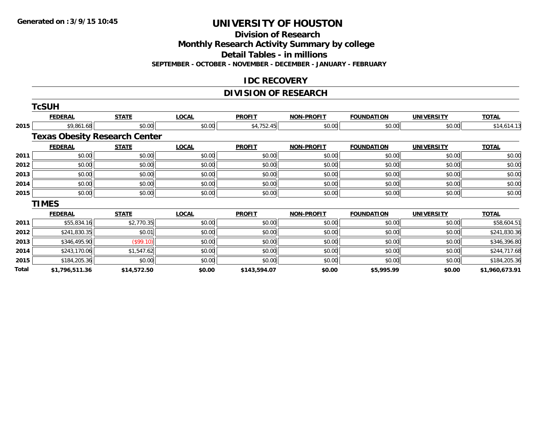**Division of Research**

**Monthly Research Activity Summary by college**

**Detail Tables - in millions**

**SEPTEMBER - OCTOBER - NOVEMBER - DECEMBER - JANUARY - FEBRUARY**

### **IDC RECOVERY**

## **DIVISION OF RESEARCH**

|       | <b>TcSUH</b>                         |              |              |               |                   |                   |                   |                |
|-------|--------------------------------------|--------------|--------------|---------------|-------------------|-------------------|-------------------|----------------|
|       | <b>FEDERAL</b>                       | <b>STATE</b> | <b>LOCAL</b> | <b>PROFIT</b> | <b>NON-PROFIT</b> | <b>FOUNDATION</b> | <b>UNIVERSITY</b> | <b>TOTAL</b>   |
| 2015  | \$9,861.68                           | \$0.00       | \$0.00       | \$4,752.45    | \$0.00            | \$0.00            | \$0.00            | \$14,614.13    |
|       | <b>Texas Obesity Research Center</b> |              |              |               |                   |                   |                   |                |
|       | <b>FEDERAL</b>                       | <b>STATE</b> | <b>LOCAL</b> | <b>PROFIT</b> | <b>NON-PROFIT</b> | <b>FOUNDATION</b> | <b>UNIVERSITY</b> | <b>TOTAL</b>   |
| 2011  | \$0.00                               | \$0.00       | \$0.00       | \$0.00        | \$0.00            | \$0.00            | \$0.00            | \$0.00         |
| 2012  | \$0.00                               | \$0.00       | \$0.00       | \$0.00        | \$0.00            | \$0.00            | \$0.00            | \$0.00         |
| 2013  | \$0.00                               | \$0.00       | \$0.00       | \$0.00        | \$0.00            | \$0.00            | \$0.00            | \$0.00         |
| 2014  | \$0.00                               | \$0.00       | \$0.00       | \$0.00        | \$0.00            | \$0.00            | \$0.00            | \$0.00         |
| 2015  | \$0.00                               | \$0.00       | \$0.00       | \$0.00        | \$0.00            | \$0.00            | \$0.00            | \$0.00         |
|       | <b>TIMES</b>                         |              |              |               |                   |                   |                   |                |
|       | <b>FEDERAL</b>                       | <b>STATE</b> | <b>LOCAL</b> | <b>PROFIT</b> | <b>NON-PROFIT</b> | <b>FOUNDATION</b> | <b>UNIVERSITY</b> | <b>TOTAL</b>   |
| 2011  | \$55,834.16                          | \$2,770.35   | \$0.00       | \$0.00        | \$0.00            | \$0.00            | \$0.00            | \$58,604.51    |
| 2012  | \$241,830.35                         | \$0.01       | \$0.00       | \$0.00        | \$0.00            | \$0.00            | \$0.00            | \$241,830.36   |
| 2013  | \$346,495.90                         | (\$99.10)    | \$0.00       | \$0.00        | \$0.00            | \$0.00            | \$0.00            | \$346,396.80   |
| 2014  | \$243,170.06                         | \$1,547.62   | \$0.00       | \$0.00        | \$0.00            | \$0.00            | \$0.00            | \$244,717.68   |
| 2015  | \$184,205.36                         | \$0.00       | \$0.00       | \$0.00        | \$0.00            | \$0.00            | \$0.00            | \$184,205.36   |
| Total | \$1,796,511.36                       | \$14,572.50  | \$0.00       | \$143,594.07  | \$0.00            | \$5,995.99        | \$0.00            | \$1,960,673.91 |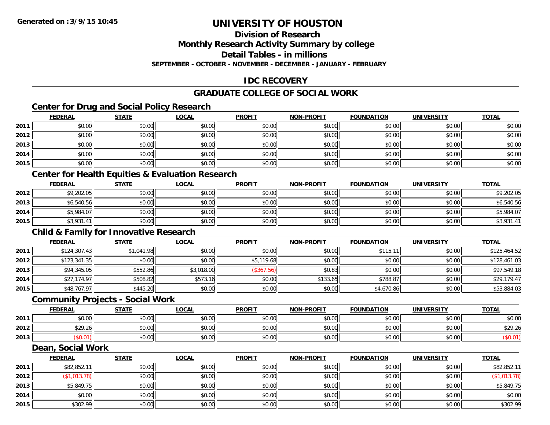## **Division of Research**

**Monthly Research Activity Summary by college**

**Detail Tables - in millions**

**SEPTEMBER - OCTOBER - NOVEMBER - DECEMBER - JANUARY - FEBRUARY**

## **IDC RECOVERY**

## **GRADUATE COLLEGE OF SOCIAL WORK**

## **Center for Drug and Social Policy Research**

|      | <b>FEDERAL</b> | <b>STATE</b> | <u>LOCAL</u> | <b>PROFIT</b> | <b>NON-PROFIT</b> | <b>FOUNDATION</b> | <b>UNIVERSITY</b> | <b>TOTAL</b> |
|------|----------------|--------------|--------------|---------------|-------------------|-------------------|-------------------|--------------|
| 2011 | \$0.00         | \$0.00       | \$0.00       | \$0.00        | \$0.00            | \$0.00            | \$0.00            | \$0.00       |
| 2012 | \$0.00         | \$0.00       | \$0.00       | \$0.00        | \$0.00            | \$0.00            | \$0.00            | \$0.00       |
| 2013 | \$0.00         | \$0.00       | \$0.00       | \$0.00        | \$0.00            | \$0.00            | \$0.00            | \$0.00       |
| 2014 | \$0.00         | \$0.00       | \$0.00       | \$0.00        | \$0.00            | \$0.00            | \$0.00            | \$0.00       |
| 2015 | \$0.00         | \$0.00       | \$0.00       | \$0.00        | \$0.00            | \$0.00            | \$0.00            | \$0.00       |
|      |                |              |              |               |                   |                   |                   |              |

### **Center for Health Equities & Evaluation Research**

|      | <u>FEDERAL</u> | <b>STATE</b> | <u>LOCAL</u> | <b>PROFIT</b> | <b>NON-PROFIT</b> | <b>FOUNDATION</b> | <b>UNIVERSITY</b> | <b>TOTAL</b> |
|------|----------------|--------------|--------------|---------------|-------------------|-------------------|-------------------|--------------|
| 2012 | \$9,202.05     | \$0.00       | \$0.00       | \$0.00        | \$0.00            | \$0.00            | \$0.00            | \$9,202.05   |
| 2013 | \$6,540.56     | \$0.00       | \$0.00       | \$0.00        | \$0.00            | \$0.00            | \$0.00            | \$6,540.56   |
| 2014 | \$5,984.07     | \$0.00       | \$0.00       | \$0.00        | \$0.00            | \$0.00            | \$0.00            | \$5,984.07   |
| 2015 | \$3,931.41     | \$0.00       | \$0.00       | \$0.00        | \$0.00            | \$0.00            | \$0.00            | \$3,931.41   |

### **Child & Family for Innovative Research**

|      | <u>FEDERAL</u> | <b>STATE</b> | <u>LOCAL</u> | <b>PROFIT</b> | <b>NON-PROFIT</b> | <b>FOUNDATION</b> | <b>UNIVERSITY</b> | <b>TOTAL</b> |
|------|----------------|--------------|--------------|---------------|-------------------|-------------------|-------------------|--------------|
| 2011 | \$124,307.43   | \$1,041.98   | \$0.00       | \$0.00        | \$0.00            | \$115.            | \$0.00            | \$125,464.52 |
| 2012 | \$123,341.35   | \$0.00       | \$0.00       | \$5,119.68    | \$0.00            | \$0.00            | \$0.00            | \$128,461.03 |
| 2013 | \$94,345.05    | \$552.86     | \$3,018.00   | (\$367.56)    | \$0.83            | \$0.00            | \$0.00            | \$97.549.18  |
| 2014 | \$27,174.97    | \$508.82     | \$573.16     | \$0.00        | \$133.65          | \$788.87          | \$0.00            | \$29,179.47  |
| 2015 | \$48,767.97    | \$445.20     | \$0.00       | \$0.00        | \$0.00            | \$4,670.86        | \$0.00            | \$53,884.03  |

#### **Community Projects - Social Work**

|      | <b>FEDERAL</b>         | <b>STATE</b> | <u>LOCAL</u> | <b>PROFIT</b> | <b>NON-PROFIT</b> | <b>FOUNDATION</b> | <b>UNIVERSITY</b> | <u>TOTAL</u> |
|------|------------------------|--------------|--------------|---------------|-------------------|-------------------|-------------------|--------------|
| 2011 | ÷n.<br>$\cap$<br>DU.UU | \$0.00       | \$0.00       | \$0.00        | \$0.00            | \$0.00            | \$0.00            | \$0.00       |
| 2012 | \$29.26                | \$0.00       | \$0.00       | \$0.00        | \$0.00            | \$0.00            | \$0.00            | \$29.26      |
| 2013 | 0.01                   | \$0.00       | \$0.00       | \$0.00        | \$0.00            | \$0.00            | \$0.00            |              |

#### **Dean, Social Work**

|      | <u>FEDERAL</u> | <b>STATE</b> | <u>LOCAL</u> | <b>PROFIT</b> | <b>NON-PROFIT</b> | <b>FOUNDATION</b> | <b>UNIVERSITY</b> | <b>TOTAL</b> |
|------|----------------|--------------|--------------|---------------|-------------------|-------------------|-------------------|--------------|
| 2011 | \$82,852.11    | \$0.00       | \$0.00       | \$0.00        | \$0.00            | \$0.00            | \$0.00            | \$82,852.11  |
| 2012 | \$1,013.78]    | \$0.00       | \$0.00       | \$0.00        | \$0.00            | \$0.00            | \$0.00            | \$1,013.78]  |
| 2013 | \$5,849.75     | \$0.00       | \$0.00       | \$0.00        | \$0.00            | \$0.00            | \$0.00            | \$5,849.75   |
| 2014 | \$0.00         | \$0.00       | \$0.00       | \$0.00        | \$0.00            | \$0.00            | \$0.00            | \$0.00       |
| 2015 | \$302.99       | \$0.00       | \$0.00       | \$0.00        | \$0.00            | \$0.00            | \$0.00            | \$302.99     |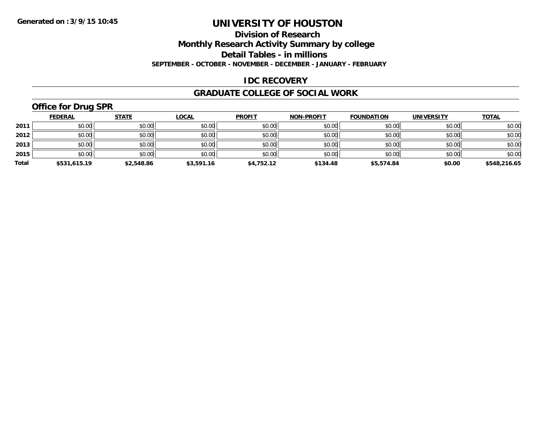#### **Division of Research**

**Monthly Research Activity Summary by college**

**Detail Tables - in millions**

**SEPTEMBER - OCTOBER - NOVEMBER - DECEMBER - JANUARY - FEBRUARY**

### **IDC RECOVERY**

#### **GRADUATE COLLEGE OF SOCIAL WORK**

## **Office for Drug SPR**

|       | <b>FEDERAL</b> | <b>STATE</b> | <b>LOCAL</b> | <b>PROFIT</b> | <b>NON-PROFIT</b> | <b>FOUNDATION</b> | <b>UNIVERSITY</b> | <b>TOTAL</b> |
|-------|----------------|--------------|--------------|---------------|-------------------|-------------------|-------------------|--------------|
| 2011  | \$0.00         | \$0.00       | \$0.00       | \$0.00        | \$0.00            | \$0.00            | \$0.00            | \$0.00       |
| 2012  | \$0.00         | \$0.00       | \$0.00       | \$0.00        | \$0.00            | \$0.00            | \$0.00            | \$0.00       |
| 2013  | \$0.00         | \$0.00       | \$0.00       | \$0.00        | \$0.00            | \$0.00            | \$0.00            | \$0.00       |
| 2015  | \$0.00         | \$0.00       | \$0.00       | \$0.00        | \$0.00            | \$0.00            | \$0.00            | \$0.00       |
| Total | \$531,615.19   | \$2,548.86   | \$3,591.16   | \$4,752.12    | \$134.48          | \$5,574.84        | \$0.00            | \$548,216.65 |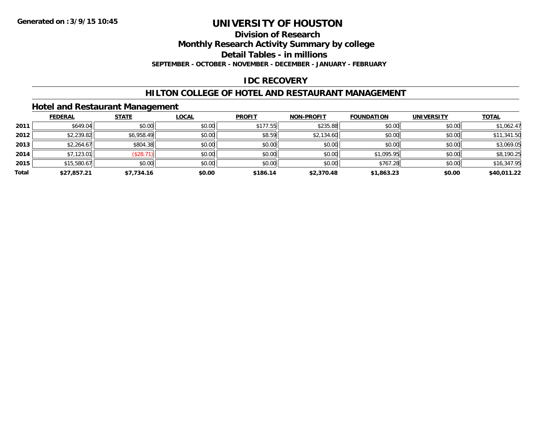#### **Division of Research**

**Monthly Research Activity Summary by college**

**Detail Tables - in millions**

**SEPTEMBER - OCTOBER - NOVEMBER - DECEMBER - JANUARY - FEBRUARY**

### **IDC RECOVERY**

### **HILTON COLLEGE OF HOTEL AND RESTAURANT MANAGEMENT**

### **Hotel and Restaurant Management**

|       | <b>FEDERAL</b> | <b>STATE</b> | <b>LOCAL</b> | <b>PROFIT</b> | <b>NON-PROFIT</b> | <b>FOUNDATION</b> | <b>UNIVERSITY</b> | <b>TOTAL</b> |
|-------|----------------|--------------|--------------|---------------|-------------------|-------------------|-------------------|--------------|
| 2011  | \$649.04       | \$0.00       | \$0.00       | \$177.55      | \$235.88          | \$0.00            | \$0.00            | \$1,062.47   |
| 2012  | \$2,239.82     | \$6,958.49   | \$0.00       | \$8.59        | \$2,134.60        | \$0.00            | \$0.00            | \$11,341.50  |
| 2013  | \$2,264.67     | \$804.38     | \$0.00       | \$0.00        | \$0.00            | \$0.00            | \$0.00            | \$3,069.05   |
| 2014  | \$7,123.01     | (\$28.7)     | \$0.00       | \$0.00        | \$0.00            | \$1,095.95        | \$0.00            | \$8,190.25   |
| 2015  | \$15,580.67    | \$0.00       | \$0.00       | \$0.00        | \$0.00            | \$767.28          | \$0.00            | \$16,347.95  |
| Total | \$27,857.21    | \$7,734.16   | \$0.00       | \$186.14      | \$2,370.48        | \$1,863.23        | \$0.00            | \$40,011.22  |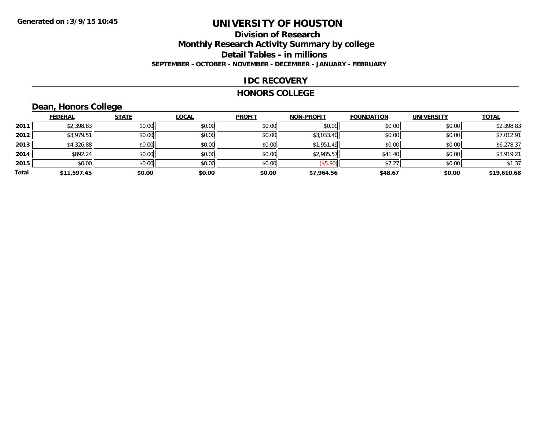### **Division of Research Monthly Research Activity Summary by college Detail Tables - in millions SEPTEMBER - OCTOBER - NOVEMBER - DECEMBER - JANUARY - FEBRUARY**

### **IDC RECOVERY**

#### **HONORS COLLEGE**

## **Dean, Honors College**

|       |                | $\sim$       |              |               |                   |                   |                   |              |
|-------|----------------|--------------|--------------|---------------|-------------------|-------------------|-------------------|--------------|
|       | <b>FEDERAL</b> | <b>STATE</b> | <b>LOCAL</b> | <b>PROFIT</b> | <b>NON-PROFIT</b> | <b>FOUNDATION</b> | <b>UNIVERSITY</b> | <b>TOTAL</b> |
| 2011  | \$2,398.83     | \$0.00       | \$0.00       | \$0.00        | \$0.00            | \$0.00            | \$0.00            | \$2,398.83   |
| 2012  | \$3,979.51     | \$0.00       | \$0.00       | \$0.00        | \$3,033.40        | \$0.00            | \$0.00            | \$7,012.91   |
| 2013  | \$4,326.88     | \$0.00       | \$0.00       | \$0.00        | \$1,951.49        | \$0.00            | \$0.00            | \$6,278.37   |
| 2014  | \$892.24       | \$0.00       | \$0.00       | \$0.00        | \$2,985.57        | \$41.40           | \$0.00            | \$3,919.21   |
| 2015  | \$0.00         | \$0.00       | \$0.00       | \$0.00        | (\$5.90)          | \$7.27            | \$0.00            | \$1.37       |
| Total | \$11,597.45    | \$0.00       | \$0.00       | \$0.00        | \$7,964.56        | \$48.67           | \$0.00            | \$19,610.68  |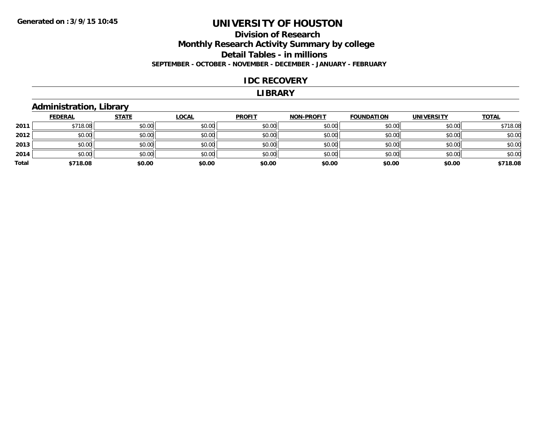## **Division of Research Monthly Research Activity Summary by college Detail Tables - in millions SEPTEMBER - OCTOBER - NOVEMBER - DECEMBER - JANUARY - FEBRUARY**

#### **IDC RECOVERY**

#### **LIBRARY**

## **Administration, Library**

|       | <b>FEDERAL</b> | <b>STATE</b> | <b>LOCAL</b> | <b>PROFIT</b> | <b>NON-PROFIT</b> | <b>FOUNDATION</b> | <b>UNIVERSITY</b> | <b>TOTAL</b> |
|-------|----------------|--------------|--------------|---------------|-------------------|-------------------|-------------------|--------------|
| 2011  | \$718.08       | \$0.00       | \$0.00       | \$0.00        | \$0.00            | \$0.00            | \$0.00            | \$718.08     |
| 2012  | \$0.00         | \$0.00       | \$0.00       | \$0.00        | \$0.00            | \$0.00            | \$0.00            | \$0.00       |
| 2013  | \$0.00         | \$0.00       | \$0.00       | \$0.00        | \$0.00            | \$0.00            | \$0.00            | \$0.00       |
| 2014  | \$0.00         | \$0.00       | \$0.00       | \$0.00        | \$0.00            | \$0.00            | \$0.00            | \$0.00       |
| Total | \$718.08       | \$0.00       | \$0.00       | \$0.00        | \$0.00            | \$0.00            | \$0.00            | \$718.08     |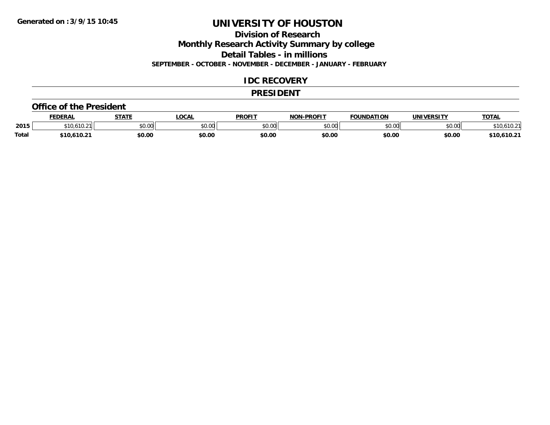**Division of Research**

**Monthly Research Activity Summary by college**

**Detail Tables - in millions**

**SEPTEMBER - OCTOBER - NOVEMBER - DECEMBER - JANUARY - FEBRUARY**

### **IDC RECOVERY**

#### **PRESIDENT**

#### **Office of the President**

|              | <b>FEDERAL</b>               | <b>STATE</b> | <b>OCAL</b>   | <b>PROFIT</b> | <b>DDAEIT</b><br>81 A B | <b>FOUNDATION</b> | UNIVERSITY | <u> ΤΟΤΑL</u>    |
|--------------|------------------------------|--------------|---------------|---------------|-------------------------|-------------------|------------|------------------|
| 2015         | $\lambda$<br>11.4            | \$0.00       | 0000<br>JU.UU | 0000<br>JU.UU | ስ ለሰ<br>,uu             | \$0.00            | \$0.00     |                  |
| <b>Total</b> | $.610.2^{\circ}$<br>$*10.6.$ | \$0.00       | \$0.00        | \$0.00        | \$0.00                  | \$0.00            | \$0.00     | 1.610.21<br>61 N |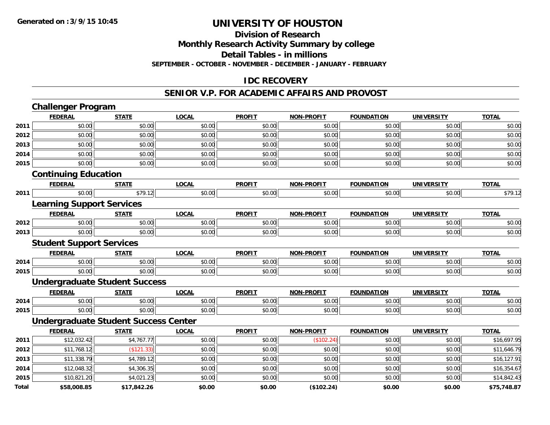#### **Division of Research**

**Monthly Research Activity Summary by college**

**Detail Tables - in millions**

**SEPTEMBER - OCTOBER - NOVEMBER - DECEMBER - JANUARY - FEBRUARY**

### **IDC RECOVERY**

#### **SENIOR V.P. FOR ACADEMIC AFFAIRS AND PROVOST**

|              | <b>Challenger Program</b>                   |              |              |               |                   |                   |                   |              |
|--------------|---------------------------------------------|--------------|--------------|---------------|-------------------|-------------------|-------------------|--------------|
|              | <b>FEDERAL</b>                              | <b>STATE</b> | <b>LOCAL</b> | <b>PROFIT</b> | NON-PROFIT        | <b>FOUNDATION</b> | <b>UNIVERSITY</b> | <b>TOTAL</b> |
| 2011         | \$0.00                                      | \$0.00       | \$0.00       | \$0.00        | \$0.00            | \$0.00            | \$0.00            | \$0.00       |
| 2012         | \$0.00                                      | \$0.00       | \$0.00       | \$0.00        | \$0.00            | \$0.00            | \$0.00            | \$0.00       |
| 2013         | \$0.00                                      | \$0.00       | \$0.00       | \$0.00        | \$0.00            | \$0.00            | \$0.00            | \$0.00       |
| 2014         | \$0.00                                      | \$0.00       | \$0.00       | \$0.00        | \$0.00            | \$0.00            | \$0.00            | \$0.00       |
| 2015         | \$0.00                                      | \$0.00       | \$0.00       | \$0.00        | \$0.00            | \$0.00            | \$0.00            | \$0.00       |
|              | <b>Continuing Education</b>                 |              |              |               |                   |                   |                   |              |
|              | <b>FEDERAL</b>                              | <b>STATE</b> | <b>LOCAL</b> | <b>PROFIT</b> | <b>NON-PROFIT</b> | <b>FOUNDATION</b> | <b>UNIVERSITY</b> | <b>TOTAL</b> |
| 2011         | \$0.00                                      | \$79.12      | \$0.00       | \$0.00        | \$0.00            | \$0.00            | \$0.00            | \$79.12      |
|              | <b>Learning Support Services</b>            |              |              |               |                   |                   |                   |              |
|              | <b>FEDERAL</b>                              | <b>STATE</b> | <b>LOCAL</b> | <b>PROFIT</b> | <b>NON-PROFIT</b> | <b>FOUNDATION</b> | <b>UNIVERSITY</b> | <b>TOTAL</b> |
| 2012         | \$0.00                                      | \$0.00       | \$0.00       | \$0.00        | \$0.00            | \$0.00            | \$0.00            | \$0.00       |
| 2013         | \$0.00                                      | \$0.00       | \$0.00       | \$0.00        | \$0.00            | \$0.00            | \$0.00            | \$0.00       |
|              | <b>Student Support Services</b>             |              |              |               |                   |                   |                   |              |
|              | <b>FEDERAL</b>                              | <b>STATE</b> | <b>LOCAL</b> | <b>PROFIT</b> | <b>NON-PROFIT</b> | <b>FOUNDATION</b> | <b>UNIVERSITY</b> | <b>TOTAL</b> |
| 2014         | \$0.00                                      | \$0.00       | \$0.00       | \$0.00        | \$0.00            | \$0.00            | \$0.00            | \$0.00       |
| 2015         | \$0.00                                      | \$0.00       | \$0.00       | \$0.00        | \$0.00            | \$0.00            | \$0.00            | \$0.00       |
|              | <b>Undergraduate Student Success</b>        |              |              |               |                   |                   |                   |              |
|              | <b>FEDERAL</b>                              | <b>STATE</b> | <b>LOCAL</b> | <b>PROFIT</b> | <b>NON-PROFIT</b> | <b>FOUNDATION</b> | <b>UNIVERSITY</b> | <b>TOTAL</b> |
| 2014         | \$0.00                                      | \$0.00       | \$0.00       | \$0.00        | \$0.00            | \$0.00            | \$0.00            | \$0.00       |
| 2015         | \$0.00                                      | \$0.00       | \$0.00       | \$0.00        | \$0.00            | \$0.00            | \$0.00            | \$0.00       |
|              | <b>Undergraduate Student Success Center</b> |              |              |               |                   |                   |                   |              |
|              | <b>FEDERAL</b>                              | <b>STATE</b> | <b>LOCAL</b> | <b>PROFIT</b> | <b>NON-PROFIT</b> | <b>FOUNDATION</b> | <b>UNIVERSITY</b> | <b>TOTAL</b> |
| 2011         | \$12,032.42                                 | \$4,767.77   | \$0.00       | \$0.00        | (\$102.24)        | \$0.00            | \$0.00            | \$16,697.95  |
| 2012         | \$11,768.12                                 | (\$121.33)   | \$0.00       | \$0.00        | \$0.00            | \$0.00            | \$0.00            | \$11,646.79  |
| 2013         | \$11,338.79                                 | \$4,789.12   | \$0.00       | \$0.00        | \$0.00            | \$0.00            | \$0.00            | \$16,127.91  |
| 2014         | \$12,048.32                                 | \$4,306.35   | \$0.00       | \$0.00        | \$0.00            | \$0.00            | \$0.00            | \$16,354.67  |
| 2015         | \$10,821.20                                 | \$4,021.23   | \$0.00       | \$0.00        | \$0.00            | \$0.00            | \$0.00            | \$14,842.43  |
| <b>Total</b> | \$58,008.85                                 | \$17,842.26  | \$0.00       | \$0.00        | (\$102.24)        | \$0.00            | \$0.00            | \$75,748.87  |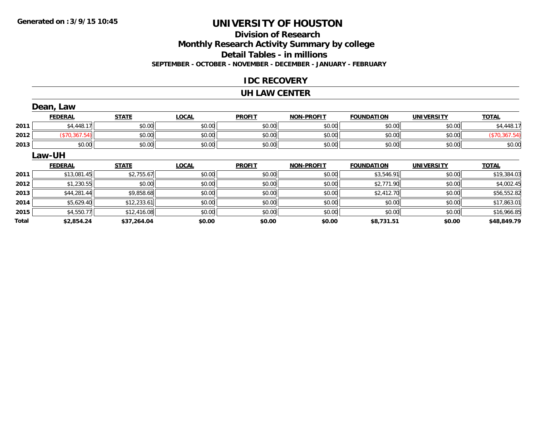## **Division of ResearchMonthly Research Activity Summary by college Detail Tables - in millions SEPTEMBER - OCTOBER - NOVEMBER - DECEMBER - JANUARY - FEBRUARY**

### **IDC RECOVERY**

#### **UH LAW CENTER**

|              | Dean, Law      |              |              |               |                   |                   |                   |               |
|--------------|----------------|--------------|--------------|---------------|-------------------|-------------------|-------------------|---------------|
|              | <b>FEDERAL</b> | <b>STATE</b> | <b>LOCAL</b> | <b>PROFIT</b> | NON-PROFIT        | <b>FOUNDATION</b> | <b>UNIVERSITY</b> | <b>TOTAL</b>  |
| 2011         | \$4,448.17     | \$0.00       | \$0.00       | \$0.00        | \$0.00            | \$0.00            | \$0.00            | \$4,448.17    |
| 2012         | (\$70,367.54)  | \$0.00       | \$0.00       | \$0.00        | \$0.00            | \$0.00            | \$0.00            | (\$70,367.54) |
| 2013         | \$0.00         | \$0.00       | \$0.00       | \$0.00        | \$0.00            | \$0.00            | \$0.00            | \$0.00        |
|              | Law-UH         |              |              |               |                   |                   |                   |               |
|              | <b>FEDERAL</b> | <b>STATE</b> | <b>LOCAL</b> | <b>PROFIT</b> | <b>NON-PROFIT</b> | <b>FOUNDATION</b> | <b>UNIVERSITY</b> | <b>TOTAL</b>  |
| 2011         | \$13,081.45    | \$2,755.67   | \$0.00       | \$0.00        | \$0.00            | \$3,546.91        | \$0.00            | \$19,384.03   |
| 2012         | \$1,230.55     | \$0.00       | \$0.00       | \$0.00        | \$0.00            | \$2,771.90        | \$0.00            | \$4,002.45    |
| 2013         | \$44,281.44    | \$9,858.68   | \$0.00       | \$0.00        | \$0.00            | \$2,412.70        | \$0.00            | \$56,552.82   |
| 2014         | \$5,629.40     | \$12,233.61  | \$0.00       | \$0.00        | \$0.00            | \$0.00            | \$0.00            | \$17,863.01   |
| 2015         | \$4,550.77     | \$12,416.08  | \$0.00       | \$0.00        | \$0.00            | \$0.00            | \$0.00            | \$16,966.85   |
| <b>Total</b> | \$2,854.24     | \$37,264.04  | \$0.00       | \$0.00        | \$0.00            | \$8,731.51        | \$0.00            | \$48,849.79   |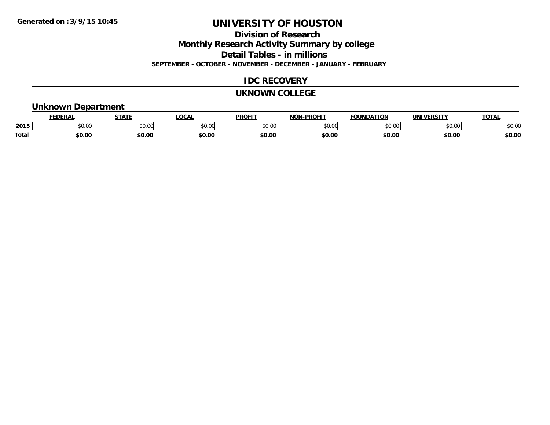**Division of Research**

**Monthly Research Activity Summary by college**

**Detail Tables - in millions**

**SEPTEMBER - OCTOBER - NOVEMBER - DECEMBER - JANUARY - FEBRUARY**

## **IDC RECOVERY**

#### **UKNOWN COLLEGE**

### **Unknown Department**

|              | DERAI         | CTATL         | .OCAI          | <b>PROFIT</b> | <b>DDOEL1</b><br>810 R | <b>FOUNDATION</b> | UNIVERSITY | TOTAL  |
|--------------|---------------|---------------|----------------|---------------|------------------------|-------------------|------------|--------|
| 2015         | 0.00<br>JU.UU | 0.00<br>JU.UU | ≮∩ ∩r<br>JU.UL | 0000<br>JU.UU | $\sim$ 00<br>וטט.טי    | 0000              | \$0.00     | \$0.00 |
| <b>Total</b> | \$0.00        | \$0.00        | \$0.00         | \$0.00        | \$0.00                 | \$0.00            | \$0.00     | \$0.00 |